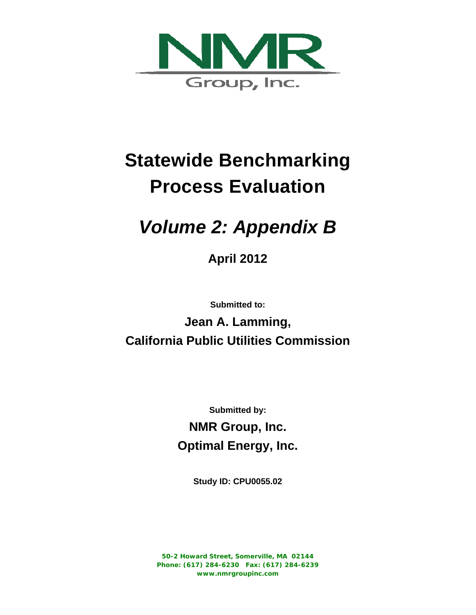

# **Statewide Benchmarking Process Evaluation**

# *Volume 2: Appendix B*

**April 2012**

**Submitted to:** 

**Jean A. Lamming, California Public Utilities Commission** 

> **Submitted by: NMR Group, Inc. Optimal Energy, Inc.**

> > **Study ID: CPU0055.02**

**50-2 Howard Street, Somerville, MA 02144 Phone: (617) 284-6230 Fax: (617) 284-6239 www.nmrgroupinc.com**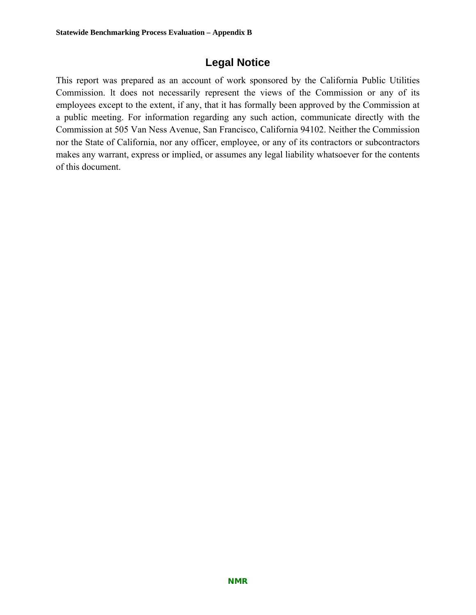## **Legal Notice**

This report was prepared as an account of work sponsored by the California Public Utilities Commission. lt does not necessarily represent the views of the Commission or any of its employees except to the extent, if any, that it has formally been approved by the Commission at a public meeting. For information regarding any such action, communicate directly with the Commission at 505 Van Ness Avenue, San Francisco, California 94102. Neither the Commission nor the State of California, nor any officer, employee, or any of its contractors or subcontractors makes any warrant, express or implied, or assumes any legal liability whatsoever for the contents of this document.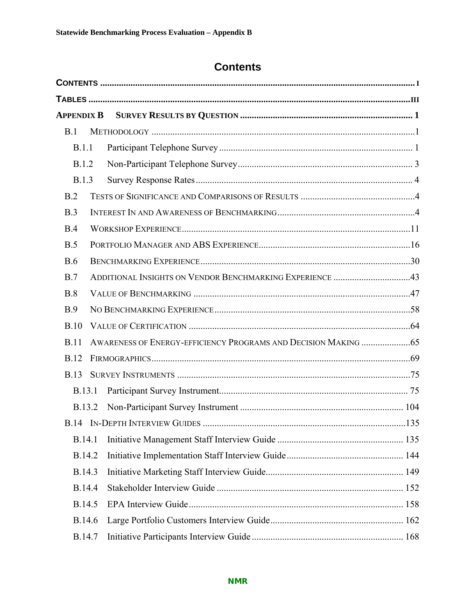# **Contents**

| <b>APPENDIX B</b> |                                                          |  |
|-------------------|----------------------------------------------------------|--|
| B.1               |                                                          |  |
| B.1.1             |                                                          |  |
| B.1.2             |                                                          |  |
| <b>B.1.3</b>      |                                                          |  |
| B.2               |                                                          |  |
| B.3               |                                                          |  |
| B.4               |                                                          |  |
| B.5               |                                                          |  |
| <b>B.6</b>        |                                                          |  |
| B.7               | ADDITIONAL INSIGHTS ON VENDOR BENCHMARKING EXPERIENCE 43 |  |
| B.8               |                                                          |  |
| B.9               |                                                          |  |
| B.10              |                                                          |  |
| <b>B.11</b>       |                                                          |  |
| <b>B.12</b>       |                                                          |  |
| <b>B.13</b>       |                                                          |  |
| <b>B.13.1</b>     |                                                          |  |
| B.13.2            |                                                          |  |
|                   |                                                          |  |
| B.14.1            |                                                          |  |
| B.14.2            |                                                          |  |
| B.14.3            |                                                          |  |
| B.14.4            |                                                          |  |
| B.14.5            |                                                          |  |
| B.14.6            |                                                          |  |
| B.14.7            |                                                          |  |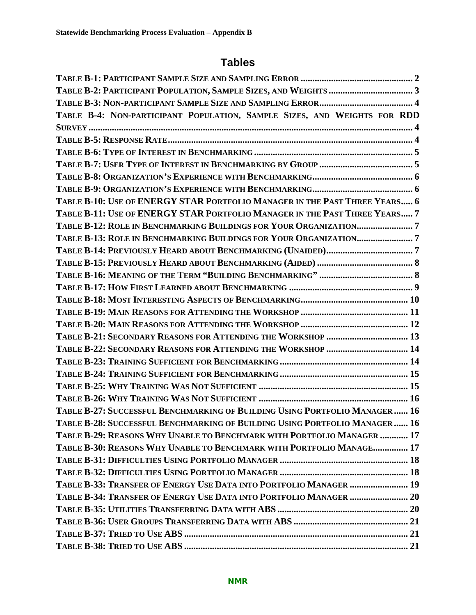# **Tables**

| TABLE B-4: NON-PARTICIPANT POPULATION, SAMPLE SIZES, AND WEIGHTS FOR RDD    |
|-----------------------------------------------------------------------------|
|                                                                             |
|                                                                             |
|                                                                             |
|                                                                             |
|                                                                             |
|                                                                             |
| TABLE B-10: USE OF ENERGY STAR PORTFOLIO MANAGER IN THE PAST THREE YEARS 6  |
| TABLE B-11: USE OF ENERGY STAR PORTFOLIO MANAGER IN THE PAST THREE YEARS 7  |
| TABLE B-12: ROLE IN BENCHMARKING BUILDINGS FOR YOUR ORGANIZATION7           |
| TABLE B-13: ROLE IN BENCHMARKING BUILDINGS FOR YOUR ORGANIZATION7           |
|                                                                             |
|                                                                             |
|                                                                             |
|                                                                             |
|                                                                             |
|                                                                             |
|                                                                             |
| TABLE B-21: SECONDARY REASONS FOR ATTENDING THE WORKSHOP  13                |
| TABLE B-22: SECONDARY REASONS FOR ATTENDING THE WORKSHOP  14                |
|                                                                             |
|                                                                             |
|                                                                             |
|                                                                             |
| TABLE B-27: SUCCESSFUL BENCHMARKING OF BUILDING USING PORTFOLIO MANAGER  16 |
| TABLE B-28: SUCCESSFUL BENCHMARKING OF BUILDING USING PORTFOLIO MANAGER  16 |
| TABLE B-29: REASONS WHY UNABLE TO BENCHMARK WITH PORTFOLIO MANAGER  17      |
| TABLE B-30: REASONS WHY UNABLE TO BENCHMARK WITH PORTFOLIO MANAGE 17        |
|                                                                             |
|                                                                             |
| TABLE B-33: TRANSFER OF ENERGY USE DATA INTO PORTFOLIO MANAGER  19          |
|                                                                             |
|                                                                             |
|                                                                             |
|                                                                             |
|                                                                             |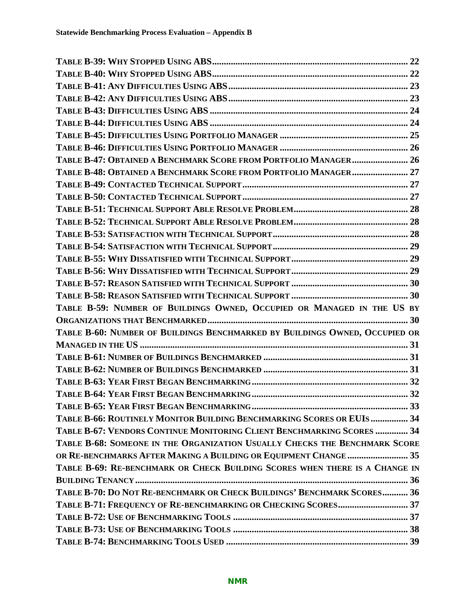| TABLE B-47: OBTAINED A BENCHMARK SCORE FROM PORTFOLIO MANAGER 26            |  |
|-----------------------------------------------------------------------------|--|
| TABLE B-48: OBTAINED A BENCHMARK SCORE FROM PORTFOLIO MANAGER 27            |  |
|                                                                             |  |
|                                                                             |  |
|                                                                             |  |
|                                                                             |  |
|                                                                             |  |
|                                                                             |  |
|                                                                             |  |
|                                                                             |  |
|                                                                             |  |
|                                                                             |  |
| TABLE B-59: NUMBER OF BUILDINGS OWNED, OCCUPIED OR MANAGED IN THE US BY     |  |
|                                                                             |  |
| TABLE B-60: NUMBER OF BUILDINGS BENCHMARKED BY BUILDINGS OWNED, OCCUPIED OR |  |
|                                                                             |  |
|                                                                             |  |
|                                                                             |  |
|                                                                             |  |
|                                                                             |  |
|                                                                             |  |
|                                                                             |  |
| TABLE B-66: ROUTINELY MONITOR BUILDING BENCHMARKING SCORES OR EUIS  34      |  |
| TABLE B-67: VENDORS CONTINUE MONITORING CLIENT BENCHMARKING SCORES  34      |  |
| TABLE B-68: SOMEONE IN THE ORGANIZATION USUALLY CHECKS THE BENCHMARK SCORE  |  |
| OR RE-BENCHMARKS AFTER MAKING A BUILDING OR EQUIPMENT CHANGE  35            |  |
| TABLE B-69: RE-BENCHMARK OR CHECK BUILDING SCORES WHEN THERE IS A CHANGE IN |  |
|                                                                             |  |
| TABLE B-70: DO NOT RE-BENCHMARK OR CHECK BUILDINGS' BENCHMARK SCORES 36     |  |
| TABLE B-71: FREQUENCY OF RE-BENCHMARKING OR CHECKING SCORES 37              |  |
|                                                                             |  |
|                                                                             |  |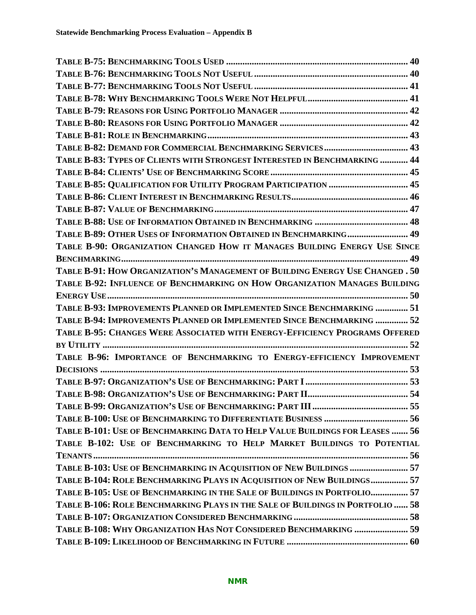| TABLE B-83: TYPES OF CLIENTS WITH STRONGEST INTERESTED IN BENCHMARKING  44     |  |
|--------------------------------------------------------------------------------|--|
|                                                                                |  |
| TABLE B-85: QUALIFICATION FOR UTILITY PROGRAM PARTICIPATION  45                |  |
|                                                                                |  |
|                                                                                |  |
|                                                                                |  |
| TABLE B-89: OTHER USES OF INFORMATION OBTAINED IN BENCHMARKING 49              |  |
| TABLE B-90: ORGANIZATION CHANGED HOW IT MANAGES BUILDING ENERGY USE SINCE      |  |
|                                                                                |  |
| TABLE B-91: HOW ORGANIZATION'S MANAGEMENT OF BUILDING ENERGY USE CHANGED. 50   |  |
| TABLE B-92: INFLUENCE OF BENCHMARKING ON HOW ORGANIZATION MANAGES BUILDING     |  |
|                                                                                |  |
| TABLE B-93: IMPROVEMENTS PLANNED OR IMPLEMENTED SINCE BENCHMARKING  51         |  |
| TABLE B-94: IMPROVEMENTS PLANNED OR IMPLEMENTED SINCE BENCHMARKING  52         |  |
| TABLE B-95: CHANGES WERE ASSOCIATED WITH ENERGY-EFFICIENCY PROGRAMS OFFERED    |  |
|                                                                                |  |
| TABLE B-96: IMPORTANCE OF BENCHMARKING TO ENERGY-EFFICIENCY IMPROVEMENT        |  |
|                                                                                |  |
|                                                                                |  |
|                                                                                |  |
|                                                                                |  |
|                                                                                |  |
| TABLE B-101: USE OF BENCHMARKING DATA TO HELP VALUE BUILDINGS FOR LEASES  56   |  |
| TABLE B-102: USE OF BENCHMARKING TO HELP MARKET BUILDINGS TO POTENTIAL         |  |
|                                                                                |  |
| TABLE B-103: USE OF BENCHMARKING IN ACQUISITION OF NEW BUILDINGS  57           |  |
| TABLE B-104: ROLE BENCHMARKING PLAYS IN ACQUISITION OF NEW BUILDINGS 57        |  |
| TABLE B-105: USE OF BENCHMARKING IN THE SALE OF BUILDINGS IN PORTFOLIO 57      |  |
| TABLE B-106: ROLE BENCHMARKING PLAYS IN THE SALE OF BUILDINGS IN PORTFOLIO  58 |  |
|                                                                                |  |
| TABLE B-108: WHY ORGANIZATION HAS NOT CONSIDERED BENCHMARKING  59              |  |
|                                                                                |  |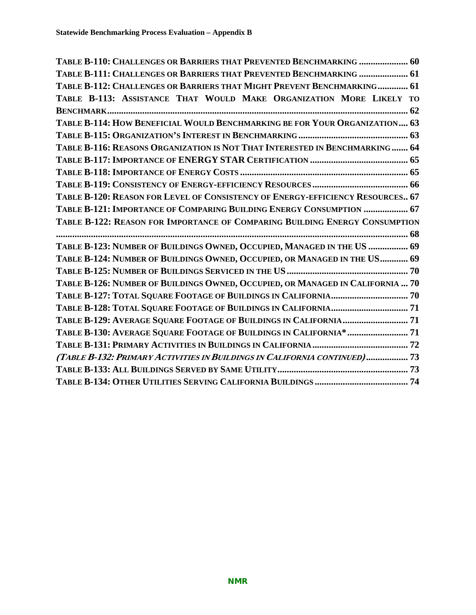| TABLE B-110: CHALLENGES OR BARRIERS THAT PREVENTED BENCHMARKING  60            |
|--------------------------------------------------------------------------------|
| TABLE B-111: CHALLENGES OR BARRIERS THAT PREVENTED BENCHMARKING  61            |
| TABLE B-112: CHALLENGES OR BARRIERS THAT MIGHT PREVENT BENCHMARKING 61         |
| TABLE B-113: ASSISTANCE THAT WOULD MAKE ORGANIZATION MORE LIKELY TO            |
|                                                                                |
| TABLE B-114: HOW BENEFICIAL WOULD BENCHMARKING BE FOR YOUR ORGANIZATION 63     |
|                                                                                |
| TABLE B-116: REASONS ORGANIZATION IS NOT THAT INTERESTED IN BENCHMARKING  64   |
|                                                                                |
|                                                                                |
|                                                                                |
| TABLE B-120: REASON FOR LEVEL OF CONSISTENCY OF ENERGY-EFFICIENCY RESOURCES 67 |
| TABLE B-121: IMPORTANCE OF COMPARING BUILDING ENERGY CONSUMPTION  67           |
| TABLE B-122: REASON FOR IMPORTANCE OF COMPARING BUILDING ENERGY CONSUMPTION    |
|                                                                                |
|                                                                                |
| TABLE B-123: NUMBER OF BUILDINGS OWNED, OCCUPIED, MANAGED IN THE US  69        |
| TABLE B-124: NUMBER OF BUILDINGS OWNED, OCCUPIED, OR MANAGED IN THE US 69      |
|                                                                                |
| TABLE B-126: NUMBER OF BUILDINGS OWNED, OCCUPIED, OR MANAGED IN CALIFORNIA  70 |
|                                                                                |
|                                                                                |
| TABLE B-129: AVERAGE SQUARE FOOTAGE OF BUILDINGS IN CALIFORNIA 71              |
| TABLE B-130: AVERAGE SQUARE FOOTAGE OF BUILDINGS IN CALIFORNIA* 71             |
|                                                                                |
| (TABLE B-132: PRIMARY ACTIVITIES IN BUILDINGS IN CALIFORNIA CONTINUED) 73      |
|                                                                                |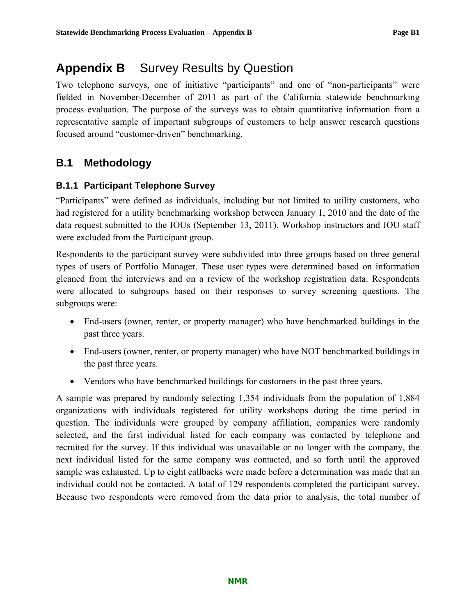# **Appendix B** Survey Results by Question

Two telephone surveys, one of initiative "participants" and one of "non-participants" were fielded in November-December of 2011 as part of the California statewide benchmarking process evaluation. The purpose of the surveys was to obtain quantitative information from a representative sample of important subgroups of customers to help answer research questions focused around "customer-driven" benchmarking.

# **B.1 Methodology**

### **B.1.1 Participant Telephone Survey**

"Participants" were defined as individuals, including but not limited to utility customers, who had registered for a utility benchmarking workshop between January 1, 2010 and the date of the data request submitted to the IOUs (September 13, 2011). Workshop instructors and IOU staff were excluded from the Participant group.

Respondents to the participant survey were subdivided into three groups based on three general types of users of Portfolio Manager. These user types were determined based on information gleaned from the interviews and on a review of the workshop registration data. Respondents were allocated to subgroups based on their responses to survey screening questions. The subgroups were:

- End-users (owner, renter, or property manager) who have benchmarked buildings in the past three years.
- End-users (owner, renter, or property manager) who have NOT benchmarked buildings in the past three years.
- Vendors who have benchmarked buildings for customers in the past three years.

A sample was prepared by randomly selecting 1,354 individuals from the population of 1,884 organizations with individuals registered for utility workshops during the time period in question. The individuals were grouped by company affiliation, companies were randomly selected, and the first individual listed for each company was contacted by telephone and recruited for the survey. If this individual was unavailable or no longer with the company, the next individual listed for the same company was contacted, and so forth until the approved sample was exhausted. Up to eight callbacks were made before a determination was made that an individual could not be contacted. A total of 129 respondents completed the participant survey. Because two respondents were removed from the data prior to analysis, the total number of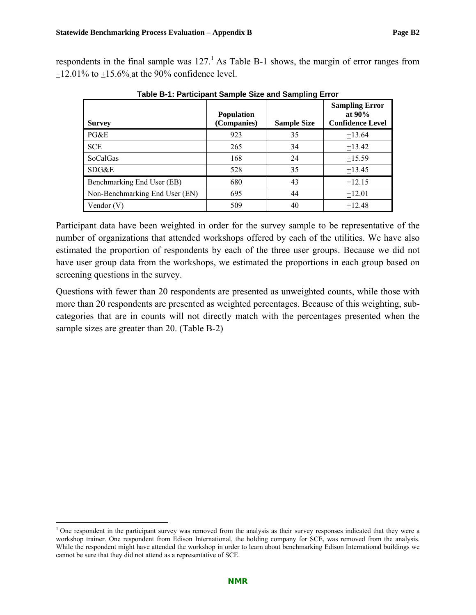respondents in the final sample was  $127<sup>1</sup>$  As Table B-1 shows, the margin of error ranges from  $+12.01\%$  to  $+15.6\%$  at the 90% confidence level.

| <b>Survey</b>                  | <b>Population</b><br>(Companies) | <b>Sample Size</b> | <b>Sampling Error</b><br>at $90\%$<br><b>Confidence Level</b> |
|--------------------------------|----------------------------------|--------------------|---------------------------------------------------------------|
| PG&E                           | 923                              | 35                 | $+13.64$                                                      |
| <b>SCE</b>                     | 265                              | 34                 | $+13.42$                                                      |
| <b>SoCalGas</b>                | 168                              | 24                 | $+15.59$                                                      |
| SDG&E                          | 528                              | 35                 | $+13.45$                                                      |
| Benchmarking End User (EB)     | 680                              | 43                 | $+12.15$                                                      |
| Non-Benchmarking End User (EN) | 695                              | 44                 | $+12.01$                                                      |
| Vendor $(V)$                   | 509                              | 40                 | $+12.48$                                                      |

**Table B-1: Participant Sample Size and Sampling Error** 

Participant data have been weighted in order for the survey sample to be representative of the number of organizations that attended workshops offered by each of the utilities. We have also estimated the proportion of respondents by each of the three user groups. Because we did not have user group data from the workshops, we estimated the proportions in each group based on screening questions in the survey.

Questions with fewer than 20 respondents are presented as unweighted counts, while those with more than 20 respondents are presented as weighted percentages. Because of this weighting, subcategories that are in counts will not directly match with the percentages presented when the sample sizes are greater than 20. (Table B-2)

 $\overline{a}$ 

 $1$  One respondent in the participant survey was removed from the analysis as their survey responses indicated that they were a workshop trainer. One respondent from Edison International, the holding company for SCE, was removed from the analysis. While the respondent might have attended the workshop in order to learn about benchmarking Edison International buildings we cannot be sure that they did not attend as a representative of SCE.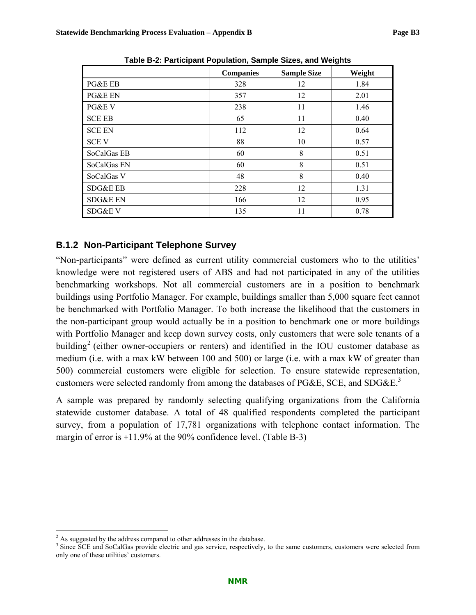|                     |                  |                    | ັ      |
|---------------------|------------------|--------------------|--------|
|                     | <b>Companies</b> | <b>Sample Size</b> | Weight |
| PG&E EB             | 328              | 12                 | 1.84   |
| PG&E EN             | 357              | 12                 | 2.01   |
| PG&E V              | 238              | 11                 | 1.46   |
| <b>SCE EB</b>       | 65               | 11                 | 0.40   |
| <b>SCE EN</b>       | 112              | 12                 | 0.64   |
| <b>SCEV</b>         | 88               | 10                 | 0.57   |
| SoCalGas EB         | 60               | 8                  | 0.51   |
| SoCalGas EN         | 60               | 8                  | 0.51   |
| SoCalGas V          | 48               | 8                  | 0.40   |
| SDG&E EB            | 228              | 12                 | 1.31   |
| <b>SDG&amp;E EN</b> | 166              | 12                 | 0.95   |
| SDG&E V             | 135              | 11                 | 0.78   |

**Table B-2: Participant Population, Sample Sizes, and Weights** 

### **B.1.2 Non-Participant Telephone Survey**

"Non-participants" were defined as current utility commercial customers who to the utilities' knowledge were not registered users of ABS and had not participated in any of the utilities benchmarking workshops. Not all commercial customers are in a position to benchmark buildings using Portfolio Manager. For example, buildings smaller than 5,000 square feet cannot be benchmarked with Portfolio Manager. To both increase the likelihood that the customers in the non-participant group would actually be in a position to benchmark one or more buildings with Portfolio Manager and keep down survey costs, only customers that were sole tenants of a building<sup>2</sup> (either owner-occupiers or renters) and identified in the IOU customer database as medium (i.e. with a max kW between 100 and 500) or large (i.e. with a max kW of greater than 500) commercial customers were eligible for selection. To ensure statewide representation, customers were selected randomly from among the databases of PG&E, SCE, and SDG&E.<sup>3</sup>

A sample was prepared by randomly selecting qualifying organizations from the California statewide customer database. A total of 48 qualified respondents completed the participant survey, from a population of 17,781 organizations with telephone contact information. The margin of error is +11.9% at the 90% confidence level. (Table B-3)

 $\overline{a}$ 

 $^{2}$  As suggested by the address compared to other addresses in the database.

<sup>&</sup>lt;sup>3</sup> Since SCE and SoCalGas provide electric and gas service, respectively, to the same customers, customers were selected from only one of these utilities' customers.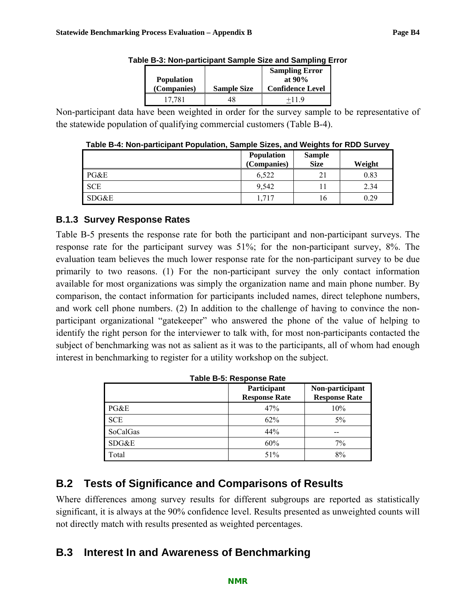| <b>Population</b><br>(Companies) | <b>Sample Size</b> | <b>Sampling Error</b><br>at $90\%$<br><b>Confidence Level</b> |
|----------------------------------|--------------------|---------------------------------------------------------------|
| 17 781                           |                    | $+119$                                                        |

|  |  |  | Table B-3: Non-participant Sample Size and Sampling Error |
|--|--|--|-----------------------------------------------------------|
|  |  |  |                                                           |

Non-participant data have been weighted in order for the survey sample to be representative of the statewide population of qualifying commercial customers (Table B-4).

| Table B-4: Non-participant Population, Sample Sizes, and Weights for RDD Survey |                   |  |
|---------------------------------------------------------------------------------|-------------------|--|
|                                                                                 | Donulation Comple |  |

|            | Population  | <b>Sample</b> |        |
|------------|-------------|---------------|--------|
|            | (Companies) | <b>Size</b>   | Weight |
| PG&E       | 6,522       | 21            | 0.83   |
| <b>SCE</b> | 9.542       |               | 2.34   |
| SDG&E      | 1.717       | 16            | 0.29   |

### **B.1.3 Survey Response Rates**

Table B-5 presents the response rate for both the participant and non-participant surveys. The response rate for the participant survey was 51%; for the non-participant survey, 8%. The evaluation team believes the much lower response rate for the non-participant survey to be due primarily to two reasons. (1) For the non-participant survey the only contact information available for most organizations was simply the organization name and main phone number. By comparison, the contact information for participants included names, direct telephone numbers, and work cell phone numbers. (2) In addition to the challenge of having to convince the nonparticipant organizational "gatekeeper" who answered the phone of the value of helping to identify the right person for the interviewer to talk with, for most non-participants contacted the subject of benchmarking was not as salient as it was to the participants, all of whom had enough interest in benchmarking to register for a utility workshop on the subject.

|            | Participant<br><b>Response Rate</b> | Non-participant<br><b>Response Rate</b> |
|------------|-------------------------------------|-----------------------------------------|
| PG&E       | 47%                                 | 10%                                     |
| <b>SCE</b> | 62%                                 | $5\%$                                   |
| SoCalGas   | 44%                                 |                                         |
| SDG&E      | 60%                                 | 7%                                      |
| Total      | 51%                                 | 8%                                      |

**Table B-5: Response Rate** 

# **B.2 Tests of Significance and Comparisons of Results**

Where differences among survey results for different subgroups are reported as statistically significant, it is always at the 90% confidence level. Results presented as unweighted counts will not directly match with results presented as weighted percentages.

# **B.3 Interest In and Awareness of Benchmarking**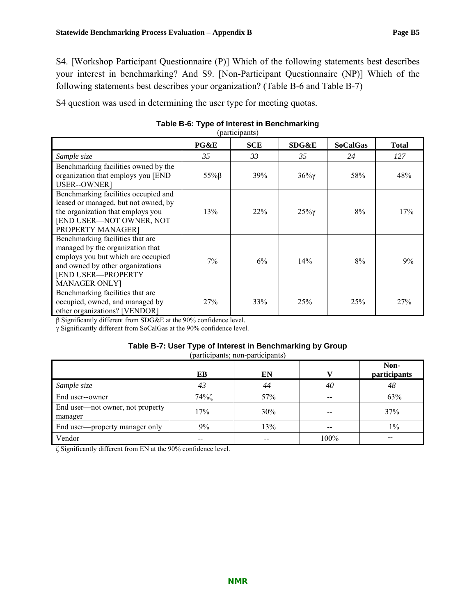S4 question was used in determining the user type for meeting quotas.

|                                                                                                                                                                                                     |                | (participants) |        |                 |              |
|-----------------------------------------------------------------------------------------------------------------------------------------------------------------------------------------------------|----------------|----------------|--------|-----------------|--------------|
|                                                                                                                                                                                                     | PG&E           | <b>SCE</b>     | SDG&E  | <b>SoCalGas</b> | <b>Total</b> |
| Sample size                                                                                                                                                                                         | 35             | 33             | 35     | 24              | 127          |
| Benchmarking facilities owned by the<br>organization that employs you [END<br>USER--OWNER]                                                                                                          | $55\%$ $\beta$ | 39%            | $36\%$ | 58%             | 48%          |
| Benchmarking facilities occupied and<br>leased or managed, but not owned, by<br>the organization that employs you<br>[END USER-NOT OWNER, NOT<br>PROPERTY MANAGER]                                  | 13%            | 22%            | $25\%$ | 8%              | 17%          |
| Benchmarking facilities that are<br>managed by the organization that<br>employs you but which are occupied<br>and owned by other organizations<br><b>[END USER-PROPERTY</b><br><b>MANAGER ONLY]</b> | 7%             | 6%             | 14%    | 8%              | 9%           |
| Benchmarking facilities that are<br>occupied, owned, and managed by<br>other organizations? [VENDOR]                                                                                                | 27%            | 33%            | 25%    | 25%             | 27%          |

## **Table B-6: Type of Interest in Benchmarking**

β Significantly different from SDG&E at the 90% confidence level.

γ Significantly different from SoCalGas at the 90% confidence level.

#### **Table B-7: User Type of Interest in Benchmarking by Group**

(participants; non-participants)

|                                             | EB   | EN  |       | Non-<br>participants |
|---------------------------------------------|------|-----|-------|----------------------|
| Sample size                                 | 43   | 44  | 40    | 48                   |
| End user--owner                             | 74%ζ | 57% | $- -$ | 63%                  |
| End user—not owner, not property<br>manager | 17%  | 30% |       | 37%                  |
| End user—property manager only              | 9%   | 13% |       | $1\%$                |
| Vendor                                      |      | --  | 100%  |                      |

ζ Significantly different from EN at the 90% confidence level.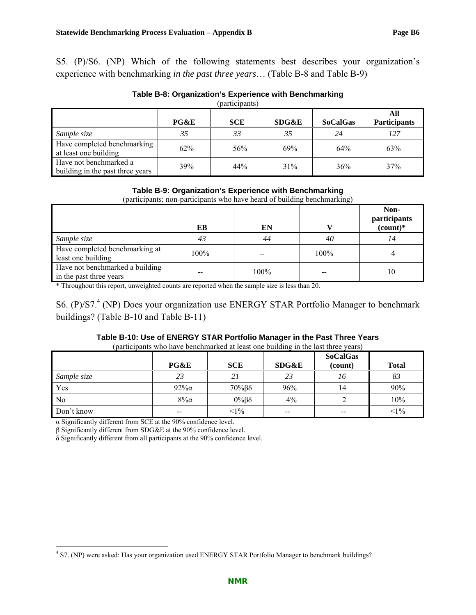| Table B-8: Organization's Experience with Benchmarking |  |
|--------------------------------------------------------|--|
|--------------------------------------------------------|--|

|  | (participants) |  |
|--|----------------|--|
|  |                |  |

|                                                            | PG&E | <b>SCE</b> | SDG&E | <b>SoCalGas</b> | All<br><b>Participants</b> |
|------------------------------------------------------------|------|------------|-------|-----------------|----------------------------|
| Sample size                                                | 35   | 33         | 35    | 24              | 127                        |
| Have completed benchmarking<br>at least one building       | 62%  | 56%        | 69%   | 64%             | 63%                        |
| Have not benchmarked a<br>building in the past three years | 39%  | 44%        | 31%   | 36%             | 37%                        |

#### **Table B-9: Organization's Experience with Benchmarking**

(participants; non-participants who have heard of building benchmarking)

|                                                            | EB   | EN   |      | Non-<br>participants<br>$\frac{1}{2}$ |
|------------------------------------------------------------|------|------|------|---------------------------------------|
| Sample size                                                | 43   | 44   | 40   | 14                                    |
| Have completed benchmarking at<br>least one building       | 100% |      | 100% |                                       |
| Have not benchmarked a building<br>in the past three years |      | 100% |      | 10                                    |

\* Throughout this report, unweighted counts are reported when the sample size is less than 20.

S6. (P)/S7.<sup>4</sup> (NP) Does your organization use ENERGY STAR Portfolio Manager to benchmark buildings? (Table B-10 and Table B-11)

### **Table B-10: Use of ENERGY STAR Portfolio Manager in the Past Three Years**

(participants who have benchmarked at least one building in the last three years)

|             |                          |                      |                  | <b>SoCalGas</b> |              |
|-------------|--------------------------|----------------------|------------------|-----------------|--------------|
|             | PG&E                     | <b>SCE</b>           | <b>SDG&amp;E</b> | (count)         | <b>Total</b> |
| Sample size | 23                       | 2 i                  | 23               | 16              | 83           |
| Yes         | $92\%$                   | $70\%$ $\beta\delta$ | 96%              | 14              | 90%          |
| No          | $8\%$ a                  | $0\%$ $\beta\delta$  | 4%               |                 | 10%          |
| Don't know  | $\overline{\phantom{m}}$ | $<1\%$               | $- -$            | $-$             | $<1\%$       |

α Significantly different from SCE at the 90% confidence level.

β Significantly different from SDG&E at the 90% confidence level.

δ Significantly different from all participants at the 90% confidence level.

 4 S7. (NP) were asked: Has your organization used ENERGY STAR Portfolio Manager to benchmark buildings?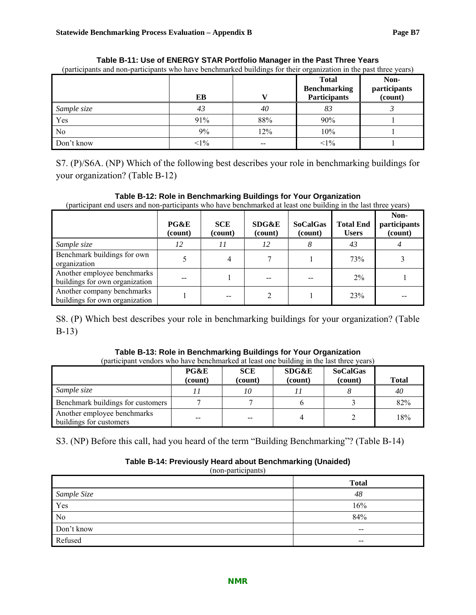| (participants and non-participants who have benchmarked buildings for their organization in the past three years) |        |     |                                                            |                                 |
|-------------------------------------------------------------------------------------------------------------------|--------|-----|------------------------------------------------------------|---------------------------------|
|                                                                                                                   | EВ     |     | <b>Total</b><br><b>Benchmarking</b><br><b>Participants</b> | Non-<br>participants<br>(count) |
| Sample size                                                                                                       | 43     | 40  | 83                                                         |                                 |
| Yes                                                                                                               | 91%    | 88% | 90%                                                        |                                 |
| N <sub>0</sub>                                                                                                    | 9%     | 12% | 10%                                                        |                                 |
| Don't know                                                                                                        | $<1\%$ |     | $<1\%$                                                     |                                 |

**Table B-11: Use of ENERGY STAR Portfolio Manager in the Past Three Years** 

S7. (P)/S6A. (NP) Which of the following best describes your role in benchmarking buildings for your organization? (Table B-12)

#### **Table B-12: Role in Benchmarking Buildings for Your Organization**

(participant end users and non-participants who have benchmarked at least one building in the last three years)

|                                                               | PG&E<br>(count) | <b>SCE</b><br>(count) | <b>SDG&amp;E</b><br>(count) | <b>SoCalGas</b><br>(count) | <b>Total End</b><br><b>Users</b> | Non-<br>participants<br>(count) |
|---------------------------------------------------------------|-----------------|-----------------------|-----------------------------|----------------------------|----------------------------------|---------------------------------|
| Sample size                                                   | 12              | 11                    | 12                          |                            | 43                               |                                 |
| Benchmark buildings for own<br>organization                   |                 | 4                     |                             |                            | 73%                              |                                 |
| Another employee benchmarks<br>buildings for own organization |                 |                       |                             |                            | $2\%$                            |                                 |
| Another company benchmarks<br>buildings for own organization  |                 |                       |                             |                            | 23%                              |                                 |

S8. (P) Which best describes your role in benchmarking buildings for your organization? (Table B-13)

| Table B-13: Role in Benchmarking Buildings for Your Organization                         |  |
|------------------------------------------------------------------------------------------|--|
| (portioinant vanders who have benefinated at least and building in the last three years) |  |

|                                                        | PG&E<br>(count) | <b>SCE</b><br>(count) | SDG&E<br>(count) | <b>SoCalGas</b><br>(count) | <b>Total</b> |
|--------------------------------------------------------|-----------------|-----------------------|------------------|----------------------------|--------------|
| Sample size                                            |                 | 10                    |                  |                            | 40           |
| Benchmark buildings for customers                      |                 |                       |                  |                            | 82%          |
| Another employee benchmarks<br>buildings for customers |                 |                       |                  |                            | 18%          |

S3. (NP) Before this call, had you heard of the term "Building Benchmarking"? (Table B-14)

#### **Table B-14: Previously Heard about Benchmarking (Unaided)**

(non-participants)

|             | <b>Total</b> |
|-------------|--------------|
| Sample Size | 48           |
| Yes         | 16%          |
| No          | 84%          |
| Don't know  | $- -$        |
| Refused     | $- -$        |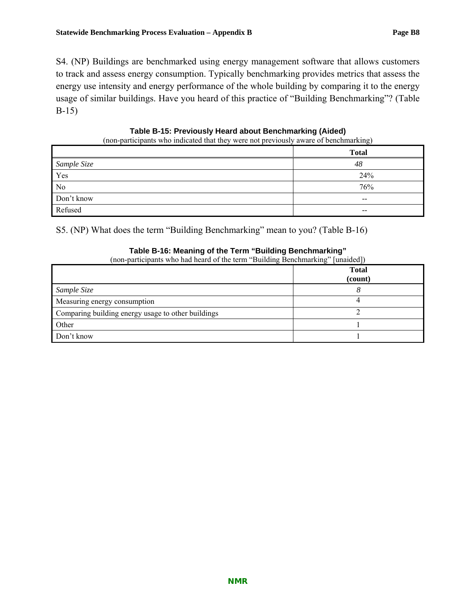S4. (NP) Buildings are benchmarked using energy management software that allows customers to track and assess energy consumption. Typically benchmarking provides metrics that assess the energy use intensity and energy performance of the whole building by comparing it to the energy usage of similar buildings. Have you heard of this practice of "Building Benchmarking"? (Table B-15)

#### **Table B-15: Previously Heard about Benchmarking (Aided)**

(non-participants who indicated that they were not previously aware of benchmarking)

|                | <b>Total</b> |
|----------------|--------------|
| Sample Size    | 48           |
| Yes            | 24%          |
| N <sub>0</sub> | 76%          |
| Don't know     | $- -$        |
| Refused        | $- -$        |

S5. (NP) What does the term "Building Benchmarking" mean to you? (Table B-16)

#### **Table B-16: Meaning of the Term "Building Benchmarking"**

(non-participants who had heard of the term "Building Benchmarking" [unaided])

|                                                    | <b>Total</b><br>(count) |
|----------------------------------------------------|-------------------------|
| Sample Size                                        |                         |
| Measuring energy consumption                       |                         |
| Comparing building energy usage to other buildings |                         |
| Other                                              |                         |
| Don't know                                         |                         |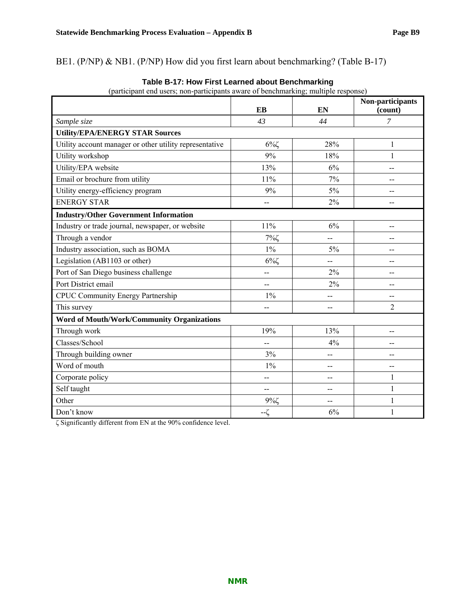BE1. (P/NP) & NB1. (P/NP) How did you first learn about benchmarking? (Table B-17)

|                                                         | EB                       | EN             | Non-participants<br>(count) |
|---------------------------------------------------------|--------------------------|----------------|-----------------------------|
| Sample size                                             | 4 <sup>3</sup>           | 44             | $\overline{7}$              |
| <b>Utility/EPA/ENERGY STAR Sources</b>                  |                          |                |                             |
| Utility account manager or other utility representative | $6\%$                    | 28%            | 1                           |
| Utility workshop                                        | 9%                       | 18%            | 1                           |
| Utility/EPA website                                     | 13%                      | 6%             | --                          |
| Email or brochure from utility                          | 11%                      | 7%             | --                          |
| Utility energy-efficiency program                       | 9%                       | 5%             | --                          |
| <b>ENERGY STAR</b>                                      | --                       | 2%             | $-$                         |
| <b>Industry/Other Government Information</b>            |                          |                |                             |
| Industry or trade journal, newspaper, or website        | 11%                      | 6%             | --                          |
| Through a vendor                                        | $7\%$ ζ                  | --             | --                          |
| Industry association, such as BOMA                      | $1\%$                    | 5%             | --                          |
| Legislation (AB1103 or other)                           | $6\%$                    | $\overline{a}$ | --                          |
| Port of San Diego business challenge                    | $\overline{\phantom{a}}$ | 2%             | --                          |
| Port District email                                     | --                       | 2%             | --                          |
| <b>CPUC Community Energy Partnership</b>                | $1\%$                    | --             | --                          |
| This survey                                             | $\overline{a}$           | $-$            | $\overline{2}$              |
| <b>Word of Mouth/Work/Community Organizations</b>       |                          |                |                             |
| Through work                                            | 19%                      | 13%            | --                          |
| Classes/School                                          | $-$                      | 4%             | --                          |
| Through building owner                                  | 3%                       | --             | --                          |
| Word of mouth                                           | $1\%$                    | $-$            | $-$                         |
| Corporate policy                                        | --                       | $-$            | 1                           |
| Self taught                                             | --                       | $-$            | 1                           |
| Other                                                   | $9\%$                    | --             | 1                           |
| Don't know                                              | $-\zeta$                 | 6%             | $\mathbf{1}$                |

**Table B-17: How First Learned about Benchmarking** 

ζ Significantly different from EN at the 90% confidence level.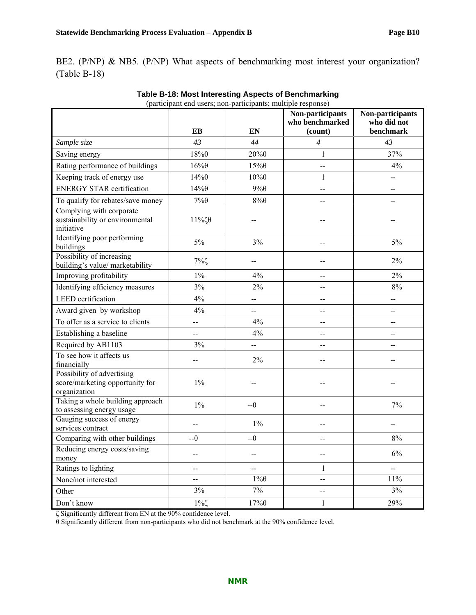BE2. (P/NP) & NB5. (P/NP) What aspects of benchmarking most interest your organization? (Table B-18)

|                                                                               | (participant end users; non-participants; multiple response) |                          | Non-participants<br>who benchmarked | Non-participants<br>who did not |
|-------------------------------------------------------------------------------|--------------------------------------------------------------|--------------------------|-------------------------------------|---------------------------------|
|                                                                               | EB                                                           | EN                       | (count)                             | benchmark                       |
| Sample size                                                                   | 43                                                           | 44                       | $\overline{4}$                      | 43                              |
| Saving energy                                                                 | $18\%$ $\theta$                                              | $20\%$ $\theta$          | $\mathbf{1}$                        | 37%                             |
| Rating performance of buildings                                               | $16\%$                                                       | $15\%$                   | --                                  | 4%                              |
| Keeping track of energy use                                                   | $14\%$                                                       | $10\%$ $\theta$          | 1                                   | --                              |
| <b>ENERGY STAR certification</b>                                              | $14\%$                                                       | $9\% \theta$             | --                                  | --                              |
| To qualify for rebates/save money                                             | $7\% \theta$                                                 | $8\% \theta$             | $-$                                 | $-$                             |
| Complying with corporate<br>sustainability or environmental<br>initiative     | $11\%$ ζθ                                                    |                          |                                     |                                 |
| Identifying poor performing<br>buildings                                      | 5%                                                           | 3%                       | --                                  | $5\%$                           |
| Possibility of increasing<br>building's value/ marketability                  | $7\%$                                                        |                          | --                                  | $2\%$                           |
| Improving profitability                                                       | $1\%$                                                        | 4%                       | --                                  | $2\%$                           |
| Identifying efficiency measures                                               | 3%                                                           | $2\%$                    | --                                  | $8\%$                           |
| <b>LEED</b> certification                                                     | 4%                                                           | $-$                      | $-$                                 | --                              |
| Award given by workshop                                                       | 4%                                                           | $\overline{\phantom{a}}$ | --                                  | --                              |
| To offer as a service to clients                                              | --                                                           | 4%                       | --                                  | $-$                             |
| Establishing a baseline                                                       | --                                                           | 4%                       | $- -$                               | $-$                             |
| Required by AB1103                                                            | 3%                                                           | --                       | $-$                                 | $-$                             |
| To see how it affects us<br>financially                                       | $-$                                                          | $2\%$                    | $-$                                 |                                 |
| Possibility of advertising<br>score/marketing opportunity for<br>organization | $1\%$                                                        | --                       | --                                  |                                 |
| Taking a whole building approach<br>to assessing energy usage                 | $1\%$                                                        | $-\theta$                | --                                  | 7%                              |
| Gauging success of energy<br>services contract                                |                                                              | $1\%$                    |                                     |                                 |
| Comparing with other buildings                                                | $-\theta$                                                    | $-\theta$                | $-$                                 | $8\%$                           |
| Reducing energy costs/saving<br>money                                         |                                                              |                          | --                                  | $6\%$                           |
| Ratings to lighting                                                           | --                                                           |                          | 1                                   | $\overline{\phantom{a}}$        |
| None/not interested                                                           | --                                                           | $1\% \theta$             | --                                  | $11\%$                          |
| Other                                                                         | 3%                                                           | 7%                       | $\overline{\phantom{m}}$            | 3%                              |
| Don't know                                                                    | $1\%$                                                        | $17\%$ $\theta$          | $\mathbf{1}$                        | 29%                             |

| Table B-18: Most Interesting Aspects of Benchmarking         |
|--------------------------------------------------------------|
| (participant end users; non-participants; multiple response) |

ζ Significantly different from EN at the 90% confidence level.

θ Significantly different from non-participants who did not benchmark at the 90% confidence level.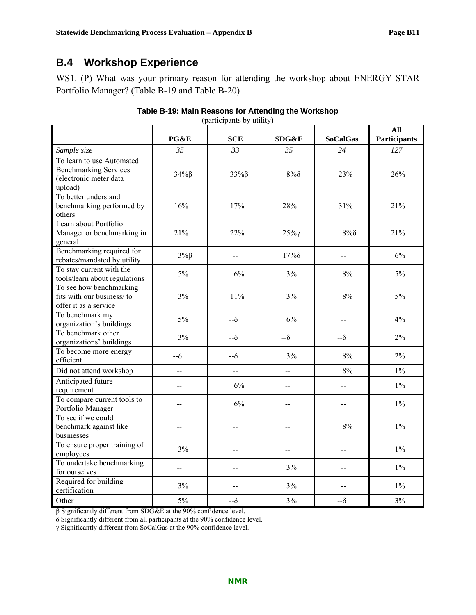# **B.4 Workshop Experience**

WS1. (P) What was your primary reason for attending the workshop about ENERGY STAR Portfolio Manager? (Table B-19 and Table B-20)

| (participants by utility)                                                                      |                |                |                |                          |                            |  |
|------------------------------------------------------------------------------------------------|----------------|----------------|----------------|--------------------------|----------------------------|--|
|                                                                                                | PG&E           | <b>SCE</b>     | SDG&E          | <b>SoCalGas</b>          | All<br><b>Participants</b> |  |
| Sample size                                                                                    | 35             | 33             | 35             | 24                       | 127                        |  |
| To learn to use Automated<br><b>Benchmarking Services</b><br>(electronic meter data<br>upload) | $34\%$ $\beta$ | $33\%$ $\beta$ | $8\%$ $\delta$ | 23%                      | 26%                        |  |
| To better understand<br>benchmarking performed by<br>others                                    | 16%            | 17%            | 28%            | 31%                      | 21%                        |  |
| Learn about Portfolio<br>Manager or benchmarking in<br>general                                 | 21%            | 22%            | $25\%$         | $8\%$                    | 21%                        |  |
| Benchmarking required for<br>rebates/mandated by utility                                       | $3\%$ $\beta$  | $-$            | $17\%$         | $\overline{\phantom{a}}$ | 6%                         |  |
| To stay current with the<br>tools/learn about regulations                                      | $5\%$          | 6%             | 3%             | $8\%$                    | 5%                         |  |
| To see how benchmarking<br>fits with our business/to<br>offer it as a service                  | 3%             | 11%            | 3%             | 8%                       | 5%                         |  |
| To benchmark my<br>organization's buildings                                                    | 5%             | $-\delta$      | 6%             |                          | 4%                         |  |
| To benchmark other<br>organizations' buildings                                                 | 3%             | $-\delta$      | $-\delta$      | $-\delta$                | 2%                         |  |
| To become more energy<br>efficient                                                             | $-\delta$      | $-\delta$      | 3%             | $8\%$                    | 2%                         |  |
| Did not attend workshop                                                                        | <u></u>        | --             | --             | 8%                       | $1\%$                      |  |
| Anticipated future<br>requirement                                                              | $\overline{a}$ | 6%             | $\overline{a}$ | --                       | $1\%$                      |  |
| To compare current tools to<br>Portfolio Manager                                               | --             | 6%             | --             | --                       | $1\%$                      |  |
| To see if we could<br>benchmark against like<br>businesses                                     |                |                |                | 8%                       | $1\%$                      |  |
| To ensure proper training of<br>employees                                                      | 3%             | $-$            | $\overline{a}$ | $-$                      | $1\%$                      |  |
| To undertake benchmarking<br>for ourselves                                                     | $\overline{a}$ | $-$            | 3%             | --                       | $1\%$                      |  |
| Required for building<br>certification                                                         | 3%             | $=$            | 3%             | $=$                      | $1\%$                      |  |
| Other                                                                                          | 5%             | $-\delta$      | 3%             | $-\delta$                | 3%                         |  |

β Significantly different from SDG&E at the 90% confidence level.

δ Significantly different from all participants at the 90% confidence level.

γ Significantly different from SoCalGas at the 90% confidence level.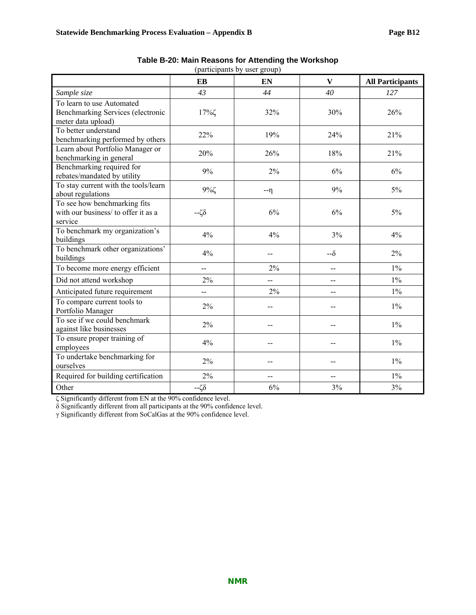|                                                                                      | EB             | EN      | $\mathbf{V}$ | <b>All Participants</b> |
|--------------------------------------------------------------------------------------|----------------|---------|--------------|-------------------------|
| Sample size                                                                          | 43             | 44      | 40           | 127                     |
| To learn to use Automated<br>Benchmarking Services (electronic<br>meter data upload) | 17%ζ           | 32%     | 30%          | 26%                     |
| To better understand<br>benchmarking performed by others                             | 22%            | 19%     | 24%          | 21%                     |
| Learn about Portfolio Manager or<br>benchmarking in general                          | 20%            | 26%     | 18%          | 21%                     |
| Benchmarking required for<br>rebates/mandated by utility                             | 9%             | 2%      | 6%           | 6%                      |
| To stay current with the tools/learn<br>about regulations                            | $9\%$          | $-\eta$ | 9%           | 5%                      |
| To see how benchmarking fits<br>with our business/ to offer it as a<br>service       | $-\zeta\delta$ | 6%      | 6%           | 5%                      |
| To benchmark my organization's<br>buildings                                          | 4%             | 4%      | 3%           | 4%                      |
| To benchmark other organizations'<br>buildings                                       | 4%             | $-$     | $-\delta$    | $2\%$                   |
| To become more energy efficient                                                      | $\overline{a}$ | 2%      | $-$          | $1\%$                   |
| Did not attend workshop                                                              | $2\%$          | $-$     | --           | $1\%$                   |
| Anticipated future requirement                                                       | $-$            | 2%      | $-$          | $1\%$                   |
| To compare current tools to<br>Portfolio Manager                                     | $2\%$          |         |              | $1\%$                   |
| To see if we could benchmark<br>against like businesses                              | $2\%$          |         |              | $1\%$                   |
| To ensure proper training of<br>employees                                            | 4%             |         | --           | $1\%$                   |
| To undertake benchmarking for<br>ourselves                                           | 2%             |         |              | $1\%$                   |
| Required for building certification                                                  | $2\%$          | $-$     | --           | $1\%$                   |
| Other                                                                                | $-\zeta\delta$ | 6%      | 3%           | 3%                      |

| Table B-20: Main Reasons for Attending the Workshop |  |  |
|-----------------------------------------------------|--|--|
|-----------------------------------------------------|--|--|

(participants by user group)

ζ Significantly different from EN at the 90% confidence level.

δ Significantly different from all participants at the 90% confidence level.

γ Significantly different from SoCalGas at the 90% confidence level.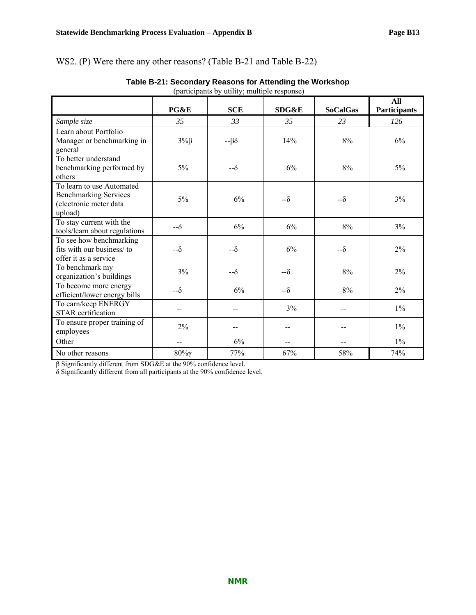## WS2. (P) Were there any other reasons? (Table B-21 and Table B-22)

|                                                                                                | PG&E          | <b>SCE</b>     | <b>SDG&amp;E</b> | <b>SoCalGas</b> | All<br><b>Participants</b> |
|------------------------------------------------------------------------------------------------|---------------|----------------|------------------|-----------------|----------------------------|
| Sample size                                                                                    | 35            | 33             | 35               | 23              | 126                        |
| Learn about Portfolio<br>Manager or benchmarking in<br>general                                 | $3\%$ $\beta$ | $-\beta\delta$ | 14%              | 8%              | 6%                         |
| To better understand<br>benchmarking performed by<br>others                                    | 5%            | --δ            | 6%               | 8%              | 5%                         |
| To learn to use Automated<br><b>Benchmarking Services</b><br>(electronic meter data<br>upload) | 5%            | 6%             | -- გ             | -- გ            | 3%                         |
| To stay current with the<br>tools/learn about regulations                                      | $-\delta$     | 6%             | 6%               | 8%              | 3%                         |
| To see how benchmarking<br>fits with our business/to<br>offer it as a service                  | $-\delta$     | $-\delta$      | 6%               | -- გ            | $2\%$                      |
| To benchmark my<br>organization's buildings                                                    | 3%            | $-\delta$      | $-\delta$        | 8%              | 2%                         |
| To become more energy<br>efficient/lower energy bills                                          | -- გ          | 6%             | $-\delta$        | 8%              | 2%                         |
| To earn/keep ENERGY<br><b>STAR</b> certification                                               | $-$           |                | 3%               | --              | $1\%$                      |
| To ensure proper training of<br>employees                                                      | 2%            |                | $-$              | --              | $1\%$                      |
| Other                                                                                          |               | 6%             |                  | --              | $1\%$                      |
| No other reasons                                                                               | $80\%$        | 77%            | 67%              | 58%             | 74%                        |

# (participants by utility; multiple response)

β Significantly different from SDG&E at the 90% confidence level.

δ Significantly different from all participants at the 90% confidence level.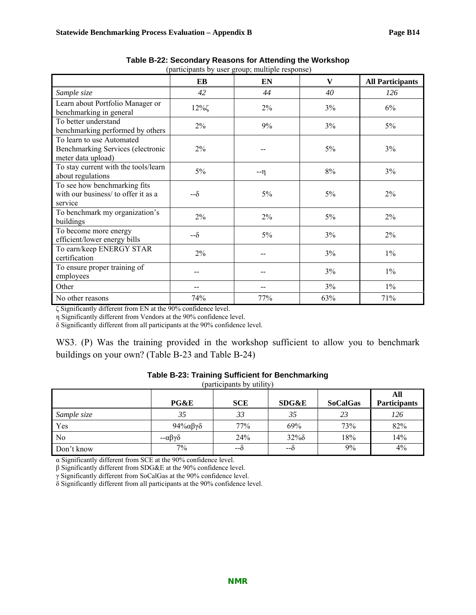|                                                                                      | (participants by user group, multiple response) |         |     |                         |  |  |
|--------------------------------------------------------------------------------------|-------------------------------------------------|---------|-----|-------------------------|--|--|
|                                                                                      | EB                                              | EN      | V   | <b>All Participants</b> |  |  |
| Sample size                                                                          | 42                                              | 44      | 40  | 126                     |  |  |
| Learn about Portfolio Manager or<br>benchmarking in general                          | $12\%$                                          | $2\%$   | 3%  | 6%                      |  |  |
| To better understand<br>benchmarking performed by others                             | 2%                                              | 9%      | 3%  | 5%                      |  |  |
| To learn to use Automated<br>Benchmarking Services (electronic<br>meter data upload) | 2%                                              |         | 5%  | 3%                      |  |  |
| To stay current with the tools/learn<br>about regulations                            | 5%                                              | $-\eta$ | 8%  | 3%                      |  |  |
| To see how benchmarking fits<br>with our business/ to offer it as a<br>service       | $-\delta$                                       | 5%      | 5%  | 2%                      |  |  |
| To benchmark my organization's<br>buildings                                          | 2%                                              | $2\%$   | 5%  | 2%                      |  |  |
| To become more energy<br>efficient/lower energy bills                                | $-\delta$                                       | 5%      | 3%  | 2%                      |  |  |
| To earn/keep ENERGY STAR<br>certification                                            | 2%                                              |         | 3%  | $1\%$                   |  |  |
| To ensure proper training of<br>employees                                            |                                                 |         | 3%  | $1\%$                   |  |  |
| Other                                                                                |                                                 |         | 3%  | $1\%$                   |  |  |
| No other reasons                                                                     | 74%                                             | 77%     | 63% | 71%                     |  |  |

| Table B-22: Secondary Reasons for Attending the Workshop |  |
|----------------------------------------------------------|--|
| (participants by user group; multiple response)          |  |

ζ Significantly different from EN at the 90% confidence level.

η Significantly different from Vendors at the 90% confidence level.

δ Significantly different from all participants at the 90% confidence level.

WS3. (P) Was the training provided in the workshop sufficient to allow you to benchmark buildings on your own? (Table B-23 and Table B-24)

| (participants by utility) |                            |            |                  |                 |                            |  |  |
|---------------------------|----------------------------|------------|------------------|-----------------|----------------------------|--|--|
|                           | PG&E                       | <b>SCE</b> | <b>SDG&amp;E</b> | <b>SoCalGas</b> | All<br><b>Participants</b> |  |  |
| Sample size               | 35                         | 33         | 35               | 23              | 126                        |  |  |
| Yes                       | 94%αβγδ                    | 77%        | 69%              | 73%             | 82%                        |  |  |
| N <sub>0</sub>            | $-\alpha\beta\gamma\delta$ | 24%        | $32\%$           | 18%             | 14%                        |  |  |
| Don't know                | 7%                         | $-\delta$  | --δ              | 9%              | 4%                         |  |  |

#### **Table B-23: Training Sufficient for Benchmarking**

α Significantly different from SCE at the 90% confidence level.

β Significantly different from SDG&E at the 90% confidence level.

γ Significantly different from SoCalGas at the 90% confidence level.

δ Significantly different from all participants at the 90% confidence level.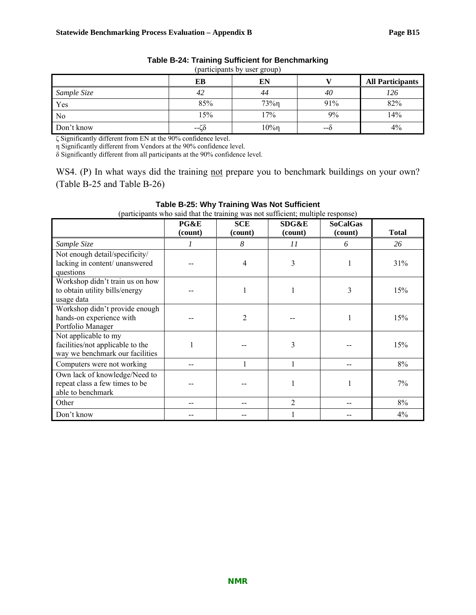| (participants by user group) |      |          |     |                         |  |  |
|------------------------------|------|----------|-----|-------------------------|--|--|
|                              | EВ   | EN       |     | <b>All Participants</b> |  |  |
| Sample Size                  | 42   | 44       | 40  | 126                     |  |  |
| Yes                          | 85%  | $73\%$ n | 91% | 82%                     |  |  |
| No                           | 15%  | $7\%$    | 9%  | 14%                     |  |  |
| Don't know                   | --ርዕ | 10%η     | --0 | $4\%$                   |  |  |

#### **Table B-24: Training Sufficient for Benchmarking**

(participants by user group)

ζ Significantly different from EN at the 90% confidence level.

η Significantly different from Vendors at the 90% confidence level.

δ Significantly different from all participants at the 90% confidence level.

WS4. (P) In what ways did the training not prepare you to benchmark buildings on your own? (Table B-25 and Table B-26)

| (participants who said that the training was not sufficient; multiple response)             |                 |                       |                  |                            |              |  |
|---------------------------------------------------------------------------------------------|-----------------|-----------------------|------------------|----------------------------|--------------|--|
|                                                                                             | PG&E<br>(count) | <b>SCE</b><br>(count) | SDG&E<br>(count) | <b>SoCalGas</b><br>(count) | <b>Total</b> |  |
| Sample Size                                                                                 |                 | 8                     | 11               | 6                          | 26           |  |
| Not enough detail/specificity/<br>lacking in content/ unanswered<br>questions               |                 | 4                     | 3                |                            | 31%          |  |
| Workshop didn't train us on how<br>to obtain utility bills/energy<br>usage data             |                 |                       |                  | 3                          | 15%          |  |
| Workshop didn't provide enough<br>hands-on experience with<br>Portfolio Manager             |                 | 2                     |                  |                            | 15%          |  |
| Not applicable to my<br>facilities/not applicable to the<br>way we benchmark our facilities |                 |                       | 3                |                            | 15%          |  |
| Computers were not working                                                                  |                 |                       | 1                |                            | 8%           |  |
| Own lack of knowledge/Need to<br>repeat class a few times to be<br>able to benchmark        |                 |                       |                  |                            | 7%           |  |
| Other                                                                                       |                 |                       | $\overline{2}$   |                            | 8%           |  |
| Don't know                                                                                  |                 |                       |                  |                            | 4%           |  |

#### **Table B-25: Why Training Was Not Sufficient**

**NMR**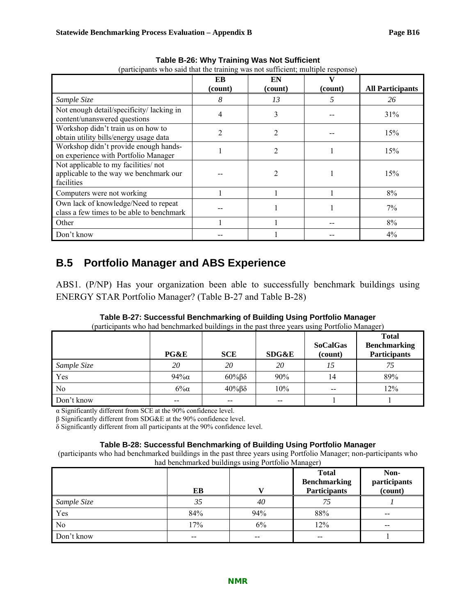| (participants who said that the training was not sufficient, multiple response)             |         |                |         |                         |  |
|---------------------------------------------------------------------------------------------|---------|----------------|---------|-------------------------|--|
|                                                                                             | EB      | EN             |         |                         |  |
|                                                                                             | (count) | (count)        | (count) | <b>All Participants</b> |  |
| Sample Size                                                                                 | 8       | 13             |         | 26                      |  |
| Not enough detail/specificity/lacking in<br>content/unanswered questions                    | 4       | 3              |         | 31%                     |  |
| Workshop didn't train us on how to<br>obtain utility bills/energy usage data                | າ       | 2              |         | 15%                     |  |
| Workshop didn't provide enough hands-<br>on experience with Portfolio Manager               |         | $\overline{c}$ |         | 15%                     |  |
| Not applicable to my facilities/not<br>applicable to the way we benchmark our<br>facilities |         | 2              |         | 15%                     |  |
| Computers were not working                                                                  |         |                |         | 8%                      |  |
| Own lack of knowledge/Need to repeat<br>class a few times to be able to benchmark           |         |                |         | 7%                      |  |
| Other                                                                                       |         |                |         | 8%                      |  |
| Don't know                                                                                  |         |                |         | $4\%$                   |  |

**Table B-26: Why Training Was Not Sufficient**  (participants who said that the training was not sufficient; multiple response)

## **B.5 Portfolio Manager and ABS Experience**

ABS1. (P/NP) Has your organization been able to successfully benchmark buildings using ENERGY STAR Portfolio Manager? (Table B-27 and Table B-28)

|                | PG&E     | <b>SCE</b>           | SDG&E | <b>SoCalGas</b><br>(count) | <b>Total</b><br><b>Benchmarking</b><br><b>Participants</b> |
|----------------|----------|----------------------|-------|----------------------------|------------------------------------------------------------|
| Sample Size    | 20       | 20                   | 20    | 15                         | 75                                                         |
| Yes            | $94\%$ a | $60\%$ $\beta\delta$ | 90%   | 14                         | 89%                                                        |
| N <sub>0</sub> | $6\%$    | $40\%$ $\beta\delta$ | 10%   | $- -$                      | 12%                                                        |
| Don't know     |          |                      |       |                            |                                                            |

# **Table B-27: Successful Benchmarking of Building Using Portfolio Manager**

(participants who had benchmarked buildings in the past the

α Significantly different from SCE at the 90% confidence level.

β Significantly different from SDG&E at the 90% confidence level.

δ Significantly different from all participants at the 90% confidence level.

#### **Table B-28: Successful Benchmarking of Building Using Portfolio Manager**

(participants who had benchmarked buildings in the past three years using Portfolio Manager; non-participants who had benchmarked buildings using Portfolio Manager)

|             | EВ    |       | <b>Total</b><br><b>Benchmarking</b><br><b>Participants</b> | Non-<br>participants<br>$\overline{(count)}$ |
|-------------|-------|-------|------------------------------------------------------------|----------------------------------------------|
| Sample Size | 35    | 40    | 75                                                         |                                              |
| Yes         | 84%   | 94%   | 88%                                                        | $- -$                                        |
| No          | 17%   | 6%    | 12%                                                        | $- -$                                        |
| Don't know  | $- -$ | $- -$ | $- -$                                                      |                                              |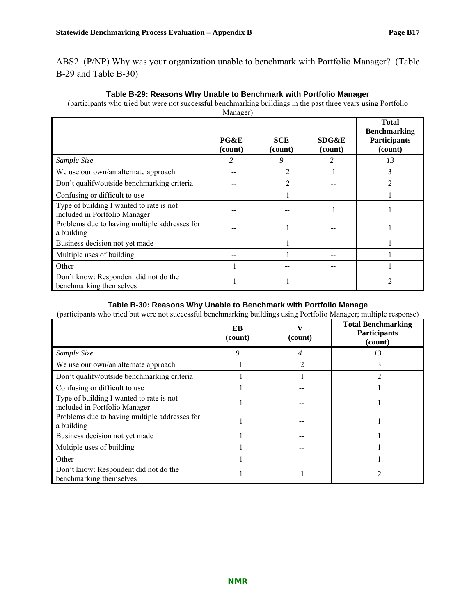ABS2. (P/NP) Why was your organization unable to benchmark with Portfolio Manager? (Table B-29 and Table B-30)

| Manager)                                                                  |                 |                       |                  |                                                                       |  |
|---------------------------------------------------------------------------|-----------------|-----------------------|------------------|-----------------------------------------------------------------------|--|
|                                                                           | PG&E<br>(count) | <b>SCE</b><br>(count) | SDG&E<br>(count) | <b>Total</b><br><b>Benchmarking</b><br><b>Participants</b><br>(count) |  |
| Sample Size                                                               | 2               | 9                     | 2                | 13                                                                    |  |
| We use our own/an alternate approach                                      |                 | 2                     |                  | 3                                                                     |  |
| Don't qualify/outside benchmarking criteria                               |                 | $\overline{2}$        |                  | $\mathfrak{D}$                                                        |  |
| Confusing or difficult to use                                             |                 |                       |                  |                                                                       |  |
| Type of building I wanted to rate is not<br>included in Portfolio Manager |                 |                       |                  |                                                                       |  |
| Problems due to having multiple addresses for<br>a building               |                 |                       |                  |                                                                       |  |
| Business decision not yet made                                            |                 |                       |                  |                                                                       |  |
| Multiple uses of building                                                 |                 |                       | --               |                                                                       |  |
| Other                                                                     |                 |                       |                  |                                                                       |  |
| Don't know: Respondent did not do the<br>benchmarking themselves          |                 |                       |                  | 2                                                                     |  |

#### **Table B-29: Reasons Why Unable to Benchmark with Portfolio Manager**

(participants who tried but were not successful benchmarking buildings in the past three years using Portfolio

#### **Table B-30: Reasons Why Unable to Benchmark with Portfolio Manage**

(participants who tried but were not successful benchmarking buildings using Portfolio Manager; multiple response)

|                                                                           | EB<br>(count) | (count) | <b>Total Benchmarking</b><br><b>Participants</b><br>(count) |
|---------------------------------------------------------------------------|---------------|---------|-------------------------------------------------------------|
| Sample Size                                                               | 9             |         | 13                                                          |
| We use our own/an alternate approach                                      |               | ∍       |                                                             |
| Don't qualify/outside benchmarking criteria                               |               |         |                                                             |
| Confusing or difficult to use                                             |               |         |                                                             |
| Type of building I wanted to rate is not<br>included in Portfolio Manager |               |         |                                                             |
| Problems due to having multiple addresses for<br>a building               |               |         |                                                             |
| Business decision not yet made                                            |               |         |                                                             |
| Multiple uses of building                                                 |               |         |                                                             |
| Other                                                                     |               |         |                                                             |
| Don't know: Respondent did not do the<br>benchmarking themselves          |               |         |                                                             |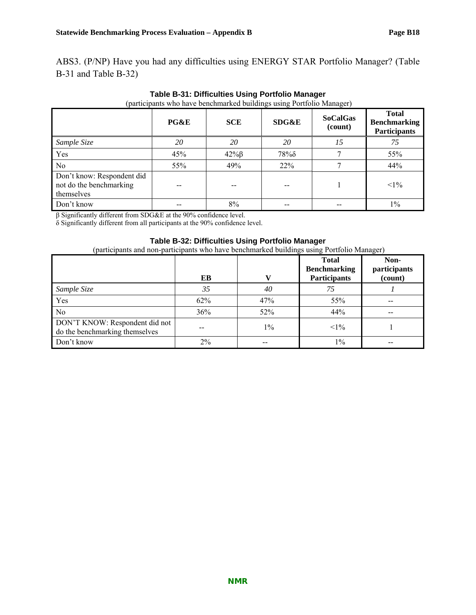ABS3. (P/NP) Have you had any difficulties using ENERGY STAR Portfolio Manager? (Table B-31 and Table B-32)

| Artists of the Party                                                | PG&E | <b>SCE</b>     | <u>ت س</u><br>SDG&E | $\sim$ $\sim$ $\sim$<br><b>SoCalGas</b><br>(count) | <b>Total</b><br><b>Benchmarking</b><br><b>Participants</b> |
|---------------------------------------------------------------------|------|----------------|---------------------|----------------------------------------------------|------------------------------------------------------------|
| Sample Size                                                         | 20   | 20             | 20                  | 15                                                 | 75                                                         |
| Yes                                                                 | 45%  | $42\%$ $\beta$ | $78\%$              |                                                    | 55%                                                        |
| N <sub>0</sub>                                                      | 55%  | 49%            | 22%                 |                                                    | 44%                                                        |
| Don't know: Respondent did<br>not do the benchmarking<br>themselves |      |                |                     |                                                    | $<1\%$                                                     |
| Don't know                                                          |      | 8%             |                     |                                                    | $1\%$                                                      |

**Table B-31: Difficulties Using Portfolio Manager**  (participants who have benchmarked buildings using Portfolio Manager)

β Significantly different from SDG&E at the 90% confidence level.

δ Significantly different from all participants at the 90% confidence level.

#### **Table B-32: Difficulties Using Portfolio Manager**

(participants and non-participants who have benchmarked buildings using Portfolio Manager)

|                                                                  | EB    |       | <b>Total</b><br><b>Benchmarking</b><br><b>Participants</b> | Non-<br>participants<br>(count) |
|------------------------------------------------------------------|-------|-------|------------------------------------------------------------|---------------------------------|
| Sample Size                                                      | 35    | 40    | 75                                                         |                                 |
| Yes                                                              | 62%   | 47%   | 55%                                                        | --                              |
| N <sub>0</sub>                                                   | 36%   | 52%   | 44%                                                        | $- -$                           |
| DON'T KNOW: Respondent did not<br>do the benchmarking themselves | --    | $1\%$ | $<1\%$                                                     |                                 |
| Don't know                                                       | $2\%$ |       | $1\%$                                                      | --                              |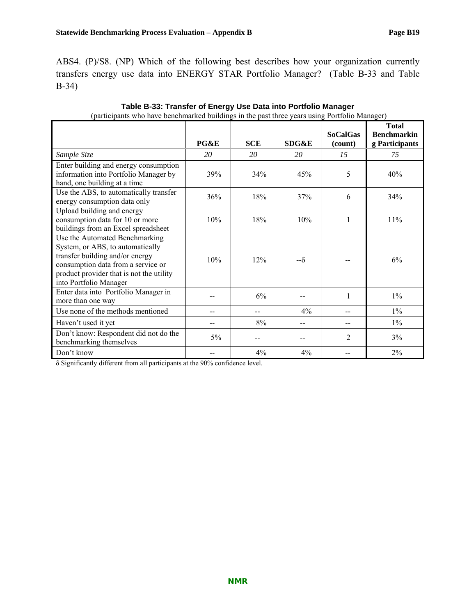ABS4. (P)/S8. (NP) Which of the following best describes how your organization currently transfers energy use data into ENERGY STAR Portfolio Manager? (Table B-33 and Table B-34)

| paracipanto uno nave cenemiamea cananizo in ure past un ce years asing i critene manager                                                                                                                          | PG&E | <b>SCE</b> | SDG&E     | <b>SoCalGas</b><br>(count) | <b>Total</b><br><b>Benchmarkin</b><br>g Participants |
|-------------------------------------------------------------------------------------------------------------------------------------------------------------------------------------------------------------------|------|------------|-----------|----------------------------|------------------------------------------------------|
| Sample Size                                                                                                                                                                                                       | 20   | 20         | 20        | 15                         | 75                                                   |
| Enter building and energy consumption<br>information into Portfolio Manager by<br>hand, one building at a time                                                                                                    | 39%  | 34%        | 45%       | 5                          | 40%                                                  |
| Use the ABS, to automatically transfer<br>energy consumption data only                                                                                                                                            | 36%  | 18%        | 37%       | 6                          | 34%                                                  |
| Upload building and energy<br>consumption data for 10 or more<br>buildings from an Excel spreadsheet                                                                                                              | 10%  | 18%        | 10%       | 1                          | 11%                                                  |
| Use the Automated Benchmarking<br>System, or ABS, to automatically<br>transfer building and/or energy<br>consumption data from a service or<br>product provider that is not the utility<br>into Portfolio Manager | 10%  | 12%        | $-\delta$ |                            | 6%                                                   |
| Enter data into Portfolio Manager in<br>more than one way                                                                                                                                                         |      | 6%         |           | 1                          | $1\%$                                                |
| Use none of the methods mentioned                                                                                                                                                                                 |      |            | 4%        |                            | $1\%$                                                |
| Haven't used it yet                                                                                                                                                                                               | --   | 8%         | --        | --                         | $1\%$                                                |
| Don't know: Respondent did not do the<br>benchmarking themselves                                                                                                                                                  | 5%   |            |           | $\overline{2}$             | 3%                                                   |
| Don't know                                                                                                                                                                                                        |      | 4%         | 4%        | --                         | 2%                                                   |

| Table B-33: Transfer of Energy Use Data into Portfolio Manager                                |  |
|-----------------------------------------------------------------------------------------------|--|
| (participants who have benchmarked buildings in the past three years using Portfolio Manager) |  |

δ Significantly different from all participants at the 90% confidence level.

| confidence level. |  |  |
|-------------------|--|--|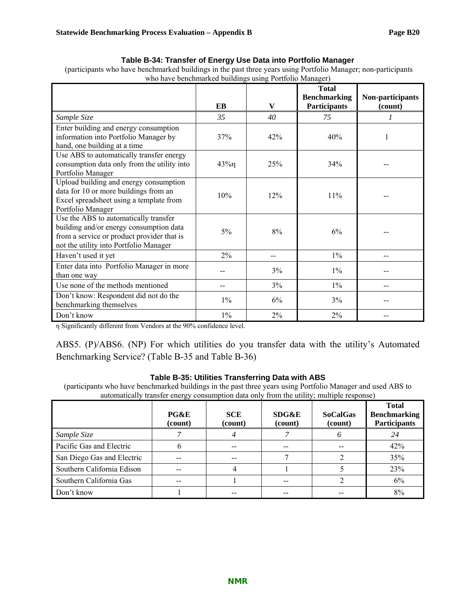#### **Table B-34: Transfer of Energy Use Data into Portfolio Manager**

 (participants who have benchmarked buildings in the past three years using Portfolio Manager; non-participants who have benchmarked buildings using Portfolio Manager)

|                                                                                                                                                                          | EB     | V     | <b>Total</b><br><b>Benchmarking</b><br><b>Participants</b> | Non-participants<br>(count) |
|--------------------------------------------------------------------------------------------------------------------------------------------------------------------------|--------|-------|------------------------------------------------------------|-----------------------------|
| Sample Size                                                                                                                                                              | 35     | 40    | 75                                                         |                             |
| Enter building and energy consumption<br>information into Portfolio Manager by<br>hand, one building at a time                                                           | 37%    | 42%   | 40%                                                        |                             |
| Use ABS to automatically transfer energy<br>consumption data only from the utility into<br>Portfolio Manager                                                             | $43\%$ | 25%   | 34%                                                        |                             |
| Upload building and energy consumption<br>data for 10 or more buildings from an<br>Excel spreadsheet using a template from<br>Portfolio Manager                          | 10%    | 12%   | 11%                                                        |                             |
| Use the ABS to automatically transfer<br>building and/or energy consumption data<br>from a service or product provider that is<br>not the utility into Portfolio Manager | 5%     | 8%    | 6%                                                         |                             |
| Haven't used it yet                                                                                                                                                      | $2\%$  | --    | $1\%$                                                      |                             |
| Enter data into Portfolio Manager in more<br>than one way                                                                                                                |        | 3%    | $1\%$                                                      |                             |
| Use none of the methods mentioned                                                                                                                                        |        | 3%    | $1\%$                                                      |                             |
| Don't know: Respondent did not do the<br>benchmarking themselves                                                                                                         | $1\%$  | 6%    | 3%                                                         |                             |
| Don't know                                                                                                                                                               | $1\%$  | $2\%$ | $2\%$                                                      |                             |

η Significantly different from Vendors at the 90% confidence level.

ABS5. (P)/ABS6. (NP) For which utilities do you transfer data with the utility's Automated Benchmarking Service? (Table B-35 and Table B-36)

#### **Table B-35: Utilities Transferring Data with ABS**

(participants who have benchmarked buildings in the past three years using Portfolio Manager and used ABS to automatically transfer energy consumption data only from the utility; multiple response)

|                            | PG&E<br>(count) | <b>SCE</b><br>(count) | SDG&E<br>(count) | <b>SoCalGas</b><br>(count) | <b>Total</b><br><b>Benchmarking</b><br><b>Participants</b> |
|----------------------------|-----------------|-----------------------|------------------|----------------------------|------------------------------------------------------------|
| Sample Size                |                 |                       |                  | <sup>6</sup>               | 24                                                         |
| Pacific Gas and Electric   |                 | --                    |                  |                            | 42%                                                        |
| San Diego Gas and Electric |                 |                       |                  |                            | 35%                                                        |
| Southern California Edison | --              |                       |                  |                            | 23%                                                        |
| Southern California Gas    |                 |                       |                  |                            | 6%                                                         |
| Don't know                 |                 |                       |                  |                            | 8%                                                         |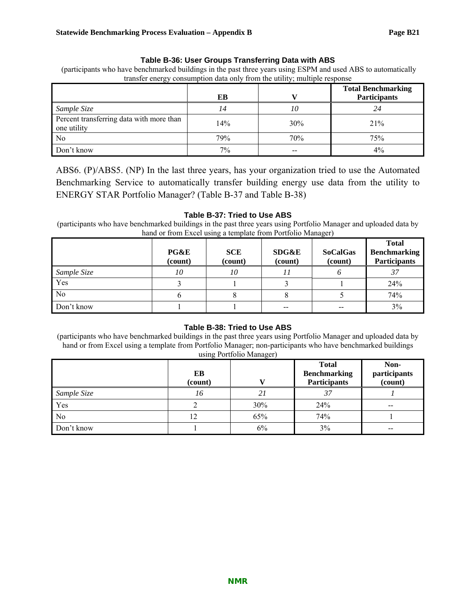#### **Table B-36: User Groups Transferring Data with ABS**

 (participants who have benchmarked buildings in the past three years using ESPM and used ABS to automatically transfer energy consumption data only from the utility; multiple response

|                                                         | EВ  |     | <b>Total Benchmarking</b><br>Participants |
|---------------------------------------------------------|-----|-----|-------------------------------------------|
| Sample Size                                             | 14  | 10  | 24                                        |
| Percent transferring data with more than<br>one utility | 14% | 30% | 21%                                       |
| No                                                      | 79% | 70% | 75%                                       |
| Don't know                                              | 7%  |     | 4%                                        |

ABS6. (P)/ABS5. (NP) In the last three years, has your organization tried to use the Automated Benchmarking Service to automatically transfer building energy use data from the utility to ENERGY STAR Portfolio Manager? (Table B-37 and Table B-38)

#### **Table B-37: Tried to Use ABS**

(participants who have benchmarked buildings in the past three years using Portfolio Manager and uploaded data by hand or from Excel using a template from Portfolio Manager)

|             | PG&E<br>(count) | <b>SCE</b><br>(count) | <b>SDG&amp;E</b><br>(count) | <b>SoCalGas</b><br>(count) | <b>Total</b><br>Benchmarking<br><b>Participants</b> |
|-------------|-----------------|-----------------------|-----------------------------|----------------------------|-----------------------------------------------------|
| Sample Size | 10              | 10                    |                             |                            |                                                     |
| Yes         |                 |                       |                             |                            | 24%                                                 |
| No          |                 |                       |                             |                            | 74%                                                 |
| Don't know  |                 |                       |                             | --                         | 3%                                                  |

#### **Table B-38: Tried to Use ABS**

(participants who have benchmarked buildings in the past three years using Portfolio Manager and uploaded data by hand or from Excel using a template from Portfolio Manager; non-participants who have benchmarked buildings using Portfolio Manager)

|             | EB<br>(count) |     | <b>Total</b><br><b>Benchmarking</b><br><b>Participants</b> | Non-<br>participants<br>(count) |
|-------------|---------------|-----|------------------------------------------------------------|---------------------------------|
| Sample Size | 16            | 21  | 37                                                         |                                 |
| Yes         |               | 30% | 24%                                                        | $- -$                           |
| No          | 12            | 65% | 74%                                                        |                                 |
| Don't know  |               | 6%  | 3%                                                         | $- -$                           |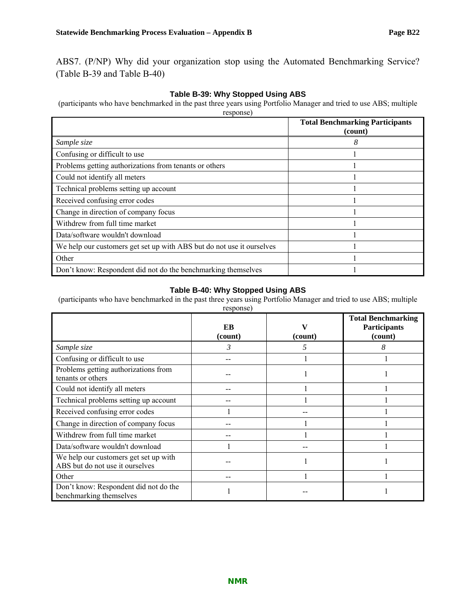ABS7. (P/NP) Why did your organization stop using the Automated Benchmarking Service? (Table B-39 and Table B-40)

#### **Table B-39: Why Stopped Using ABS**

(participants who have benchmarked in the past three years using Portfolio Manager and tried to use ABS; multiple response)

|                                                                       | <b>Total Benchmarking Participants</b><br>(count) |
|-----------------------------------------------------------------------|---------------------------------------------------|
| Sample size                                                           | 8                                                 |
| Confusing or difficult to use                                         |                                                   |
| Problems getting authorizations from tenants or others                |                                                   |
| Could not identify all meters                                         |                                                   |
| Technical problems setting up account                                 |                                                   |
| Received confusing error codes                                        |                                                   |
| Change in direction of company focus                                  |                                                   |
| Withdrew from full time market                                        |                                                   |
| Data/software wouldn't download                                       |                                                   |
| We help our customers get set up with ABS but do not use it ourselves |                                                   |
| Other                                                                 |                                                   |
| Don't know: Respondent did not do the benchmarking themselves         |                                                   |

#### **Table B-40: Why Stopped Using ABS**

(participants who have benchmarked in the past three years using Portfolio Manager and tried to use ABS; multiple

| response)                                                                |               |              |                                                             |  |  |
|--------------------------------------------------------------------------|---------------|--------------|-------------------------------------------------------------|--|--|
|                                                                          | EB<br>(count) | V<br>(count) | <b>Total Benchmarking</b><br><b>Participants</b><br>(count) |  |  |
| Sample size                                                              | 3             | 5            | 8                                                           |  |  |
| Confusing or difficult to use                                            |               |              |                                                             |  |  |
| Problems getting authorizations from<br>tenants or others                |               |              |                                                             |  |  |
| Could not identify all meters                                            |               |              |                                                             |  |  |
| Technical problems setting up account                                    |               |              |                                                             |  |  |
| Received confusing error codes                                           |               |              |                                                             |  |  |
| Change in direction of company focus                                     |               |              |                                                             |  |  |
| Withdrew from full time market                                           |               |              |                                                             |  |  |
| Data/software wouldn't download                                          |               |              |                                                             |  |  |
| We help our customers get set up with<br>ABS but do not use it ourselves |               |              |                                                             |  |  |
| Other                                                                    |               |              |                                                             |  |  |
| Don't know: Respondent did not do the<br>benchmarking themselves         |               |              |                                                             |  |  |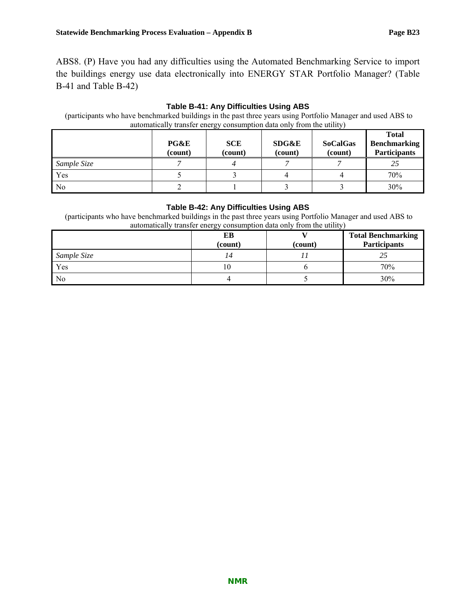ABS8. (P) Have you had any difficulties using the Automated Benchmarking Service to import the buildings energy use data electronically into ENERGY STAR Portfolio Manager? (Table B-41 and Table B-42)

#### **Table B-41: Any Difficulties Using ABS**

| $\mathbf{v}$<br>automatically transfer energy consumption data only from the utility) |                 |                       |                  |                            |                                                            |  |
|---------------------------------------------------------------------------------------|-----------------|-----------------------|------------------|----------------------------|------------------------------------------------------------|--|
|                                                                                       | PG&E<br>(count) | <b>SCE</b><br>(count) | SDG&E<br>(count) | <b>SoCalGas</b><br>(count) | <b>Total</b><br><b>Benchmarking</b><br><b>Participants</b> |  |
| Sample Size                                                                           |                 |                       |                  |                            | 25                                                         |  |
| Yes                                                                                   |                 |                       |                  |                            | 70%                                                        |  |
| N <sub>0</sub>                                                                        |                 |                       |                  |                            | 30%                                                        |  |

(participants who have benchmarked buildings in the past three years using Portfolio Manager and used ABS to

#### **Table B-42: Any Difficulties Using ABS**

 (participants who have benchmarked buildings in the past three years using Portfolio Manager and used ABS to automatically transfer energy consumption data only from the utility)

|             | EВ<br>(count) | (count) | <b>Total Benchmarking</b><br><b>Participants</b> |
|-------------|---------------|---------|--------------------------------------------------|
| Sample Size |               |         |                                                  |
| Yes         | 10            |         | 70%                                              |
| No          |               |         | 30%                                              |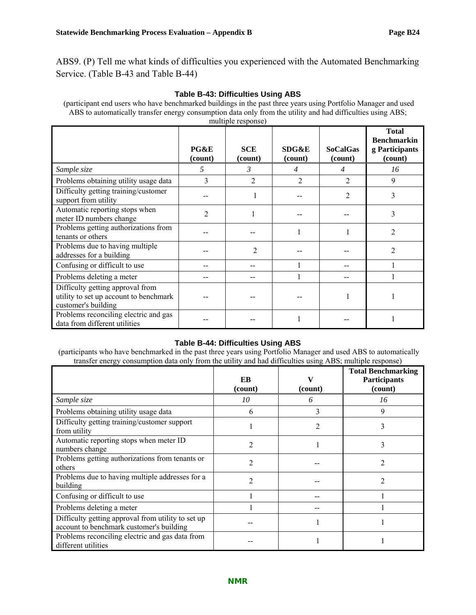ABS9. (P) Tell me what kinds of difficulties you experienced with the Automated Benchmarking Service. (Table B-43 and Table B-44)

#### **Table B-43: Difficulties Using ABS**

 (participant end users who have benchmarked buildings in the past three years using Portfolio Manager and used ABS to automatically transfer energy consumption data only from the utility and had difficulties using ABS; multiple response)

|                                                                                                   | PG&E<br>(count) | <b>SCE</b><br>(count) | SDG&E<br>(count) | <b>SoCalGas</b><br>(count) | <b>Total</b><br><b>Benchmarkin</b><br>g Participants<br>(count) |
|---------------------------------------------------------------------------------------------------|-----------------|-----------------------|------------------|----------------------------|-----------------------------------------------------------------|
| Sample size                                                                                       | 5               | 3                     | 4                | $\overline{4}$             | 16                                                              |
| Problems obtaining utility usage data                                                             | 3               | $\mathfrak{D}$        | $\mathfrak{D}$   | $\overline{2}$             | 9                                                               |
| Difficulty getting training/customer<br>support from utility                                      |                 |                       |                  | $\overline{2}$             | 3                                                               |
| Automatic reporting stops when<br>meter ID numbers change                                         | $\overline{c}$  |                       |                  |                            | 3                                                               |
| Problems getting authorizations from<br>tenants or others                                         |                 |                       |                  |                            |                                                                 |
| Problems due to having multiple<br>addresses for a building                                       |                 | 2                     |                  |                            | 2                                                               |
| Confusing or difficult to use                                                                     |                 |                       |                  |                            |                                                                 |
| Problems deleting a meter                                                                         |                 |                       |                  |                            |                                                                 |
| Difficulty getting approval from<br>utility to set up account to benchmark<br>customer's building |                 |                       |                  |                            |                                                                 |
| Problems reconciling electric and gas<br>data from different utilities                            |                 |                       |                  |                            |                                                                 |

#### **Table B-44: Difficulties Using ABS**

 (participants who have benchmarked in the past three years using Portfolio Manager and used ABS to automatically transfer energy consumption data only from the utility and had difficulties using ABS; multiple response)

|                                                                                                | EB<br>(count) | v<br>(count) | <b>Total Benchmarking</b><br><b>Participants</b><br>(count) |
|------------------------------------------------------------------------------------------------|---------------|--------------|-------------------------------------------------------------|
| Sample size                                                                                    | 10            | 6            | 16                                                          |
| Problems obtaining utility usage data                                                          | 6             | 3            | 9                                                           |
| Difficulty getting training/customer support<br>from utility                                   |               | 2            | 3                                                           |
| Automatic reporting stops when meter ID<br>numbers change                                      | 2             |              | 3                                                           |
| Problems getting authorizations from tenants or<br>others                                      | 2             |              | 2                                                           |
| Problems due to having multiple addresses for a<br>building                                    | 2             |              | ာ                                                           |
| Confusing or difficult to use                                                                  |               |              |                                                             |
| Problems deleting a meter                                                                      |               |              |                                                             |
| Difficulty getting approval from utility to set up<br>account to benchmark customer's building |               |              |                                                             |
| Problems reconciling electric and gas data from<br>different utilities                         |               |              |                                                             |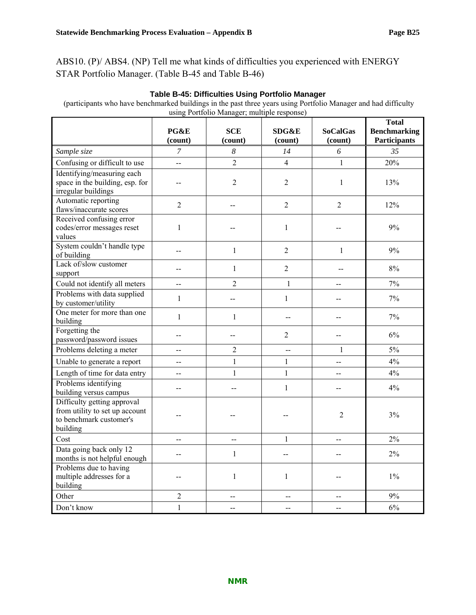ABS10. (P)/ ABS4. (NP) Tell me what kinds of difficulties you experienced with ENERGY STAR Portfolio Manager. (Table B-45 and Table B-46)

| (participants who have benchmarked buildings in the past three years using Portfolio Manager and had difficulty<br>using Portfolio Manager; multiple response) |                          |                       |                  |                            |                                                     |
|----------------------------------------------------------------------------------------------------------------------------------------------------------------|--------------------------|-----------------------|------------------|----------------------------|-----------------------------------------------------|
|                                                                                                                                                                | PG&E<br>(count)          | <b>SCE</b><br>(count) | SDG&E<br>(count) | <b>SoCalGas</b><br>(count) | <b>Total</b><br><b>Benchmarking</b><br>Participants |
| Sample size                                                                                                                                                    | 7                        | $\boldsymbol{8}$      | 14               | 6                          | 35                                                  |
| Confusing or difficult to use                                                                                                                                  | --                       | $\overline{2}$        | $\overline{4}$   | 1                          | 20%                                                 |
| Identifying/measuring each<br>space in the building, esp. for<br>irregular buildings                                                                           |                          | 2                     | 2                | $\mathbf{1}$               | 13%                                                 |
| Automatic reporting<br>flaws/inaccurate scores                                                                                                                 | $\overline{2}$           | --                    | $\overline{2}$   | $\overline{2}$             | 12%                                                 |
| Received confusing error<br>codes/error messages reset<br>values                                                                                               | 1                        |                       | 1                |                            | 9%                                                  |
| System couldn't handle type<br>of building                                                                                                                     | --                       | 1                     | $\overline{2}$   | $\mathbf{1}$               | 9%                                                  |
| Lack of/slow customer<br>support                                                                                                                               |                          | 1                     | $\overline{2}$   |                            | 8%                                                  |
| Could not identify all meters                                                                                                                                  | $\overline{\phantom{a}}$ | $\overline{2}$        | $\mathbf{1}$     | --                         | 7%                                                  |
| Problems with data supplied<br>by customer/utility                                                                                                             | 1                        | --                    | $\mathbf{1}$     | --                         | 7%                                                  |
| One meter for more than one<br>building                                                                                                                        | 1                        | $\mathbf{1}$          | --               | --                         | 7%                                                  |
| Forgetting the<br>password/password issues                                                                                                                     |                          | --                    | $\overline{2}$   | --                         | 6%                                                  |
| Problems deleting a meter                                                                                                                                      | $\overline{a}$           | $\overline{2}$        | $-$              | $\mathbf{1}$               | $5\%$                                               |
| Unable to generate a report                                                                                                                                    | --                       | $\mathbf{1}$          | $\mathbf{1}$     | --                         | 4%                                                  |
| Length of time for data entry                                                                                                                                  | --                       | $\mathbf{1}$          | $\mathbf{1}$     | $\overline{\phantom{a}}$   | 4%                                                  |
| Problems identifying<br>building versus campus                                                                                                                 | --                       | --                    | 1                | --                         | 4%                                                  |
| Difficulty getting approval<br>from utility to set up account<br>to benchmark customer's<br>building                                                           |                          |                       |                  | 2                          | 3%                                                  |
| Cost                                                                                                                                                           |                          | --                    | 1                | --                         | 2%                                                  |
| Data going back only 12<br>months is not helpful enough                                                                                                        | --                       | $\mathbf{1}$          | --               | --                         | $2\%$                                               |
| Problems due to having<br>multiple addresses for a<br>building                                                                                                 | --                       | $\mathbf{1}$          | $\mathbf{1}$     | --                         | $1\%$                                               |
| Other                                                                                                                                                          | $\overline{2}$           | --                    | $-$              | --                         | 9%                                                  |
| Don't know                                                                                                                                                     | $\mathbf{1}$             | --                    | --               | --                         | 6%                                                  |

**Table B-45: Difficulties Using Portfolio Manager**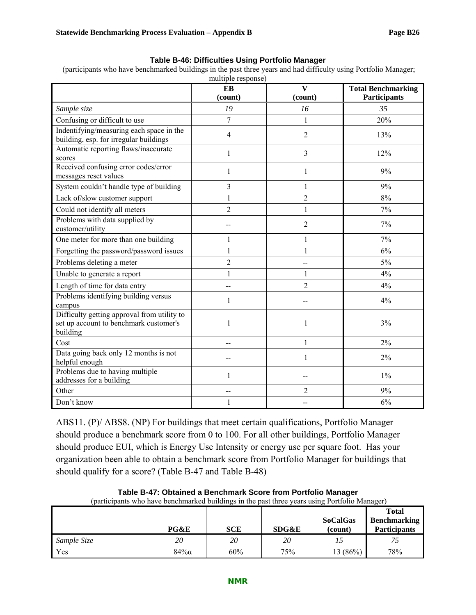|  | Table B-46: Difficulties Using Portfolio Manager |  |  |
|--|--------------------------------------------------|--|--|
|  |                                                  |  |  |

(participants who have benchmarked buildings in the past three years and had difficulty using Portfolio Manager;

|                                                                                                   | multiple response) |                                    |                                                  |  |  |  |
|---------------------------------------------------------------------------------------------------|--------------------|------------------------------------|--------------------------------------------------|--|--|--|
|                                                                                                   | EB<br>(count)      | $\overline{\mathbf{V}}$<br>(count) | <b>Total Benchmarking</b><br><b>Participants</b> |  |  |  |
| Sample size                                                                                       | 19                 | 16                                 | 35                                               |  |  |  |
| Confusing or difficult to use                                                                     | $\overline{7}$     | $\mathbf{1}$                       | 20%                                              |  |  |  |
| Indentifying/measuring each space in the<br>building, esp. for irregular buildings                | 4                  | $\overline{2}$                     | 13%                                              |  |  |  |
| Automatic reporting flaws/inaccurate<br>scores                                                    | 1                  | 3                                  | 12%                                              |  |  |  |
| Received confusing error codes/error<br>messages reset values                                     | 1                  | $\mathbf{1}$                       | 9%                                               |  |  |  |
| System couldn't handle type of building                                                           | 3                  | 1                                  | 9%                                               |  |  |  |
| Lack of/slow customer support                                                                     | $\mathbf{1}$       | $\overline{2}$                     | 8%                                               |  |  |  |
| Could not identify all meters                                                                     | $\overline{2}$     | 1                                  | 7%                                               |  |  |  |
| Problems with data supplied by<br>customer/utility                                                |                    | $\overline{2}$                     | 7%                                               |  |  |  |
| One meter for more than one building                                                              | 1                  | $\mathbf{1}$                       | 7%                                               |  |  |  |
| Forgetting the password/password issues                                                           | $\mathbf{1}$       | $\mathbf{1}$                       | 6%                                               |  |  |  |
| Problems deleting a meter                                                                         | $\overline{c}$     | --                                 | 5%                                               |  |  |  |
| Unable to generate a report                                                                       | $\mathbf{1}$       | $\mathbf{1}$                       | 4%                                               |  |  |  |
| Length of time for data entry                                                                     | --                 | 2                                  | 4%                                               |  |  |  |
| Problems identifying building versus<br>campus                                                    | 1                  |                                    | 4%                                               |  |  |  |
| Difficulty getting approval from utility to<br>set up account to benchmark customer's<br>building | 1                  | 1                                  | 3%                                               |  |  |  |
| Cost                                                                                              | --                 | 1                                  | $2\%$                                            |  |  |  |
| Data going back only 12 months is not<br>helpful enough                                           |                    | 1                                  | 2%                                               |  |  |  |
| Problems due to having multiple<br>addresses for a building                                       | $\mathbf{1}$       |                                    | $1\%$                                            |  |  |  |
| Other                                                                                             | --                 | 2                                  | 9%                                               |  |  |  |
| Don't know                                                                                        | 1                  |                                    | 6%                                               |  |  |  |

ABS11. (P)/ ABS8. (NP) For buildings that meet certain qualifications, Portfolio Manager should produce a benchmark score from 0 to 100. For all other buildings, Portfolio Manager should produce EUI, which is Energy Use Intensity or energy use per square foot. Has your organization been able to obtain a benchmark score from Portfolio Manager for buildings that should qualify for a score? (Table B-47 and Table B-48)

| (participants who have benchmarked buildings in the past three years using Portfolio Manager) |        |            |       |                            |                                                            |  |
|-----------------------------------------------------------------------------------------------|--------|------------|-------|----------------------------|------------------------------------------------------------|--|
|                                                                                               | PG&E   | <b>SCE</b> | SDG&E | <b>SoCalGas</b><br>(count) | <b>Total</b><br><b>Benchmarking</b><br><b>Participants</b> |  |
| Sample Size                                                                                   | 20     | 20         | 20    |                            |                                                            |  |
| Yes                                                                                           | $84\%$ | 60%        | 75%   | 13 $(86\%)$                | 78%                                                        |  |

**Table B-47: Obtained a Benchmark Score from Portfolio Manager**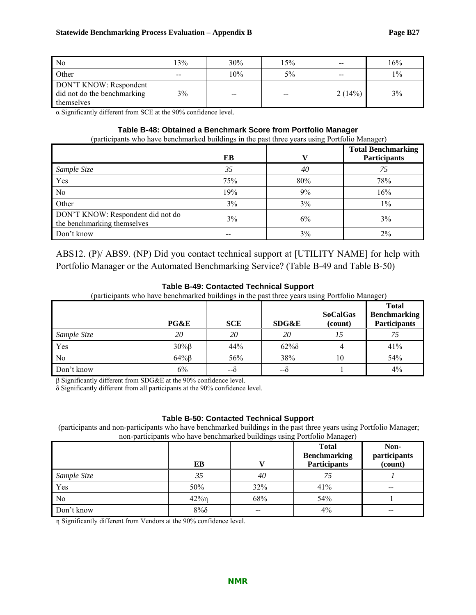| N <sub>0</sub>                                                      | 13%               | 30% | 15%   | $- -$  | 16%   |
|---------------------------------------------------------------------|-------------------|-----|-------|--------|-------|
| Other                                                               | $\hspace{0.05cm}$ | 10% | 5%    | $- -$  | $1\%$ |
| DON'T KNOW: Respondent<br>did not do the benchmarking<br>themselves | 3%                | $-$ | $- -$ | 2(14%) | 3%    |

α Significantly different from SCE at the 90% confidence level.

#### **Table B-48: Obtained a Benchmark Score from Portfolio Manager**

(participants who have benchmarked buildings in the past three years using Portfolio Manager)

|                                                                  |     |     | <b>Total Benchmarking</b> |
|------------------------------------------------------------------|-----|-----|---------------------------|
|                                                                  | EB  |     | Participants              |
| Sample Size                                                      | 35  | 40  | 75                        |
| Yes                                                              | 75% | 80% | 78%                       |
| No                                                               | 19% | 9%  | 16%                       |
| Other                                                            | 3%  | 3%  | $1\%$                     |
| DON'T KNOW: Respondent did not do<br>the benchmarking themselves | 3%  | 6%  | 3%                        |
| Don't know                                                       |     | 3%  | 2%                        |

ABS12. (P)/ ABS9. (NP) Did you contact technical support at [UTILITY NAME] for help with Portfolio Manager or the Automated Benchmarking Service? (Table B-49 and Table B-50)

#### **Table B-49: Contacted Technical Support**

(participants who have benchmarked buildings in the past three years using Portfolio Manager)

|             | PG&E           | <b>SCE</b> | SDG&E  | <b>SoCalGas</b><br>(count) | <b>Total</b><br><b>Benchmarking</b><br><b>Participants</b> |
|-------------|----------------|------------|--------|----------------------------|------------------------------------------------------------|
| Sample Size | 20             | 20         | 20     |                            |                                                            |
| Yes         | $30\%$ $\beta$ | 44%        | $62\%$ |                            | 41%                                                        |
| No          | $64\%$ $\beta$ | 56%        | 38%    | 10                         | 54%                                                        |
| Don't know  | 6%             | --δ        | --c    |                            | 4%                                                         |

β Significantly different from SDG&E at the 90% confidence level.

δ Significantly different from all participants at the 90% confidence level.

#### **Table B-50: Contacted Technical Support**

 (participants and non-participants who have benchmarked buildings in the past three years using Portfolio Manager; non-participants who have benchmarked buildings using Portfolio Manager)

|                |                |       | <b>Total</b><br><b>Benchmarking</b> | Non-<br>participants     |
|----------------|----------------|-------|-------------------------------------|--------------------------|
|                | EВ             |       | <b>Participants</b>                 | (count)                  |
| Sample Size    | 35             | 40    | 75                                  |                          |
| Yes            | 50%            | 32%   | 41%                                 | $\overline{\phantom{m}}$ |
| N <sub>0</sub> | $42\%$ n       | 68%   | 54%                                 |                          |
| Don't know     | $8\%$ $\delta$ | $- -$ | $4\%$                               | $- -$                    |

η Significantly different from Vendors at the 90% confidence level.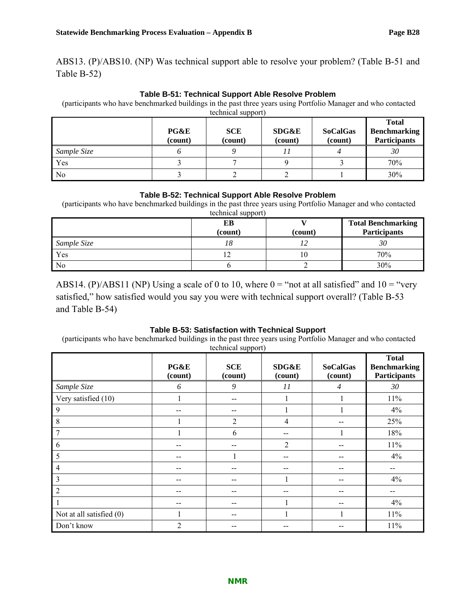ABS13. (P)/ABS10. (NP) Was technical support able to resolve your problem? (Table B-51 and Table B-52)

#### **Table B-51: Technical Support Able Resolve Problem**

 (participants who have benchmarked buildings in the past three years using Portfolio Manager and who contacted technical support)

|                | PG&E<br>(count) | <b>SCE</b><br>(count) | <b>SDG&amp;E</b><br>(count) | <b>SoCalGas</b><br>(count) | <b>Total</b><br><b>Benchmarking</b><br><b>Participants</b> |
|----------------|-----------------|-----------------------|-----------------------------|----------------------------|------------------------------------------------------------|
| Sample Size    |                 |                       |                             |                            | 30                                                         |
| Yes            |                 |                       |                             |                            | 70%                                                        |
| N <sub>0</sub> |                 |                       |                             |                            | 30%                                                        |

#### **Table B-52: Technical Support Able Resolve Problem**

 (participants who have benchmarked buildings in the past three years using Portfolio Manager and who contacted technical support)

|             | ЕB<br>(count) | (count) | <b>Total Benchmarking</b><br><b>Participants</b> |
|-------------|---------------|---------|--------------------------------------------------|
| Sample Size | 10            |         | 30                                               |
| Yes         |               |         | 70%                                              |
| No          |               |         | 30%                                              |

ABS14. (P)/ABS11 (NP) Using a scale of 0 to 10, where  $0 =$  "not at all satisfied" and  $10 =$  "very satisfied," how satisfied would you say you were with technical support overall? (Table B-53 and Table B-54)

#### **Table B-53: Satisfaction with Technical Support**

 (participants who have benchmarked buildings in the past three years using Portfolio Manager and who contacted technical support)

|                            | PG&E<br>(count) | <b>SCE</b><br>(count) | SDG&E<br>(count) | <b>SoCalGas</b><br>(count) | <b>Total</b><br><b>Benchmarking</b><br><b>Participants</b> |
|----------------------------|-----------------|-----------------------|------------------|----------------------------|------------------------------------------------------------|
| Sample Size                | 6               | 9                     | 11               | 4                          | 30                                                         |
| Very satisfied (10)        |                 | --                    |                  |                            | 11%                                                        |
| 9                          | --              | --                    |                  |                            | 4%                                                         |
| 8                          |                 | $\overline{2}$        | 4                |                            | 25%                                                        |
| 7                          |                 | 6                     | --               |                            | 18%                                                        |
| 6                          | --              | --                    | 2                |                            | 11%                                                        |
| 5                          | --              |                       |                  |                            | 4%                                                         |
| $\overline{4}$             |                 | --                    |                  |                            | --                                                         |
| 3                          |                 |                       |                  |                            | 4%                                                         |
| $\overline{2}$             | --              |                       |                  |                            | --                                                         |
|                            | --              | --                    |                  |                            | 4%                                                         |
| Not at all satisfied $(0)$ |                 | --                    |                  |                            | $11\%$                                                     |
| Don't know                 | $\overline{2}$  |                       |                  |                            | 11%                                                        |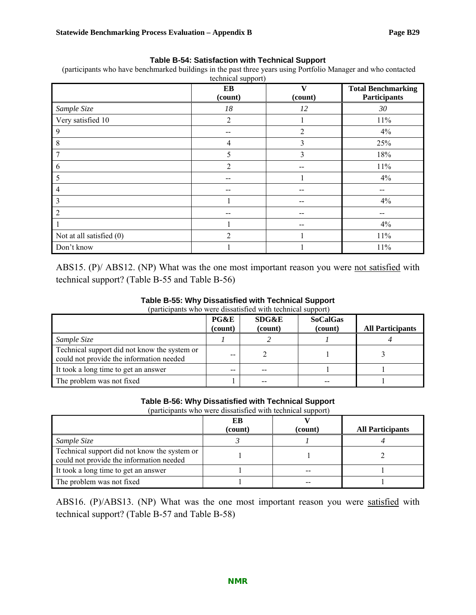#### **Table B-54: Satisfaction with Technical Support**

 (participants who have benchmarked buildings in the past three years using Portfolio Manager and who contacted  $t$ echnical su

|                          | EB<br>(count)  | V<br>(count)   | <b>Total Benchmarking</b><br><b>Participants</b> |
|--------------------------|----------------|----------------|--------------------------------------------------|
| Sample Size              | 18             | 12             | 30                                               |
| Very satisfied 10        | $\overline{2}$ |                | $11\%$                                           |
| 9                        | --             | $\overline{2}$ | 4%                                               |
| 8                        | 4              | 3              | 25%                                              |
| 7                        | 5              | 3              | 18%                                              |
| 6                        | $\overline{2}$ | --             | 11%                                              |
| 5                        | --             |                | 4%                                               |
| 4                        | --             | --             | --                                               |
| 3                        |                | --             | 4%                                               |
| $\overline{2}$           | --             | --             | --                                               |
|                          | $\mathbf{1}$   |                | 4%                                               |
| Not at all satisfied (0) | $\overline{2}$ |                | $11\%$                                           |
| Don't know               |                |                | 11%                                              |

ABS15. (P)/ ABS12. (NP) What was the one most important reason you were not satisfied with technical support? (Table B-55 and Table B-56)

#### **Table B-55: Why Dissatisfied with Technical Support**

(participants who were dissatisfied with technical support)

|                                                                                          | <b>PG&amp;E</b><br>(count) | SDG&E<br>(count) | <b>SoCalGas</b><br>(count) | <b>All Participants</b> |
|------------------------------------------------------------------------------------------|----------------------------|------------------|----------------------------|-------------------------|
| Sample Size                                                                              |                            |                  |                            |                         |
| Technical support did not know the system or<br>could not provide the information needed | --                         |                  |                            |                         |
| It took a long time to get an answer                                                     | --                         | --               |                            |                         |
| The problem was not fixed                                                                |                            |                  |                            |                         |

#### **Table B-56: Why Dissatisfied with Technical Support**

(participants who were dissatisfied with technical support)

|                                                                                          | ЕB      |         |                         |
|------------------------------------------------------------------------------------------|---------|---------|-------------------------|
|                                                                                          | (count) | (count) | <b>All Participants</b> |
| Sample Size                                                                              |         |         |                         |
| Technical support did not know the system or<br>could not provide the information needed |         |         |                         |
| It took a long time to get an answer                                                     |         |         |                         |
| The problem was not fixed                                                                |         |         |                         |

ABS16. (P)/ABS13. (NP) What was the one most important reason you were satisfied with technical support? (Table B-57 and Table B-58)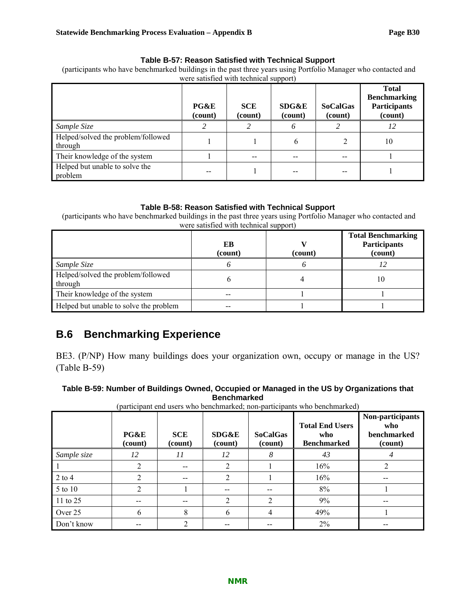### **Table B-57: Reason Satisfied with Technical Support**

 (participants who have benchmarked buildings in the past three years using Portfolio Manager who contacted and were satisfied with technical support)

|                                               | PG&E<br>(count) | <b>SCE</b><br>(count) | SDG&E<br>(count) | <b>SoCalGas</b><br>(count) | <b>Total</b><br><b>Benchmarking</b><br><b>Participants</b><br>(count) |
|-----------------------------------------------|-----------------|-----------------------|------------------|----------------------------|-----------------------------------------------------------------------|
| Sample Size                                   |                 |                       | 6                |                            | 12                                                                    |
| Helped/solved the problem/followed<br>through |                 |                       | h.               |                            | 10                                                                    |
| Their knowledge of the system                 |                 | --                    |                  |                            |                                                                       |
| Helped but unable to solve the<br>problem     |                 |                       |                  |                            |                                                                       |

### **Table B-58: Reason Satisfied with Technical Support**

 (participants who have benchmarked buildings in the past three years using Portfolio Manager who contacted and were satisfied with technical support)

|                                               | EB<br>(count) | (count) | <b>Total Benchmarking</b><br><b>Participants</b><br>(count) |
|-----------------------------------------------|---------------|---------|-------------------------------------------------------------|
| Sample Size                                   |               |         |                                                             |
| Helped/solved the problem/followed<br>through |               |         | 10                                                          |
| Their knowledge of the system                 |               |         |                                                             |
| Helped but unable to solve the problem        |               |         |                                                             |

## **B.6 Benchmarking Experience**

BE3. (P/NP) How many buildings does your organization own, occupy or manage in the US? (Table B-59)

| Table B-59: Number of Buildings Owned, Occupied or Managed in the US by Organizations that |
|--------------------------------------------------------------------------------------------|
| Benchmarked                                                                                |

|             | participalle chu uscis who benchmarked, hon-participallis who benchmarked) |                       |                  |                            |                                                     |                                                   |
|-------------|----------------------------------------------------------------------------|-----------------------|------------------|----------------------------|-----------------------------------------------------|---------------------------------------------------|
|             | PG&E<br>(count)                                                            | <b>SCE</b><br>(count) | SDG&E<br>(count) | <b>SoCalGas</b><br>(count) | <b>Total End Users</b><br>who<br><b>Benchmarked</b> | Non-participants<br>who<br>benchmarked<br>(count) |
| Sample size |                                                                            |                       | 12               |                            | 43                                                  |                                                   |
|             |                                                                            | $-$                   |                  |                            | 16%                                                 |                                                   |
| 2 to 4      |                                                                            | --                    |                  |                            | 16%                                                 |                                                   |

 $5 \text{ to } 10$   $2 \mid 1 \mid -1 \mid -1 \mid 3\%$  1 11 to 25  $2$   $2$   $2$   $9\%$ Over 25 (6 8 6 4 49%) Don't know  $\begin{vmatrix} -1 & 2 & -1 \\ 2 & -1 & -1 \end{vmatrix}$  --  $\begin{vmatrix} 2 & 2 & -1 \\ 2 & -1 & -1 \end{vmatrix}$  --

(participant end users who benchmarked; non-participants who benchmarked)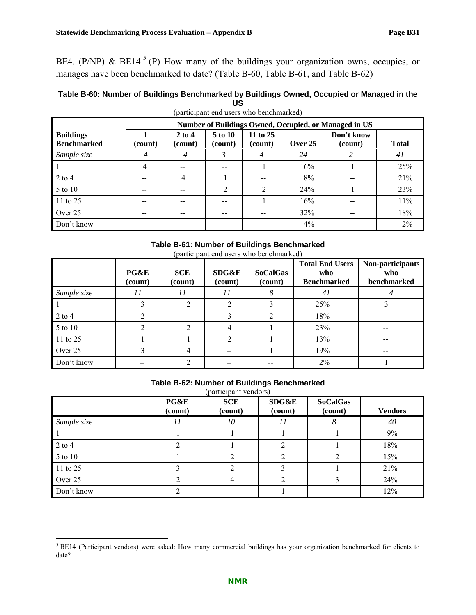BE4. (P/NP) & BE14.<sup>5</sup> (P) How many of the buildings your organization owns, occupies, or manages have been benchmarked to date? (Table B-60, Table B-61, and Table B-62)

### **Table B-60: Number of Buildings Benchmarked by Buildings Owned, Occupied or Managed in the US**

|                                        | Number of Buildings Owned, Occupied, or Managed in US |                     |                    |                     |         |                       |              |
|----------------------------------------|-------------------------------------------------------|---------------------|--------------------|---------------------|---------|-----------------------|--------------|
| <b>Buildings</b><br><b>Benchmarked</b> | (count)                                               | $2$ to 4<br>(count) | 5 to 10<br>(count) | 11 to 25<br>(count) | Over 25 | Don't know<br>(count) | <b>Total</b> |
| Sample size                            | 4                                                     | $\overline{4}$      | 3                  | 4                   | 24      |                       | 41           |
|                                        | 4                                                     | --                  | --                 |                     | 16%     |                       | 25%          |
| $2$ to 4                               | --                                                    | 4                   |                    | --                  | 8%      | --                    | 21%          |
| $5$ to 10                              | --                                                    | --                  | $\overline{2}$     | $\overline{2}$      | 24%     |                       | 23%          |
| $11$ to 25                             |                                                       | --                  |                    |                     | 16%     | --                    | 11%          |
| Over 25                                | --                                                    |                     | --                 | --                  | 32%     | --                    | 18%          |
| Don't know                             | --                                                    | --                  | $- -$              | --                  | 4%      | --                    | 2%           |

(participant end users who benchmarked)

## **Table B-61: Number of Buildings Benchmarked**

(participant end users who benchmarked)

|             | PG&E<br>(count) | <b>SCE</b><br>(count) | SDG&E<br>(count) | <b>SoCalGas</b><br>(count) | <b>Total End Users</b><br>who<br><b>Benchmarked</b> | Non-participants<br>who<br>benchmarked |
|-------------|-----------------|-----------------------|------------------|----------------------------|-----------------------------------------------------|----------------------------------------|
| Sample size | 11              | 11                    | 11               | 8                          | 41                                                  |                                        |
|             |                 |                       |                  |                            | 25%                                                 |                                        |
| $2$ to $4$  |                 | --                    |                  | 2                          | 18%                                                 | --                                     |
| 5 to 10     |                 |                       |                  |                            | 23%                                                 | --                                     |
| 11 to 25    |                 |                       |                  |                            | 13%                                                 | --                                     |
| Over 25     |                 | 4                     | --               |                            | 19%                                                 | --                                     |
| Don't know  | --              |                       |                  |                            | $2\%$                                               |                                        |

### **Table B-62: Number of Buildings Benchmarked**

(participant vendors)

|             | PG&E<br>(count) | $\mu$ $\mu$ $\mu$ $\sigma$ $\mu$ $\sigma$ $\sigma$ $\sigma$ $\sigma$<br><b>SCE</b><br>(count) | <b>SDG&amp;E</b><br>(count) | <b>SoCalGas</b><br>(count) | <b>Vendors</b> |
|-------------|-----------------|-----------------------------------------------------------------------------------------------|-----------------------------|----------------------------|----------------|
| Sample size | 11              | 10                                                                                            | 11                          |                            | 40             |
|             |                 |                                                                                               |                             |                            | 9%             |
| $2$ to $4$  |                 |                                                                                               | $\mathfrak{D}$              |                            | 18%            |
| 5 to 10     |                 |                                                                                               |                             |                            | 15%            |
| 11 to 25    |                 |                                                                                               |                             |                            | 21%            |
| Over 25     |                 |                                                                                               |                             |                            | 24%            |
| Don't know  |                 | --                                                                                            |                             |                            | 12%            |

<sup>&</sup>lt;sup>5</sup> BE14 (Participant vendors) were asked: How many commercial buildings has your organization benchmarked for clients to date?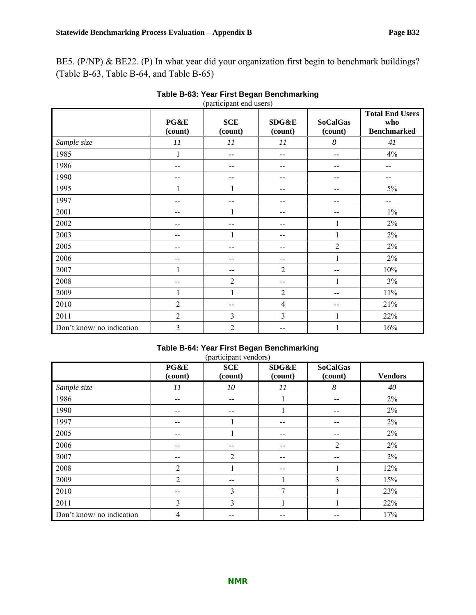BE5. (P/NP) & BE22. (P) In what year did your organization first begin to benchmark buildings? (Table B-63, Table B-64, and Table B-65)

|                           | PG&E<br>(count) | $(\mathbf{r}^{\mathbf{m}})$<br><b>SCE</b><br>(count) | SDG&E<br>(count)         | <b>SoCalGas</b><br>(count) | <b>Total End Users</b><br>who<br><b>Benchmarked</b> |
|---------------------------|-----------------|------------------------------------------------------|--------------------------|----------------------------|-----------------------------------------------------|
| Sample size               | $\cal{I}I$      | $\cal{I} \cal{I}$                                    | $\cal{I} \cal{I}$        | $\boldsymbol{8}$           | 41                                                  |
| 1985                      | 1               | --                                                   | $\overline{\phantom{m}}$ | --                         | $4\%$                                               |
| 1986                      | --              | --                                                   | $-$                      | --                         | --                                                  |
| 1990                      | $-$             | $-$                                                  | $-$                      | --                         | $-$                                                 |
| 1995                      | $\mathbf{1}$    | 1                                                    | --                       | --                         | $5\%$                                               |
| 1997                      | --              | --                                                   | --                       | --                         | --                                                  |
| 2001                      | --              | 1                                                    | --                       | --                         | $1\%$                                               |
| 2002                      | --              | --                                                   | --                       | 1                          | $2\%$                                               |
| 2003                      | $-$             | 1                                                    | $\overline{\phantom{m}}$ | 1                          | $2\%$                                               |
| 2005                      | $-$             | --                                                   | $\overline{\phantom{m}}$ | $\overline{2}$             | $2\%$                                               |
| 2006                      | $- -$           | --                                                   | $-$                      | 1                          | 2%                                                  |
| 2007                      |                 | --                                                   | $\overline{2}$           | --                         | 10%                                                 |
| 2008                      | $-$             | $\overline{2}$                                       | $-$                      | 1                          | 3%                                                  |
| 2009                      | 1               | $\mathbf{1}$                                         | $\overline{2}$           | --                         | $11\%$                                              |
| 2010                      | $\overline{2}$  | --                                                   | $\overline{4}$           | --                         | 21%                                                 |
| 2011                      | $\overline{2}$  | 3                                                    | $\overline{3}$           | 1                          | 22%                                                 |
| Don't know/ no indication | 3               | $\overline{2}$                                       | --                       |                            | 16%                                                 |

### **Table B-63: Year First Began Benchmarking**  (participant end users)

### **Table B-64: Year First Began Benchmarking**

| (participant vendors) |  |
|-----------------------|--|
|-----------------------|--|

|                           | PG&E<br>(count) | <b>SCE</b><br>(count) | SDG&E<br>(count)         | <b>SoCalGas</b><br>(count) | <b>Vendors</b> |
|---------------------------|-----------------|-----------------------|--------------------------|----------------------------|----------------|
| Sample size               | 11              | 10                    | 11                       | 8                          | 40             |
| 1986                      | --              | --                    |                          | $- -$                      | 2%             |
| 1990                      | --              | --                    |                          | --                         | 2%             |
| 1997                      | --              | 1                     | --                       | --                         | $2\%$          |
| 2005                      | $- -$           | 1                     | $\overline{\phantom{m}}$ | $- -$                      | 2%             |
| 2006                      | --              | --                    | $- -$                    | 2                          | 2%             |
| 2007                      |                 | $\overline{2}$        |                          |                            | 2%             |
| 2008                      | $\overline{2}$  | 1                     | $- -$                    |                            | 12%            |
| 2009                      | $\overline{2}$  | --                    |                          | 3                          | 15%            |
| 2010                      | --              | 3                     | $\mathbf{7}$             |                            | 23%            |
| 2011                      | 3               | $\overline{3}$        |                          |                            | 22%            |
| Don't know/ no indication | 4               | --                    | --                       |                            | 17%            |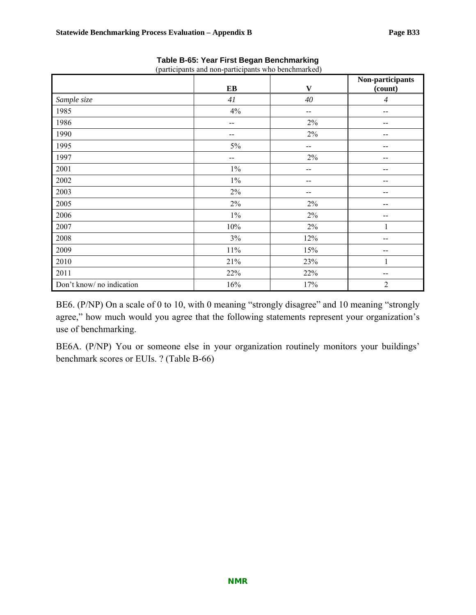|                           |       |              | Non-participants |
|---------------------------|-------|--------------|------------------|
|                           | $E$ B | $\mathbf{V}$ | (count)          |
| Sample size               | 41    | 40           | $\overline{4}$   |
| 1985                      | $4\%$ | $-$          | $- -$            |
| 1986                      | --    | $2\%$        |                  |
| 1990                      | --    | $2\%$        |                  |
| 1995                      | 5%    | --           |                  |
| 1997                      | --    | $2\%$        |                  |
| 2001                      | $1\%$ | --           |                  |
| 2002                      | $1\%$ | --           | --               |
| 2003                      | $2\%$ | --           | --               |
| 2005                      | $2\%$ | $2\%$        | --               |
| 2006                      | $1\%$ | $2\%$        | --               |
| 2007                      | 10%   | $2\%$        | 1                |
| 2008                      | 3%    | 12%          |                  |
| 2009                      | 11%   | 15%          | --               |
| 2010                      | 21%   | 23%          | 1                |
| 2011                      | 22%   | 22%          | --               |
| Don't know/ no indication | 16%   | 17%          | 2                |

**Table B-65: Year First Began Benchmarking** 

(participants and non-participants who benchmarked)

BE6. (P/NP) On a scale of 0 to 10, with 0 meaning "strongly disagree" and 10 meaning "strongly agree," how much would you agree that the following statements represent your organization's use of benchmarking.

BE6A. (P/NP) You or someone else in your organization routinely monitors your buildings' benchmark scores or EUIs. ? (Table B-66)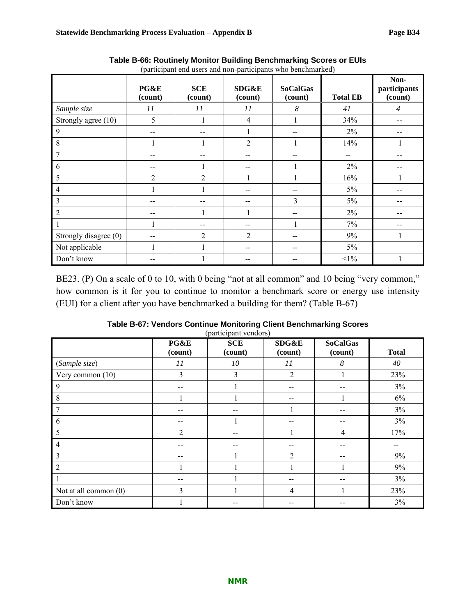|                       | PG&E<br>(count) | <b>SCE</b><br>(count) | SDG&E<br>(count) | <b>SoCalGas</b><br>(count) | <b>Total EB</b> | Non-<br>participants<br>(count) |
|-----------------------|-----------------|-----------------------|------------------|----------------------------|-----------------|---------------------------------|
| Sample size           | 11              | 11                    | 11               | 8                          | 41              | $\overline{4}$                  |
| Strongly agree (10)   | 5               |                       | $\overline{4}$   |                            | 34%             |                                 |
| 9                     | --              | --                    |                  |                            | 2%              |                                 |
| 8                     |                 |                       | $\overline{2}$   |                            | 14%             |                                 |
| 7                     | --              | --                    |                  | --                         | $- -$           |                                 |
| 6                     | --              |                       |                  |                            | 2%              |                                 |
| 5                     | $\overline{2}$  | $\overline{2}$        |                  |                            | 16%             |                                 |
| $\overline{4}$        |                 | ı                     | --               | --                         | 5%              |                                 |
| 3                     | $- -$           | $- -$                 | --               | $\overline{3}$             | $5\%$           |                                 |
| $\overline{2}$        | --              | $\mathbf{1}$          |                  | $- -$                      | $2\%$           |                                 |
|                       |                 |                       |                  |                            | 7%              |                                 |
| Strongly disagree (0) |                 | 2                     | $\overline{2}$   |                            | 9%              | ı                               |
| Not applicable        |                 |                       |                  | --                         | $5\%$           |                                 |
| Don't know            |                 |                       |                  |                            | $<1\%$          |                                 |

**Table B-66: Routinely Monitor Building Benchmarking Scores or EUIs**  (participant end users and non-participants who benchmarked)

BE23. (P) On a scale of 0 to 10, with 0 being "not at all common" and 10 being "very common," how common is it for you to continue to monitor a benchmark score or energy use intensity (EUI) for a client after you have benchmarked a building for them? (Table B-67)

| Table B-67: Vendors Continue Monitoring Client Benchmarking Scores |  |
|--------------------------------------------------------------------|--|
| (participant vendors)                                              |  |

|                       | PG&E<br>(count) | $(\mu$ u n $\nu$ ipunt venuotoj<br><b>SCE</b><br>(count) | SDG&E<br>(count) | <b>SoCalGas</b><br>(count) | <b>Total</b> |
|-----------------------|-----------------|----------------------------------------------------------|------------------|----------------------------|--------------|
| (Sample size)         | 11              | 10                                                       | 11               | 8                          | 40           |
| Very common (10)      | 3               | 3                                                        | $\overline{2}$   |                            | 23%          |
| 9                     |                 |                                                          | --               | --                         | 3%           |
| 8                     |                 |                                                          |                  |                            | $6\%$        |
| 7                     |                 |                                                          |                  | $- -$                      | 3%           |
| 6                     |                 |                                                          |                  | --                         | 3%           |
| 5                     | $\overline{2}$  | --                                                       |                  | $\overline{4}$             | 17%          |
| 4                     |                 |                                                          |                  | --                         |              |
| 3                     |                 |                                                          | $\overline{2}$   | $- -$                      | 9%           |
| $\overline{2}$        |                 |                                                          |                  |                            | 9%           |
|                       |                 |                                                          | $- -$            | --                         | 3%           |
| Not at all common (0) | 3               |                                                          | $\overline{4}$   |                            | 23%          |
| Don't know            |                 |                                                          |                  | --                         | 3%           |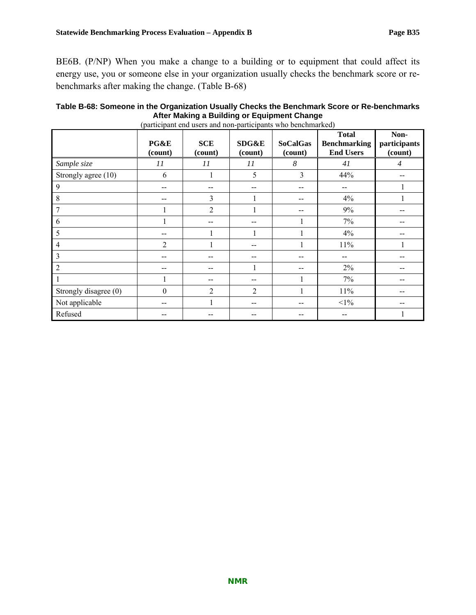BE6B. (P/NP) When you make a change to a building or to equipment that could affect its energy use, you or someone else in your organization usually checks the benchmark score or rebenchmarks after making the change. (Table B-68)

| (participant end users and non-participants who benchmarked) |                 |                       |                  |                            |                                                         |                                 |  |  |
|--------------------------------------------------------------|-----------------|-----------------------|------------------|----------------------------|---------------------------------------------------------|---------------------------------|--|--|
|                                                              | PG&E<br>(count) | <b>SCE</b><br>(count) | SDG&E<br>(count) | <b>SoCalGas</b><br>(count) | <b>Total</b><br><b>Benchmarking</b><br><b>End Users</b> | Non-<br>participants<br>(count) |  |  |
| Sample size                                                  | 11              | 11                    | 11               | 8                          | 41                                                      | $\overline{4}$                  |  |  |
| Strongly agree (10)                                          | 6               |                       | 5                | 3                          | 44%                                                     |                                 |  |  |
| 9                                                            |                 |                       |                  | --                         |                                                         |                                 |  |  |
| 8                                                            | --              | 3                     |                  | --                         | 4%                                                      |                                 |  |  |
| 7                                                            |                 | $\overline{2}$        |                  |                            | 9%                                                      |                                 |  |  |
| 6                                                            |                 |                       |                  |                            | 7%                                                      |                                 |  |  |
| 5                                                            |                 |                       |                  |                            | 4%                                                      |                                 |  |  |
| 4                                                            | $\overline{2}$  |                       |                  |                            | $11\%$                                                  |                                 |  |  |
| 3                                                            |                 |                       |                  |                            |                                                         |                                 |  |  |
| 2                                                            | --              |                       |                  |                            | $2\%$                                                   |                                 |  |  |
|                                                              |                 |                       |                  |                            | $7\%$                                                   |                                 |  |  |
| Strongly disagree (0)                                        | $\theta$        | $\overline{2}$        | 2                |                            | 11%                                                     |                                 |  |  |
| Not applicable                                               |                 |                       |                  |                            | $<1\%$                                                  |                                 |  |  |
| Refused                                                      |                 |                       |                  |                            |                                                         |                                 |  |  |

### **Table B-68: Someone in the Organization Usually Checks the Benchmark Score or Re-benchmarks After Making a Building or Equipment Change**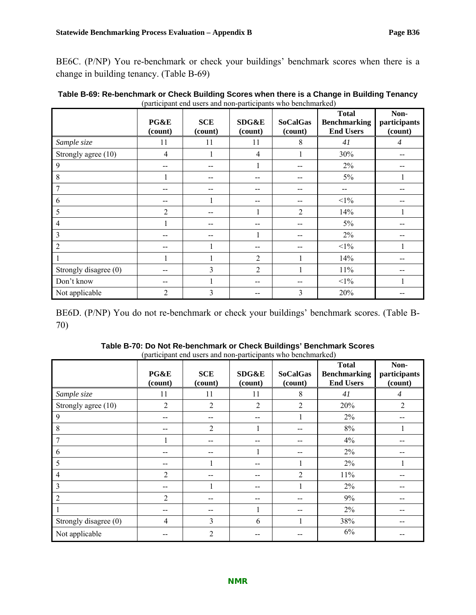BE6C. (P/NP) You re-benchmark or check your buildings' benchmark scores when there is a change in building tenancy. (Table B-69)

|                       | PG&E<br>(count) | <b>SCE</b><br>(count) | SDG&E<br>(count) | <b>SoCalGas</b><br>(count) | <b>Total</b><br><b>Benchmarking</b><br><b>End Users</b> | Non-<br>participants<br>(count) |
|-----------------------|-----------------|-----------------------|------------------|----------------------------|---------------------------------------------------------|---------------------------------|
| Sample size           | 11              | 11                    | 11               | 8                          | 41                                                      | $\overline{4}$                  |
| Strongly agree (10)   | 4               |                       | $\overline{4}$   |                            | 30%                                                     |                                 |
| 9                     |                 |                       |                  |                            | $2\%$                                                   |                                 |
| 8                     |                 |                       | --               |                            | $5\%$                                                   |                                 |
| 7                     |                 |                       | --               |                            |                                                         |                                 |
| 6                     |                 |                       | --               |                            | $<1\%$                                                  |                                 |
| 5                     | $\overline{2}$  |                       |                  | 2                          | 14%                                                     |                                 |
| 4                     |                 |                       | --               |                            | $5\%$                                                   |                                 |
| 3                     |                 |                       |                  |                            | $2\%$                                                   |                                 |
| $\overline{c}$        |                 |                       | --               |                            | $<1\%$                                                  |                                 |
|                       |                 |                       | $\overline{2}$   |                            | 14%                                                     |                                 |
| Strongly disagree (0) |                 | 3                     | $\overline{2}$   |                            | $11\%$                                                  |                                 |
| Don't know            |                 |                       | --               |                            | $<1\%$                                                  |                                 |
| Not applicable        | $\overline{2}$  | 3                     |                  | 3                          | 20%                                                     |                                 |

| Table B-69: Re-benchmark or Check Building Scores when there is a Change in Building Tenancy |
|----------------------------------------------------------------------------------------------|
| (participant end users and non-participants who benchmarked)                                 |

BE6D. (P/NP) You do not re-benchmark or check your buildings' benchmark scores. (Table B-70)

|                       | PG&E<br>(count) | (participant che aberd and non participante who concentration)<br><b>SCE</b><br>(count) | SDG&E<br>(count) | <b>SoCalGas</b><br>(count) | <b>Total</b><br><b>Benchmarking</b><br><b>End Users</b> | Non-<br>participants<br>(count) |
|-----------------------|-----------------|-----------------------------------------------------------------------------------------|------------------|----------------------------|---------------------------------------------------------|---------------------------------|
| Sample size           | 11              | 11                                                                                      | 11               | 8                          | 41                                                      | $\overline{4}$                  |
| Strongly agree (10)   | 2               | 2                                                                                       | 2                | 2                          | 20%                                                     | $\overline{2}$                  |
| $\mathbf{Q}$          |                 |                                                                                         | --               |                            | $2\%$                                                   |                                 |
| 8                     |                 | $\overline{2}$                                                                          |                  |                            | $8\%$                                                   |                                 |
| 7                     |                 |                                                                                         |                  |                            | 4%                                                      |                                 |
| 6                     |                 |                                                                                         | 1                |                            | $2\%$                                                   |                                 |
| 5                     |                 |                                                                                         | --               |                            | $2\%$                                                   |                                 |
| 4                     | $\overline{2}$  |                                                                                         | --               | 2                          | 11%                                                     |                                 |
| 3                     |                 |                                                                                         | --               |                            | $2\%$                                                   |                                 |
| $\overline{2}$        | $\overline{2}$  |                                                                                         | --               |                            | 9%                                                      |                                 |
|                       |                 |                                                                                         |                  |                            | 2%                                                      |                                 |
| Strongly disagree (0) | 4               | 3                                                                                       | 6                |                            | 38%                                                     |                                 |
| Not applicable        |                 | 2                                                                                       |                  |                            | $6\%$                                                   |                                 |

| Table B-70: Do Not Re-benchmark or Check Buildings' Benchmark Scores |  |
|----------------------------------------------------------------------|--|
| (participant end users and non-participants who benchmarked)         |  |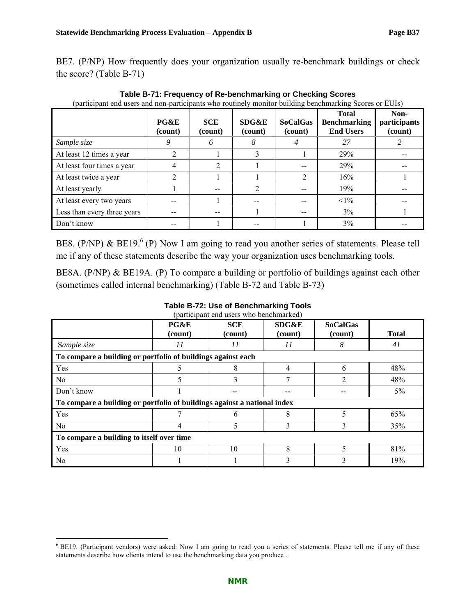BE7. (P/NP) How frequently does your organization usually re-benchmark buildings or check the score? (Table B-71)

|                             | PG&E<br>(count) | <b>SCE</b><br>(count) | SDG&E<br>(count) | <b>SoCalGas</b><br>(count) | <b>Total</b><br><b>Benchmarking</b><br><b>End Users</b> | Non-<br>participants<br>(count) |
|-----------------------------|-----------------|-----------------------|------------------|----------------------------|---------------------------------------------------------|---------------------------------|
| Sample size                 | 9               | 6                     | 8                |                            | 27                                                      |                                 |
| At least 12 times a year    | 2               |                       |                  |                            | 29%                                                     |                                 |
| At least four times a year  | 4               | 2                     |                  | --                         | 29%                                                     |                                 |
| At least twice a year       | 2               |                       |                  | $\overline{2}$             | 16%                                                     |                                 |
| At least yearly             |                 | --                    | $\overline{2}$   |                            | 19%                                                     |                                 |
| At least every two years    |                 |                       |                  |                            | $<1\%$                                                  |                                 |
| Less than every three years |                 |                       |                  |                            | $3\%$                                                   |                                 |
| Don't know                  |                 |                       |                  |                            | 3%                                                      |                                 |

**Table B-71: Frequency of Re-benchmarking or Checking Scores**  (participant end users and non-participants who routinely monitor building benchmarking Scores or EUIs)

BE8. (P/NP) & BE19.<sup>6</sup> (P) Now I am going to read you another series of statements. Please tell me if any of these statements describe the way your organization uses benchmarking tools.

BE8A. (P/NP) & BE19A. (P) To compare a building or portfolio of buildings against each other (sometimes called internal benchmarking) (Table B-72 and Table B-73)

| (participant end users who benchmarked)                                  |                 |                       |                  |                            |              |  |  |  |
|--------------------------------------------------------------------------|-----------------|-----------------------|------------------|----------------------------|--------------|--|--|--|
|                                                                          | PG&E<br>(count) | <b>SCE</b><br>(count) | SDG&E<br>(count) | <b>SoCalGas</b><br>(count) | <b>Total</b> |  |  |  |
| Sample size                                                              | 11              | 11                    | 11               | 8                          | 41           |  |  |  |
| To compare a building or portfolio of buildings against each             |                 |                       |                  |                            |              |  |  |  |
| Yes                                                                      |                 | 8                     | 4                | 6                          | 48%          |  |  |  |
| No                                                                       | 5               | 3                     | $\mathbf{r}$     | $\overline{2}$             | 48%          |  |  |  |
| Don't know                                                               |                 |                       |                  |                            | 5%           |  |  |  |
| To compare a building or portfolio of buildings against a national index |                 |                       |                  |                            |              |  |  |  |
| Yes                                                                      |                 | 6                     | 8                | 5                          | 65%          |  |  |  |
| N <sub>0</sub>                                                           | 4               |                       | 3                | 3                          | 35%          |  |  |  |
| To compare a building to itself over time                                |                 |                       |                  |                            |              |  |  |  |
| Yes                                                                      | 10              | 10                    | 8                | 5                          | 81%          |  |  |  |
| No                                                                       |                 |                       | 3                | 3                          | 19%          |  |  |  |

<sup>&</sup>lt;sup>6</sup> BE19. (Participant vendors) were asked: Now I am going to read you a series of statements. Please tell me if any of these statements describe how clients intend to use the benchmarking data you produce .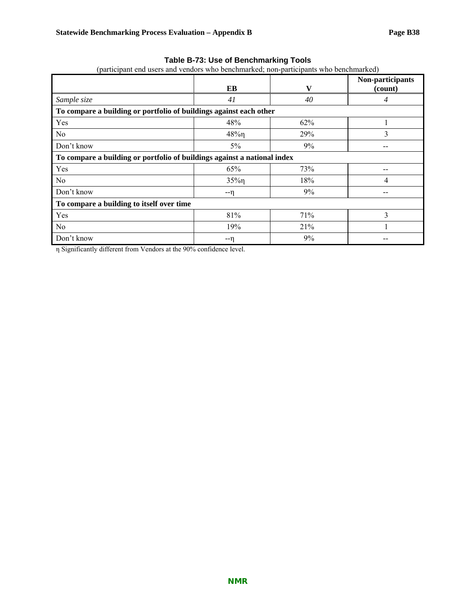### **Table B-73: Use of Benchmarking Tools**

|  |  |  |  |  |  |  |  | (participant end users and vendors who benchmarked; non-participants who benchmarked) |
|--|--|--|--|--|--|--|--|---------------------------------------------------------------------------------------|
|--|--|--|--|--|--|--|--|---------------------------------------------------------------------------------------|

|                                                                          | EB       | V   | Non-participants<br>(count) |  |  |  |  |
|--------------------------------------------------------------------------|----------|-----|-----------------------------|--|--|--|--|
| Sample size                                                              | 41       | 40  | 4                           |  |  |  |  |
| To compare a building or portfolio of buildings against each other       |          |     |                             |  |  |  |  |
| Yes                                                                      | 48%      | 62% |                             |  |  |  |  |
| N <sub>0</sub>                                                           | $48\%$ n | 29% | 3                           |  |  |  |  |
| Don't know                                                               | $5\%$    | 9%  |                             |  |  |  |  |
| To compare a building or portfolio of buildings against a national index |          |     |                             |  |  |  |  |
| Yes                                                                      | 65%      | 73% |                             |  |  |  |  |
| No                                                                       | $35\%$   | 18% | 4                           |  |  |  |  |
| Don't know                                                               | --ท      | 9%  |                             |  |  |  |  |
| To compare a building to itself over time                                |          |     |                             |  |  |  |  |
| Yes                                                                      | 81%      | 71% | 3                           |  |  |  |  |
| N <sub>0</sub>                                                           | 19%      | 21% |                             |  |  |  |  |
| Don't know                                                               | --ท      | 9%  |                             |  |  |  |  |

η Significantly different from Vendors at the 90% confidence level.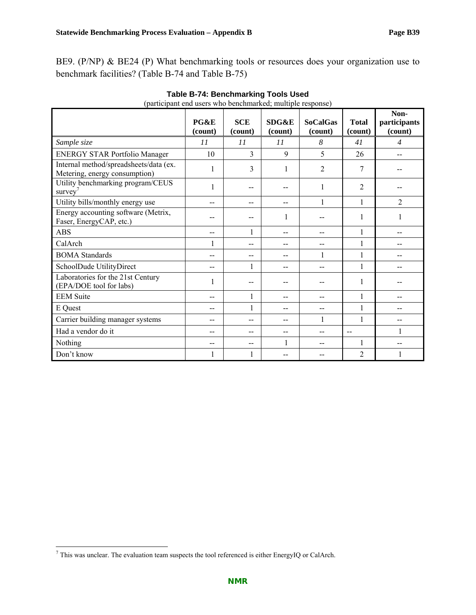|                                                                         | PG&E<br>(count) | <b>SCE</b><br>(count) | SDG&E<br>(count) | <b>SoCalGas</b><br>(count) | <b>Total</b><br>(count) | Non-<br>participants<br>(count) |
|-------------------------------------------------------------------------|-----------------|-----------------------|------------------|----------------------------|-------------------------|---------------------------------|
| Sample size                                                             | 11              | 11                    | 11               | 8                          | 41                      | $\overline{4}$                  |
| <b>ENERGY STAR Portfolio Manager</b>                                    | 10              | 3                     | 9                | 5                          | 26                      |                                 |
| Internal method/spreadsheets/data (ex.<br>Metering, energy consumption) | 1               | 3                     | 1                | $\overline{2}$             | 7                       |                                 |
| Utility benchmarking program/CEUS<br>survey'                            |                 | --                    |                  | 1                          | 2                       |                                 |
| Utility bills/monthly energy use                                        | --              | --                    |                  | $\mathbf{1}$               | 1                       | $\overline{2}$                  |
| Energy accounting software (Metrix,<br>Faser, EnergyCAP, etc.)          |                 |                       | 1                |                            | 1                       | 1                               |
| <b>ABS</b>                                                              | --              | 1                     | --               | --                         | 1                       |                                 |
| CalArch                                                                 | 1               | --                    |                  | --                         | 1                       |                                 |
| <b>BOMA</b> Standards                                                   | --              | $-$                   |                  |                            | 1                       |                                 |
| SchoolDude UtilityDirect                                                | --              | 1                     |                  |                            | 1                       |                                 |
| Laboratories for the 21st Century<br>(EPA/DOE tool for labs)            | 1               | --                    |                  |                            | 1                       |                                 |
| <b>EEM</b> Suite                                                        | --              | 1                     |                  | --                         | 1                       |                                 |
| E Quest                                                                 | --              | 1                     |                  | --                         | 1                       |                                 |
| Carrier building manager systems                                        | --              | --                    | --               |                            | 1                       |                                 |
| Had a vendor do it                                                      | --              | --                    |                  | --                         | $-$                     |                                 |
| Nothing                                                                 | --              | --                    | 1                | --                         | 1                       |                                 |
| Don't know                                                              |                 | 1                     |                  |                            | 2                       |                                 |

**Table B-74: Benchmarking Tools Used**  (participant end users who benchmarked; multiple response)

<sup>&</sup>lt;sup>7</sup> This was unclear. The evaluation team suspects the tool referenced is either EnergyIQ or CalArch.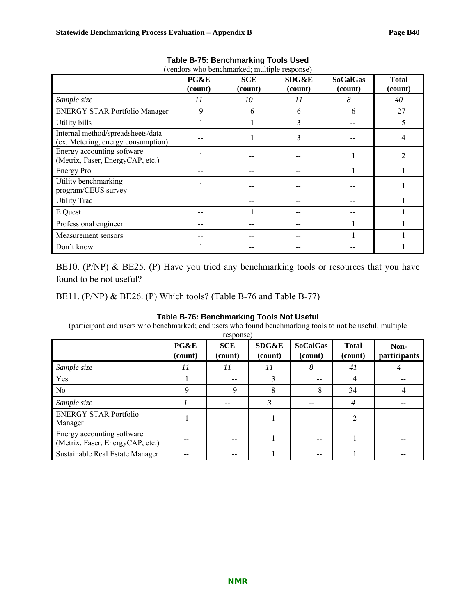|                                                                         | PG&E<br>(count) | <b>SCE</b><br>(count) | SDG&E<br>(count) | <b>SoCalGas</b><br>(count) | <b>Total</b><br>(count) |
|-------------------------------------------------------------------------|-----------------|-----------------------|------------------|----------------------------|-------------------------|
| Sample size                                                             | 11              | 10                    | 11               | 8                          | 40                      |
| <b>ENERGY STAR Portfolio Manager</b>                                    | 9               | 6                     | 6                | 6                          | 27                      |
| Utility bills                                                           |                 |                       | 3                |                            | 5                       |
| Internal method/spreadsheets/data<br>(ex. Metering, energy consumption) |                 |                       | 3                |                            | 4                       |
| Energy accounting software<br>(Metrix, Faser, EnergyCAP, etc.)          |                 |                       |                  |                            | $\mathfrak{D}$          |
| Energy Pro                                                              |                 |                       |                  |                            |                         |
| Utility benchmarking<br>program/CEUS survey                             |                 |                       |                  |                            |                         |
| <b>Utility Trac</b>                                                     |                 |                       |                  |                            |                         |
| E Quest                                                                 |                 |                       |                  |                            |                         |
| Professional engineer                                                   |                 |                       |                  |                            |                         |
| Measurement sensors                                                     |                 |                       |                  |                            |                         |
| Don't know                                                              |                 |                       |                  |                            |                         |

**Table B-75: Benchmarking Tools Used**  (vendors who benchmarked; multiple response)

BE10. (P/NP) & BE25. (P) Have you tried any benchmarking tools or resources that you have found to be not useful?

BE11. (P/NP) & BE26. (P) Which tools? (Table B-76 and Table B-77)

### **Table B-76: Benchmarking Tools Not Useful**

(participant end users who benchmarked; end users who found benchmarking tools to not be useful; multiple

|                                                                |                 | response)             |                             |                            |                         |                      |
|----------------------------------------------------------------|-----------------|-----------------------|-----------------------------|----------------------------|-------------------------|----------------------|
|                                                                | PG&E<br>(count) | <b>SCE</b><br>(count) | <b>SDG&amp;E</b><br>(count) | <b>SoCalGas</b><br>(count) | <b>Total</b><br>(count) | Non-<br>participants |
| Sample size                                                    | 11              | 11                    | 11                          | 8                          | 41                      |                      |
| Yes                                                            |                 | $- -$                 | 3                           | --                         | 4                       |                      |
| No.                                                            | Q               | $\mathbf{Q}$          | 8                           | 8                          | 34                      |                      |
| Sample size                                                    |                 |                       | 3                           | --                         | $\overline{4}$          |                      |
| <b>ENERGY STAR Portfolio</b><br>Manager                        |                 |                       |                             |                            | $\overline{2}$          |                      |
| Energy accounting software<br>(Metrix, Faser, EnergyCAP, etc.) |                 |                       |                             |                            |                         |                      |
| Sustainable Real Estate Manager                                |                 |                       |                             |                            |                         |                      |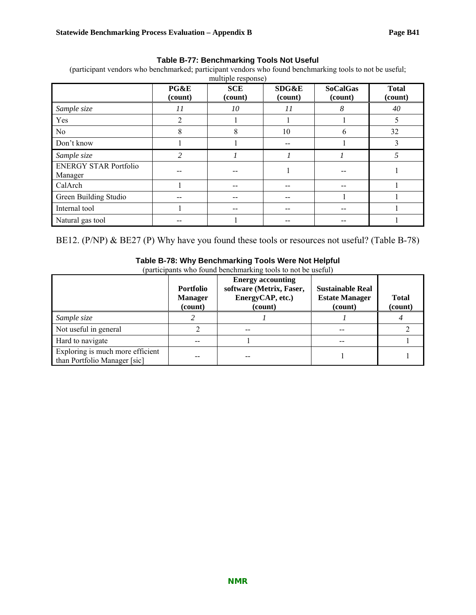### **Table B-77: Benchmarking Tools Not Useful**

(participant vendors who benchmarked; participant vendors who found benchmarking tools to not be useful;

|                                         | PG&E<br>(count) | <b>SCE</b><br>(count) | <b>SDG&amp;E</b><br>(count) | <b>SoCalGas</b><br>(count) | <b>Total</b><br>(count) |
|-----------------------------------------|-----------------|-----------------------|-----------------------------|----------------------------|-------------------------|
| Sample size                             | 11              | 10                    | 11                          | 8                          | 40                      |
| Yes                                     | 2               |                       |                             |                            |                         |
| N <sub>0</sub>                          | 8               | 8                     | 10                          | 6                          | 32                      |
| Don't know                              |                 |                       | --                          |                            |                         |
| Sample size                             | 2               |                       |                             |                            |                         |
| <b>ENERGY STAR Portfolio</b><br>Manager |                 |                       |                             |                            |                         |
| CalArch                                 |                 |                       |                             |                            |                         |
| Green Building Studio                   |                 |                       |                             |                            |                         |
| Internal tool                           |                 |                       |                             |                            |                         |
| Natural gas tool                        |                 |                       |                             |                            |                         |

BE12. (P/NP) & BE27 (P) Why have you found these tools or resources not useful? (Table B-78)

|                                                                  | <b>Portfolio</b><br><b>Manager</b><br>(count) | <b>Energy accounting</b><br>software (Metrix, Faser,<br>EnergyCAP, etc.)<br>(count) | <b>Sustainable Real</b><br><b>Estate Manager</b><br>(count) | <b>Total</b><br>(count) |
|------------------------------------------------------------------|-----------------------------------------------|-------------------------------------------------------------------------------------|-------------------------------------------------------------|-------------------------|
| Sample size                                                      |                                               |                                                                                     |                                                             |                         |
| Not useful in general                                            |                                               |                                                                                     |                                                             |                         |
| Hard to navigate                                                 |                                               |                                                                                     |                                                             |                         |
| Exploring is much more efficient<br>than Portfolio Manager [sic] |                                               |                                                                                     |                                                             |                         |

### **Table B-78: Why Benchmarking Tools Were Not Helpful**

(participants who found benchmarking tools to not be useful)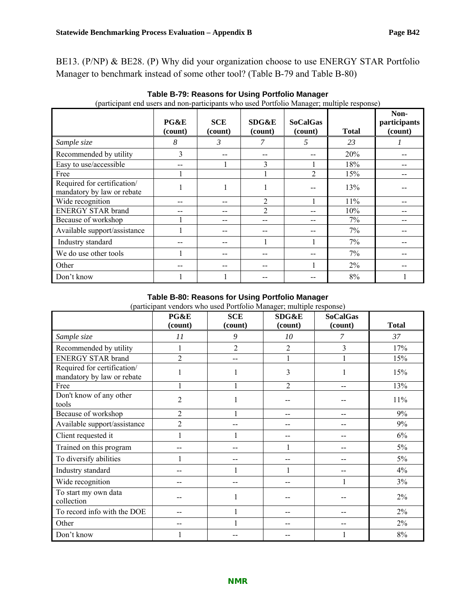BE13. (P/NP) & BE28. (P) Why did your organization choose to use ENERGY STAR Portfolio Manager to benchmark instead of some other tool? (Table B-79 and Table B-80)

| $\mathbf u$                                               | PG&E<br>(count) | <b>SCE</b><br>(count) | SDG&E<br>(count) | <b>SoCalGas</b><br>(count) | <b>Total</b> | Non-<br>participants<br>(count) |
|-----------------------------------------------------------|-----------------|-----------------------|------------------|----------------------------|--------------|---------------------------------|
| Sample size                                               | 8               | 3                     | 7                | 5                          | 23           |                                 |
| Recommended by utility                                    | 3               |                       |                  |                            | 20%          |                                 |
| Easy to use/accessible                                    |                 |                       | 3                |                            | 18%          |                                 |
| Free                                                      |                 |                       |                  | $\overline{2}$             | 15%          |                                 |
| Required for certification/<br>mandatory by law or rebate |                 |                       |                  |                            | 13%          |                                 |
| Wide recognition                                          |                 |                       | 2                |                            | 11%          |                                 |
| <b>ENERGY STAR brand</b>                                  |                 |                       | $\mathfrak{D}$   | --                         | 10%          |                                 |
| Because of workshop                                       |                 |                       |                  | $- -$                      | 7%           |                                 |
| Available support/assistance                              |                 |                       |                  |                            | 7%           |                                 |
| Industry standard                                         |                 |                       |                  |                            | 7%           |                                 |
| We do use other tools                                     |                 |                       |                  |                            | 7%           |                                 |
| Other                                                     |                 |                       |                  |                            | $2\%$        |                                 |
| Don't know                                                |                 |                       |                  |                            | 8%           |                                 |

**Table B-79: Reasons for Using Portfolio Manager**  (participant end users and non-participants who used Portfolio Manager; multiple response)

### **Table B-80: Reasons for Using Portfolio Manager**

|  |  |  | (participant vendors who used Portfolio Manager; multiple response) |
|--|--|--|---------------------------------------------------------------------|
|  |  |  |                                                                     |

|                                                           | PG&E<br>(count) | <b>SCE</b><br>(count) | <b>SDG&amp;E</b><br>(count) | <b>SoCalGas</b><br>(count) | <b>Total</b> |
|-----------------------------------------------------------|-----------------|-----------------------|-----------------------------|----------------------------|--------------|
| Sample size                                               | 11              | 9                     | 10                          | 7                          | 37           |
| Recommended by utility                                    |                 | 2                     | $\overline{2}$              | 3                          | 17%          |
| <b>ENERGY STAR brand</b>                                  | 2               |                       |                             |                            | 15%          |
| Required for certification/<br>mandatory by law or rebate |                 |                       | 3                           |                            | 15%          |
| Free                                                      |                 |                       | $\overline{2}$              | --                         | 13%          |
| Don't know of any other<br>tools                          | 2               |                       |                             |                            | 11%          |
| Because of workshop                                       | 2               |                       |                             | $-$                        | 9%           |
| Available support/assistance                              | $\overline{2}$  |                       |                             |                            | 9%           |
| Client requested it                                       |                 |                       |                             |                            | 6%           |
| Trained on this program                                   |                 |                       | 1                           |                            | 5%           |
| To diversify abilities                                    |                 |                       | --                          | --                         | 5%           |
| Industry standard                                         |                 |                       |                             | --                         | 4%           |
| Wide recognition                                          |                 |                       |                             |                            | 3%           |
| To start my own data<br>collection                        |                 |                       |                             |                            | $2\%$        |
| To record info with the DOE                               |                 |                       |                             | --                         | $2\%$        |
| Other                                                     |                 |                       |                             | --                         | 2%           |
| Don't know                                                |                 |                       |                             |                            | $8\%$        |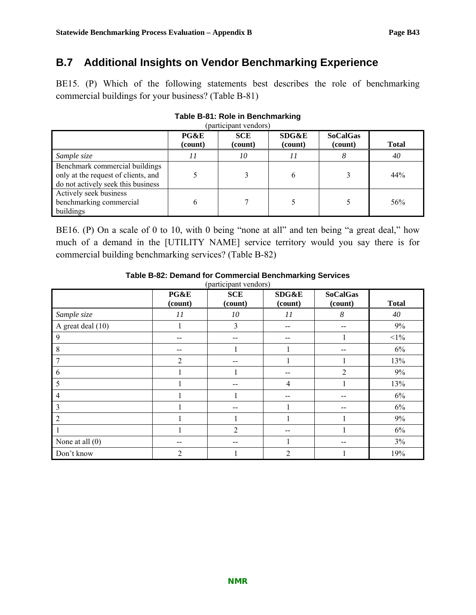## **B.7 Additional Insights on Vendor Benchmarking Experience**

BE15. (P) Which of the following statements best describes the role of benchmarking commercial buildings for your business? (Table B-81)

| (participant vendors)                                                                                       |                 |                       |                             |                            |              |  |  |
|-------------------------------------------------------------------------------------------------------------|-----------------|-----------------------|-----------------------------|----------------------------|--------------|--|--|
|                                                                                                             | PG&E<br>(count) | <b>SCE</b><br>(count) | <b>SDG&amp;E</b><br>(count) | <b>SoCalGas</b><br>(count) | <b>Total</b> |  |  |
| Sample size                                                                                                 | 11              | 10                    | 11                          | 8                          | 40           |  |  |
| Benchmark commercial buildings<br>only at the request of clients, and<br>do not actively seek this business |                 |                       | 6                           |                            | 44%          |  |  |
| Actively seek business<br>benchmarking commercial<br>buildings                                              | 6               |                       |                             |                            | 56%          |  |  |

# **Table B-81: Role in Benchmarking**

BE16. (P) On a scale of 0 to 10, with 0 being "none at all" and ten being "a great deal," how much of a demand in the [UTILITY NAME] service territory would you say there is for commercial building benchmarking services? (Table B-82)

|                         | (participant vendors) |                       |                  |                            |              |  |  |  |  |
|-------------------------|-----------------------|-----------------------|------------------|----------------------------|--------------|--|--|--|--|
|                         | PG&E<br>(count)       | <b>SCE</b><br>(count) | SDG&E<br>(count) | <b>SoCalGas</b><br>(count) | <b>Total</b> |  |  |  |  |
| Sample size             | 11                    | 10                    | 11               | 8                          | 40           |  |  |  |  |
| A great deal (10)       |                       | 3                     | $- -$            | $- -$                      | 9%           |  |  |  |  |
| 9                       | --                    |                       | $- -$            |                            | $<1\%$       |  |  |  |  |
| 8                       |                       |                       |                  |                            | 6%           |  |  |  |  |
| $\overline{7}$          | $\overline{2}$        |                       |                  |                            | 13%          |  |  |  |  |
| 6                       |                       |                       | --               | $\overline{2}$             | 9%           |  |  |  |  |
| 5                       |                       | --                    | $\overline{4}$   |                            | 13%          |  |  |  |  |
| $\overline{4}$          |                       |                       | --               | --                         | 6%           |  |  |  |  |
| $\overline{\mathbf{3}}$ |                       |                       |                  | --                         | 6%           |  |  |  |  |
| 2                       |                       |                       |                  |                            | 9%           |  |  |  |  |
|                         |                       | $\overline{2}$        |                  |                            | 6%           |  |  |  |  |
| None at all $(0)$       | --                    |                       |                  | --                         | $3\%$        |  |  |  |  |
| Don't know              | $\overline{2}$        |                       | $\overline{2}$   |                            | 19%          |  |  |  |  |

### **Table B-82: Demand for Commercial Benchmarking Services**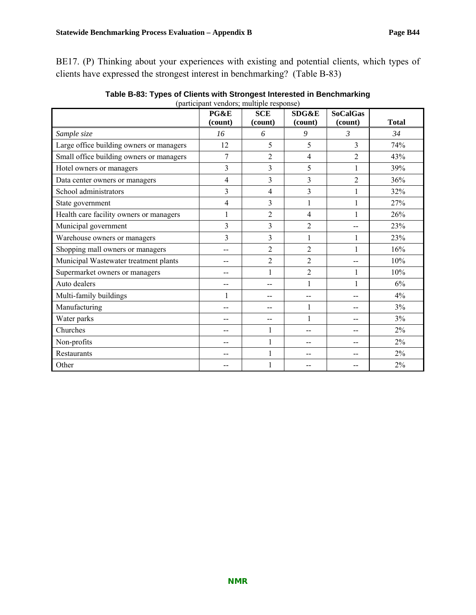BE17. (P) Thinking about your experiences with existing and potential clients, which types of clients have expressed the strongest interest in benchmarking? (Table B-83)

|                                          | $(\mu$ articipant vendors, mantipic response<br>PG&E | <b>SCE</b>     | <b>SDG&amp;E</b> | <b>SoCalGas</b> |              |
|------------------------------------------|------------------------------------------------------|----------------|------------------|-----------------|--------------|
|                                          | (count)                                              | (count)        | (count)          | (count)         | <b>Total</b> |
| Sample size                              | 16                                                   | 6              | 9                | 3               | 34           |
| Large office building owners or managers | 12                                                   | 5              | 5                | 3               | 74%          |
| Small office building owners or managers | 7                                                    | 2              | $\overline{4}$   | $\overline{2}$  | 43%          |
| Hotel owners or managers                 | 3                                                    | 3              | 5                | 1               | 39%          |
| Data center owners or managers           | 4                                                    | 3              | 3                | $\overline{2}$  | 36%          |
| School administrators                    | 3                                                    | $\overline{4}$ | 3                | 1               | 32%          |
| State government                         | 4                                                    | 3              | 1                |                 | 27%          |
| Health care facility owners or managers  |                                                      | $\overline{2}$ | 4                |                 | 26%          |
| Municipal government                     | $\overline{\mathbf{3}}$                              | $\overline{3}$ | $\overline{2}$   |                 | 23%          |
| Warehouse owners or managers             | 3                                                    | 3              | $\mathbf{1}$     |                 | 23%          |
| Shopping mall owners or managers         | --                                                   | $\overline{2}$ | $\overline{2}$   | 1               | 16%          |
| Municipal Wastewater treatment plants    |                                                      | $\overline{2}$ | $\overline{2}$   |                 | 10%          |
| Supermarket owners or managers           |                                                      | $\mathbf{1}$   | $\overline{2}$   | 1               | 10%          |
| Auto dealers                             | --                                                   | --             | $\mathbf{1}$     |                 | 6%           |
| Multi-family buildings                   |                                                      | --             | $-$              |                 | 4%           |
| Manufacturing                            |                                                      | --             | $\mathbf{1}$     | --              | 3%           |
| Water parks                              |                                                      | --             | $\mathbf{1}$     |                 | 3%           |
| Churches                                 |                                                      | 1              | --               |                 | $2\%$        |
| Non-profits                              | --                                                   | $\mathbf{1}$   | --               | --              | $2\%$        |
| Restaurants                              |                                                      | 1              |                  |                 | $2\%$        |
| Other                                    |                                                      |                | --               |                 | 2%           |

**Table B-83: Types of Clients with Strongest Interested in Benchmarking**  (participant vendors; multiple response)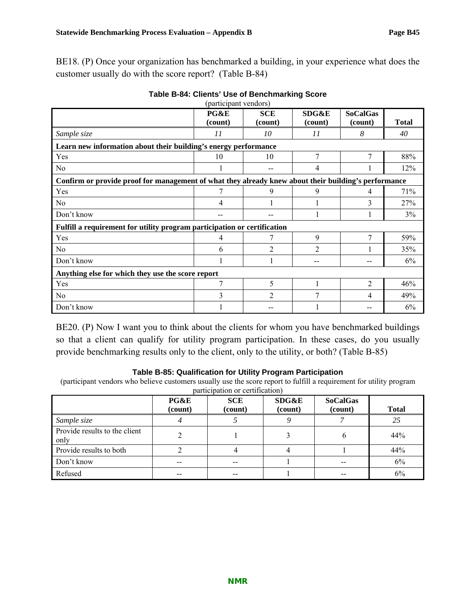BE18. (P) Once your organization has benchmarked a building, in your experience what does the customer usually do with the score report? (Table B-84)

|                                                                                                      | PG&E<br>(count)                                   | <b>SCE</b><br>(count) | SDG&E<br>(count) | <b>SoCalGas</b><br>(count) | <b>Total</b> |  |  |  |  |  |
|------------------------------------------------------------------------------------------------------|---------------------------------------------------|-----------------------|------------------|----------------------------|--------------|--|--|--|--|--|
| Sample size                                                                                          | 11                                                | 10                    | 11               | 8                          | 40           |  |  |  |  |  |
| Learn new information about their building's energy performance                                      |                                                   |                       |                  |                            |              |  |  |  |  |  |
| Yes                                                                                                  | 10                                                | 10                    | 7                | 7                          | 88%          |  |  |  |  |  |
| No                                                                                                   |                                                   |                       | 4                |                            | 12%          |  |  |  |  |  |
| Confirm or provide proof for management of what they already knew about their building's performance |                                                   |                       |                  |                            |              |  |  |  |  |  |
| Yes                                                                                                  |                                                   | 9                     | 9                | 4                          | 71%          |  |  |  |  |  |
| No                                                                                                   | 4                                                 |                       |                  | 3                          | 27%          |  |  |  |  |  |
| Don't know                                                                                           |                                                   |                       |                  |                            | 3%           |  |  |  |  |  |
| Fulfill a requirement for utility program participation or certification                             |                                                   |                       |                  |                            |              |  |  |  |  |  |
| Yes                                                                                                  | 4                                                 |                       | 9                | $\tau$                     | 59%          |  |  |  |  |  |
| N <sub>0</sub>                                                                                       | 6                                                 | 2                     | $\overline{2}$   |                            | 35%          |  |  |  |  |  |
| Don't know                                                                                           |                                                   |                       |                  | --                         | 6%           |  |  |  |  |  |
|                                                                                                      | Anything else for which they use the score report |                       |                  |                            |              |  |  |  |  |  |
| Yes                                                                                                  | 7                                                 | 5                     |                  | $\overline{2}$             | 46%          |  |  |  |  |  |
| No                                                                                                   | 3                                                 | 2                     | 7                | 4                          | 49%          |  |  |  |  |  |
| Don't know                                                                                           |                                                   |                       |                  |                            | 6%           |  |  |  |  |  |

| Table B-84: Clients' Use of Benchmarking Score |
|------------------------------------------------|
| المسملة عنمت عصمته والمسمعات                   |

BE20. (P) Now I want you to think about the clients for whom you have benchmarked buildings so that a client can qualify for utility program participation. In these cases, do you usually provide benchmarking results only to the client, only to the utility, or both? (Table B-85)

### **Table B-85: Qualification for Utility Program Participation**

(participant vendors who believe customers usually use the score report to fulfill a requirement for utility program participation or certification)

|                                       | PG&E<br>(count) | <b>SCE</b><br>(count) | SDG&E<br>(count) | <b>SoCalGas</b><br>(count) | <b>Total</b> |
|---------------------------------------|-----------------|-----------------------|------------------|----------------------------|--------------|
| Sample size                           |                 |                       |                  |                            | 25           |
| Provide results to the client<br>only |                 |                       |                  | b                          | 44%          |
| Provide results to both               |                 |                       |                  |                            | 44%          |
| Don't know                            | --              | $- -$                 |                  | --                         | 6%           |
| Refused                               |                 | --                    |                  |                            | 6%           |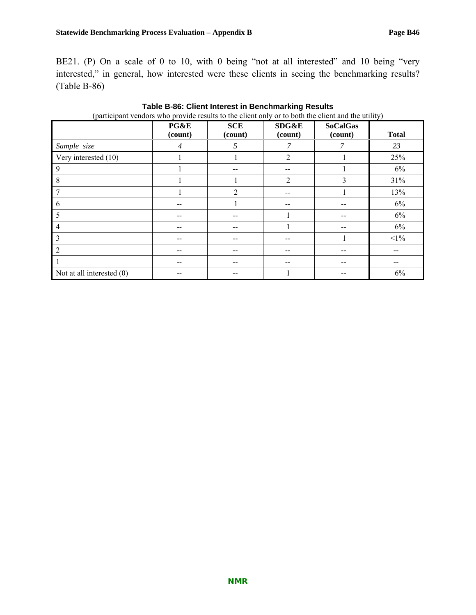BE21. (P) On a scale of 0 to 10, with 0 being "not at all interested" and 10 being "very interested," in general, how interested were these clients in seeing the benchmarking results? (Table B-86)

|                             | PG&E<br>(count) | <b>SCE</b><br>(count) | SDG&E<br>(count) | <b>SoCalGas</b><br>(count) | <b>Total</b> |
|-----------------------------|-----------------|-----------------------|------------------|----------------------------|--------------|
| Sample size                 | $\overline{4}$  | 5                     | 7                | 7                          | 23           |
| Very interested (10)        |                 |                       | $\overline{2}$   |                            | 25%          |
| 9                           |                 |                       |                  |                            | 6%           |
| 8                           |                 |                       | $\overline{2}$   | 3                          | 31%          |
|                             |                 | 2                     | --               |                            | 13%          |
| 6                           |                 |                       | --               |                            | 6%           |
| 5                           |                 |                       |                  | $- -$                      | 6%           |
| 4                           |                 |                       |                  | $- -$                      | 6%           |
| 3                           | --              |                       | --               |                            | $<1\%$       |
| $\mathfrak{D}$              |                 |                       | --               | $- -$                      |              |
|                             | --              |                       |                  |                            |              |
| Not at all interested $(0)$ |                 |                       |                  |                            | 6%           |

**Table B-86: Client Interest in Benchmarking Results**  (participant vendors who provide results to the client only or to both the client and the utility)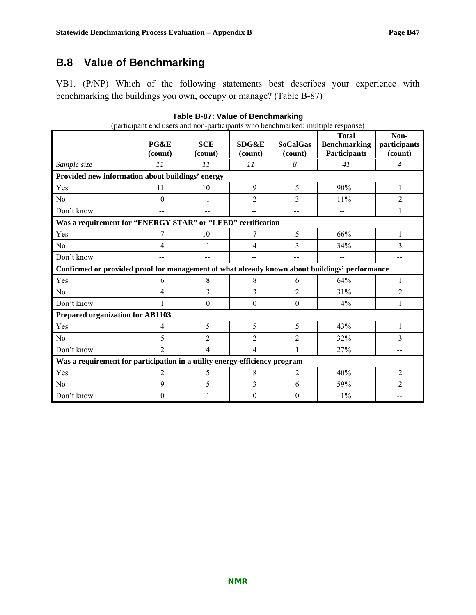# **B.8 Value of Benchmarking**

VB1. (P/NP) Which of the following statements best describes your experience with benchmarking the buildings you own, occupy or manage? (Table B-87)

| (participant end users and non-participants who benchmarked; multiple response)               |                  |                       |                  |                            |                                                            |                                 |  |  |
|-----------------------------------------------------------------------------------------------|------------------|-----------------------|------------------|----------------------------|------------------------------------------------------------|---------------------------------|--|--|
|                                                                                               | PG&E<br>(count)  | <b>SCE</b><br>(count) | SDG&E<br>(count) | <b>SoCalGas</b><br>(count) | <b>Total</b><br><b>Benchmarking</b><br><b>Participants</b> | Non-<br>participants<br>(count) |  |  |
| Sample size                                                                                   | 11               | 11                    | 11               | 8                          | 41                                                         | $\overline{4}$                  |  |  |
| Provided new information about buildings' energy                                              |                  |                       |                  |                            |                                                            |                                 |  |  |
| Yes                                                                                           | 11               | 10                    | 9                | 5                          | 90%                                                        | 1                               |  |  |
| No                                                                                            | $\boldsymbol{0}$ | 1                     | $\overline{2}$   | 3                          | 11%                                                        | 2                               |  |  |
| Don't know                                                                                    |                  |                       |                  |                            | --                                                         | 1                               |  |  |
| Was a requirement for "ENERGY STAR" or "LEED" certification                                   |                  |                       |                  |                            |                                                            |                                 |  |  |
| Yes                                                                                           | 7                | 10                    | 7                | 5                          | 66%                                                        | 1                               |  |  |
| N <sub>0</sub>                                                                                | 4                |                       | 4                | 3                          | 34%                                                        | 3                               |  |  |
| Don't know                                                                                    |                  | --                    |                  | --                         | $\overline{\phantom{a}}$                                   | --                              |  |  |
| Confirmed or provided proof for management of what already known about buildings' performance |                  |                       |                  |                            |                                                            |                                 |  |  |
| Yes                                                                                           | 6                | 8                     | 8                | 6                          | 64%                                                        | 1                               |  |  |
| N <sub>0</sub>                                                                                | 4                | 3                     | 3                | $\overline{2}$             | 31%                                                        | 2                               |  |  |
| Don't know                                                                                    |                  | $\theta$              | $\theta$         | $\theta$                   | 4%                                                         | 1                               |  |  |
| <b>Prepared organization for AB1103</b>                                                       |                  |                       |                  |                            |                                                            |                                 |  |  |
| Yes                                                                                           | 4                | 5                     | 5                | 5                          | 43%                                                        | 1                               |  |  |
| N <sub>0</sub>                                                                                | 5                | 2                     | $\overline{2}$   | 2                          | 32%                                                        | 3                               |  |  |
| Don't know                                                                                    | $\overline{2}$   | 4                     | 4                | 1                          | 27%                                                        | $-$                             |  |  |
| Was a requirement for participation in a utility energy-efficiency program                    |                  |                       |                  |                            |                                                            |                                 |  |  |
| Yes                                                                                           | 2                | 5                     | 8                | 2                          | 40%                                                        | $\overline{2}$                  |  |  |
| N <sub>0</sub>                                                                                | 9                | 5                     | 3                | 6                          | 59%                                                        | $\overline{2}$                  |  |  |
| Don't know                                                                                    | $\boldsymbol{0}$ |                       | $\theta$         | $\boldsymbol{0}$           | $1\%$                                                      |                                 |  |  |

**Table B-87: Value of Benchmarking**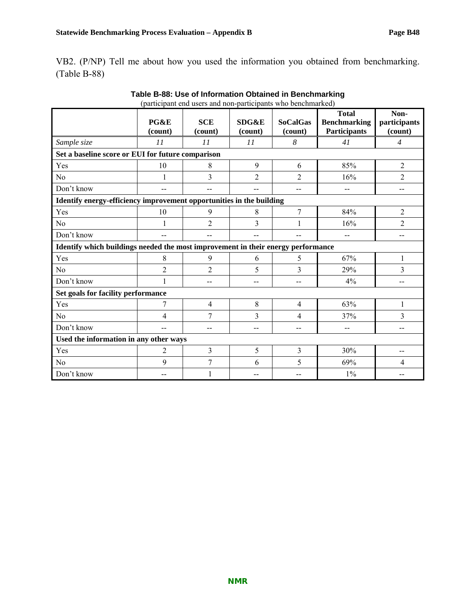VB2. (P/NP) Tell me about how you used the information you obtained from benchmarking. (Table B-88)

|                                                                                  | PG&E<br>(count)                                   | $\mu$<br><b>SCE</b><br>(count) | SDG&E<br>(count) | <b>SoCalGas</b><br>(count) | <b>Total</b><br><b>Benchmarking</b><br><b>Participants</b> | Non-<br>participants<br>(count) |  |  |  |  |
|----------------------------------------------------------------------------------|---------------------------------------------------|--------------------------------|------------------|----------------------------|------------------------------------------------------------|---------------------------------|--|--|--|--|
| Sample size                                                                      | 11                                                | 11                             | 11               | 8                          | 41                                                         | $\overline{4}$                  |  |  |  |  |
|                                                                                  | Set a baseline score or EUI for future comparison |                                |                  |                            |                                                            |                                 |  |  |  |  |
| Yes                                                                              | 10                                                | 8                              | 9                | 6                          | 85%                                                        | $\overline{2}$                  |  |  |  |  |
| No                                                                               |                                                   | 3                              | $\overline{2}$   | $\overline{2}$             | 16%                                                        | $\overline{2}$                  |  |  |  |  |
| Don't know                                                                       | --                                                |                                | --               |                            | $-$                                                        | $-$                             |  |  |  |  |
| Identify energy-efficiency improvement opportunities in the building             |                                                   |                                |                  |                            |                                                            |                                 |  |  |  |  |
| Yes                                                                              | 10                                                | 9                              | 8                | 7                          | 84%                                                        | $\overline{2}$                  |  |  |  |  |
| N <sub>0</sub>                                                                   |                                                   | $\overline{2}$                 | 3                | 1                          | 16%                                                        | $\overline{2}$                  |  |  |  |  |
| Don't know                                                                       | $-$                                               |                                | --               |                            | $-$                                                        | $-$                             |  |  |  |  |
| Identify which buildings needed the most improvement in their energy performance |                                                   |                                |                  |                            |                                                            |                                 |  |  |  |  |
| Yes                                                                              | 8                                                 | 9                              | 6                | 5                          | 67%                                                        |                                 |  |  |  |  |
| N <sub>0</sub>                                                                   | $\overline{2}$                                    | $\overline{2}$                 | 5                | 3                          | 29%                                                        | 3                               |  |  |  |  |
| Don't know                                                                       |                                                   | $-$                            | $-$              | $-$                        | 4%                                                         | $-$                             |  |  |  |  |
| Set goals for facility performance                                               |                                                   |                                |                  |                            |                                                            |                                 |  |  |  |  |
| Yes                                                                              | 7                                                 | $\overline{4}$                 | 8                | $\overline{4}$             | 63%                                                        | 1                               |  |  |  |  |
| N <sub>0</sub>                                                                   | 4                                                 | 7                              | 3                | 4                          | 37%                                                        | 3                               |  |  |  |  |
| Don't know                                                                       | $-$                                               | $-$                            | --               | $-$                        | $-$                                                        | $-$                             |  |  |  |  |
|                                                                                  | Used the information in any other ways            |                                |                  |                            |                                                            |                                 |  |  |  |  |
| Yes                                                                              | 2                                                 | 3                              | 5                | 3                          | 30%                                                        | $\overline{\phantom{a}}$        |  |  |  |  |
| N <sub>0</sub>                                                                   | 9                                                 | 7                              | 6                | 5                          | 69%                                                        | 4                               |  |  |  |  |
| Don't know                                                                       |                                                   |                                |                  |                            | $1\%$                                                      |                                 |  |  |  |  |

**Table B-88: Use of Information Obtained in Benchmarking**  (participant end users and non-participants who benchmarked)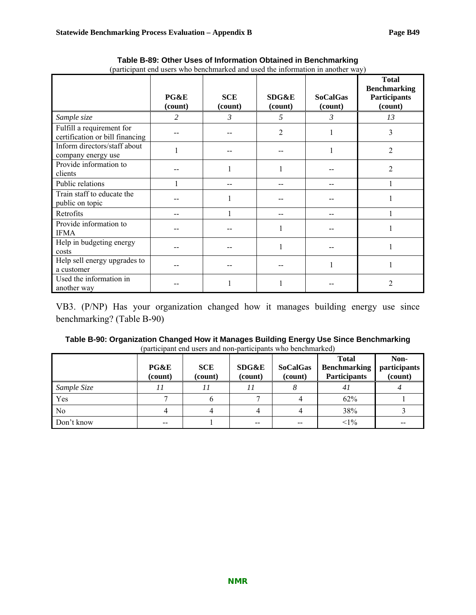|                                                              | PG&E<br>(count) | <b>SCE</b><br>(count) | <b>SDG&amp;E</b><br>(count) | <b>SoCalGas</b><br>(count) | <b>Total</b><br><b>Benchmarking</b><br><b>Participants</b><br>(count) |
|--------------------------------------------------------------|-----------------|-----------------------|-----------------------------|----------------------------|-----------------------------------------------------------------------|
| Sample size                                                  | $\overline{c}$  | 3                     | 5                           | 3                          | 13                                                                    |
| Fulfill a requirement for<br>certification or bill financing |                 |                       | 2                           | 1                          | 3                                                                     |
| Inform directors/staff about<br>company energy use           |                 |                       |                             | 1                          | 2                                                                     |
| Provide information to<br>clients                            |                 |                       |                             |                            | $\overline{c}$                                                        |
| Public relations                                             |                 |                       |                             |                            |                                                                       |
| Train staff to educate the<br>public on topic                |                 |                       |                             |                            |                                                                       |
| Retrofits                                                    |                 |                       |                             |                            |                                                                       |
| Provide information to<br><b>IFMA</b>                        |                 |                       |                             |                            |                                                                       |
| Help in budgeting energy<br>costs                            |                 |                       |                             |                            |                                                                       |
| Help sell energy upgrades to<br>a customer                   |                 |                       |                             |                            |                                                                       |
| Used the information in<br>another way                       |                 |                       |                             |                            | $\mathfrak{D}$                                                        |

**Table B-89: Other Uses of Information Obtained in Benchmarking**  (participant end users who benchmarked and used the information in another way)

VB3. (P/NP) Has your organization changed how it manages building energy use since benchmarking? (Table B-90)

| Table B-90: Organization Changed How it Manages Building Energy Use Since Benchmarking |
|----------------------------------------------------------------------------------------|
| (participant end users and non-participants who benchmarked)                           |

|                | PG&E<br>(count)          | <b>SCE</b><br>(count) | <b>SDG&amp;E</b><br>(count) | <b>SoCalGas</b><br>(count) | <b>Total</b><br><b>Benchmarking</b><br><b>Participants</b> | Non-<br>participants<br>(count) |
|----------------|--------------------------|-----------------------|-----------------------------|----------------------------|------------------------------------------------------------|---------------------------------|
| Sample Size    |                          |                       |                             |                            | 41                                                         |                                 |
| Yes            |                          |                       |                             |                            | 62%                                                        |                                 |
| N <sub>0</sub> |                          |                       |                             |                            | 38%                                                        |                                 |
| Don't know     | $\overline{\phantom{m}}$ |                       | $-$                         | $\sim$ $\sim$              | $<1\%$                                                     | $- -$                           |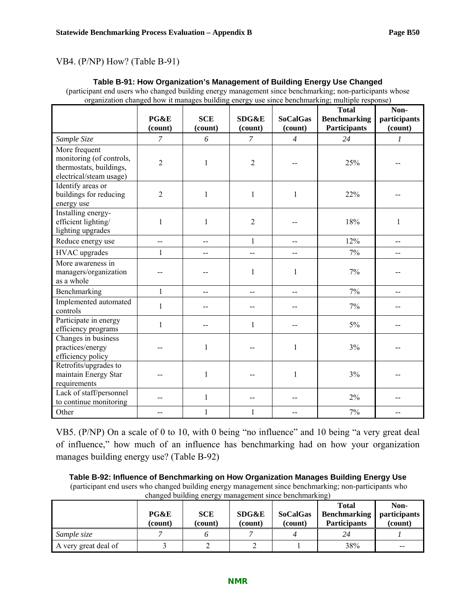### VB4. (P/NP) How? (Table B-91)

### **Table B-91: How Organization's Management of Building Energy Use Changed**

(participant end users who changed building energy management since benchmarking; non-participants whose organization changed how it manages building energy use since benchmarking; multiple response)

|                                                                                                 | PG&E<br>(count)   | <b>SCE</b><br>(count) | SDG&E<br>(count) | <b>SoCalGas</b><br>(count) | <b>Total</b><br><b>Benchmarking</b><br><b>Participants</b> | Non-<br>participants<br>(count) |
|-------------------------------------------------------------------------------------------------|-------------------|-----------------------|------------------|----------------------------|------------------------------------------------------------|---------------------------------|
| Sample Size                                                                                     | $\overline{7}$    | 6                     | $\overline{7}$   | $\overline{4}$             | 24                                                         | $\boldsymbol{l}$                |
| More frequent<br>monitoring (of controls,<br>thermostats, buildings,<br>electrical/steam usage) | $\overline{2}$    | $\mathbf{1}$          | $\overline{2}$   |                            | 25%                                                        |                                 |
| Identify areas or<br>buildings for reducing<br>energy use                                       | $\overline{2}$    | 1                     | 1                | 1                          | 22%                                                        |                                 |
| Installing energy-<br>efficient lighting/<br>lighting upgrades                                  | $\mathbf{1}$      | $\mathbf{1}$          | $\overline{2}$   |                            | 18%                                                        | 1                               |
| Reduce energy use                                                                               | $\qquad \qquad -$ | --                    | $\mathbf{1}$     | --                         | 12%                                                        | $-$                             |
| HVAC upgrades                                                                                   | 1                 | --                    | $-$              | $\frac{1}{2}$              | 7%                                                         |                                 |
| More awareness in<br>managers/organization<br>as a whole                                        |                   |                       | $\mathbf{1}$     | $\mathbf{1}$               | 7%                                                         |                                 |
| Benchmarking                                                                                    | 1                 | $-$                   | $\overline{a}$   | $\qquad \qquad -$          | 7%                                                         | $-$                             |
| Implemented automated<br>controls                                                               | $\mathbf{1}$      |                       | --               |                            | $7\%$                                                      |                                 |
| Participate in energy<br>efficiency programs                                                    | 1                 |                       | $\mathbf{1}$     | $-$                        | $5\%$                                                      |                                 |
| Changes in business<br>practices/energy<br>efficiency policy                                    |                   | 1                     | --               | 1                          | 3%                                                         |                                 |
| Retrofits/upgrades to<br>maintain Energy Star<br>requirements                                   |                   | 1                     |                  | 1                          | 3%                                                         |                                 |
| Lack of staff/personnel<br>to continue monitoring                                               |                   | $\mathbf{1}$          |                  |                            | $2\%$                                                      |                                 |
| Other                                                                                           |                   | $\mathbf{1}$          | $\mathbf{1}$     |                            | 7%                                                         |                                 |

VB5. (P/NP) On a scale of 0 to 10, with 0 being "no influence" and 10 being "a very great deal of influence," how much of an influence has benchmarking had on how your organization manages building energy use? (Table B-92)

**Table B-92: Influence of Benchmarking on How Organization Manages Building Energy Use**  (participant end users who changed building energy management since benchmarking; non-participants who changed building energy management since benchmarking)

|                      | PG&E<br>(count) | <b>SCE</b><br>(count) | <b>SDG&amp;E</b><br>(count) | <b>SoCalGas</b><br>(count) | <b>Total</b><br><b>Benchmarking</b><br><b>Participants</b> | Non-<br>participants<br>(count) |
|----------------------|-----------------|-----------------------|-----------------------------|----------------------------|------------------------------------------------------------|---------------------------------|
| Sample size          |                 |                       |                             |                            | 24                                                         |                                 |
| A very great deal of |                 |                       |                             |                            | 38%                                                        | $-$                             |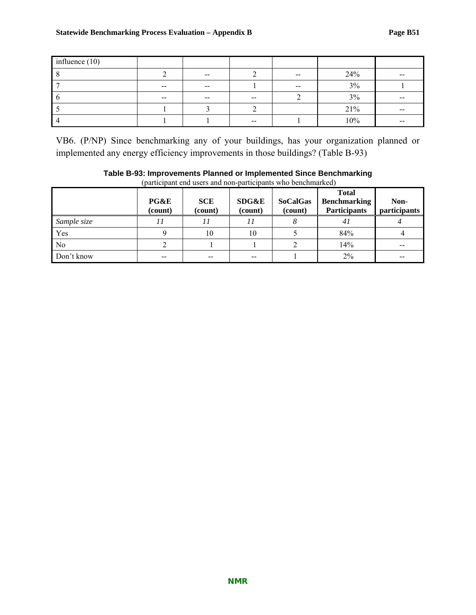| influence $(10)$ |               |            |               |                          |     |                                                |
|------------------|---------------|------------|---------------|--------------------------|-----|------------------------------------------------|
|                  |               | $\sim$ $-$ |               | $\overline{\phantom{m}}$ | 24% | $\hspace{0.05cm}$                              |
|                  | $- -$         | $- -$      |               | $- -$                    | 3%  |                                                |
|                  | $\sim$ $\sim$ | $- -$      | $\sim$ $\sim$ |                          | 3%  | $\hspace{0.1mm}-\hspace{0.1mm}-\hspace{0.1mm}$ |
|                  |               |            |               |                          | 21% | $- -$                                          |
|                  |               |            | $\sim$ $\sim$ |                          | 10% | $- -$                                          |

VB6. (P/NP) Since benchmarking any of your buildings, has your organization planned or implemented any energy efficiency improvements in those buildings? (Table B-93)

|             | PG&E<br>(count) | <b>SCE</b><br>(count) | <b>SDG&amp;E</b><br>(count) | <b>SoCalGas</b><br>(count) | <b>Total</b><br><b>Benchmarking</b><br><b>Participants</b> | Non-<br>participants |
|-------------|-----------------|-----------------------|-----------------------------|----------------------------|------------------------------------------------------------|----------------------|
| Sample size |                 |                       |                             |                            | 41                                                         |                      |
| Yes         |                 | 10                    | 10                          |                            | 84%                                                        |                      |
| $\rm No$    |                 |                       |                             |                            | 14%                                                        |                      |
| Don't know  | $-$             | --                    | $-$                         |                            | $2\%$                                                      | --                   |

### **Table B-93: Improvements Planned or Implemented Since Benchmarking**  (participant end users and non-participants who benchmarked)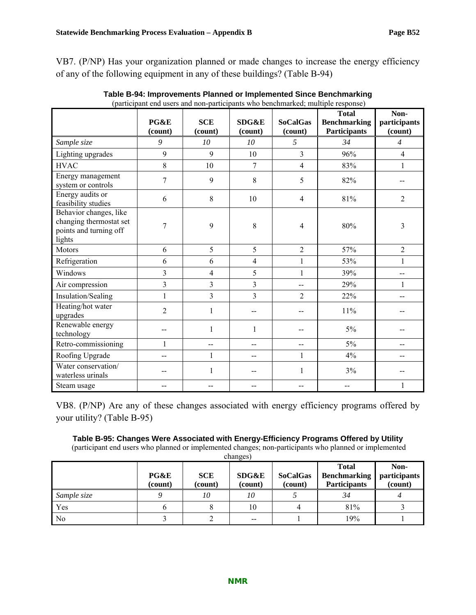VB7. (P/NP) Has your organization planned or made changes to increase the energy efficiency of any of the following equipment in any of these buildings? (Table B-94)

|                                                                                       | PG&E<br>(count) | <b>SCE</b><br>(count)   | SDG&E<br>(count) | <b>SoCalGas</b><br>(count) | <b>Total</b><br><b>Benchmarking</b><br><b>Participants</b> | Non-<br>participants<br>(count) |
|---------------------------------------------------------------------------------------|-----------------|-------------------------|------------------|----------------------------|------------------------------------------------------------|---------------------------------|
| Sample size                                                                           | 9               | 10                      | 10 <sup>2</sup>  | 5                          | 34                                                         | $\overline{4}$                  |
| Lighting upgrades                                                                     | 9               | 9                       | 10               | 3                          | 96%                                                        | $\overline{4}$                  |
| <b>HVAC</b>                                                                           | 8               | 10                      | 7                | $\overline{4}$             | 83%                                                        | $\mathbf{1}$                    |
| Energy management<br>system or controls                                               | $\overline{7}$  | 9                       | 8                | 5                          | 82%                                                        |                                 |
| Energy audits or<br>feasibility studies                                               | 6               | 8                       | 10               | 4                          | 81%                                                        | $\overline{2}$                  |
| Behavior changes, like<br>changing thermostat set<br>points and turning off<br>lights | 7               | 9                       | 8                | $\overline{4}$             | 80%                                                        | $\overline{3}$                  |
| Motors                                                                                | 6               | 5                       | 5                | $\overline{2}$             | 57%                                                        | $\overline{2}$                  |
| Refrigeration                                                                         | 6               | 6                       | $\overline{4}$   | 1                          | 53%                                                        | 1                               |
| Windows                                                                               | $\overline{3}$  | $\overline{\mathbf{4}}$ | 5                | 1                          | 39%                                                        | --                              |
| Air compression                                                                       | 3               | $\overline{3}$          | 3                | --                         | 29%                                                        | 1                               |
| Insulation/Sealing                                                                    | $\mathbf{1}$    | $\overline{3}$          | 3                | $\overline{2}$             | 22%                                                        | --                              |
| Heating/hot water<br>upgrades                                                         | $\overline{2}$  | 1                       |                  |                            | 11%                                                        |                                 |
| Renewable energy<br>technology                                                        |                 | 1                       | 1                |                            | $5\%$                                                      |                                 |
| Retro-commissioning                                                                   | $\mathbf{1}$    | $-$                     | --               | --                         | $5\%$                                                      | --                              |
| Roofing Upgrade                                                                       | --              | 1                       | --               | 1                          | 4%                                                         | --                              |
| Water conservation/<br>waterless urinals                                              |                 |                         |                  | 1                          | 3%                                                         |                                 |
| Steam usage                                                                           |                 |                         |                  |                            |                                                            | 1                               |

**Table B-94: Improvements Planned or Implemented Since Benchmarking**  (participant end users and non-participants who benchmarked; multiple response)

VB8. (P/NP) Are any of these changes associated with energy efficiency programs offered by your utility? (Table B-95)

### **Table B-95: Changes Were Associated with Energy-Efficiency Programs Offered by Utility**

 (participant end users who planned or implemented changes; non-participants who planned or implemented  $chancen$ 

|             | PG&E<br>(count) | <b>SCE</b><br>(count) | SDG&E<br>(count) | <b>SoCalGas</b><br>(count) | <b>Total</b><br><b>Benchmarking</b><br><b>Participants</b> | Non-<br>participants<br>(count) |
|-------------|-----------------|-----------------------|------------------|----------------------------|------------------------------------------------------------|---------------------------------|
| Sample size |                 | 10                    | 10               |                            | 34                                                         |                                 |
| Yes         |                 |                       | 10               |                            | 81%                                                        |                                 |
| l No        |                 |                       | $-$              |                            | 19%                                                        |                                 |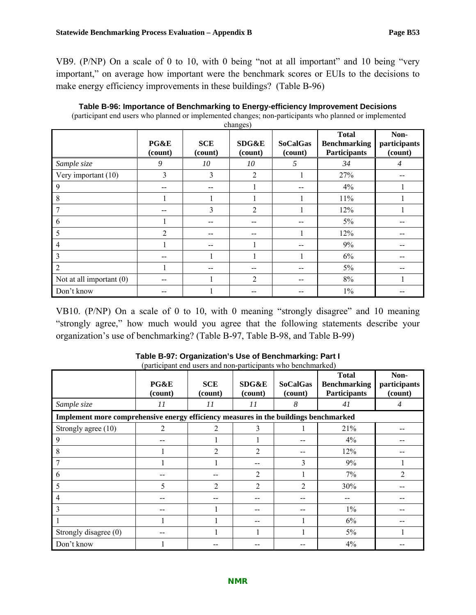VB9. (P/NP) On a scale of 0 to 10, with 0 being "not at all important" and 10 being "very important," on average how important were the benchmark scores or EUIs to the decisions to make energy efficiency improvements in these buildings? (Table B-96)

| changes)                   |                 |                       |                  |                            |                                                            |                                 |  |  |
|----------------------------|-----------------|-----------------------|------------------|----------------------------|------------------------------------------------------------|---------------------------------|--|--|
|                            | PG&E<br>(count) | <b>SCE</b><br>(count) | SDG&E<br>(count) | <b>SoCalGas</b><br>(count) | <b>Total</b><br><b>Benchmarking</b><br><b>Participants</b> | Non-<br>participants<br>(count) |  |  |
| Sample size                | 9               | 10                    | 10               | 5                          | 34                                                         | $\overline{4}$                  |  |  |
| Very important (10)        | 3               | 3                     | 2                |                            | 27%                                                        | --                              |  |  |
| 9                          | --              |                       |                  |                            | 4%                                                         |                                 |  |  |
| 8                          |                 |                       |                  |                            | 11%                                                        |                                 |  |  |
| 7                          |                 | 3                     | $\overline{2}$   |                            | 12%                                                        |                                 |  |  |
| 6                          |                 |                       | --               |                            | $5\%$                                                      | --                              |  |  |
| 5                          | $\overline{2}$  |                       | --               |                            | 12%                                                        | --                              |  |  |
| $\overline{4}$             | 1               |                       |                  |                            | 9%                                                         |                                 |  |  |
| 3                          | --              |                       |                  |                            | 6%                                                         | --                              |  |  |
| 2                          | 1               |                       | --               | --                         | $5\%$                                                      |                                 |  |  |
| Not at all important $(0)$ | --              |                       | 2                | --                         | $8\%$                                                      |                                 |  |  |
| Don't know                 |                 |                       |                  |                            | $1\%$                                                      |                                 |  |  |

| Table B-96: Importance of Benchmarking to Energy-efficiency Improvement Decisions                      |
|--------------------------------------------------------------------------------------------------------|
| (participant end users who planned or implemented changes; non-participants who planned or implemented |

VB10. (P/NP) On a scale of 0 to 10, with 0 meaning "strongly disagree" and 10 meaning "strongly agree," how much would you agree that the following statements describe your organization's use of benchmarking? (Table B-97, Table B-98, and Table B-99)

| Sample size                                                                          | $\mathbf{v}_1$ and the state function of the state of $\mathbf{v}_2$<br>PG&E<br>(count)<br>11 | <b>SCE</b><br>(count)<br>11 | $P$ are as $\sim$ $P$ are as $\sim$ . The set<br><b>SDG&amp;E</b><br>(count)<br>11 | <b>SoCalGas</b><br>(count)<br>8 | <b>Total</b><br><b>Benchmarking</b><br><b>Participants</b><br>41 | Non-<br>participants<br>(count)<br>4 |
|--------------------------------------------------------------------------------------|-----------------------------------------------------------------------------------------------|-----------------------------|------------------------------------------------------------------------------------|---------------------------------|------------------------------------------------------------------|--------------------------------------|
| Implement more comprehensive energy efficiency measures in the buildings benchmarked |                                                                                               |                             |                                                                                    |                                 |                                                                  |                                      |
| Strongly agree (10)                                                                  | $\overline{c}$                                                                                |                             |                                                                                    |                                 | 21%                                                              |                                      |
| 9                                                                                    |                                                                                               |                             |                                                                                    |                                 | $4\%$                                                            |                                      |
| 8                                                                                    |                                                                                               | $\mathfrak{D}$              | $\overline{2}$                                                                     |                                 | 12%                                                              |                                      |
|                                                                                      |                                                                                               |                             |                                                                                    | 3                               | 9%                                                               |                                      |
| 6                                                                                    |                                                                                               |                             | $\overline{2}$                                                                     |                                 | 7%                                                               | $\overline{2}$                       |
| 5                                                                                    | 5                                                                                             | $\overline{2}$              | 2                                                                                  | $\overline{2}$                  | 30%                                                              |                                      |
| 4                                                                                    |                                                                                               |                             |                                                                                    |                                 |                                                                  |                                      |
| 3                                                                                    |                                                                                               |                             |                                                                                    |                                 | $1\%$                                                            |                                      |
|                                                                                      |                                                                                               |                             |                                                                                    |                                 | 6%                                                               |                                      |
| Strongly disagree (0)                                                                |                                                                                               |                             |                                                                                    |                                 | $5\%$                                                            |                                      |
| Don't know                                                                           |                                                                                               |                             |                                                                                    |                                 | 4%                                                               |                                      |

### **Table B-97: Organization's Use of Benchmarking: Part I**  (participant end users and non-participants who benchmarked)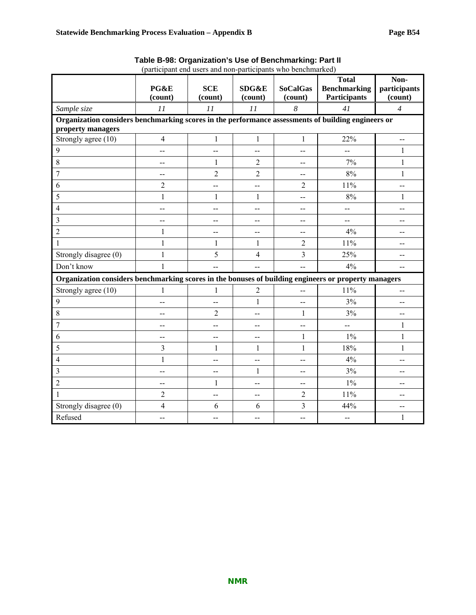| (participant end users and non-participants who benchmarked)                                         |                 |                          |                             |                            |                                                     |                                 |  |
|------------------------------------------------------------------------------------------------------|-----------------|--------------------------|-----------------------------|----------------------------|-----------------------------------------------------|---------------------------------|--|
|                                                                                                      | PG&E<br>(count) | <b>SCE</b><br>(count)    | <b>SDG&amp;E</b><br>(count) | <b>SoCalGas</b><br>(count) | <b>Total</b><br><b>Benchmarking</b><br>Participants | Non-<br>participants<br>(count) |  |
| Sample size                                                                                          | 11              | 11                       | 11                          | 8                          | 41                                                  | $\overline{4}$                  |  |
| Organization considers benchmarking scores in the performance assessments of building engineers or   |                 |                          |                             |                            |                                                     |                                 |  |
| property managers                                                                                    |                 |                          |                             |                            |                                                     |                                 |  |
| Strongly agree (10)                                                                                  | $\overline{4}$  | $\mathbf{1}$             | $\mathbf{1}$                | 1                          | 22%                                                 | $\overline{\phantom{a}}$        |  |
| 9                                                                                                    | --              | $\overline{\phantom{a}}$ | $\overline{a}$              | --                         | $-$                                                 | 1                               |  |
| 8                                                                                                    | --              | $\mathbf{1}$             | $\overline{2}$              | --                         | 7%                                                  | $\mathbf{1}$                    |  |
| $\overline{7}$                                                                                       | --              | $\overline{2}$           | $\overline{2}$              | $-$                        | 8%                                                  | $\mathbf{1}$                    |  |
| 6                                                                                                    | $\overline{2}$  | --                       | --                          | 2                          | 11%                                                 | --                              |  |
| 5                                                                                                    | $\mathbf{1}$    | 1                        | 1                           | --                         | $8\%$                                               | 1                               |  |
| 4                                                                                                    | --              | --                       | $\overline{\phantom{a}}$    | --                         | $\overline{\phantom{a}}$                            | --                              |  |
| $\overline{3}$                                                                                       | --              | $-$                      | $\overline{\phantom{a}}$    | $-$                        | $\overline{\phantom{a}}$                            | --                              |  |
| $\overline{2}$                                                                                       | 1               | --                       | $\overline{\phantom{a}}$    | --                         | 4%                                                  |                                 |  |
| $\mathbf{1}$                                                                                         | $\mathbf{1}$    | $\mathbf{1}$             | $\mathbf{1}$                | $\overline{2}$             | 11%                                                 | --                              |  |
| Strongly disagree (0)                                                                                | $\mathbf{1}$    | 5                        | $\overline{4}$              | 3                          | 25%                                                 | --                              |  |
| Don't know                                                                                           | $\mathbf{1}$    |                          |                             | --                         | 4%                                                  | $\overline{a}$                  |  |
| Organization considers benchmarking scores in the bonuses of building engineers or property managers |                 |                          |                             |                            |                                                     |                                 |  |
| Strongly agree (10)                                                                                  | $\mathbf{1}$    | 1                        | $\overline{2}$              | $-$                        | 11%                                                 | --                              |  |
| 9                                                                                                    | --              | --                       | $\mathbf{1}$                | $-$                        | 3%                                                  | $-$                             |  |
| 8                                                                                                    | --              | $\overline{c}$           | --                          | $\mathbf{1}$               | 3%                                                  | --                              |  |
| 7                                                                                                    | --              | --                       | --                          | --                         | --                                                  | 1                               |  |
| 6                                                                                                    | --              | --                       | --                          | 1                          | $1\%$                                               | 1                               |  |
| 5                                                                                                    | 3               | $\mathbf{1}$             | $\mathbf{1}$                | $\mathbf{1}$               | 18%                                                 | $\mathbf{1}$                    |  |
| 4                                                                                                    | $\mathbf{1}$    | --                       | --                          | --                         | 4%                                                  | --                              |  |
| $\overline{\mathbf{3}}$                                                                              | --              | --                       | 1                           | --                         | 3%                                                  | --                              |  |
| $\overline{2}$                                                                                       | --              | $\mathbf{1}$             | --                          | $-$                        | $1\%$                                               | --                              |  |
| $\mathbf{1}$                                                                                         | $\overline{2}$  | --                       | --                          | $\overline{2}$             | 11%                                                 | $-$                             |  |
| Strongly disagree (0)                                                                                | $\overline{4}$  | 6                        | 6                           | 3                          | 44%                                                 | --                              |  |
| Refused                                                                                              | --              | --                       | $\overline{a}$              | --                         | $\overline{\phantom{a}}$                            | $\mathbf{1}$                    |  |

**Table B-98: Organization's Use of Benchmarking: Part II**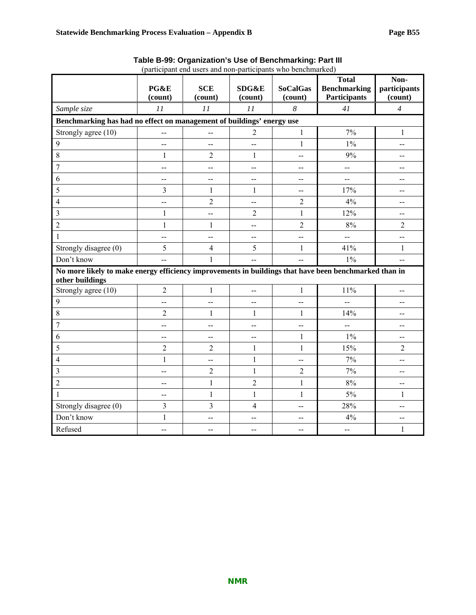|                                                                                                                          | (participant end users and non-participants who benchmarked) |                       |                                               |                                               |                                                            |                                 |  |  |
|--------------------------------------------------------------------------------------------------------------------------|--------------------------------------------------------------|-----------------------|-----------------------------------------------|-----------------------------------------------|------------------------------------------------------------|---------------------------------|--|--|
|                                                                                                                          | PG&E<br>(count)                                              | <b>SCE</b><br>(count) | SDG&E<br>(count)                              | <b>SoCalGas</b><br>(count)                    | <b>Total</b><br><b>Benchmarking</b><br><b>Participants</b> | Non-<br>participants<br>(count) |  |  |
| Sample size                                                                                                              | 11                                                           | 11                    | 11                                            | 8                                             | 41                                                         | $\overline{4}$                  |  |  |
| Benchmarking has had no effect on management of buildings' energy use                                                    |                                                              |                       |                                               |                                               |                                                            |                                 |  |  |
| Strongly agree (10)                                                                                                      | $-$                                                          | --                    | $\overline{2}$                                | $\mathbf{1}$                                  | 7%                                                         | $\mathbf{1}$                    |  |  |
| 9                                                                                                                        | $\overline{a}$                                               |                       | --                                            | 1                                             | $1\%$                                                      | --                              |  |  |
| 8                                                                                                                        | $\mathbf{1}$                                                 | $\overline{2}$        | $\mathbf{1}$                                  | $\overline{\phantom{a}}$                      | 9%                                                         | $\overline{\phantom{a}}$        |  |  |
| 7                                                                                                                        | $-$                                                          | --                    | --                                            | $\mathord{\hspace{1pt}\text{--}\hspace{1pt}}$ | $\overline{a}$                                             | --                              |  |  |
| 6                                                                                                                        | $\overline{\phantom{a}}$                                     | --                    | $\overline{a}$                                | $\overline{\phantom{a}}$                      | $\overline{a}$                                             | $\overline{\phantom{a}}$        |  |  |
| 5                                                                                                                        | 3                                                            | $\mathbf{1}$          | 1                                             | $\mathord{\hspace{1pt}\text{--}\hspace{1pt}}$ | 17%                                                        | $-$                             |  |  |
| 4                                                                                                                        | --                                                           | $\overline{2}$        | $\overline{\phantom{a}}$                      | $\overline{2}$                                | 4%                                                         | --                              |  |  |
| $\overline{3}$                                                                                                           | $\mathbf{1}$                                                 | --                    | $\overline{2}$                                | $\mathbf{1}$                                  | 12%                                                        | --                              |  |  |
| $\overline{2}$                                                                                                           | $\mathbf{1}$                                                 | 1                     | $\overline{\phantom{a}}$                      | $\sqrt{2}$                                    | $8\%$                                                      | $\overline{2}$                  |  |  |
| $\mathbf{1}$                                                                                                             | $\overline{\phantom{a}}$                                     | --                    | $\overline{\phantom{a}}$                      | $-$                                           | $\overline{a}$                                             | --                              |  |  |
| Strongly disagree (0)                                                                                                    | 5                                                            | $\overline{4}$        | 5                                             | $\mathbf{1}$                                  | 41%                                                        | $\mathbf{1}$                    |  |  |
| Don't know                                                                                                               | $\overline{a}$                                               | $\mathbf{1}$          | $\overline{a}$                                | $\overline{a}$                                | $1\%$                                                      | $\overline{a}$                  |  |  |
| No more likely to make energy efficiency improvements in buildings that have been benchmarked than in<br>other buildings |                                                              |                       |                                               |                                               |                                                            |                                 |  |  |
| Strongly agree (10)                                                                                                      | $\sqrt{2}$                                                   | $\mathbf{1}$          | --                                            | $\mathbf{1}$                                  | $11\%$                                                     | --                              |  |  |
| 9                                                                                                                        | $\mathbf{--}$                                                | --                    | $\mathord{\hspace{1pt}\text{--}\hspace{1pt}}$ | $-$                                           | $\overline{a}$                                             | --                              |  |  |
| 8                                                                                                                        | $\overline{2}$                                               | 1                     | 1                                             | $\mathbf{1}$                                  | 14%                                                        | --                              |  |  |
| $\overline{7}$                                                                                                           | $\overline{\phantom{a}}$                                     | --                    | $\overline{a}$                                | $\mathord{\hspace{1pt}\text{--}\hspace{1pt}}$ | $\overline{a}$                                             | --                              |  |  |
| 6                                                                                                                        | $-$                                                          | --                    | $-$                                           | $\mathbf{1}$                                  | $1\%$                                                      | --                              |  |  |
| 5                                                                                                                        | $\overline{2}$                                               | $\overline{2}$        | 1                                             | $\mathbf{1}$                                  | 15%                                                        | $\overline{2}$                  |  |  |
| 4                                                                                                                        | $\mathbf{1}$                                                 | --                    | $\mathbf{1}$                                  | $-$                                           | 7%                                                         | --                              |  |  |
| 3                                                                                                                        | $-$                                                          | $\overline{c}$        | $\mathbf{1}$                                  | $\sqrt{2}$                                    | 7%                                                         | --                              |  |  |
| $\overline{2}$                                                                                                           | $\overline{a}$                                               | $\mathbf{1}$          | $\overline{2}$                                | $\mathbf{1}$                                  | $8\%$                                                      | $-$                             |  |  |
| $\mathbf{1}$                                                                                                             | $\overline{\phantom{a}}$                                     | $\mathbf{1}$          | $\mathbf{1}$                                  | $\mathbf{1}$                                  | $5\%$                                                      | 1                               |  |  |
| Strongly disagree (0)                                                                                                    | $\overline{3}$                                               | $\overline{3}$        | $\overline{4}$                                | $\overline{a}$                                | 28%                                                        | --                              |  |  |
| Don't know                                                                                                               | $\mathbf{1}$                                                 | --                    | --                                            | $\overline{a}$                                | 4%                                                         | --                              |  |  |
| Refused                                                                                                                  | $-$                                                          | $-$                   | $\overline{a}$                                | $-$                                           | $\overline{\phantom{a}}$                                   | $\mathbf{1}$                    |  |  |

**Table B-99: Organization's Use of Benchmarking: Part III**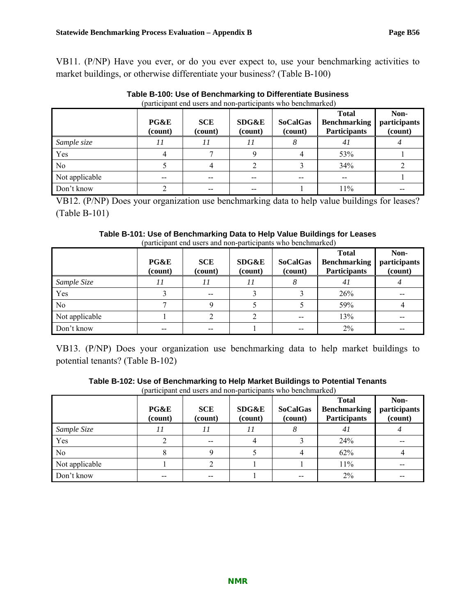VB11. (P/NP) Have you ever, or do you ever expect to, use your benchmarking activities to market buildings, or otherwise differentiate your business? (Table B-100)

|                | PG&E<br>(count)          | <b>SCE</b><br>(count) | <b>SDG&amp;E</b><br>(count) | <b>SoCalGas</b><br>(count) | <b>Total</b><br><b>Benchmarking</b><br><b>Participants</b> | Non-<br>participants<br>(count) |
|----------------|--------------------------|-----------------------|-----------------------------|----------------------------|------------------------------------------------------------|---------------------------------|
| Sample size    |                          |                       | 11                          | Ω                          | 41                                                         |                                 |
| Yes            |                          |                       |                             |                            | 53%                                                        |                                 |
| N <sub>0</sub> |                          |                       |                             |                            | 34%                                                        |                                 |
| Not applicable | $\overline{\phantom{m}}$ |                       | $- -$                       | $- -$                      | $\overline{\phantom{m}}$                                   |                                 |
| Don't know     |                          |                       | --                          |                            | 11%                                                        |                                 |

**Table B-100: Use of Benchmarking to Differentiate Business**  (participant end users and non-participants who benchmarked)

VB12. (P/NP) Does your organization use benchmarking data to help value buildings for leases? (Table B-101)

### **Table B-101: Use of Benchmarking Data to Help Value Buildings for Leases**  (participant end users and non-participants who benchmarked)

|                | PG&E<br>(count) | <b>SCE</b><br>(count) | <b>SDG&amp;E</b><br>(count) | <b>SoCalGas</b><br>(count) | <b>Total</b><br><b>Benchmarking</b><br><b>Participants</b> | Non-<br>participants<br>(count) |
|----------------|-----------------|-----------------------|-----------------------------|----------------------------|------------------------------------------------------------|---------------------------------|
| Sample Size    | 11              | $\prime$              | 11                          |                            | 41                                                         |                                 |
| Yes            |                 | --                    |                             |                            | 26%                                                        |                                 |
| N <sub>0</sub> |                 |                       |                             |                            | 59%                                                        |                                 |
| Not applicable |                 |                       |                             | --                         | 13%                                                        |                                 |
| Don't know     |                 |                       |                             | $- -$                      | $2\%$                                                      |                                 |

VB13. (P/NP) Does your organization use benchmarking data to help market buildings to potential tenants? (Table B-102)

| Table B-102: Use of Benchmarking to Help Market Buildings to Potential Tenants |
|--------------------------------------------------------------------------------|
| (participant end users and non-participants who benchmarked)                   |

|                | PG&E<br>(count) | <b>SCE</b><br>(count) | <b>SDG&amp;E</b><br>(count) | <b>SoCalGas</b><br>(count) | <b>Total</b><br><b>Benchmarking</b><br><b>Participants</b> | Non-<br>participants<br>(count) |
|----------------|-----------------|-----------------------|-----------------------------|----------------------------|------------------------------------------------------------|---------------------------------|
| Sample Size    |                 |                       | 11                          | 8                          | 41                                                         |                                 |
| Yes            |                 |                       |                             |                            | 24%                                                        |                                 |
| No             |                 |                       |                             |                            | 62%                                                        |                                 |
| Not applicable |                 |                       |                             |                            | 11%                                                        | --                              |
| Don't know     |                 |                       |                             | --                         | $2\%$                                                      |                                 |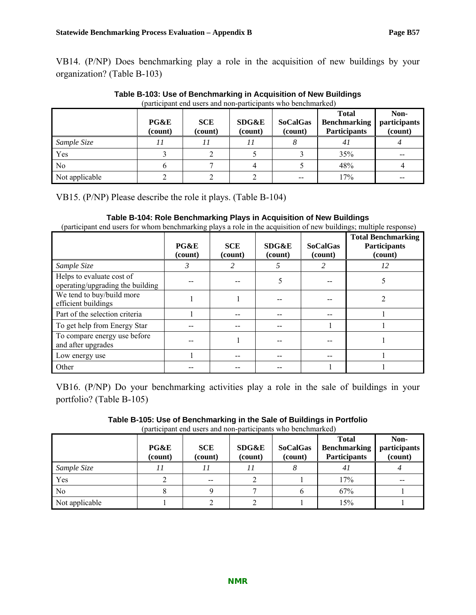VB14. (P/NP) Does benchmarking play a role in the acquisition of new buildings by your organization? (Table B-103)

| (participant end users and non-participants who benchmarked) |                 |                       |                  |                            |                                                            |                                 |  |  |
|--------------------------------------------------------------|-----------------|-----------------------|------------------|----------------------------|------------------------------------------------------------|---------------------------------|--|--|
|                                                              | PG&E<br>(count) | <b>SCE</b><br>(count) | SDG&E<br>(count) | <b>SoCalGas</b><br>(count) | <b>Total</b><br><b>Benchmarking</b><br><b>Participants</b> | Non-<br>participants<br>(count) |  |  |
| Sample Size                                                  |                 |                       |                  |                            | 41                                                         |                                 |  |  |
| Yes                                                          |                 |                       |                  |                            | 35%                                                        |                                 |  |  |
| N <sub>0</sub>                                               |                 |                       |                  |                            | 48%                                                        |                                 |  |  |
| Not applicable                                               |                 |                       |                  |                            | 17%                                                        |                                 |  |  |

**Table B-103: Use of Benchmarking in Acquisition of New Buildings** 

VB15. (P/NP) Please describe the role it plays. (Table B-104)

### **Table B-104: Role Benchmarking Plays in Acquisition of New Buildings**

(participant end users for whom benchmarking plays a role in the acquisition of new buildings; multiple response)

|                                                               | PG&E<br>(count) | <b>SCE</b><br>(count) | SDG&E<br>(count) | <b>SoCalGas</b><br>(count) | <b>Total Benchmarking</b><br><b>Participants</b><br>(count) |
|---------------------------------------------------------------|-----------------|-----------------------|------------------|----------------------------|-------------------------------------------------------------|
| Sample Size                                                   | 3               | 2                     | 5                | 2                          | 12                                                          |
| Helps to evaluate cost of<br>operating/upgrading the building |                 |                       |                  |                            | 5                                                           |
| We tend to buy/build more<br>efficient buildings              |                 |                       |                  |                            |                                                             |
| Part of the selection criteria                                |                 |                       |                  |                            |                                                             |
| To get help from Energy Star                                  |                 |                       |                  |                            |                                                             |
| To compare energy use before<br>and after upgrades            |                 |                       |                  |                            |                                                             |
| Low energy use                                                |                 |                       |                  |                            |                                                             |
| Other                                                         |                 |                       |                  |                            |                                                             |

VB16. (P/NP) Do your benchmarking activities play a role in the sale of buildings in your portfolio? (Table B-105)

**Table B-105: Use of Benchmarking in the Sale of Buildings in Portfolio**  (participant end users and non-participants who benchmarked)

|                | PG&E<br>(count) | <b>SCE</b><br>(count) | SDG&E<br>(count) | <b>SoCalGas</b><br>(count) | <b>Total</b><br><b>Benchmarking</b><br><b>Participants</b> | Non-<br>participants<br>(count) |
|----------------|-----------------|-----------------------|------------------|----------------------------|------------------------------------------------------------|---------------------------------|
| Sample Size    |                 |                       | ,,               |                            | 41                                                         |                                 |
| Yes            |                 |                       |                  |                            | 17%                                                        |                                 |
| No             |                 |                       |                  |                            | 67%                                                        |                                 |
| Not applicable |                 |                       |                  |                            | 15%                                                        |                                 |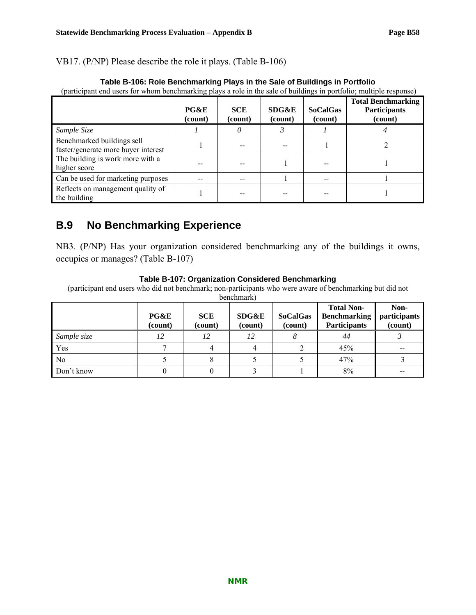VB17. (P/NP) Please describe the role it plays. (Table B-106)

|                                                                   | PG&E<br>(count) | <b>SCE</b><br>(count) | SDG&E<br>(count) | <b>SoCalGas</b><br>(count) | <b>Total Benchmarking</b><br><b>Participants</b><br>(count) |
|-------------------------------------------------------------------|-----------------|-----------------------|------------------|----------------------------|-------------------------------------------------------------|
| Sample Size                                                       |                 |                       |                  |                            |                                                             |
| Benchmarked buildings sell<br>faster/generate more buyer interest |                 |                       |                  |                            |                                                             |
| The building is work more with a<br>higher score                  |                 |                       |                  |                            |                                                             |
| Can be used for marketing purposes                                |                 |                       |                  |                            |                                                             |
| Reflects on management quality of<br>the building                 |                 |                       |                  |                            |                                                             |

### **Table B-106: Role Benchmarking Plays in the Sale of Buildings in Portfolio**

(participant end users for whom benchmarking plays a role in the sale of buildings in portfolio; multiple response)

# **B.9 No Benchmarking Experience**

NB3. (P/NP) Has your organization considered benchmarking any of the buildings it owns, occupies or manages? (Table B-107)

### **Table B-107: Organization Considered Benchmarking**

(participant end users who did not benchmark; non-participants who were aware of benchmarking but did not

| benchmark) |  |
|------------|--|

|                | PG&E<br>(count) | <b>SCE</b><br>(count) | <b>SDG&amp;E</b><br>(count) | <b>SoCalGas</b><br>(count) | <b>Total Non-</b><br><b>Benchmarking</b><br><b>Participants</b> | Non-<br>participants<br>(count) |
|----------------|-----------------|-----------------------|-----------------------------|----------------------------|-----------------------------------------------------------------|---------------------------------|
| Sample size    | 12              | 12                    | 12                          |                            | 44                                                              |                                 |
| Yes            |                 |                       |                             |                            | 45%                                                             |                                 |
| N <sub>0</sub> |                 |                       |                             |                            | 47%                                                             |                                 |
| Don't know     |                 |                       |                             |                            | 8%                                                              |                                 |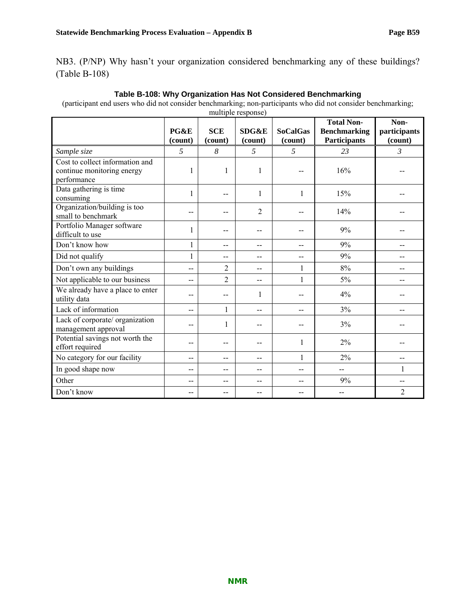NB3. (P/NP) Why hasn't your organization considered benchmarking any of these buildings? (Table B-108)

### **Table B-108: Why Organization Has Not Considered Benchmarking**

(participant end users who did not consider benchmarking; non-participants who did not consider benchmarking;

|                                                                              |                 |                       | multiple response) |                            |                                                                 |                                 |
|------------------------------------------------------------------------------|-----------------|-----------------------|--------------------|----------------------------|-----------------------------------------------------------------|---------------------------------|
|                                                                              | PG&E<br>(count) | <b>SCE</b><br>(count) | SDG&E<br>(count)   | <b>SoCalGas</b><br>(count) | <b>Total Non-</b><br><b>Benchmarking</b><br><b>Participants</b> | Non-<br>participants<br>(count) |
| Sample size                                                                  | 5               | 8                     | 5                  | 5                          | 23                                                              | 3                               |
| Cost to collect information and<br>continue monitoring energy<br>performance |                 | 1                     | 1                  |                            | 16%                                                             |                                 |
| Data gathering is time<br>consuming                                          | $\mathbf{1}$    | $-$                   | 1                  | 1                          | 15%                                                             |                                 |
| Organization/building is too<br>small to benchmark                           | --              | --                    | $\overline{2}$     |                            | 14%                                                             |                                 |
| Portfolio Manager software<br>difficult to use                               |                 | --                    |                    |                            | 9%                                                              |                                 |
| Don't know how                                                               | $\mathbf{1}$    | $-$                   | --                 | --                         | 9%                                                              | --                              |
| Did not qualify                                                              | $\mathbf{1}$    | --                    | --                 | --                         | 9%                                                              |                                 |
| Don't own any buildings                                                      |                 | $\overline{2}$        | --                 | 1                          | 8%                                                              |                                 |
| Not applicable to our business                                               | --              | $\overline{2}$        | --                 | 1                          | 5%                                                              |                                 |
| We already have a place to enter<br>utility data                             | --              | $-$                   | 1                  | $-$                        | 4%                                                              |                                 |
| Lack of information                                                          | --              | 1                     | $-$                | $-$                        | 3%                                                              | --                              |
| Lack of corporate/ organization<br>management approval                       | --              | 1                     | --                 | $-$                        | 3%                                                              |                                 |
| Potential savings not worth the<br>effort required                           |                 | --                    |                    | 1                          | 2%                                                              |                                 |
| No category for our facility                                                 | --              | --                    | --                 | $\mathbf{1}$               | 2%                                                              | --                              |
| In good shape now                                                            | --              | --                    | --                 | --                         | --                                                              | 1                               |
| Other                                                                        | --              | --                    | --                 |                            | 9%                                                              | --                              |
| Don't know                                                                   |                 | --                    |                    |                            |                                                                 | 2                               |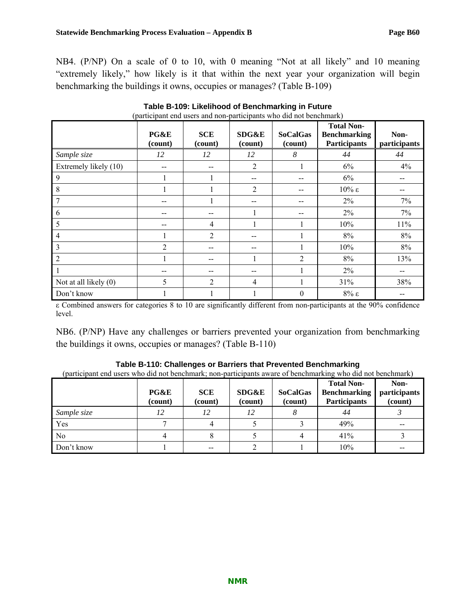NB4. (P/NP) On a scale of 0 to 10, with 0 meaning "Not at all likely" and 10 meaning "extremely likely," how likely is it that within the next year your organization will begin benchmarking the buildings it owns, occupies or manages? (Table B-109)

|                       | (participant che aberb and non participants who end not benemiately |                       |                             |                            |                                                                 |                      |  |  |
|-----------------------|---------------------------------------------------------------------|-----------------------|-----------------------------|----------------------------|-----------------------------------------------------------------|----------------------|--|--|
|                       | PG&E<br>(count)                                                     | <b>SCE</b><br>(count) | <b>SDG&amp;E</b><br>(count) | <b>SoCalGas</b><br>(count) | <b>Total Non-</b><br><b>Benchmarking</b><br><b>Participants</b> | Non-<br>participants |  |  |
| Sample size           | 12                                                                  | 12                    | 12                          | 8                          | 44                                                              | 44                   |  |  |
| Extremely likely (10) | $- -$                                                               |                       | $\overline{2}$              |                            | 6%                                                              | 4%                   |  |  |
| 9                     |                                                                     |                       |                             |                            | 6%                                                              |                      |  |  |
| 8                     |                                                                     |                       | $\overline{2}$              |                            | $10\%$ ε                                                        |                      |  |  |
|                       | --                                                                  |                       |                             |                            | 2%                                                              | 7%                   |  |  |
| 6                     |                                                                     |                       |                             |                            | 2%                                                              | 7%                   |  |  |
| 5                     | $- -$                                                               | 4                     |                             |                            | 10%                                                             | $11\%$               |  |  |
| 4                     |                                                                     | 2                     |                             |                            | 8%                                                              | 8%                   |  |  |
| 3                     | $\overline{2}$                                                      |                       | --                          |                            | 10%                                                             | 8%                   |  |  |
| 2                     |                                                                     |                       |                             | $\overline{2}$             | $8\%$                                                           | 13%                  |  |  |
|                       |                                                                     |                       |                             |                            | 2%                                                              |                      |  |  |
| Not at all likely (0) | 5                                                                   | $\overline{2}$        | 4                           |                            | 31%                                                             | 38%                  |  |  |
| Don't know            |                                                                     |                       |                             | $\theta$                   | $8\% \epsilon$                                                  |                      |  |  |

#### **Table B-109: Likelihood of Benchmarking in Future**  (participant end users and non-participants who did not benchmark)

ε Combined answers for categories 8 to 10 are significantly different from non-participants at the 90% confidence level.

NB6. (P/NP) Have any challenges or barriers prevented your organization from benchmarking the buildings it owns, occupies or manages? (Table B-110)

| Table B-110: Challenges or Barriers that Prevented Benchmarking                                             |  |  |  |  |            |      |  |  |
|-------------------------------------------------------------------------------------------------------------|--|--|--|--|------------|------|--|--|
| (participant end users who did not benchmark; non-participants aware of benchmarking who did not benchmark) |  |  |  |  |            |      |  |  |
|                                                                                                             |  |  |  |  | Total Non- | Non- |  |  |

|                | PG&E<br>(count) | <b>SCE</b><br>(count) | SDG&E<br>(count) | <b>SoCalGas</b><br>(count) | <b>Total Non-</b><br><b>Benchmarking</b><br><b>Participants</b> | Non-<br>participants<br>(count) |
|----------------|-----------------|-----------------------|------------------|----------------------------|-----------------------------------------------------------------|---------------------------------|
| Sample size    |                 |                       | 12               |                            | 44                                                              |                                 |
| Yes            |                 |                       |                  |                            | 49%                                                             |                                 |
| N <sub>0</sub> |                 |                       |                  |                            | 41%                                                             |                                 |
| Don't know     |                 |                       |                  |                            | 10%                                                             | --                              |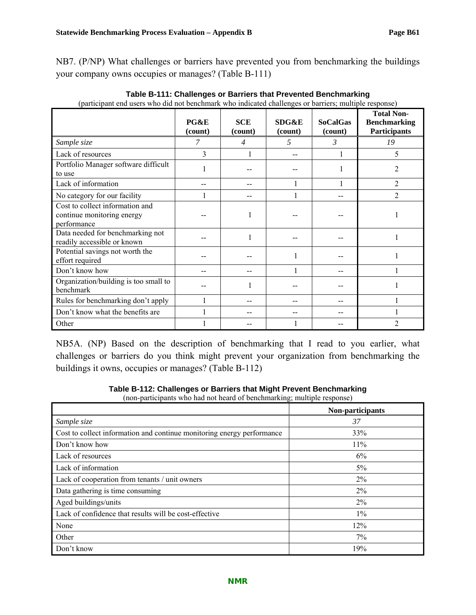| (participally the abold wild die not ben                                     | PG&E<br>(count) | <b>SCE</b><br>(count) | <b>SDG&amp;E</b><br>(count) | <u>ennan who mereaved enanvirged or ourners, manapre response</u><br><b>SoCalGas</b><br>(count) | <b>Total Non-</b><br><b>Benchmarking</b><br>Participants |
|------------------------------------------------------------------------------|-----------------|-----------------------|-----------------------------|-------------------------------------------------------------------------------------------------|----------------------------------------------------------|
| Sample size                                                                  | 7               | $\overline{4}$        | 5                           | 3                                                                                               | 19                                                       |
| Lack of resources                                                            | 3               |                       |                             |                                                                                                 | 5                                                        |
| Portfolio Manager software difficult<br>to use                               |                 |                       |                             |                                                                                                 | 2                                                        |
| Lack of information                                                          |                 |                       |                             |                                                                                                 | $\overline{2}$                                           |
| No category for our facility                                                 |                 |                       |                             |                                                                                                 | $\mathfrak{D}$                                           |
| Cost to collect information and<br>continue monitoring energy<br>performance |                 |                       |                             |                                                                                                 |                                                          |
| Data needed for benchmarking not<br>readily accessible or known              |                 |                       |                             |                                                                                                 |                                                          |
| Potential savings not worth the<br>effort required                           |                 |                       |                             |                                                                                                 |                                                          |
| Don't know how                                                               |                 |                       |                             |                                                                                                 |                                                          |
| Organization/building is too small to<br>benchmark                           |                 |                       |                             |                                                                                                 |                                                          |
| Rules for benchmarking don't apply                                           |                 |                       |                             |                                                                                                 |                                                          |
| Don't know what the benefits are                                             |                 |                       |                             |                                                                                                 |                                                          |
| Other                                                                        |                 |                       |                             |                                                                                                 | 2                                                        |

 **Table B-111: Challenges or Barriers that Prevented Benchmarking**  (participant end users who did not benchmark who indicated challenges or barriers; multiple response)

NB5A. (NP) Based on the description of benchmarking that I read to you earlier, what challenges or barriers do you think might prevent your organization from benchmarking the buildings it owns, occupies or manages? (Table B-112)

**Table B-112: Challenges or Barriers that Might Prevent Benchmarking** 

(non-participants who had not heard of benchmarking; multiple response)

|                                                                        | Non-participants |
|------------------------------------------------------------------------|------------------|
| Sample size                                                            | 37               |
| Cost to collect information and continue monitoring energy performance | 33%              |
| Don't know how                                                         | 11%              |
| Lack of resources                                                      | 6%               |
| Lack of information                                                    | $5\%$            |
| Lack of cooperation from tenants / unit owners                         | $2\%$            |
| Data gathering is time consuming                                       | $2\%$            |
| Aged buildings/units                                                   | $2\%$            |
| Lack of confidence that results will be cost-effective                 | $1\%$            |
| None                                                                   | 12%              |
| Other                                                                  | 7%               |
| Don't know                                                             | 19%              |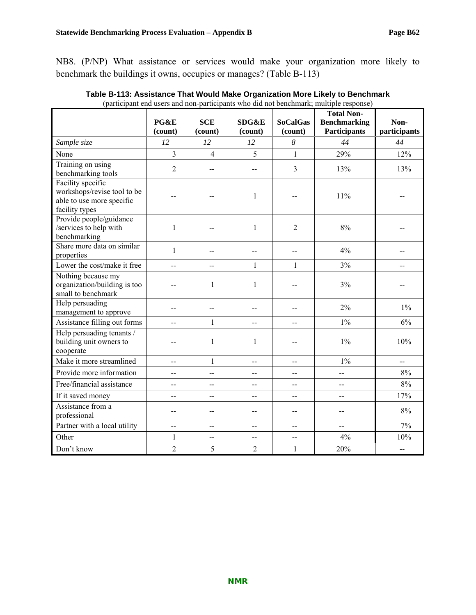NB8. (P/NP) What assistance or services would make your organization more likely to benchmark the buildings it owns, occupies or manages? (Table B-113)

|                                                                                                 | PG&E           | <b>SCE</b>     | SDG&E          | <b>SoCalGas</b> | <b>Total Non-</b>                          | Non-         |
|-------------------------------------------------------------------------------------------------|----------------|----------------|----------------|-----------------|--------------------------------------------|--------------|
|                                                                                                 | (count)        | (count)        | (count)        | (count)         | <b>Benchmarking</b><br><b>Participants</b> | participants |
| Sample size                                                                                     | 12             | 12             | 12             | 8               | 44                                         | 44           |
| None                                                                                            | 3              | $\overline{4}$ | 5              | $\mathbf{1}$    | 29%                                        | 12%          |
| Training on using<br>benchmarking tools                                                         | $\overline{2}$ | --             | $-$            | 3               | 13%                                        | 13%          |
| Facility specific<br>workshops/revise tool to be<br>able to use more specific<br>facility types | $-$            |                | 1              |                 | 11%                                        |              |
| Provide people/guidance<br>/services to help with<br>benchmarking                               | $\mathbf{1}$   |                | $\mathbf{1}$   | $\overline{2}$  | 8%                                         |              |
| Share more data on similar<br>properties                                                        | 1              | --             | --             | $-$             | 4%                                         |              |
| Lower the cost/make it free                                                                     | $-$            | $-$            | $\mathbf{1}$   | $\mathbf{1}$    | 3%                                         |              |
| Nothing because my<br>organization/building is too<br>small to benchmark                        | $-$            | $\mathbf{1}$   | 1              |                 | 3%                                         |              |
| Help persuading<br>management to approve                                                        | --             | --             | --             |                 | 2%                                         | $1\%$        |
| Assistance filling out forms                                                                    | $-$            | $\mathbf{1}$   | --             | $-$             | $1\%$                                      | 6%           |
| Help persuading tenants /<br>building unit owners to<br>cooperate                               | --             | $\mathbf{1}$   | 1              | $-$             | $1\%$                                      | 10%          |
| Make it more streamlined                                                                        | $-$            | $\mathbf{1}$   | $-$            | $-$             | 1%                                         | --           |
| Provide more information                                                                        | $-$            | $-$            | $-$            | $-$             | --                                         | $8\%$        |
| Free/financial assistance                                                                       | $-$            | --             |                | $-$             | --                                         | 8%           |
| If it saved money                                                                               | --             | --             | --             | --              | $-$                                        | 17%          |
| Assistance from a<br>professional                                                               | --             | --             | --             | --              | --                                         | $8\%$        |
| Partner with a local utility                                                                    | $-$            | $-$            | $-$            | $-$             | $-$                                        | 7%           |
| Other                                                                                           | $\mathbf{1}$   | $-$            | --             | --              | 4%                                         | 10%          |
| Don't know                                                                                      | $\overline{2}$ | 5              | $\overline{2}$ | $\mathbf{1}$    | 20%                                        | --           |

**Table B-113: Assistance That Would Make Organization More Likely to Benchmark**  (participant end users and non-participants who did not benchmark; multiple response)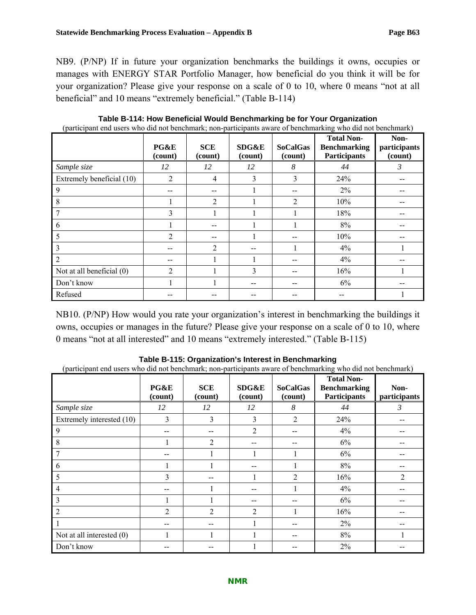NB9. (P/NP) If in future your organization benchmarks the buildings it owns, occupies or manages with ENERGY STAR Portfolio Manager, how beneficial do you think it will be for your organization? Please give your response on a scale of 0 to 10, where 0 means "not at all beneficial" and 10 means "extremely beneficial." (Table B-114)

| <u>The configuration are notice</u> as and one can a continuously case there is the configuration of a continuously | PG&E<br>(count) | <b>SCE</b><br>(count) | <b>SDG&amp;E</b><br>(count) | <b>SoCalGas</b><br>(count) | <b>Total Non-</b><br><b>Benchmarking</b><br><b>Participants</b> | Non-<br>participants<br>(count) |
|---------------------------------------------------------------------------------------------------------------------|-----------------|-----------------------|-----------------------------|----------------------------|-----------------------------------------------------------------|---------------------------------|
| Sample size                                                                                                         | 12              | 12                    | 12                          | 8                          | 44                                                              | 3                               |
| Extremely beneficial (10)                                                                                           | $\overline{2}$  | $\overline{4}$        | 3                           | 3                          | 24%                                                             |                                 |
| 9                                                                                                                   |                 |                       |                             |                            | 2%                                                              |                                 |
| 8                                                                                                                   |                 | $\overline{2}$        |                             | $\overline{c}$             | 10%                                                             |                                 |
|                                                                                                                     | 3               |                       |                             |                            | 18%                                                             |                                 |
| 6                                                                                                                   |                 | --                    |                             |                            | 8%                                                              |                                 |
| 5                                                                                                                   | 2               |                       |                             |                            | 10%                                                             |                                 |
| 3                                                                                                                   |                 | $\overline{2}$        |                             |                            | 4%                                                              |                                 |
| $\overline{2}$                                                                                                      |                 |                       |                             |                            | 4%                                                              |                                 |
| Not at all beneficial (0)                                                                                           | $\overline{2}$  |                       | 3                           |                            | 16%                                                             |                                 |
| Don't know                                                                                                          |                 |                       |                             |                            | 6%                                                              |                                 |
| Refused                                                                                                             |                 |                       |                             |                            |                                                                 |                                 |

**Table B-114: How Beneficial Would Benchmarking be for Your Organization**  (participant end users who did not benchmark; non-participants aware of benchmarking who did not benchmark)

NB10. (P/NP) How would you rate your organization's interest in benchmarking the buildings it owns, occupies or manages in the future? Please give your response on a scale of 0 to 10, where 0 means "not at all interested" and 10 means "extremely interested." (Table B-115)

| (participant cha ascis who are not beneminary, non-participants aware or beneminarying who are not beneminary |                 |                       |                             |                            |                                                                 |                      |
|---------------------------------------------------------------------------------------------------------------|-----------------|-----------------------|-----------------------------|----------------------------|-----------------------------------------------------------------|----------------------|
|                                                                                                               | PG&E<br>(count) | <b>SCE</b><br>(count) | <b>SDG&amp;E</b><br>(count) | <b>SoCalGas</b><br>(count) | <b>Total Non-</b><br><b>Benchmarking</b><br><b>Participants</b> | Non-<br>participants |
| Sample size                                                                                                   | 12              | 12                    | 12                          | 8                          | 44                                                              | 3                    |
| Extremely interested (10)                                                                                     | 3               | 3                     | 3                           | $\overline{2}$             | 24%                                                             |                      |
| 9                                                                                                             |                 |                       | $\overline{2}$              | $- -$                      | 4%                                                              |                      |
| 8                                                                                                             |                 | 2                     |                             |                            | 6%                                                              |                      |
| 7                                                                                                             |                 |                       |                             |                            | 6%                                                              |                      |
| 6                                                                                                             |                 |                       |                             |                            | 8%                                                              |                      |
| 5                                                                                                             | 3               |                       |                             | 2                          | 16%                                                             | $\overline{2}$       |
| 4                                                                                                             |                 |                       |                             |                            | 4%                                                              |                      |
| 3                                                                                                             |                 |                       |                             | --                         | 6%                                                              |                      |
| $\overline{2}$                                                                                                | $\overline{2}$  | $\overline{2}$        | 2                           |                            | 16%                                                             |                      |
|                                                                                                               |                 |                       |                             | --                         | 2%                                                              |                      |
| Not at all interested $(0)$                                                                                   |                 |                       |                             | --                         | 8%                                                              |                      |
| Don't know                                                                                                    |                 |                       |                             |                            | 2%                                                              |                      |

**Table B-115: Organization's Interest in Benchmarking** 

(participant end users who did not benchmark; non-participants aware of benchmarking who did not benchmark)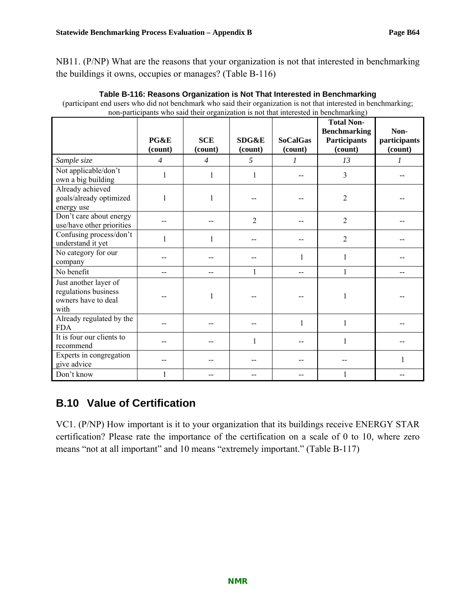NB11. (P/NP) What are the reasons that your organization is not that interested in benchmarking the buildings it owns, occupies or manages? (Table B-116)

| non-participants who said their organization is not that interested in benchmarking) |                 |                       |                  |                            |                                                                            |                                 |
|--------------------------------------------------------------------------------------|-----------------|-----------------------|------------------|----------------------------|----------------------------------------------------------------------------|---------------------------------|
|                                                                                      | PG&E<br>(count) | <b>SCE</b><br>(count) | SDG&E<br>(count) | <b>SoCalGas</b><br>(count) | <b>Total Non-</b><br><b>Benchmarking</b><br><b>Participants</b><br>(count) | Non-<br>participants<br>(count) |
| Sample size                                                                          | $\overline{4}$  | $\overline{4}$        | 5                | 1                          | 13                                                                         | 1                               |
| Not applicable/don't<br>own a big building                                           | 1               | 1                     | 1                |                            | 3                                                                          |                                 |
| Already achieved<br>goals/already optimized<br>energy use                            | $\mathbf{1}$    |                       |                  |                            | $\overline{c}$                                                             |                                 |
| Don't care about energy<br>use/have other priorities                                 |                 |                       | $\overline{2}$   |                            | 2                                                                          |                                 |
| Confusing process/don't<br>understand it yet                                         | 1               | 1                     |                  |                            | 2                                                                          |                                 |
| No category for our<br>company                                                       |                 |                       |                  | 1                          | 1                                                                          |                                 |
| No benefit                                                                           |                 |                       | $\mathbf{1}$     |                            | 1                                                                          |                                 |
| Just another layer of<br>regulations business<br>owners have to deal<br>with         |                 |                       |                  |                            |                                                                            |                                 |
| Already regulated by the<br><b>FDA</b>                                               |                 |                       |                  | $\mathbf{1}$               |                                                                            |                                 |
| It is four our clients to<br>recommend                                               |                 |                       | 1                |                            |                                                                            |                                 |
| Experts in congregation<br>give advice                                               |                 |                       |                  |                            |                                                                            |                                 |
| Don't know                                                                           |                 |                       |                  |                            |                                                                            |                                 |

**Table B-116: Reasons Organization is Not That Interested in Benchmarking**  (participant end users who did not benchmark who said their organization is not that interested in benchmarking;

# **B.10 Value of Certification**

VC1. (P/NP) How important is it to your organization that its buildings receive ENERGY STAR certification? Please rate the importance of the certification on a scale of 0 to 10, where zero means "not at all important" and 10 means "extremely important." (Table B-117)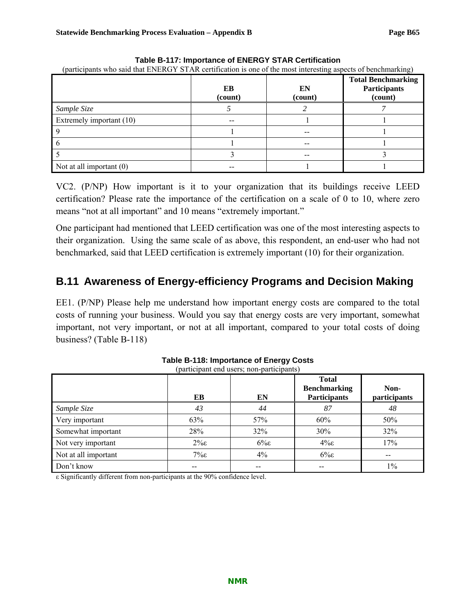| (participants who said that ENERGY STAR certification is one of the most interesting aspects of benchmarking) |               |               |                                                             |  |  |  |
|---------------------------------------------------------------------------------------------------------------|---------------|---------------|-------------------------------------------------------------|--|--|--|
|                                                                                                               | EB<br>(count) | EN<br>(count) | <b>Total Benchmarking</b><br><b>Participants</b><br>(count) |  |  |  |
| Sample Size                                                                                                   |               |               |                                                             |  |  |  |
| Extremely important (10)                                                                                      |               |               |                                                             |  |  |  |
|                                                                                                               |               |               |                                                             |  |  |  |
|                                                                                                               |               |               |                                                             |  |  |  |
|                                                                                                               |               |               |                                                             |  |  |  |
| Not at all important $(0)$                                                                                    |               |               |                                                             |  |  |  |

**Table B-117: Importance of ENERGY STAR Certification** 

VC2. (P/NP) How important is it to your organization that its buildings receive LEED certification? Please rate the importance of the certification on a scale of 0 to 10, where zero means "not at all important" and 10 means "extremely important."

One participant had mentioned that LEED certification was one of the most interesting aspects to their organization. Using the same scale of as above, this respondent, an end-user who had not benchmarked, said that LEED certification is extremely important (10) for their organization.

# **B.11 Awareness of Energy-efficiency Programs and Decision Making**

EE1. (P/NP) Please help me understand how important energy costs are compared to the total costs of running your business. Would you say that energy costs are very important, somewhat important, not very important, or not at all important, compared to your total costs of doing business? (Table B-118)

|                      | EB             | EN    | <b>Total</b><br><b>Benchmarking</b><br><b>Participants</b> | Non-<br>participants |
|----------------------|----------------|-------|------------------------------------------------------------|----------------------|
| Sample Size          | 43             | 44    | 87                                                         | 48                   |
| Very important       | 63%            | 57%   | 60%                                                        | 50%                  |
| Somewhat important   | 28%            | 32%   | 30%                                                        | 32%                  |
| Not very important   | $2\% \epsilon$ | $6\%$ | $4\%$ ε                                                    | 17%                  |
| Not at all important | $7\%$ ε        | $4\%$ | $6\%$                                                      | --                   |
| Don't know           |                |       | --                                                         | $1\%$                |

**Table B-118: Importance of Energy Costs**  (participant end users; non-participants)

ε Significantly different from non-participants at the 90% confidence level.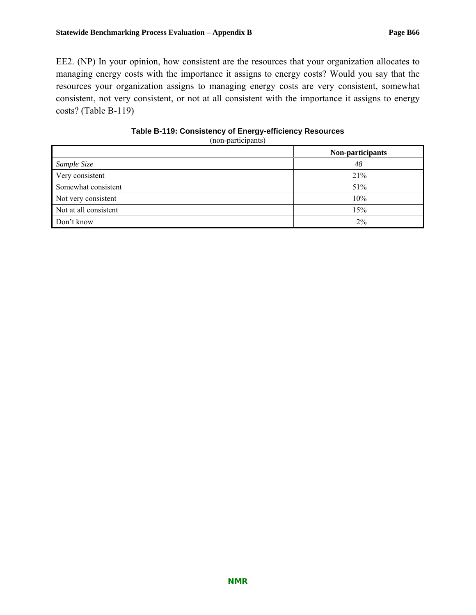EE2. (NP) In your opinion, how consistent are the resources that your organization allocates to managing energy costs with the importance it assigns to energy costs? Would you say that the resources your organization assigns to managing energy costs are very consistent, somewhat consistent, not very consistent, or not at all consistent with the importance it assigns to energy costs? (Table B-119)

| Table B-119: Consistency of Energy-efficiency Resources |
|---------------------------------------------------------|
| (non-participants)                                      |

|                       | Non-participants |
|-----------------------|------------------|
| Sample Size           | 48               |
| Very consistent       | 21%              |
| Somewhat consistent   | 51%              |
| Not very consistent   | 10%              |
| Not at all consistent | 15%              |
| Don't know            | 2%               |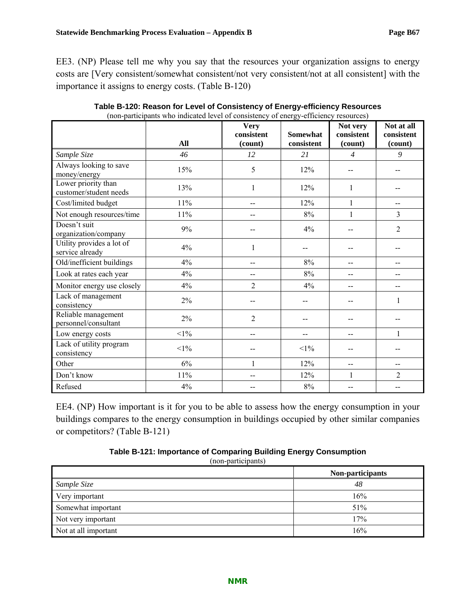EE3. (NP) Please tell me why you say that the resources your organization assigns to energy costs are [Very consistent/somewhat consistent/not very consistent/not at all consistent] with the importance it assigns to energy costs. (Table B-120)

|                                               | (non-participants who indicated level of consistency of chergy-critericy resources) | <b>Very</b>    |                 | Not very       | Not at all     |
|-----------------------------------------------|-------------------------------------------------------------------------------------|----------------|-----------------|----------------|----------------|
|                                               |                                                                                     | consistent     | <b>Somewhat</b> | consistent     | consistent     |
|                                               | All                                                                                 | (count)        | consistent      | (count)        | (count)        |
| Sample Size                                   | 46                                                                                  | 12             | 21              | $\overline{4}$ | 9              |
| Always looking to save<br>money/energy        | 15%                                                                                 | 5              | 12%             |                |                |
| Lower priority than<br>customer/student needs | 13%                                                                                 | 1              | 12%             | 1              |                |
| Cost/limited budget                           | 11%                                                                                 | $-$            | 12%             | $\mathbf{1}$   | $-$            |
| Not enough resources/time                     | 11%                                                                                 | $-$            | $8\%$           | $\mathbf{1}$   | $\overline{3}$ |
| Doesn't suit<br>organization/company          | 9%                                                                                  |                | 4%              |                | $\overline{2}$ |
| Utility provides a lot of<br>service already  | 4%                                                                                  | 1              |                 |                |                |
| Old/inefficient buildings                     | 4%                                                                                  | $-$            | 8%              | $-$            | --             |
| Look at rates each year                       | 4%                                                                                  | $-$            | 8%              | --             | $-$            |
| Monitor energy use closely                    | 4%                                                                                  | $\overline{2}$ | 4%              | --             | --             |
| Lack of management<br>consistency             | $2\%$                                                                               | --             |                 |                | 1              |
| Reliable management<br>personnel/consultant   | $2\%$                                                                               | $\overline{2}$ |                 |                |                |
| Low energy costs                              | $<1\%$                                                                              | $-$            | --              | --             | $\mathbf{1}$   |
| Lack of utility program<br>consistency        | $<$ 1%                                                                              | --             | $<$ 1%          |                |                |
| Other                                         | 6%                                                                                  | 1              | 12%             | --             | $-$            |
| Don't know                                    | 11%                                                                                 | --             | 12%             | 1              | $\overline{2}$ |
| Refused                                       | 4%                                                                                  | --             | 8%              | --             | --             |

**Table B-120: Reason for Level of Consistency of Energy-efficiency Resources**  (non-participants who indicated level of consistency of energy-efficiency resources)

EE4. (NP) How important is it for you to be able to assess how the energy consumption in your buildings compares to the energy consumption in buildings occupied by other similar companies or competitors? (Table B-121)

| Table B-121: Importance of Comparing Building Energy Consumption |                                                                               |  |
|------------------------------------------------------------------|-------------------------------------------------------------------------------|--|
|                                                                  | $(a \cdot a \cdot a \cdot a \cdot b \cdot b \cdot b \cdot a \cdot b \cdot b)$ |  |

(non-participants)

|                      | Non-participants |
|----------------------|------------------|
| Sample Size          | 48               |
| Very important       | 16%              |
| Somewhat important   | 51%              |
| Not very important   | 17%              |
| Not at all important | 16%              |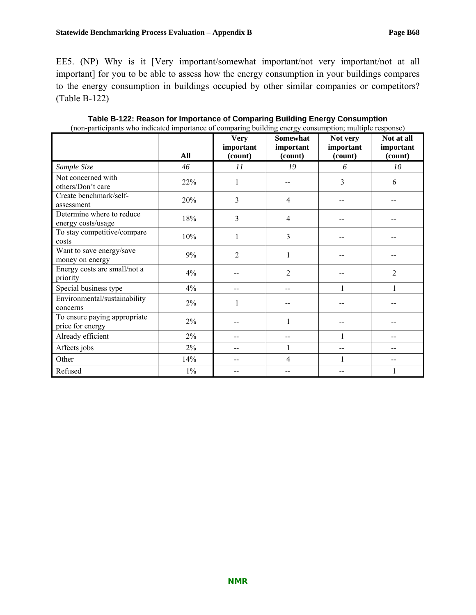EE5. (NP) Why is it [Very important/somewhat important/not very important/not at all important] for you to be able to assess how the energy consumption in your buildings compares to the energy consumption in buildings occupied by other similar companies or competitors? (Table B-122)

|                                                  |       | $\tilde{\phantom{a}}$<br><b>Very</b> | رں<br>Somewhat       | Not very             | Not at all           |
|--------------------------------------------------|-------|--------------------------------------|----------------------|----------------------|----------------------|
|                                                  | All   | important<br>(count)                 | important<br>(count) | important<br>(count) | important<br>(count) |
| Sample Size                                      | 46    | 11                                   | 19                   | 6                    | 10                   |
| Not concerned with<br>others/Don't care          | 22%   | 1                                    |                      | 3                    | 6                    |
| Create benchmark/self-<br>assessment             | 20%   | 3                                    | $\overline{4}$       |                      |                      |
| Determine where to reduce<br>energy costs/usage  | 18%   | 3                                    | $\overline{4}$       |                      |                      |
| To stay competitive/compare<br>costs             | 10%   | 1                                    | 3                    |                      |                      |
| Want to save energy/save<br>money on energy      | 9%    | $\overline{2}$                       |                      |                      |                      |
| Energy costs are small/not a<br>priority         | 4%    |                                      | 2                    |                      | $\overline{2}$       |
| Special business type                            | 4%    |                                      |                      |                      |                      |
| Environmental/sustainability<br>concerns         | $2\%$ | 1                                    |                      |                      |                      |
| To ensure paying appropriate<br>price for energy | $2\%$ |                                      |                      |                      |                      |
| Already efficient                                | $2\%$ | --                                   | --                   | 1                    |                      |
| Affects jobs                                     | $2\%$ |                                      |                      |                      |                      |
| Other                                            | 14%   |                                      | 4                    | $\mathbf{1}$         |                      |
| Refused                                          | $1\%$ |                                      |                      |                      |                      |

**Table B-122: Reason for Importance of Comparing Building Energy Consumption**  (non-participants who indicated importance of comparing building energy consumption; multiple response)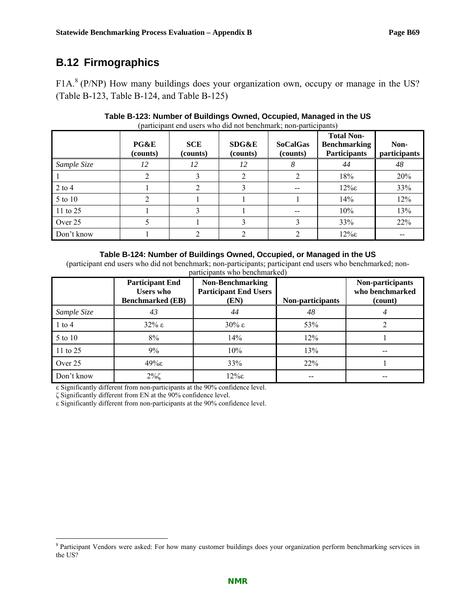# **B.12 Firmographics**

 $F1A<sup>8</sup>$  (P/NP) How many buildings does your organization own, occupy or manage in the US? (Table B-123, Table B-124, and Table B-125)

|             | PG&E<br>(counts) | <b>SCE</b><br>(counts) | SDG&E<br>(counts) | <b>SoCalGas</b><br>(counts) | <b>Total Non-</b><br><b>Benchmarking</b><br><b>Participants</b> | Non-<br>participants |
|-------------|------------------|------------------------|-------------------|-----------------------------|-----------------------------------------------------------------|----------------------|
| Sample Size | 12               | 12                     | 12                | ð                           | 44                                                              | 48                   |
|             |                  |                        | 2                 |                             | 18%                                                             | 20%                  |
| $2$ to 4    |                  |                        | 3                 | $-$                         | $12\%$                                                          | 33%                  |
| $5$ to 10   |                  |                        |                   |                             | 14%                                                             | 12%                  |
| 11 to 25    |                  |                        |                   | --                          | 10%                                                             | 13%                  |
| Over 25     |                  |                        |                   |                             | 33%                                                             | 22%                  |
| Don't know  |                  |                        |                   |                             | $12\%$                                                          |                      |

#### **Table B-123: Number of Buildings Owned, Occupied, Managed in the US**  (participant end users who did not benchmark; non-participants)

#### **Table B-124: Number of Buildings Owned, Occupied, or Managed in the US**

(participant end users who did not benchmark; non-participants; participant end users who benchmarked; nonparticipants who benchmarked)

|             | <b>Participant End</b><br><b>Users</b> who<br><b>Benchmarked</b> (EB) | Non-Benchmarking<br><b>Participant End Users</b><br>(EN) | Non-participants | Non-participants<br>who benchmarked<br>(count) |
|-------------|-----------------------------------------------------------------------|----------------------------------------------------------|------------------|------------------------------------------------|
| Sample Size | 43                                                                    | 44                                                       | 48               |                                                |
| $1$ to $4$  | $32\% \epsilon$                                                       | $30\%$ ε                                                 | 53%              |                                                |
| 5 to 10     | 8%                                                                    | 14%                                                      | 12%              |                                                |
| 11 to 25    | 9%                                                                    | 10%                                                      | 13%              |                                                |
| Over 25     | $49\%$                                                                | 33%                                                      | 22%              |                                                |
| Don't know  | $2\%$ č                                                               | $12\%$ ε                                                 | --               |                                                |

ε Significantly different from non-participants at the 90% confidence level.

ζ Significantly different from EN at the 90% confidence level.

ε Significantly different from non-participants at the 90% confidence level.

<sup>&</sup>lt;sup>8</sup> Participant Vendors were asked: For how many customer buildings does your organization perform benchmarking services in the US?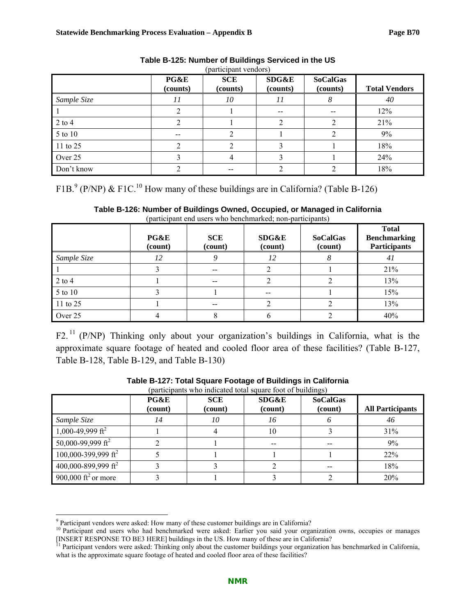|             | PG&E<br>(counts) | <b>SCE</b><br>(counts) | SDG&E<br>(counts) | <b>SoCalGas</b><br>(counts) | <b>Total Vendors</b> |
|-------------|------------------|------------------------|-------------------|-----------------------------|----------------------|
| Sample Size | 11               | 10                     | 11                | 8                           | 40                   |
|             |                  |                        | $- -$             | $\overline{\phantom{m}}$    | 12%                  |
| $2$ to $4$  |                  |                        |                   |                             | 21%                  |
| 5 to 10     | --               |                        |                   |                             | 9%                   |
| 11 to 25    |                  |                        |                   |                             | 18%                  |
| Over 25     |                  |                        |                   |                             | 24%                  |
| Don't know  |                  |                        | ◠                 | ◠                           | 18%                  |

#### **Table B-125: Number of Buildings Serviced in the US**  (participant vendors)

F1B.<sup>9</sup> (P/NP) & F1C.<sup>10</sup> How many of these buildings are in California? (Table B-126)

| Table B-126: Number of Buildings Owned, Occupied, or Managed in California |
|----------------------------------------------------------------------------|
| (participant end users who benchmarked; non-participants)                  |

|             | PG&E<br>(count) | <b>SCE</b><br>(count) | <b>SDG&amp;E</b><br>(count) | <b>SoCalGas</b><br>(count) | <b>Total</b><br><b>Benchmarking</b><br><b>Participants</b> |
|-------------|-----------------|-----------------------|-----------------------------|----------------------------|------------------------------------------------------------|
| Sample Size |                 |                       | 12                          |                            | 41                                                         |
|             |                 |                       |                             |                            | 21%                                                        |
| $2$ to $4$  |                 | $- -$                 |                             |                            | 13%                                                        |
| 5 to 10     |                 |                       | $- -$                       |                            | 15%                                                        |
| 11 to 25    |                 | $- -$                 |                             |                            | 13%                                                        |
| Over 25     |                 |                       |                             |                            | 40%                                                        |

F2.<sup>11</sup> (P/NP) Thinking only about your organization's buildings in California, what is the approximate square footage of heated and cooled floor area of these facilities? (Table B-127, Table B-128, Table B-129, and Table B-130)

|                                 | PG&E<br>(count) | <b>SCE</b><br>(count) | SDG&E<br>(count) | <b>SoCalGas</b><br>(count) | <b>All Participants</b> |
|---------------------------------|-----------------|-----------------------|------------------|----------------------------|-------------------------|
| Sample Size                     | 14              | 10                    | 16               |                            | 46                      |
| 1,000-49,999 ft <sup>2</sup>    |                 |                       | 10               |                            | 31%                     |
| 50,000-99,999 ft <sup>2</sup>   |                 |                       | $- -$            |                            | 9%                      |
| 100,000-399,999 ft <sup>2</sup> |                 |                       |                  |                            | 22%                     |
| 400,000-899,999 ft <sup>2</sup> |                 |                       |                  |                            | 18%                     |
| 900,000 ft <sup>2</sup> or more |                 |                       |                  |                            | 20%                     |

#### **Table B-127: Total Square Footage of Buildings in California**  (participants who indicated total square foot of buildings)

 $\overline{a}$ 

<sup>&</sup>lt;sup>9</sup> Participant vendors were asked: How many of these customer buildings are in California?

<sup>&</sup>lt;sup>10</sup> Participant end users who had benchmarked were asked: Earlier you said your organization owns, occupies or manages [INSERT RESPONSE TO BE3 HERE] buildings in the US. How many of these are in California? 11 Participant vendors were asked: Thinking only about the customer buildings your organization has benchmarked in California,

what is the approximate square footage of heated and cooled floor area of these facilities?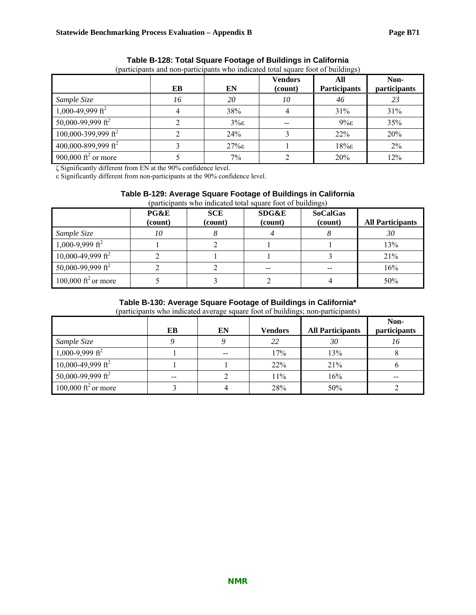|                                 | EB | EN                | <b>Vendors</b><br>(count) | All<br><b>Participants</b> | Non-<br><i>participants</i> |
|---------------------------------|----|-------------------|---------------------------|----------------------------|-----------------------------|
| Sample Size                     | 16 | 20                | 10                        | 46                         | 23                          |
| 1,000-49,999 ft <sup>2</sup>    |    | 38%               |                           | 31%                        | 31%                         |
| 50,000-99,999 ft <sup>2</sup>   |    | $3\% \varepsilon$ |                           | $9\% \varepsilon$          | 35%                         |
| 100,000-399,999 ft <sup>2</sup> |    | 24%               |                           | 22%                        | 20%                         |
| 400,000-899,999 ft <sup>2</sup> |    | $27\%$            |                           | $18\%$ ε                   | $2\%$                       |
| 900,000 ft <sup>2</sup> or more |    | $7\%$             |                           | 20%                        | 12%                         |

#### **Table B-128: Total Square Footage of Buildings in California**  (participants and non-participants who indicated total square foot of buildings)

ζ Significantly different from EN at the 90% confidence level.

ε Significantly different from non-participants at the 90% confidence level.

#### **Table B-129: Average Square Footage of Buildings in California**

|                                 | PG&E    | <b>SCE</b> | SDG&E   | <b>SoCalGas</b> |                         |
|---------------------------------|---------|------------|---------|-----------------|-------------------------|
|                                 | (count) | (count)    | (count) | (count)         | <b>All Participants</b> |
| Sample Size                     | 10      |            |         |                 | 30                      |
| $1,000 - 9,999$ ft <sup>2</sup> |         |            |         |                 | 13%                     |
| 10,000-49,999 ft <sup>2</sup>   |         |            |         |                 | 21%                     |
| 50,000-99,999 ft <sup>2</sup>   |         |            | $- -$   | $- -$           | 16%                     |
| 100,000 ft <sup>2</sup> or more |         |            |         |                 | 50%                     |

#### **Table B-130: Average Square Footage of Buildings in California\***

(participants who indicated average square foot of buildings; non-participants)

|                                 |                          |    |                |                         | Non-                |
|---------------------------------|--------------------------|----|----------------|-------------------------|---------------------|
|                                 | EB                       | EN | <b>Vendors</b> | <b>All Participants</b> | <i>participants</i> |
| Sample Size                     |                          |    | 22             | 30                      | 10                  |
| $1,000-9,999 \text{ ft}^2$      |                          |    | 17%            | 13%                     |                     |
| 10,000-49,999 ft <sup>2</sup>   |                          |    | 22%            | 21%                     |                     |
| 50,000-99,999 ft <sup>2</sup>   | $\overline{\phantom{m}}$ |    | 11%            | 16%                     | $- -$               |
| 100,000 ft <sup>2</sup> or more |                          |    | 28%            | 50%                     |                     |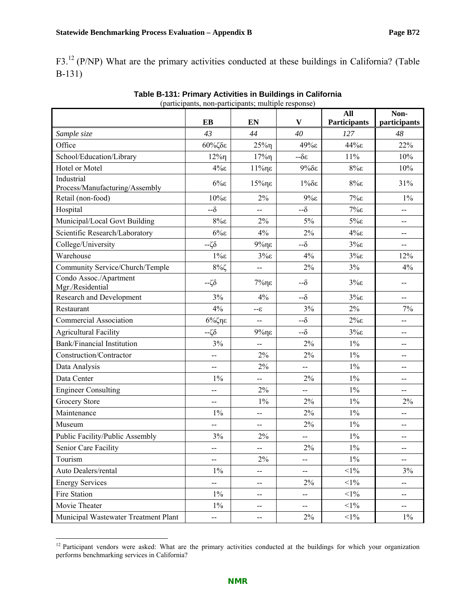F3.<sup>12</sup> (P/NP) What are the primary activities conducted at these buildings in California? (Table B-131)

|                                            | $p$ and $p$ and $p$ and $p$ and $p$ and $p$ and $p$ and $p$ and $p$<br>EB | <b>EN</b>                | V           | All<br><b>Participants</b> | Non-<br>participants     |
|--------------------------------------------|---------------------------------------------------------------------------|--------------------------|-------------|----------------------------|--------------------------|
|                                            | 43                                                                        | 44                       | 40          | 127                        | 48                       |
| Sample size<br>Office                      |                                                                           |                          | $49\%$      | 44%ε                       | 22%                      |
|                                            | $60\%$ ζδε                                                                | $25\%$                   |             |                            |                          |
| School/Education/Library                   | $12\%$                                                                    | $17\%$                   | $-\delta$ ε | 11%                        | 10%                      |
| Hotel or Motel<br>Industrial               | $4\%$ ε                                                                   | 11%ηε                    | $9%$ δε     | $8\%$                      | 10%                      |
| Process/Manufacturing/Assembly             | $6\%$                                                                     | $15%$ ηε                 | $1\%$ δε    | $8\%$                      | 31%                      |
| Retail (non-food)                          | $10%$ ε                                                                   | 2%                       | $9\%$ ε     | $7\%$ ε                    | $1\%$                    |
| Hospital                                   | $-\delta$                                                                 | $-$                      | $-\delta$   | $7\%$ ε                    | $\overline{\phantom{a}}$ |
| Municipal/Local Govt Building              | $8\%$ ε                                                                   | $2\%$                    | 5%          | $5\%$                      | --                       |
| Scientific Research/Laboratory             | $6\%$                                                                     | $4\%$                    | $2\%$       | $4\%$ ε                    | $-$                      |
| College/University                         | $-\zeta\delta$                                                            | $9%$ ηε                  | $-\delta$   | $3\%$ ε                    | --                       |
| Warehouse                                  | $1\%$                                                                     | $3\% \epsilon$           | 4%          | $3\%$ ε                    | 12%                      |
| Community Service/Church/Temple            | $8\%$ ζ                                                                   | $-$                      | 2%          | 3%                         | 4%                       |
| Condo Assoc./Apartment<br>Mgr./Residential | $-\zeta\delta$                                                            | $7\%$ ηε                 | $-\delta$   | $3\%$ ε                    | --                       |
| Research and Development                   | 3%                                                                        | 4%                       | $-\delta$   | $3\%$ ε                    | --                       |
| Restaurant                                 | 4%                                                                        | $3-$                     | 3%          | $2\%$                      | 7%                       |
| <b>Commercial Association</b>              | $6\%$ ζηε                                                                 | $\overline{a}$           | $-\delta$   | $2\% \epsilon$             | $-$                      |
| <b>Agricultural Facility</b>               | $-\zeta\delta$                                                            | $9%$ ηε                  | $-\delta$   | $3\%$ ε                    | --                       |
| <b>Bank/Financial Institution</b>          | $3\%$                                                                     |                          | 2%          | $1\%$                      | $\overline{a}$           |
| Construction/Contractor                    |                                                                           | $2\%$                    | 2%          | $1\%$                      |                          |
| Data Analysis                              | --                                                                        | $2\%$                    | --          | $1\%$                      | $-$                      |
| Data Center                                | $1\%$                                                                     | $-$                      | $2\%$       | $1\%$                      | --                       |
| <b>Engineer Consulting</b>                 | --                                                                        | 2%                       | --          | $1\%$                      | --                       |
| <b>Grocery Store</b>                       | --                                                                        | $1\%$                    | 2%          | $1\%$                      | $2\%$                    |
| Maintenance                                | $1\%$                                                                     | $-$                      | 2%          | $1\%$                      | $\overline{a}$           |
| Museum                                     | $-$                                                                       | $\overline{a}$           | 2%          | $1\%$                      | --                       |
| Public Facility/Public Assembly            | $3\%$                                                                     | 2%                       | $-$         | $1\%$                      | $-$                      |
| Senior Care Facility                       | --                                                                        | --                       | $2\%$       | $1\%$                      | --                       |
| Tourism                                    | --                                                                        | $2\%$                    | --          | $1\%$                      | $\mathbf{u}$             |
| Auto Dealers/rental                        | $1\%$                                                                     | --                       | --          | $<1\%$                     | 3%                       |
| <b>Energy Services</b>                     | --                                                                        | $\overline{\phantom{a}}$ | 2%          | $<1\%$                     | $-$                      |
| Fire Station                               | $1\%$                                                                     | $\mathbf{u}$             | --          | $<1\%$                     | $\overline{\phantom{m}}$ |
| Movie Theater                              | $1\%$                                                                     | $\overline{a}$           | --          | $<1\%$                     | $-$                      |
| Municipal Wastewater Treatment Plant       | --                                                                        | $\overline{\phantom{a}}$ | $2\%$       | $<1\%$                     | $1\%$                    |

| Table B-131: Primary Activities in Buildings in California |
|------------------------------------------------------------|
| (participants, non-participants; multiple response)        |

 $\overline{a}$ <sup>12</sup> Participant vendors were asked: What are the primary activities conducted at the buildings for which your organization performs benchmarking services in California?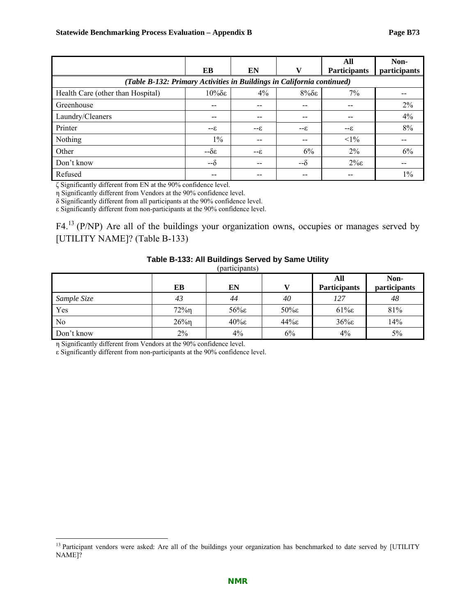|                                                                        | EB                    | EN    | v         | All<br><b>Participants</b> | Non-<br>participants |  |  |
|------------------------------------------------------------------------|-----------------------|-------|-----------|----------------------------|----------------------|--|--|
| (Table B-132: Primary Activities in Buildings in California continued) |                       |       |           |                            |                      |  |  |
| Health Care (other than Hospital)                                      | $10\%$ δε             | $4\%$ | $8\%$ δε  | $7\%$                      |                      |  |  |
| Greenhouse                                                             | $- -$                 | $- -$ | $- -$     |                            | $2\%$                |  |  |
| Laundry/Cleaners                                                       | --                    |       |           |                            | 4%                   |  |  |
| Printer                                                                | $3-5$                 | $3-5$ | $3-5$     | $3-5$                      | 8%                   |  |  |
| Nothing                                                                | $1\%$                 |       | --        | $<1\%$                     |                      |  |  |
| Other                                                                  | $-\delta \varepsilon$ | $3-5$ | 6%        | $2\%$                      | 6%                   |  |  |
| Don't know                                                             | $-\delta$             |       | $-\delta$ | $2\% \epsilon$             | --                   |  |  |
| Refused                                                                | --                    |       |           |                            | $1\%$                |  |  |

ζ Significantly different from EN at the 90% confidence level.

η Significantly different from Vendors at the 90% confidence level.

δ Significantly different from all participants at the 90% confidence level.

ε Significantly different from non-participants at the 90% confidence level.

F4.<sup>13</sup> (P/NP) Are all of the buildings your organization owns, occupies or manages served by [UTILITY NAME]? (Table B-133)

#### **Table B-133: All Buildings Served by Same Utility**

(participants)

|                | EВ       | EN       |          | All<br><b>Participants</b> | Non-<br>participants |
|----------------|----------|----------|----------|----------------------------|----------------------|
| Sample Size    | 43       | 44       | 40       | 127                        | 48                   |
| Yes            | $72\%$ n | $56\%$   | $50\%$ ε | $61\%$                     | 81%                  |
| N <sub>0</sub> | $26\%$   | $40\%$ ε | $44\%$   | $36\%$                     | 14%                  |
| Don't know     | 2%       | 4%       | 6%       | 4%                         | 5%                   |

η Significantly different from Vendors at the 90% confidence level.

 $\overline{a}$ 

ε Significantly different from non-participants at the 90% confidence level.

<sup>&</sup>lt;sup>13</sup> Participant vendors were asked: Are all of the buildings your organization has benchmarked to date served by [UTILITY NAME]?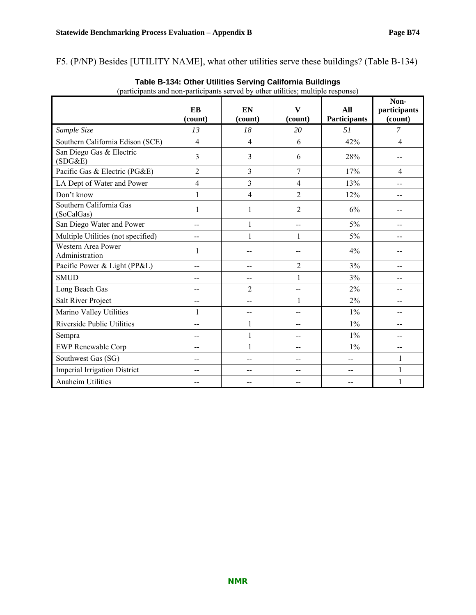F5. (P/NP) Besides [UTILITY NAME], what other utilities serve these buildings? (Table B-134)

| (participants and non-participants served by other utilities; multiple response) |                |                |                         |                            |                                 |  |  |
|----------------------------------------------------------------------------------|----------------|----------------|-------------------------|----------------------------|---------------------------------|--|--|
|                                                                                  | EB<br>(count)  | EN<br>(count)  | $\mathbf{V}$<br>(count) | All<br><b>Participants</b> | Non-<br>participants<br>(count) |  |  |
| Sample Size                                                                      | 13             | 18             | 20                      | 51                         | $\mathcal{I}$                   |  |  |
| Southern California Edison (SCE)                                                 | $\overline{4}$ | $\overline{4}$ | 6                       | 42%                        | $\overline{4}$                  |  |  |
| San Diego Gas & Electric<br>(SDG&E)                                              | 3              | 3              | 6                       | 28%                        |                                 |  |  |
| Pacific Gas & Electric (PG&E)                                                    | $\overline{2}$ | 3              | $\overline{7}$          | 17%                        | $\overline{4}$                  |  |  |
| LA Dept of Water and Power                                                       | 4              | $\overline{3}$ | $\overline{4}$          | 13%                        | --                              |  |  |
| Don't know                                                                       | $\mathbf{1}$   | $\overline{4}$ | $\overline{2}$          | 12%                        | --                              |  |  |
| Southern California Gas<br>(SoCalGas)                                            | 1              | $\mathbf{1}$   | $\overline{2}$          | 6%                         |                                 |  |  |
| San Diego Water and Power                                                        | --             | $\mathbf{1}$   | $-$                     | 5%                         |                                 |  |  |
| Multiple Utilities (not specified)                                               | $-$            | $\mathbf{1}$   | $\mathbf{1}$            | 5%                         |                                 |  |  |
| Western Area Power<br>Administration                                             | 1              |                |                         | 4%                         |                                 |  |  |
| Pacific Power & Light (PP&L)                                                     | $-$            | $-$            | $\overline{2}$          | 3%                         | --                              |  |  |
| <b>SMUD</b>                                                                      | $-$            | $-$            | $\mathbf{1}$            | 3%                         | --                              |  |  |
| Long Beach Gas                                                                   | --             | 2              | $\overline{a}$          | 2%                         | --                              |  |  |
| Salt River Project                                                               | --             | --             | $\mathbf{1}$            | 2%                         |                                 |  |  |
| Marino Valley Utilities                                                          | $\mathbf{1}$   |                |                         | $1\%$                      |                                 |  |  |
| Riverside Public Utilities                                                       | --             | $\mathbf{1}$   | $-$                     | 1%                         | --                              |  |  |
| Sempra                                                                           | --             | $\mathbf{1}$   |                         | $1\%$                      | --                              |  |  |
| <b>EWP Renewable Corp</b>                                                        | $-$            | $\mathbf{1}$   | $\overline{a}$          | $1\%$                      | --                              |  |  |
| Southwest Gas (SG)                                                               | --             | $-$            | --                      | --                         | $\mathbf{1}$                    |  |  |
| <b>Imperial Irrigation District</b>                                              | --             | $- -$          | --                      | $-$                        | $\mathbf{1}$                    |  |  |
| <b>Anaheim Utilities</b>                                                         | --             |                |                         |                            | $\mathbf{1}$                    |  |  |

**Table B-134: Other Utilities Serving California Buildings**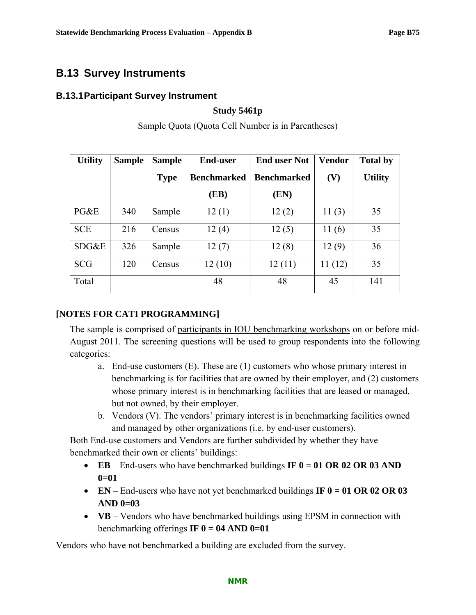# **B.13 Survey Instruments**

## **B.13.1 Participant Survey Instrument**

## **Study 5461p**

| <b>Utility</b> | <b>Sample</b> | <b>Sample</b> | <b>End-user</b>    | <b>End user Not</b> | <b>Vendor</b> | <b>Total by</b> |
|----------------|---------------|---------------|--------------------|---------------------|---------------|-----------------|
|                |               | <b>Type</b>   | <b>Benchmarked</b> | <b>Benchmarked</b>  | (V)           | <b>Utility</b>  |
|                |               |               | (EB)               | (EN)                |               |                 |
| PG&E           | 340           | Sample        | 12(1)              | 12(2)               | 11(3)         | 35              |
| <b>SCE</b>     | 216           | Census        | 12(4)              | 12(5)               | 11(6)         | 35              |
| SDG&E          | 326           | Sample        | 12(7)              | 12(8)               | 12(9)         | 36              |
| <b>SCG</b>     | 120           | Census        | 12(10)             | 12(11)              | 11(12)        | 35              |
| Total          |               |               | 48                 | 48                  | 45            | 141             |

Sample Quota (Quota Cell Number is in Parentheses)

## **[NOTES FOR CATI PROGRAMMING]**

The sample is comprised of participants in IOU benchmarking workshops on or before mid-August 2011. The screening questions will be used to group respondents into the following categories:

- a. End-use customers (E). These are (1) customers who whose primary interest in benchmarking is for facilities that are owned by their employer, and (2) customers whose primary interest is in benchmarking facilities that are leased or managed, but not owned, by their employer.
- b. Vendors (V). The vendors' primary interest is in benchmarking facilities owned and managed by other organizations (i.e. by end-user customers).

Both End-use customers and Vendors are further subdivided by whether they have benchmarked their own or clients' buildings:

- **EB** End-users who have benchmarked buildings **IF 0 = 01 OR 02 OR 03 AND 0=01**
- **EN** End-users who have not yet benchmarked buildings **IF 0 = 01 OR 02 OR 03 AND 0=03**
- **VB** Vendors who have benchmarked buildings using EPSM in connection with benchmarking offerings  $IF 0 = 04$  AND  $0=01$

Vendors who have not benchmarked a building are excluded from the survey.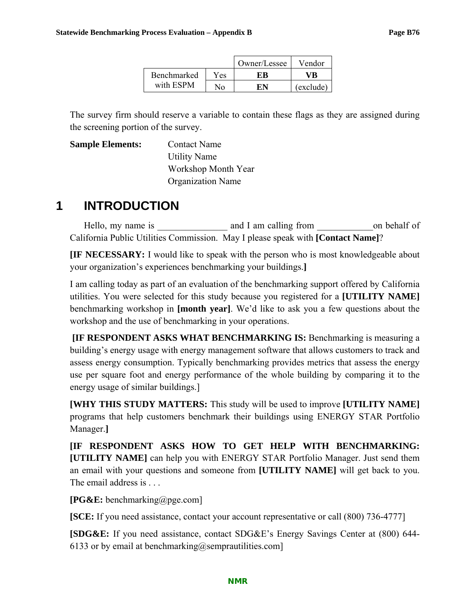|             |      | Owner/Lessee | Vendor    |
|-------------|------|--------------|-----------|
| Benchmarked | Yes. |              |           |
| with ESPM   | No.  |              | (exclude) |

The survey firm should reserve a variable to contain these flags as they are assigned during the screening portion of the survey.

**Sample Elements:** Contact Name Utility Name Workshop Month Year Organization Name

# **1 INTRODUCTION**

Hello, my name is and I am calling from on behalf of California Public Utilities Commission. May I please speak with **[Contact Name]**?

**[IF NECESSARY:** I would like to speak with the person who is most knowledgeable about your organization's experiences benchmarking your buildings.**]**

I am calling today as part of an evaluation of the benchmarking support offered by California utilities. You were selected for this study because you registered for a **[UTILITY NAME]** benchmarking workshop in **[month year]**. We'd like to ask you a few questions about the workshop and the use of benchmarking in your operations.

**IF RESPONDENT ASKS WHAT BENCHMARKING IS:** Benchmarking is measuring a building's energy usage with energy management software that allows customers to track and assess energy consumption. Typically benchmarking provides metrics that assess the energy use per square foot and energy performance of the whole building by comparing it to the energy usage of similar buildings.]

**[WHY THIS STUDY MATTERS:** This study will be used to improve **[UTILITY NAME]** programs that help customers benchmark their buildings using ENERGY STAR Portfolio Manager.**]** 

**[IF RESPONDENT ASKS HOW TO GET HELP WITH BENCHMARKING: [UTILITY NAME]** can help you with ENERGY STAR Portfolio Manager. Just send them an email with your questions and someone from **[UTILITY NAME]** will get back to you. The email address is . . .

**[PG&E:** benchmarking@pge.com]

**[SCE:** If you need assistance, contact your account representative or call (800) 736-4777]

**[SDG&E:** If you need assistance, contact SDG&E's Energy Savings Center at (800) 644- 6133 or by email at benchmarking@semprautilities.com]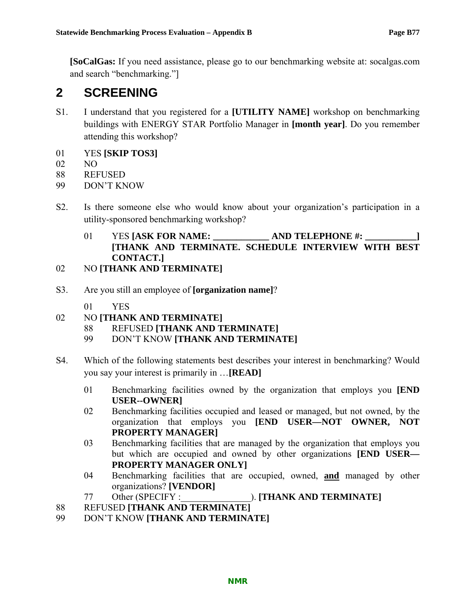**[SoCalGas:** If you need assistance, please go to our benchmarking website at: socalgas.com and search "benchmarking."]

# **2 SCREENING**

- S1. I understand that you registered for a **[UTILITY NAME]** workshop on benchmarking buildings with ENERGY STAR Portfolio Manager in **[month year]**. Do you remember attending this workshop?
- 01 YES **[SKIP TOS3]**
- 02 NO
- 88 REFUSED
- 99 DON'T KNOW
- S2. Is there someone else who would know about your organization's participation in a utility-sponsored benchmarking workshop?
	- 01 YES **[ASK FOR NAME: AND TELEPHONE #:**  $\blacksquare$  **] [THANK AND TERMINATE. SCHEDULE INTERVIEW WITH BEST CONTACT.]**
- 02 NO **[THANK AND TERMINATE]**
- S3. Are you still an employee of **[organization name]**?
	- 01 YES
- 02 NO **[THANK AND TERMINATE]**
	- 88 REFUSED **[THANK AND TERMINATE]**
	- 99 DON'T KNOW **[THANK AND TERMINATE]**
- S4. Which of the following statements best describes your interest in benchmarking? Would you say your interest is primarily in …**[READ]**
	- 01 Benchmarking facilities owned by the organization that employs you **[END USER--OWNER]**
	- 02 Benchmarking facilities occupied and leased or managed, but not owned, by the organization that employs you **[END USER—NOT OWNER, NOT PROPERTY MANAGER]**
	- 03 Benchmarking facilities that are managed by the organization that employs you but which are occupied and owned by other organizations **[END USER— PROPERTY MANAGER ONLY]**
	- 04 Benchmarking facilities that are occupied, owned, **and** managed by other organizations? **[VENDOR]**
	- 77 Other (SPECIFY :\_\_\_\_\_\_\_\_\_\_\_\_\_\_\_). **[THANK AND TERMINATE]**
- 88 REFUSED **[THANK AND TERMINATE]**
- 99 DON'T KNOW **[THANK AND TERMINATE]**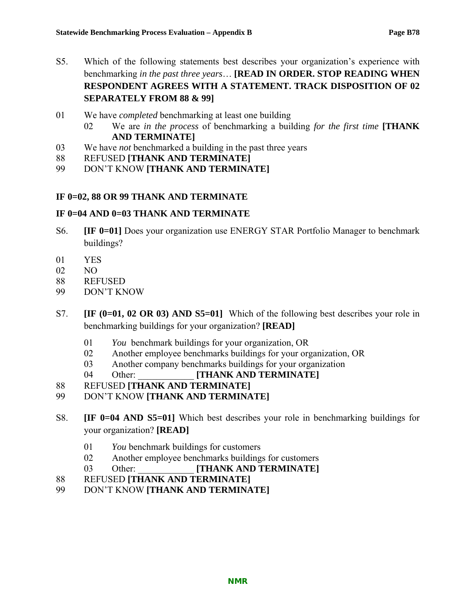- S5. Which of the following statements best describes your organization's experience with benchmarking *in the past three years*… **[READ IN ORDER. STOP READING WHEN RESPONDENT AGREES WITH A STATEMENT. TRACK DISPOSITION OF 02 SEPARATELY FROM 88 & 99]**
- 01 We have *completed* benchmarking at least one building
	- 02 We are *in the process* of benchmarking a building *for the first time* **[THANK AND TERMINATE]**
- 03 We have *not* benchmarked a building in the past three years
- 88 REFUSED **[THANK AND TERMINATE]**
- 99 DON'T KNOW **[THANK AND TERMINATE]**

#### **IF 0=02, 88 OR 99 THANK AND TERMINATE**

#### **IF 0=04 AND 0=03 THANK AND TERMINATE**

- S6. **[IF 0=01]** Does your organization use ENERGY STAR Portfolio Manager to benchmark buildings?
- 01 YES
- 02 NO
- 88 REFUSED
- 99 DON'T KNOW
- S7. **[IF (0=01, 02 OR 03) AND S5=01]** Which of the following best describes your role in benchmarking buildings for your organization? **[READ]**
	- 01 *You* benchmark buildings for your organization, OR
	- 02 Another employee benchmarks buildings for your organization, OR
	- 03 Another company benchmarks buildings for your organization
	- 04 Other: **[THANK AND TERMINATE]**
- 88 REFUSED **[THANK AND TERMINATE]**
- 99 DON'T KNOW **[THANK AND TERMINATE]**
- S8. **[IF 0=04 AND S5=01]** Which best describes your role in benchmarking buildings for your organization? **[READ]**
	- 01 *You* benchmark buildings for customers
	- 02 Another employee benchmarks buildings for customers
	- 03 Other: **[THANK AND TERMINATE]**
- 88 REFUSED **[THANK AND TERMINATE]**
- 99 DON'T KNOW **[THANK AND TERMINATE]**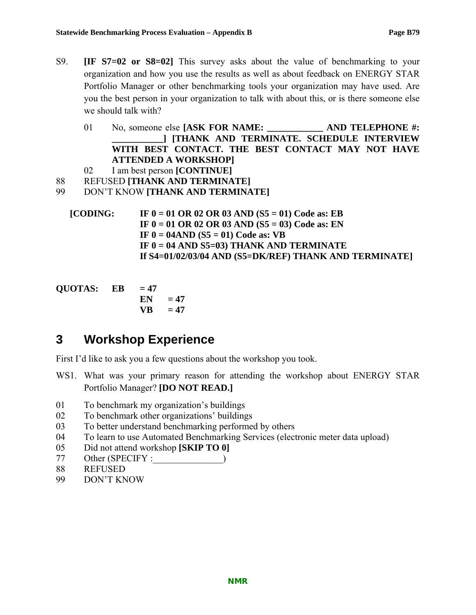- S9. **[IF S7=02 or S8=02]** This survey asks about the value of benchmarking to your organization and how you use the results as well as about feedback on ENERGY STAR Portfolio Manager or other benchmarking tools your organization may have used. Are you the best person in your organization to talk with about this, or is there someone else we should talk with?
	- 01 No, someone else **[ASK FOR NAME: \_\_\_\_\_\_\_\_\_\_\_\_ AND TELEPHONE #: \_\_\_\_\_\_\_\_\_\_\_] [THANK AND TERMINATE. SCHEDULE INTERVIEW WITH BEST CONTACT. THE BEST CONTACT MAY NOT HAVE ATTENDED A WORKSHOP]**

```
02 I am best person [CONTINUE]
```
88 REFUSED **[THANK AND TERMINATE]**

```
99 DON'T KNOW [THANK AND TERMINATE]
```

```
[CODING: IF 0 = 01 OR 02 OR 03 AND (S5 = 01) Code as: EB 
  IF 0 = 01 OR 02 OR 03 AND (S5 = 03) Code as: EN 
  IF 0 = 04AND (S5 = 01) Code as: VB 
  IF 0 = 04 AND S5=03) THANK AND TERMINATE 
  If S4=01/02/03/04 AND (S5=DK/REF) THANK AND TERMINATE]
```

```
QUOTAS: EB = 47EN = 47VB = 47
```
# **3 Workshop Experience**

First I'd like to ask you a few questions about the workshop you took.

- WS1. What was your primary reason for attending the workshop about ENERGY STAR Portfolio Manager? **[DO NOT READ.]**
- 01 To benchmark my organization's buildings
- 02 To benchmark other organizations' buildings
- 03 To better understand benchmarking performed by others
- 04 To learn to use Automated Benchmarking Services (electronic meter data upload)
- 05 Did not attend workshop **[SKIP TO 0]**
- 77 Other (SPECIFY :  $\qquad \qquad$ )
- 88 REFUSED
- 99 DON'T KNOW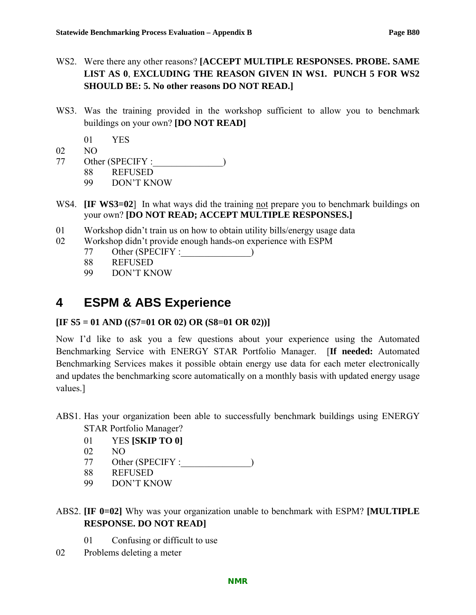- WS2. Were there any other reasons? **[ACCEPT MULTIPLE RESPONSES. PROBE. SAME LIST AS 0**, **EXCLUDING THE REASON GIVEN IN WS1. PUNCH 5 FOR WS2 SHOULD BE: 5. No other reasons DO NOT READ.]**
- WS3. Was the training provided in the workshop sufficient to allow you to benchmark buildings on your own? **[DO NOT READ]**
	- 01 YES
- 02 NO
- 77 Other (SPECIFY :\_\_\_\_\_\_\_\_\_\_\_\_\_\_\_)
	- 88 REFUSED
		- 99 DON'T KNOW
- WS4. **[IF WS3=02**] In what ways did the training not prepare you to benchmark buildings on your own? **[DO NOT READ; ACCEPT MULTIPLE RESPONSES.]**
- 01 Workshop didn't train us on how to obtain utility bills/energy usage data
- 02 Workshop didn't provide enough hands-on experience with ESPM
	- 77 Other (SPECIFY :
	- 88 REFUSED
	- 99 DON'T KNOW

# **4 ESPM & ABS Experience**

## **[IF S5 = 01 AND ((S7=01 OR 02) OR (S8=01 OR 02))]**

Now I'd like to ask you a few questions about your experience using the Automated Benchmarking Service with ENERGY STAR Portfolio Manager. [**If needed:** Automated Benchmarking Services makes it possible obtain energy use data for each meter electronically and updates the benchmarking score automatically on a monthly basis with updated energy usage values.]

- ABS1. Has your organization been able to successfully benchmark buildings using ENERGY STAR Portfolio Manager?
	- 01 YES **[SKIP TO 0]**
	- 02 NO
	- 77 Other (SPECIFY :
	- 88 REFUSED
	- 99 DON'T KNOW
- ABS2. **[IF 0=02]** Why was your organization unable to benchmark with ESPM? **[MULTIPLE RESPONSE. DO NOT READ]**
	- 01 Confusing or difficult to use
- 02 Problems deleting a meter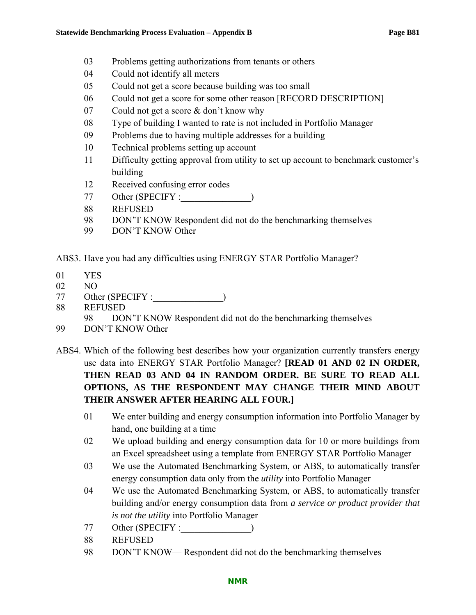- 03 Problems getting authorizations from tenants or others
- 04 Could not identify all meters
- 05 Could not get a score because building was too small
- 06 Could not get a score for some other reason [RECORD DESCRIPTION]
- 07 Could not get a score & don't know why
- 08 Type of building I wanted to rate is not included in Portfolio Manager
- 09 Problems due to having multiple addresses for a building
- 10 Technical problems setting up account
- 11 Difficulty getting approval from utility to set up account to benchmark customer's building
- 12 Received confusing error codes
- 77 Other (SPECIFY :\_\_\_\_\_\_\_\_\_\_\_\_\_\_\_)
- 88 REFUSED
- 98 DON'T KNOW Respondent did not do the benchmarking themselves
- 99 DON'T KNOW Other

ABS3. Have you had any difficulties using ENERGY STAR Portfolio Manager?

- 01 YES
- 02 NO
- 77 Other (SPECIFY :\_\_\_\_\_\_\_\_\_\_\_\_\_\_\_)
- 88 REFUSED
	- 98 DON'T KNOW Respondent did not do the benchmarking themselves
- 99 DON'T KNOW Other
- ABS4. Which of the following best describes how your organization currently transfers energy use data into ENERGY STAR Portfolio Manager? **[READ 01 AND 02 IN ORDER, THEN READ 03 AND 04 IN RANDOM ORDER. BE SURE TO READ ALL OPTIONS, AS THE RESPONDENT MAY CHANGE THEIR MIND ABOUT THEIR ANSWER AFTER HEARING ALL FOUR.]**
	- 01 We enter building and energy consumption information into Portfolio Manager by hand, one building at a time
	- 02 We upload building and energy consumption data for 10 or more buildings from an Excel spreadsheet using a template from ENERGY STAR Portfolio Manager
	- 03 We use the Automated Benchmarking System, or ABS, to automatically transfer energy consumption data only from the *utility* into Portfolio Manager
	- 04 We use the Automated Benchmarking System, or ABS, to automatically transfer building and/or energy consumption data from *a service or product provider that is not the utility* into Portfolio Manager
	- 77 Other (SPECIFY :\_\_\_\_\_\_\_\_\_\_\_\_\_\_\_)
	- 88 REFUSED
	- 98 DON'T KNOW— Respondent did not do the benchmarking themselves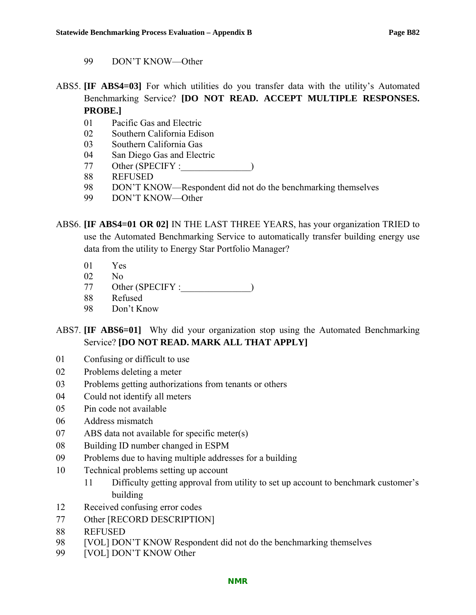- 99 DON'T KNOW—Other
- ABS5. **[IF ABS4=03]** For which utilities do you transfer data with the utility's Automated Benchmarking Service? **[DO NOT READ. ACCEPT MULTIPLE RESPONSES. PROBE.]**

- 01 Pacific Gas and Electric
- 02 Southern California Edison
- 03 Southern California Gas
- 04 San Diego Gas and Electric
- 77 Other (SPECIFY :\_\_\_\_\_\_\_\_\_\_\_\_\_\_\_)
- 88 REFUSED
- 98 DON'T KNOW—Respondent did not do the benchmarking themselves
- 99 DON'T KNOW—Other

ABS6. **[IF ABS4=01 OR 02]** IN THE LAST THREE YEARS, has your organization TRIED to use the Automated Benchmarking Service to automatically transfer building energy use data from the utility to Energy Star Portfolio Manager?

- 01 Yes
- 02 No
- 77 Other (SPECIFY :
- 88 Refused
- 98 Don't Know
- ABS7. **[IF ABS6=01]** Why did your organization stop using the Automated Benchmarking Service? **[DO NOT READ. MARK ALL THAT APPLY]**
- 01 Confusing or difficult to use
- 02 Problems deleting a meter
- 03 Problems getting authorizations from tenants or others
- 04 Could not identify all meters
- 05 Pin code not available
- 06 Address mismatch
- 07 ABS data not available for specific meter(s)
- 08 Building ID number changed in ESPM
- 09 Problems due to having multiple addresses for a building
- 10 Technical problems setting up account
	- 11 Difficulty getting approval from utility to set up account to benchmark customer's building
- 12 Received confusing error codes
- 77 Other [RECORD DESCRIPTION]
- 88 REFUSED
- 98 [VOL] DON'T KNOW Respondent did not do the benchmarking themselves
- 99 [VOL] DON'T KNOW Other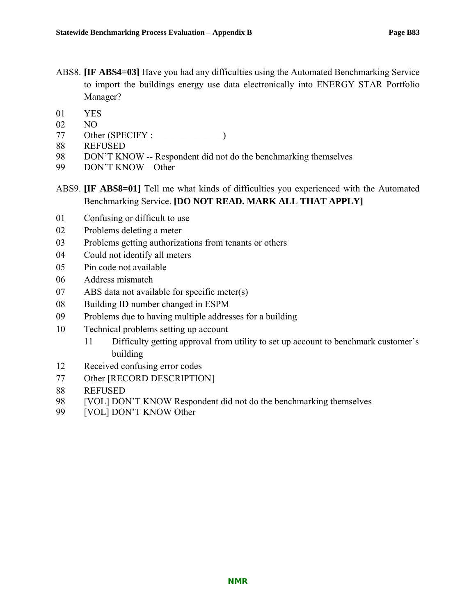ABS8. **[IF ABS4=03]** Have you had any difficulties using the Automated Benchmarking Service to import the buildings energy use data electronically into ENERGY STAR Portfolio Manager?

- 01 YES
- 02 NO
- 77 Other (SPECIFY :  $\qquad \qquad$ )
- 88 REFUSED
- 98 DON'T KNOW -- Respondent did not do the benchmarking themselves
- 99 DON'T KNOW—Other

## ABS9. **[IF ABS8=01]** Tell me what kinds of difficulties you experienced with the Automated Benchmarking Service. **[DO NOT READ. MARK ALL THAT APPLY]**

- 01 Confusing or difficult to use
- 02 Problems deleting a meter
- 03 Problems getting authorizations from tenants or others
- 04 Could not identify all meters
- 05 Pin code not available
- 06 Address mismatch
- 07 ABS data not available for specific meter(s)
- 08 Building ID number changed in ESPM
- 09 Problems due to having multiple addresses for a building
- 10 Technical problems setting up account
	- 11 Difficulty getting approval from utility to set up account to benchmark customer's building
- 12 Received confusing error codes
- 77 Other [RECORD DESCRIPTION]
- 88 REFUSED
- 98 [VOL] DON'T KNOW Respondent did not do the benchmarking themselves
- 99 [VOL] DON'T KNOW Other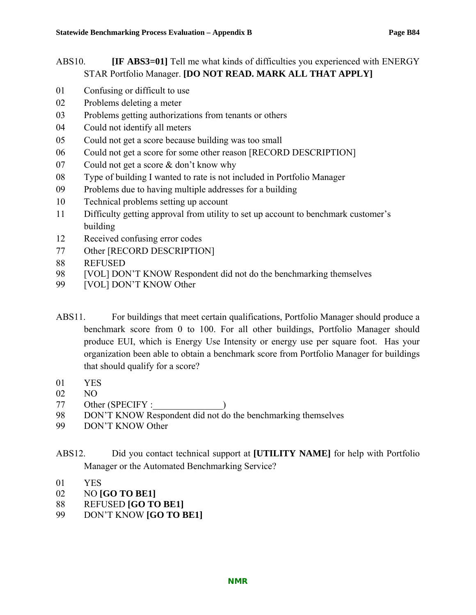## ABS10. **IF ABS3=01**] Tell me what kinds of difficulties you experienced with ENERGY STAR Portfolio Manager. **[DO NOT READ. MARK ALL THAT APPLY]**

- 01 Confusing or difficult to use
- 02 Problems deleting a meter
- 03 Problems getting authorizations from tenants or others
- 04 Could not identify all meters
- 05 Could not get a score because building was too small
- 06 Could not get a score for some other reason [RECORD DESCRIPTION]
- 07 Could not get a score & don't know why
- 08 Type of building I wanted to rate is not included in Portfolio Manager
- 09 Problems due to having multiple addresses for a building
- 10 Technical problems setting up account
- 11 Difficulty getting approval from utility to set up account to benchmark customer's building
- 12 Received confusing error codes
- 77 Other [RECORD DESCRIPTION]
- 88 REFUSED
- 98 [VOL] DON'T KNOW Respondent did not do the benchmarking themselves
- 99 [VOL] DON'T KNOW Other
- ABS11. For buildings that meet certain qualifications, Portfolio Manager should produce a benchmark score from 0 to 100. For all other buildings, Portfolio Manager should produce EUI, which is Energy Use Intensity or energy use per square foot. Has your organization been able to obtain a benchmark score from Portfolio Manager for buildings that should qualify for a score?
- 01 YES
- 02 NO
- 77 Other (SPECIFY :
- 98 DON'T KNOW Respondent did not do the benchmarking themselves
- 99 DON'T KNOW Other
- ABS12. Did you contact technical support at **[UTILITY NAME]** for help with Portfolio Manager or the Automated Benchmarking Service?
- 01 YES
- 02 NO **[GO TO BE1]**
- 88 REFUSED **[GO TO BE1]**
- 99 DON'T KNOW **[GO TO BE1]**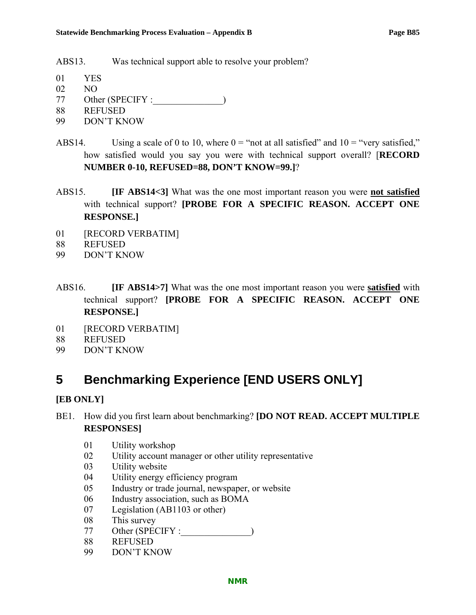ABS13. Was technical support able to resolve your problem?

- 01 YES
- 02 NO
- 77 Other (SPECIFY :\_\_\_\_\_\_\_\_\_\_\_\_\_\_\_)
- 88 REFUSED
- 99 DON'T KNOW
- ABS14. Using a scale of 0 to 10, where  $0 =$  "not at all satisfied" and  $10 =$  "very satisfied," how satisfied would you say you were with technical support overall? [**RECORD NUMBER 0-10, REFUSED=88, DON'T KNOW=99.]**?
- ABS15. **[IF ABS14<3]** What was the one most important reason you were **not satisfied** with technical support? **[PROBE FOR A SPECIFIC REASON. ACCEPT ONE RESPONSE.]**
- 01 **[RECORD VERBATIM]**
- 88 REFUSED
- 99 DON'T KNOW
- ABS16. **[IF ABS14>7]** What was the one most important reason you were **satisfied** with technical support? **[PROBE FOR A SPECIFIC REASON. ACCEPT ONE RESPONSE.]**
- 01 [RECORD VERBATIM]
- 88 REFUSED
- 99 DON'T KNOW

# **5 Benchmarking Experience [END USERS ONLY]**

## **[EB ONLY]**

- BE1. How did you first learn about benchmarking? **[DO NOT READ. ACCEPT MULTIPLE RESPONSES]**
	- 01 Utility workshop
	- 02 Utility account manager or other utility representative
	- 03 Utility website
	- 04 Utility energy efficiency program
	- 05 Industry or trade journal, newspaper, or website
	- 06 Industry association, such as BOMA
	- 07 Legislation (AB1103 or other)
	- 08 This survey
	- 77 Other (SPECIFY :
	- 88 REFUSED
	- 99 DON'T KNOW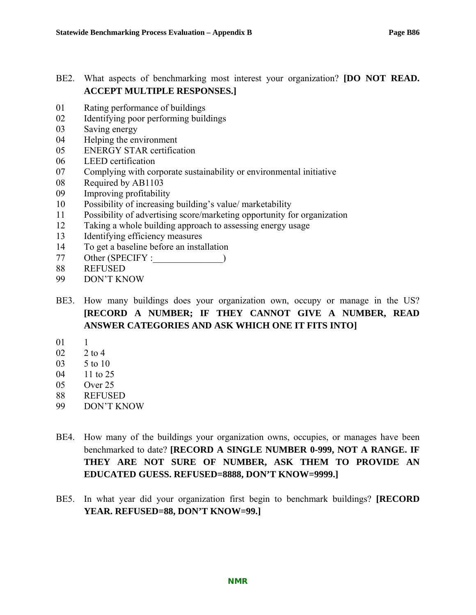## BE2. What aspects of benchmarking most interest your organization? **[DO NOT READ. ACCEPT MULTIPLE RESPONSES.]**

- 01 Rating performance of buildings
- 02 Identifying poor performing buildings
- 03 Saving energy
- 04 Helping the environment
- 05 ENERGY STAR certification
- 06 LEED certification
- 07 Complying with corporate sustainability or environmental initiative
- 08 Required by AB1103
- 09 Improving profitability
- 10 Possibility of increasing building's value/ marketability
- 11 Possibility of advertising score/marketing opportunity for organization
- 12 Taking a whole building approach to assessing energy usage
- 13 Identifying efficiency measures
- 14 To get a baseline before an installation
- 77 Other (SPECIFY :  $\qquad \qquad$ )
- 88 REFUSED
- 99 DON'T KNOW
- BE3. How many buildings does your organization own, occupy or manage in the US? **[RECORD A NUMBER; IF THEY CANNOT GIVE A NUMBER, READ ANSWER CATEGORIES AND ASK WHICH ONE IT FITS INTO]**
- 01 1
- 02 2 to 4
- 03 5 to 10
- 04 11 to 25
- 05 Over 25
- 88 REFUSED
- 99 DON'T KNOW
- BE4. How many of the buildings your organization owns, occupies, or manages have been benchmarked to date? **[RECORD A SINGLE NUMBER 0-999, NOT A RANGE. IF THEY ARE NOT SURE OF NUMBER, ASK THEM TO PROVIDE AN EDUCATED GUESS. REFUSED=8888, DON'T KNOW=9999.]**
- BE5. In what year did your organization first begin to benchmark buildings? **[RECORD YEAR. REFUSED=88, DON'T KNOW=99.]**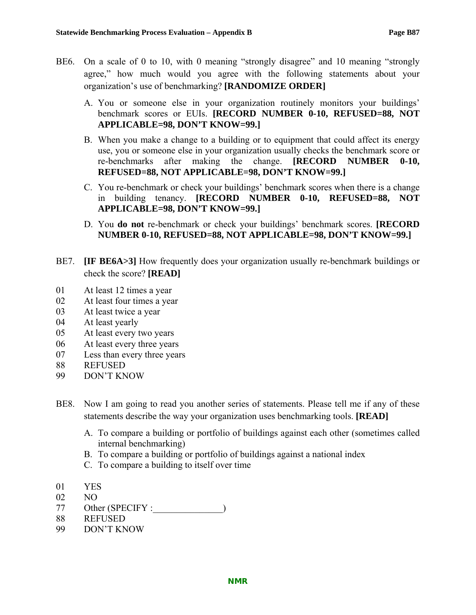- BE6. On a scale of 0 to 10, with 0 meaning "strongly disagree" and 10 meaning "strongly agree," how much would you agree with the following statements about your organization's use of benchmarking? **[RANDOMIZE ORDER]**
	- A. You or someone else in your organization routinely monitors your buildings' benchmark scores or EUIs. **[RECORD NUMBER 0-10, REFUSED=88, NOT APPLICABLE=98, DON'T KNOW=99.]**
	- B. When you make a change to a building or to equipment that could affect its energy use, you or someone else in your organization usually checks the benchmark score or re-benchmarks after making the change. **[RECORD NUMBER 0-10, REFUSED=88, NOT APPLICABLE=98, DON'T KNOW=99.]**
	- C. You re-benchmark or check your buildings' benchmark scores when there is a change in building tenancy. **[RECORD NUMBER 0-10, REFUSED=88, NOT APPLICABLE=98, DON'T KNOW=99.]**
	- D. You **do not** re-benchmark or check your buildings' benchmark scores. **[RECORD NUMBER 0-10, REFUSED=88, NOT APPLICABLE=98, DON'T KNOW=99.]**
- BE7. **IF BE6A>3**] How frequently does your organization usually re-benchmark buildings or check the score? **[READ]**
- 01 At least 12 times a year
- 02 At least four times a year
- 03 At least twice a year
- 04 At least yearly
- 05 At least every two years
- 06 At least every three years
- 07 Less than every three years
- 88 REFUSED
- 99 DON'T KNOW
- BE8. Now I am going to read you another series of statements. Please tell me if any of these statements describe the way your organization uses benchmarking tools. **[READ]**
	- A. To compare a building or portfolio of buildings against each other (sometimes called internal benchmarking)
	- B. To compare a building or portfolio of buildings against a national index
	- C. To compare a building to itself over time
- 01 YES
- 02 NO
- 77 Other (SPECIFY :  $\qquad \qquad$ )
- 88 REFUSED
- 99 DON'T KNOW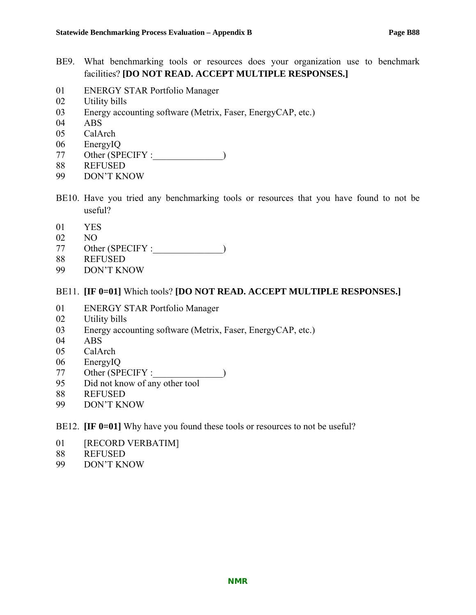- BE9. What benchmarking tools or resources does your organization use to benchmark facilities? **[DO NOT READ. ACCEPT MULTIPLE RESPONSES.]**
- 01 ENERGY STAR Portfolio Manager
- 02 Utility bills
- 03 Energy accounting software (Metrix, Faser, EnergyCAP, etc.)
- 04 ABS
- 05 CalArch
- 06 EnergyIQ
- 77 Other (SPECIFY :
- 88 REFUSED
- 99 DON'T KNOW
- BE10. Have you tried any benchmarking tools or resources that you have found to not be useful?
- 01 YES
- 02 NO
- 77 Other (SPECIFY :\_\_\_\_\_\_\_\_\_\_\_\_\_\_\_)
- 88 REFUSED
- 99 DON'T KNOW

#### BE11. **[IF 0=01]** Which tools? **[DO NOT READ. ACCEPT MULTIPLE RESPONSES.]**

- 01 ENERGY STAR Portfolio Manager
- 02 Utility bills
- 03 Energy accounting software (Metrix, Faser, EnergyCAP, etc.)
- 04 ABS
- 05 CalArch
- 06 EnergyIQ
- 77 Other (SPECIFY :\_\_\_\_\_\_\_\_\_\_\_\_\_\_\_)
- 95 Did not know of any other tool
- 88 REFUSED
- 99 DON'T KNOW
- BE12. **IF 0=01]** Why have you found these tools or resources to not be useful?
- 01 [RECORD VERBATIM]
- 88 REFUSED
- 99 DON'T KNOW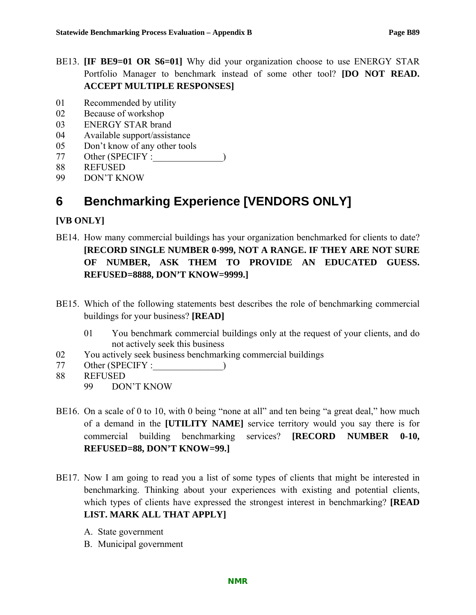- BE13. **[IF BE9=01 OR S6=01]** Why did your organization choose to use ENERGY STAR Portfolio Manager to benchmark instead of some other tool? **[DO NOT READ. ACCEPT MULTIPLE RESPONSES]**
- 01 Recommended by utility
- 02 Because of workshop
- 03 ENERGY STAR brand
- 04 Available support/assistance
- 05 Don't know of any other tools
- 77 Other (SPECIFY :
- 88 REFUSED
- 99 DON'T KNOW

# **6 Benchmarking Experience [VENDORS ONLY]**

## **[VB ONLY]**

- BE14. How many commercial buildings has your organization benchmarked for clients to date? **[RECORD SINGLE NUMBER 0-999, NOT A RANGE. IF THEY ARE NOT SURE OF NUMBER, ASK THEM TO PROVIDE AN EDUCATED GUESS. REFUSED=8888, DON'T KNOW=9999.]**
- BE15. Which of the following statements best describes the role of benchmarking commercial buildings for your business? **[READ]**
	- 01 You benchmark commercial buildings only at the request of your clients, and do not actively seek this business
- 02 You actively seek business benchmarking commercial buildings
- 77 Other (SPECIFY :  $\qquad \qquad$ )
- 88 REFUSED 99 DON'T KNOW
- BE16. On a scale of 0 to 10, with 0 being "none at all" and ten being "a great deal," how much of a demand in the **[UTILITY NAME]** service territory would you say there is for commercial building benchmarking services? **[RECORD NUMBER 0-10, REFUSED=88, DON'T KNOW=99.]**
- BE17. Now I am going to read you a list of some types of clients that might be interested in benchmarking. Thinking about your experiences with existing and potential clients, which types of clients have expressed the strongest interest in benchmarking? **[READ LIST. MARK ALL THAT APPLY]**
	- A. State government
	- B. Municipal government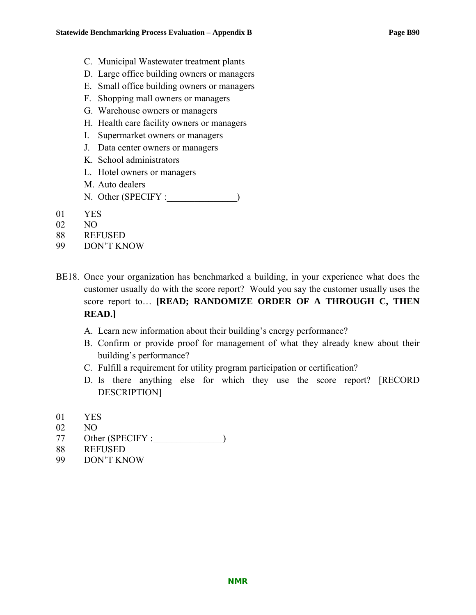- C. Municipal Wastewater treatment plants
- D. Large office building owners or managers
- E. Small office building owners or managers
- F. Shopping mall owners or managers
- G. Warehouse owners or managers
- H. Health care facility owners or managers
- I. Supermarket owners or managers
- J. Data center owners or managers
- K. School administrators
- L. Hotel owners or managers
- M. Auto dealers
- N. Other (SPECIFY :\_\_\_\_\_\_\_\_\_\_\_\_\_)
- 01 YES
- 02 NO
- 88 REFUSED
- 99 DON'T KNOW
- BE18. Once your organization has benchmarked a building, in your experience what does the customer usually do with the score report? Would you say the customer usually uses the score report to… **[READ; RANDOMIZE ORDER OF A THROUGH C, THEN READ.]**
	- A. Learn new information about their building's energy performance?
	- B. Confirm or provide proof for management of what they already knew about their building's performance?
	- C. Fulfill a requirement for utility program participation or certification?
	- D. Is there anything else for which they use the score report? [RECORD DESCRIPTION]
- 01 YES
- 02 NO
- 77 Other (SPECIFY : )
- 88 REFUSED
- 99 DON'T KNOW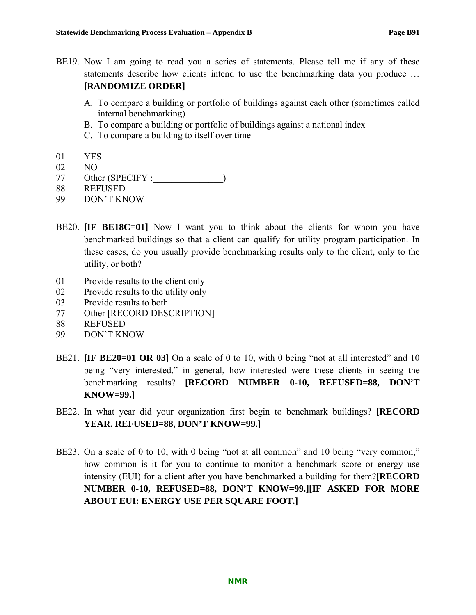- BE19. Now I am going to read you a series of statements. Please tell me if any of these statements describe how clients intend to use the benchmarking data you produce … **[RANDOMIZE ORDER]**
	- A. To compare a building or portfolio of buildings against each other (sometimes called internal benchmarking)
	- B. To compare a building or portfolio of buildings against a national index
	- C. To compare a building to itself over time
- 01 YES
- 02 NO
- 77 Other (SPECIFY :\_\_\_\_\_\_\_\_\_\_\_\_\_\_\_)
- 88 REFUSED
- 99 DON'T KNOW
- BE20. **IIF BE18C=01** Now I want you to think about the clients for whom you have benchmarked buildings so that a client can qualify for utility program participation. In these cases, do you usually provide benchmarking results only to the client, only to the utility, or both?
- 01 Provide results to the client only
- 02 Provide results to the utility only
- 03 Provide results to both
- 77 Other [RECORD DESCRIPTION]
- 88 REFUSED
- 99 DON'T KNOW
- BE21. **IF BE20=01 OR 03** On a scale of 0 to 10, with 0 being "not at all interested" and 10 being "very interested," in general, how interested were these clients in seeing the benchmarking results? **[RECORD NUMBER 0-10, REFUSED=88, DON'T KNOW=99.]**
- BE22. In what year did your organization first begin to benchmark buildings? **[RECORD YEAR. REFUSED=88, DON'T KNOW=99.]**
- BE23. On a scale of 0 to 10, with 0 being "not at all common" and 10 being "very common," how common is it for you to continue to monitor a benchmark score or energy use intensity (EUI) for a client after you have benchmarked a building for them?**[RECORD NUMBER 0-10, REFUSED=88, DON'T KNOW=99.][IF ASKED FOR MORE ABOUT EUI: ENERGY USE PER SQUARE FOOT.]**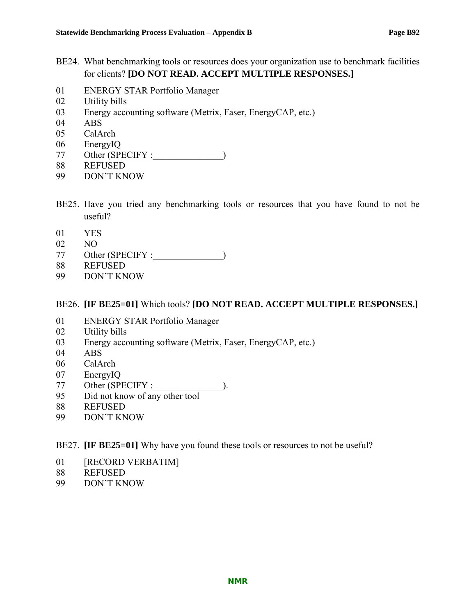- BE24. What benchmarking tools or resources does your organization use to benchmark facilities for clients? **[DO NOT READ. ACCEPT MULTIPLE RESPONSES.]**
- 01 ENERGY STAR Portfolio Manager
- 02 Utility bills
- 03 Energy accounting software (Metrix, Faser, EnergyCAP, etc.)
- 04 ABS
- 05 CalArch
- 06 EnergyIQ
- 77 Other (SPECIFY :
- 88 REFUSED
- 99 DON'T KNOW
- BE25. Have you tried any benchmarking tools or resources that you have found to not be useful?
- 01 YES
- 02 NO
- 77 Other (SPECIFY :\_\_\_\_\_\_\_\_\_\_\_\_\_\_\_)
- 88 REFUSED
- 99 DON'T KNOW

#### BE26. **[IF BE25=01]** Which tools? **[DO NOT READ. ACCEPT MULTIPLE RESPONSES.]**

- 01 ENERGY STAR Portfolio Manager
- 02 Utility bills
- 03 Energy accounting software (Metrix, Faser, EnergyCAP, etc.)
- 04 ABS
- 06 CalArch
- 07 EnergyIQ
- 77 Other (SPECIFY :\_\_\_\_\_\_\_\_\_\_\_\_\_\_\_).
- 95 Did not know of any other tool
- 88 REFUSED
- 99 DON'T KNOW

#### BE27. **[IF BE25=01]** Why have you found these tools or resources to not be useful?

- 01 [RECORD VERBATIM]
- 88 REFUSED
- 99 DON'T KNOW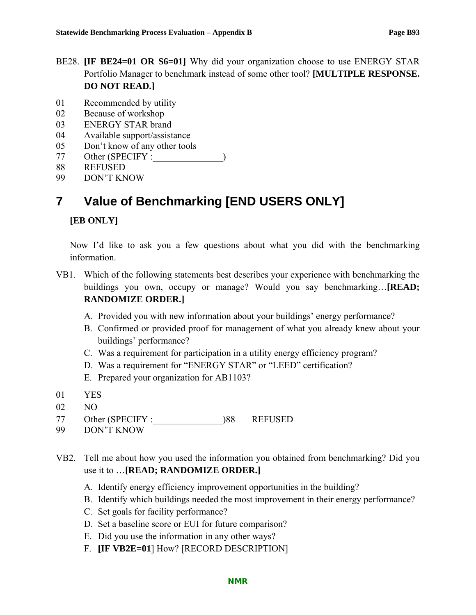- BE28. **[IF BE24=01 OR S6=01]** Why did your organization choose to use ENERGY STAR Portfolio Manager to benchmark instead of some other tool? **[MULTIPLE RESPONSE. DO NOT READ.]**
- 01 Recommended by utility
- 02 Because of workshop
- 03 ENERGY STAR brand
- 04 Available support/assistance
- 05 Don't know of any other tools
- 77 Other (SPECIFY :
- 88 REFUSED
- 99 DON'T KNOW

# **7 Value of Benchmarking [END USERS ONLY]**

#### **[EB ONLY]**

Now I'd like to ask you a few questions about what you did with the benchmarking information.

- VB1. Which of the following statements best describes your experience with benchmarking the buildings you own, occupy or manage? Would you say benchmarking…**[READ; RANDOMIZE ORDER.]**
	- A. Provided you with new information about your buildings' energy performance?
	- B. Confirmed or provided proof for management of what you already knew about your buildings' performance?
	- C. Was a requirement for participation in a utility energy efficiency program?
	- D. Was a requirement for "ENERGY STAR" or "LEED" certification?
	- E. Prepared your organization for AB1103?
- 01 YES
- 02 NO
- 77 Other (SPECIFY :  $\qquad \qquad$  )88 REFUSED
- 99 DON'T KNOW
- VB2. Tell me about how you used the information you obtained from benchmarking? Did you use it to …**[READ; RANDOMIZE ORDER.]**
	- A. Identify energy efficiency improvement opportunities in the building?
	- B. Identify which buildings needed the most improvement in their energy performance?
	- C. Set goals for facility performance?
	- D. Set a baseline score or EUI for future comparison?
	- E. Did you use the information in any other ways?
	- F. **[IF VB2E=01**] How? [RECORD DESCRIPTION]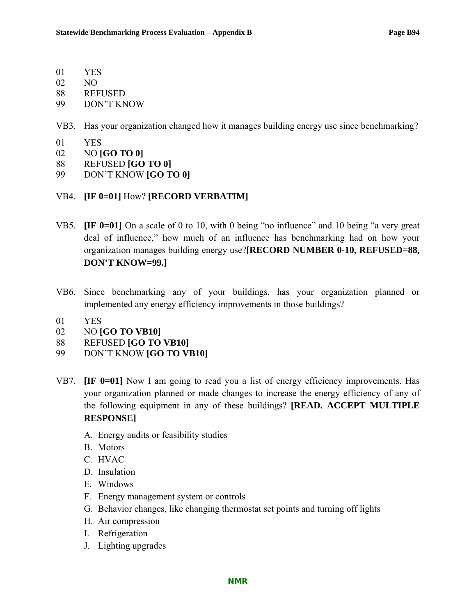- 01 YES
- 02 NO
- 88 REFUSED
- 99 DON'T KNOW
- VB3. Has your organization changed how it manages building energy use since benchmarking?
- 01 YES
- 02 NO **[GO TO 0]**
- 88 REFUSED **[GO TO 0]**
- 99 DON'T KNOW **[GO TO 0]**
- VB4. **[IF 0=01]** How? **[RECORD VERBATIM]**
- VB5. **[IF 0=01]** On a scale of 0 to 10, with 0 being "no influence" and 10 being "a very great deal of influence," how much of an influence has benchmarking had on how your organization manages building energy use?**[RECORD NUMBER 0-10, REFUSED=88, DON'T KNOW=99.]**
- VB6. Since benchmarking any of your buildings, has your organization planned or implemented any energy efficiency improvements in those buildings?
- 01 YES
- 02 NO **[GO TO VB10]**
- 88 REFUSED **[GO TO VB10]**
- 99 DON'T KNOW **[GO TO VB10]**
- VB7. **[IF 0=01]** Now I am going to read you a list of energy efficiency improvements. Has your organization planned or made changes to increase the energy efficiency of any of the following equipment in any of these buildings? **[READ. ACCEPT MULTIPLE RESPONSE]**
	- A. Energy audits or feasibility studies
	- B. Motors
	- C. HVAC
	- D. Insulation
	- E. Windows
	- F. Energy management system or controls
	- G. Behavior changes, like changing thermostat set points and turning off lights
	- H. Air compression
	- I. Refrigeration
	- J. Lighting upgrades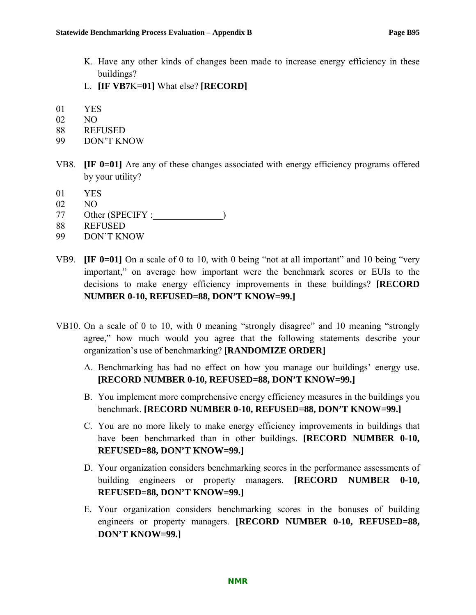- K. Have any other kinds of changes been made to increase energy efficiency in these buildings?
- L. **[IF VB7**K**=01]** What else? **[RECORD]**
- 01 YES
- 02 NO
- 88 REFUSED
- 99 DON'T KNOW
- VB8. **[IF 0=01]** Are any of these changes associated with energy efficiency programs offered by your utility?
- 01 YES
- 02 NO
- 77 Other (SPECIFY :
- 88 REFUSED
- 99 DON'T KNOW
- VB9. **[IF 0=01]** On a scale of 0 to 10, with 0 being "not at all important" and 10 being "very important," on average how important were the benchmark scores or EUIs to the decisions to make energy efficiency improvements in these buildings? **[RECORD NUMBER 0-10, REFUSED=88, DON'T KNOW=99.]**
- VB10. On a scale of 0 to 10, with 0 meaning "strongly disagree" and 10 meaning "strongly agree," how much would you agree that the following statements describe your organization's use of benchmarking? **[RANDOMIZE ORDER]**
	- A. Benchmarking has had no effect on how you manage our buildings' energy use. **[RECORD NUMBER 0-10, REFUSED=88, DON'T KNOW=99.]**
	- B. You implement more comprehensive energy efficiency measures in the buildings you benchmark. **[RECORD NUMBER 0-10, REFUSED=88, DON'T KNOW=99.]**
	- C. You are no more likely to make energy efficiency improvements in buildings that have been benchmarked than in other buildings. **[RECORD NUMBER 0-10, REFUSED=88, DON'T KNOW=99.]**
	- D. Your organization considers benchmarking scores in the performance assessments of building engineers or property managers. **[RECORD NUMBER 0-10, REFUSED=88, DON'T KNOW=99.]**
	- E. Your organization considers benchmarking scores in the bonuses of building engineers or property managers. **[RECORD NUMBER 0-10, REFUSED=88, DON'T KNOW=99.]**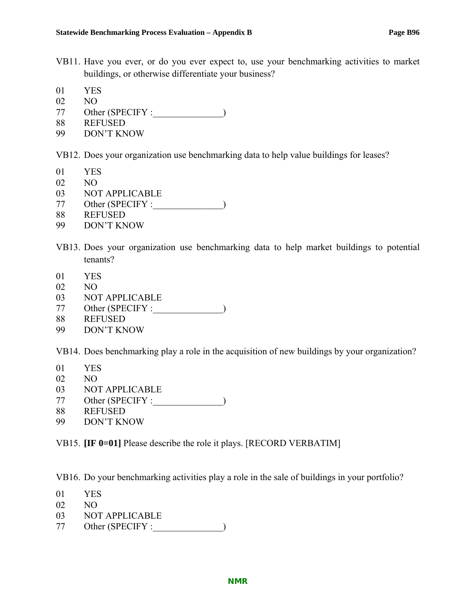- VB11. Have you ever, or do you ever expect to, use your benchmarking activities to market buildings, or otherwise differentiate your business?
- 01 YES
- 02 NO
- 77 Other (SPECIFY :\_\_\_\_\_\_\_\_\_\_\_\_\_\_\_)
- 88 REFUSED
- 99 DON'T KNOW

VB12. Does your organization use benchmarking data to help value buildings for leases?

- 01 YES
- 02 NO
- 03 NOT APPLICABLE
- 77 Other (SPECIFY :\_\_\_\_\_\_\_\_\_\_\_\_\_\_\_)
- 88 REFUSED
- 99 DON'T KNOW
- VB13. Does your organization use benchmarking data to help market buildings to potential tenants?
- 01 YES
- 02 NO
- 03 NOT APPLICABLE
- 77 Other (SPECIFY :\_\_\_\_\_\_\_\_\_\_\_\_\_\_\_)
- 88 REFUSED
- 99 DON'T KNOW

VB14. Does benchmarking play a role in the acquisition of new buildings by your organization?

- 01 YES
- 02 NO
- 03 NOT APPLICABLE
- 77 Other (SPECIFY :\_\_\_\_\_\_\_\_\_\_\_\_\_\_\_)
- 88 REFUSED
- 99 DON'T KNOW

VB15. **[IF 0=01]** Please describe the role it plays. [RECORD VERBATIM]

VB16. Do your benchmarking activities play a role in the sale of buildings in your portfolio?

- 01 YES
- 02 NO
- 03 NOT APPLICABLE
- 77 Other (SPECIFY : )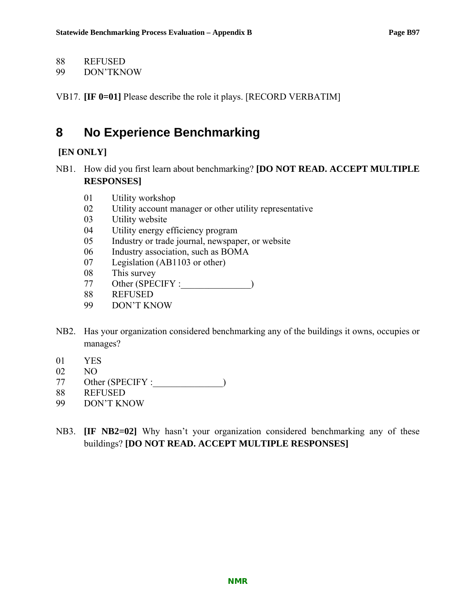88 REFUSED

99 DON'TKNOW

VB17. **[IF 0=01]** Please describe the role it plays. [RECORD VERBATIM]

# **8 No Experience Benchmarking**

## **[EN ONLY]**

- NB1. How did you first learn about benchmarking? **[DO NOT READ. ACCEPT MULTIPLE RESPONSES]**
	- 01 Utility workshop
	- 02 Utility account manager or other utility representative
	- 03 Utility website
	- 04 Utility energy efficiency program
	- 05 Industry or trade journal, newspaper, or website
	- 06 Industry association, such as BOMA
	- 07 Legislation (AB1103 or other)
	- 08 This survey
	- 77 Other (SPECIFY :\_\_\_\_\_\_\_\_\_\_\_\_\_\_\_)
	- 88 REFUSED
	- 99 DON'T KNOW
- NB2. Has your organization considered benchmarking any of the buildings it owns, occupies or manages?
- 01 YES
- 02 NO
- 77 Other (SPECIFY :  $\qquad \qquad$ )
- 88 REFUSED
- 99 DON'T KNOW
- NB3. **[IF NB2=02]** Why hasn't your organization considered benchmarking any of these buildings? **[DO NOT READ. ACCEPT MULTIPLE RESPONSES]**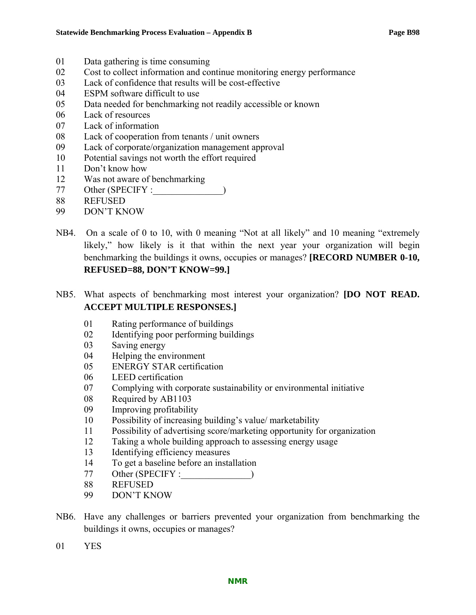- 01 Data gathering is time consuming
- 02 Cost to collect information and continue monitoring energy performance
- 03 Lack of confidence that results will be cost-effective
- 04 ESPM software difficult to use
- 05 Data needed for benchmarking not readily accessible or known
- 06 Lack of resources
- 07 Lack of information
- 08 Lack of cooperation from tenants / unit owners
- 09 Lack of corporate/organization management approval
- 10 Potential savings not worth the effort required
- 11 Don't know how
- 12 Was not aware of benchmarking
- 77 Other (SPECIFY :  $\qquad \qquad$ )
- 88 REFUSED
- 99 DON'T KNOW
- NB4. On a scale of 0 to 10, with 0 meaning "Not at all likely" and 10 meaning "extremely likely," how likely is it that within the next year your organization will begin benchmarking the buildings it owns, occupies or manages? **[RECORD NUMBER 0-10, REFUSED=88, DON'T KNOW=99.]**
- NB5. What aspects of benchmarking most interest your organization? **[DO NOT READ. ACCEPT MULTIPLE RESPONSES.]**
	- 01 Rating performance of buildings
	- 02 Identifying poor performing buildings
	- 03 Saving energy
	- 04 Helping the environment
	- 05 ENERGY STAR certification
	- 06 LEED certification
	- 07 Complying with corporate sustainability or environmental initiative
	- 08 Required by AB1103
	- 09 Improving profitability
	- 10 Possibility of increasing building's value/ marketability
	- 11 Possibility of advertising score/marketing opportunity for organization
	- 12 Taking a whole building approach to assessing energy usage
	- 13 Identifying efficiency measures
	- 14 To get a baseline before an installation
	- 77 Other (SPECIFY :\_\_\_\_\_\_\_\_\_\_\_\_\_\_\_)
	- 88 REFUSED
	- 99 DON'T KNOW
- NB6. Have any challenges or barriers prevented your organization from benchmarking the buildings it owns, occupies or manages?
- 01 YES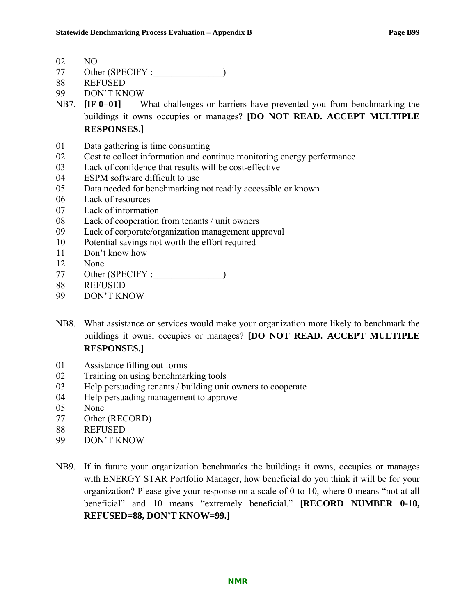02 NO

- 77 Other (SPECIFY :  $\qquad \qquad$ )
- 88 REFUSED
- 99 DON'T KNOW
- NB7. **[IF 0=01]** What challenges or barriers have prevented you from benchmarking the buildings it owns occupies or manages? **[DO NOT READ. ACCEPT MULTIPLE RESPONSES.]**
- 01 Data gathering is time consuming
- 02 Cost to collect information and continue monitoring energy performance
- 03 Lack of confidence that results will be cost-effective
- 04 ESPM software difficult to use
- 05 Data needed for benchmarking not readily accessible or known
- 06 Lack of resources
- 07 Lack of information
- 08 Lack of cooperation from tenants / unit owners
- 09 Lack of corporate/organization management approval
- 10 Potential savings not worth the effort required
- 11 Don't know how
- 12 None
- 77 Other (SPECIFY :
- 88 REFUSED
- 99 DON'T KNOW
- NB8. What assistance or services would make your organization more likely to benchmark the buildings it owns, occupies or manages? **[DO NOT READ. ACCEPT MULTIPLE RESPONSES.]**
- 01 Assistance filling out forms
- 02 Training on using benchmarking tools
- 03 Help persuading tenants / building unit owners to cooperate
- 04 Help persuading management to approve
- 05 None
- 77 Other (RECORD)
- 88 REFUSED
- 99 DON'T KNOW
- NB9. If in future your organization benchmarks the buildings it owns, occupies or manages with ENERGY STAR Portfolio Manager, how beneficial do you think it will be for your organization? Please give your response on a scale of 0 to 10, where 0 means "not at all beneficial" and 10 means "extremely beneficial." **[RECORD NUMBER 0-10, REFUSED=88, DON'T KNOW=99.]**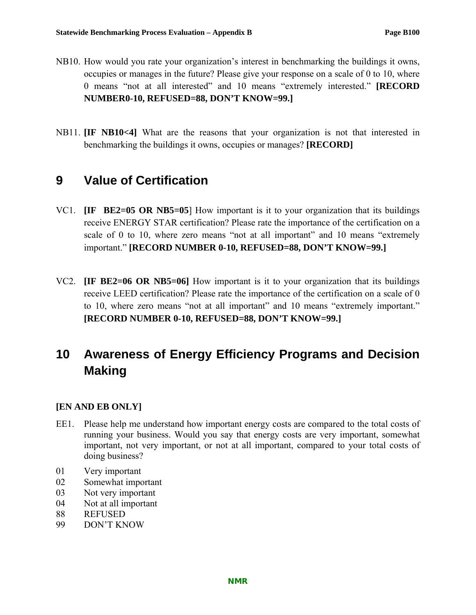- NB10. How would you rate your organization's interest in benchmarking the buildings it owns, occupies or manages in the future? Please give your response on a scale of 0 to 10, where 0 means "not at all interested" and 10 means "extremely interested." **[RECORD NUMBER0-10, REFUSED=88, DON'T KNOW=99.]**
- NB11. **[IF NB10<4]** What are the reasons that your organization is not that interested in benchmarking the buildings it owns, occupies or manages? **[RECORD]**

# **9 Value of Certification**

- VC1. **[IF BE2=05 OR NB5=05**] How important is it to your organization that its buildings receive ENERGY STAR certification? Please rate the importance of the certification on a scale of 0 to 10, where zero means "not at all important" and 10 means "extremely important." **[RECORD NUMBER 0-10, REFUSED=88, DON'T KNOW=99.]**
- VC2. **[IF BE2=06 OR NB5=06]** How important is it to your organization that its buildings receive LEED certification? Please rate the importance of the certification on a scale of 0 to 10, where zero means "not at all important" and 10 means "extremely important." **[RECORD NUMBER 0-10, REFUSED=88, DON'T KNOW=99.]**

# **10 Awareness of Energy Efficiency Programs and Decision Making**

## **[EN AND EB ONLY]**

- EE1. Please help me understand how important energy costs are compared to the total costs of running your business. Would you say that energy costs are very important, somewhat important, not very important, or not at all important, compared to your total costs of doing business?
- 01 Very important
- 02 Somewhat important
- 03 Not very important
- 04 Not at all important
- 88 REFUSED
- 99 DON'T KNOW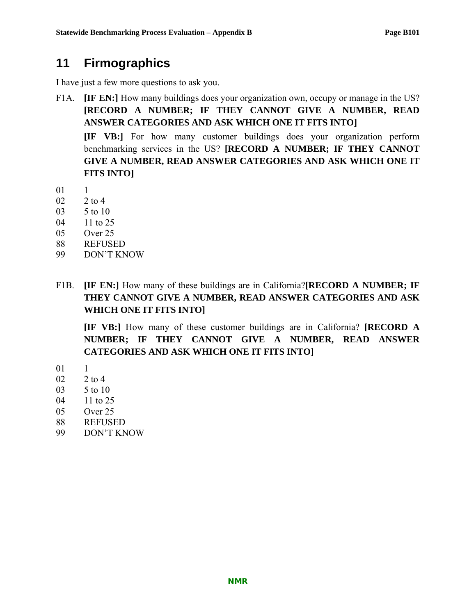# **11 Firmographics**

I have just a few more questions to ask you.

F1A. **[IF EN:]** How many buildings does your organization own, occupy or manage in the US? **[RECORD A NUMBER; IF THEY CANNOT GIVE A NUMBER, READ ANSWER CATEGORIES AND ASK WHICH ONE IT FITS INTO]** 

**[IF VB:]** For how many customer buildings does your organization perform benchmarking services in the US? **[RECORD A NUMBER; IF THEY CANNOT GIVE A NUMBER, READ ANSWER CATEGORIES AND ASK WHICH ONE IT FITS INTO]**

01 1

- 02 2 to 4
- 03 5 to 10
- 04 11 to 25
- 05 Over 25
- 88 REFUSED
- 99 DON'T KNOW
- F1B. **[IF EN:]** How many of these buildings are in California?**[RECORD A NUMBER; IF THEY CANNOT GIVE A NUMBER, READ ANSWER CATEGORIES AND ASK WHICH ONE IT FITS INTO]**

**[IF VB:]** How many of these customer buildings are in California? **[RECORD A NUMBER; IF THEY CANNOT GIVE A NUMBER, READ ANSWER CATEGORIES AND ASK WHICH ONE IT FITS INTO]**

- 01 1
- 02 2 to 4
- 03 5 to 10
- 04 11 to 25
- 05 Over 25
- 88 REFUSED
- 99 DON'T KNOW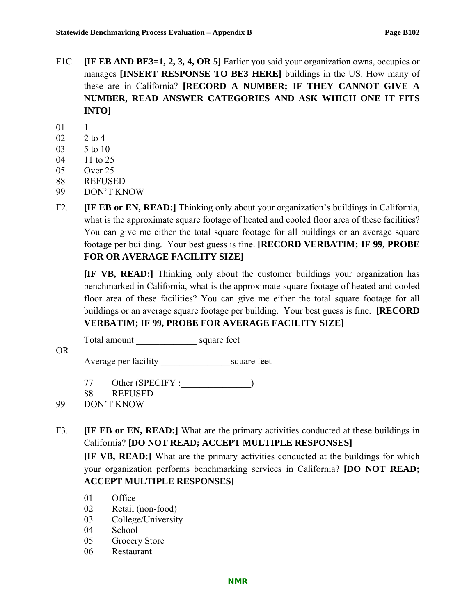- F1C. **[IF EB AND BE3=1, 2, 3, 4, OR 5]** Earlier you said your organization owns, occupies or manages **[INSERT RESPONSE TO BE3 HERE]** buildings in the US. How many of these are in California? **[RECORD A NUMBER; IF THEY CANNOT GIVE A NUMBER, READ ANSWER CATEGORIES AND ASK WHICH ONE IT FITS INTO]**
- 01 1
- 02 2 to 4
- 03 5 to 10
- 04 11 to 25
- 05 Over 25
- 88 REFUSED
- 99 DON'T KNOW
- F2. **[IF EB or EN, READ:]** Thinking only about your organization's buildings in California, what is the approximate square footage of heated and cooled floor area of these facilities? You can give me either the total square footage for all buildings or an average square footage per building. Your best guess is fine. **[RECORD VERBATIM; IF 99, PROBE FOR OR AVERAGE FACILITY SIZE]**

**[IF VB, READ:]** Thinking only about the customer buildings your organization has benchmarked in California, what is the approximate square footage of heated and cooled floor area of these facilities? You can give me either the total square footage for all buildings or an average square footage per building. Your best guess is fine. **[RECORD VERBATIM; IF 99, PROBE FOR AVERAGE FACILITY SIZE]**

Total amount \_\_\_\_\_\_\_\_\_\_\_\_\_\_\_\_\_\_\_\_ square feet

Average per facility \_\_\_\_\_\_\_\_\_\_\_\_\_\_\_square feet

77 Other (SPECIFY :  $\qquad \qquad$ )

88 REFUSED

99 DON'T KNOW

OR

F3. **[IF EB or EN, READ:]** What are the primary activities conducted at these buildings in California? **[DO NOT READ; ACCEPT MULTIPLE RESPONSES]** 

**[IF VB, READ:]** What are the primary activities conducted at the buildings for which your organization performs benchmarking services in California? **[DO NOT READ; ACCEPT MULTIPLE RESPONSES]** 

- 01 Office
- 02 Retail (non-food)
- 03 College/University
- 04 School
- 05 Grocery Store
- 06 Restaurant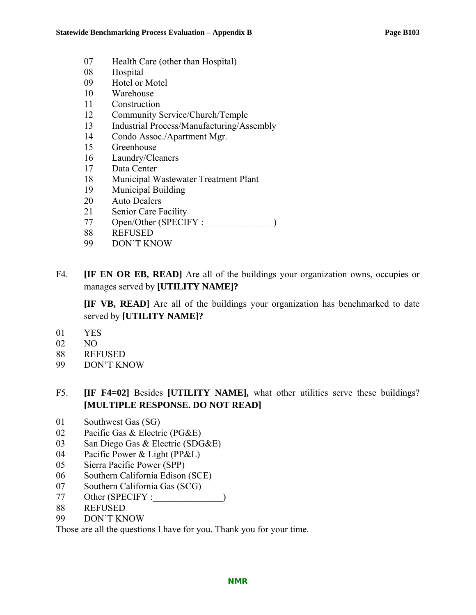- 07 Health Care (other than Hospital)
- 08 Hospital
- 09 Hotel or Motel
- 10 Warehouse
- 11 Construction
- 12 Community Service/Church/Temple
- 13 Industrial Process/Manufacturing/Assembly
- 14 Condo Assoc./Apartment Mgr.
- 15 Greenhouse
- 16 Laundry/Cleaners
- 17 Data Center
- 18 Municipal Wastewater Treatment Plant
- 19 Municipal Building
- 20 Auto Dealers
- 21 Senior Care Facility
- 77 Open/Other (SPECIFY :\_\_\_\_\_\_\_\_\_\_\_\_\_\_)
- 88 REFUSED
- 99 DON'T KNOW
- F4. **IF EN OR EB, READ** Are all of the buildings your organization owns, occupies or manages served by **[UTILITY NAME]?**

**[IF VB, READ]** Are all of the buildings your organization has benchmarked to date served by **[UTILITY NAME]?**

- 01 YES
- 02 NO
- 88 REFUSED
- 99 DON'T KNOW
- F5. **[IF F4=02]** Besides **[UTILITY NAME],** what other utilities serve these buildings? **[MULTIPLE RESPONSE. DO NOT READ]**
- 01 Southwest Gas (SG)
- 02 Pacific Gas & Electric (PG&E)
- 03 San Diego Gas & Electric (SDG&E)
- 04 Pacific Power & Light (PP&L)
- 05 Sierra Pacific Power (SPP)
- 06 Southern California Edison (SCE)
- 07 Southern California Gas (SCG)
- 77 Other (SPECIFY :\_\_\_\_\_\_\_\_\_\_\_\_\_\_\_)
- 88 REFUSED
- 99 DON'T KNOW

Those are all the questions I have for you. Thank you for your time.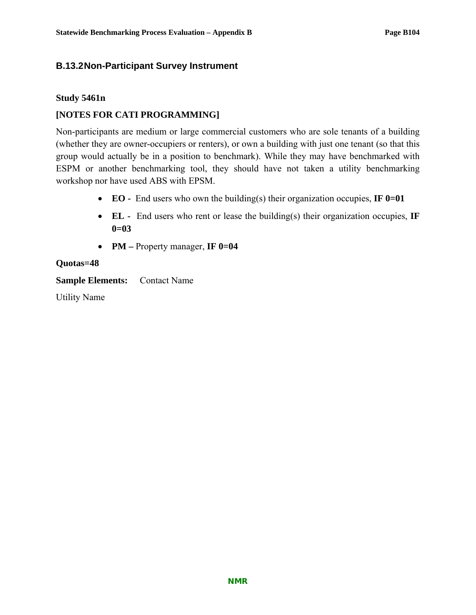#### **B.13.2 Non-Participant Survey Instrument**

#### **Study 5461n**

#### **[NOTES FOR CATI PROGRAMMING]**

Non-participants are medium or large commercial customers who are sole tenants of a building (whether they are owner-occupiers or renters), or own a building with just one tenant (so that this group would actually be in a position to benchmark). While they may have benchmarked with ESPM or another benchmarking tool, they should have not taken a utility benchmarking workshop nor have used ABS with EPSM.

- **EO** End users who own the building(s) their organization occupies, **IF 0=01**
- **EL** End users who rent or lease the building(s) their organization occupies, **IF 0=03**
- **PM** Property manager, **IF 0=04**

#### **Quotas=48**

**Sample Elements:** Contact Name

Utility Name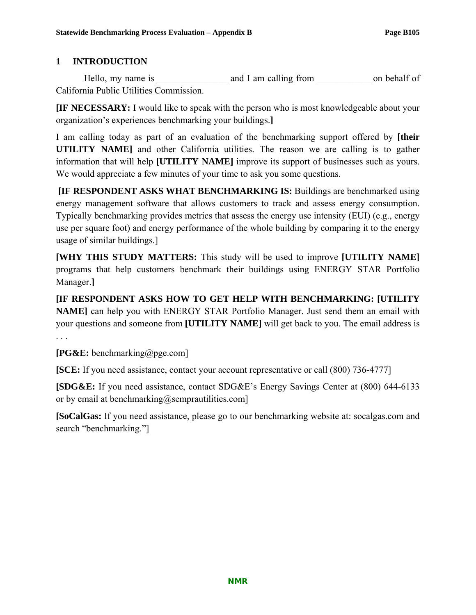## **1 INTRODUCTION**

Hello, my name is and I am calling from on behalf of California Public Utilities Commission.

**[IF NECESSARY:** I would like to speak with the person who is most knowledgeable about your organization's experiences benchmarking your buildings.**]**

I am calling today as part of an evaluation of the benchmarking support offered by **[their UTILITY NAME]** and other California utilities. The reason we are calling is to gather information that will help **[UTILITY NAME]** improve its support of businesses such as yours. We would appreciate a few minutes of your time to ask you some questions.

 **[IF RESPONDENT ASKS WHAT BENCHMARKING IS:** Buildings are benchmarked using energy management software that allows customers to track and assess energy consumption. Typically benchmarking provides metrics that assess the energy use intensity (EUI) (e.g., energy use per square foot) and energy performance of the whole building by comparing it to the energy usage of similar buildings.]

**[WHY THIS STUDY MATTERS:** This study will be used to improve **[UTILITY NAME]** programs that help customers benchmark their buildings using ENERGY STAR Portfolio Manager.**]** 

**[IF RESPONDENT ASKS HOW TO GET HELP WITH BENCHMARKING: [UTILITY NAME]** can help you with ENERGY STAR Portfolio Manager. Just send them an email with your questions and someone from **[UTILITY NAME]** will get back to you. The email address is

**[PG&E:** benchmarking@pge.com]

**[SCE:** If you need assistance, contact your account representative or call (800) 736-4777]

**[SDG&E:** If you need assistance, contact SDG&E's Energy Savings Center at (800) 644-6133 or by email at benchmarking@semprautilities.com]

**[SoCalGas:** If you need assistance, please go to our benchmarking website at: socalgas.com and search "benchmarking."]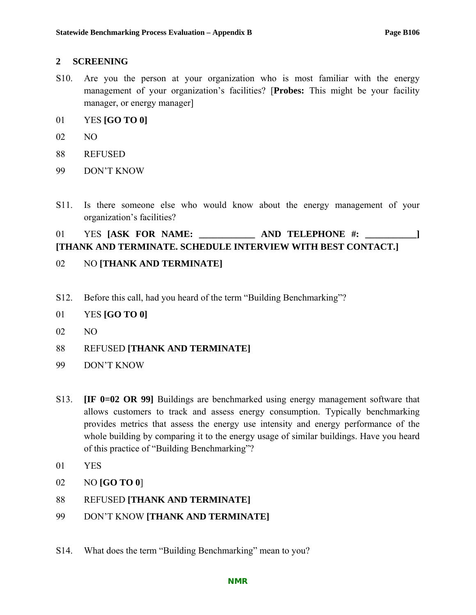#### **2 SCREENING**

- S10. Are you the person at your organization who is most familiar with the energy management of your organization's facilities? [**Probes:** This might be your facility manager, or energy manager]
- 01 YES **[GO TO 0]**
- 02 NO
- 88 REFUSED
- 99 DON'T KNOW
- S11. Is there someone else who would know about the energy management of your organization's facilities?

### 01 YES [ASK FOR NAME: \_\_\_\_\_\_\_\_\_\_\_\_\_ AND TELEPHONE #: \_\_\_\_\_\_\_\_\_\_\_] **[THANK AND TERMINATE. SCHEDULE INTERVIEW WITH BEST CONTACT.]**

- 02 NO **[THANK AND TERMINATE]**
- S12. Before this call, had you heard of the term "Building Benchmarking"?
- 01 YES **[GO TO 0]**
- 02 NO
- 88 REFUSED **[THANK AND TERMINATE]**
- 99 DON'T KNOW
- S13. **[IF 0=02 OR 99]** Buildings are benchmarked using energy management software that allows customers to track and assess energy consumption. Typically benchmarking provides metrics that assess the energy use intensity and energy performance of the whole building by comparing it to the energy usage of similar buildings. Have you heard of this practice of "Building Benchmarking"?
- 01 YES
- 02 NO **[GO TO 0**]
- 88 REFUSED **[THANK AND TERMINATE]**
- 99 DON'T KNOW **[THANK AND TERMINATE]**
- S14. What does the term "Building Benchmarking" mean to you?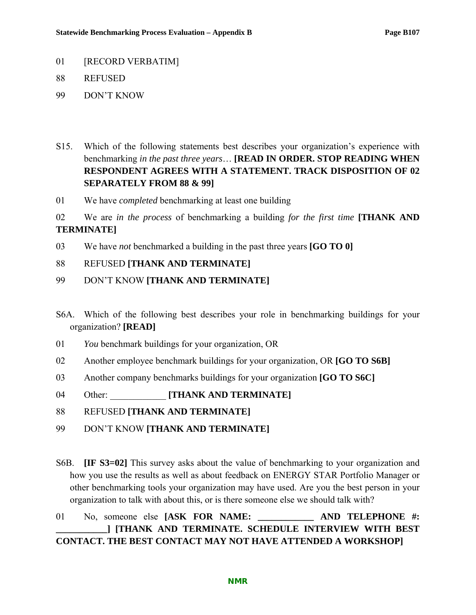- 01 [RECORD VERBATIM]
- 88 REFUSED
- 99 DON'T KNOW
- S15. Which of the following statements best describes your organization's experience with benchmarking *in the past three years*… **[READ IN ORDER. STOP READING WHEN RESPONDENT AGREES WITH A STATEMENT. TRACK DISPOSITION OF 02 SEPARATELY FROM 88 & 99]**
- 01 We have *completed* benchmarking at least one building
- 02 We are *in the process* of benchmarking a building *for the first time* **[THANK AND TERMINATE]**
- 03 We have *not* benchmarked a building in the past three years **[GO TO 0]**

#### 88 REFUSED **[THANK AND TERMINATE]**

- 99 DON'T KNOW **[THANK AND TERMINATE]**
- S6A. Which of the following best describes your role in benchmarking buildings for your organization? **[READ]**
- 01 *You* benchmark buildings for your organization, OR
- 02 Another employee benchmark buildings for your organization, OR **[GO TO S6B]**
- 03 Another company benchmarks buildings for your organization **[GO TO S6C]**
- 04 Other: **[THANK AND TERMINATE]**
- 88 REFUSED **[THANK AND TERMINATE]**
- 99 DON'T KNOW **[THANK AND TERMINATE]**
- S6B. **[IF S3=02]** This survey asks about the value of benchmarking to your organization and how you use the results as well as about feedback on ENERGY STAR Portfolio Manager or other benchmarking tools your organization may have used. Are you the best person in your organization to talk with about this, or is there someone else we should talk with?

## 01 No, someone else **[ASK FOR NAME: \_\_\_\_\_\_\_\_\_\_\_\_ AND TELEPHONE #: \_\_\_\_\_\_\_\_\_\_\_] [THANK AND TERMINATE. SCHEDULE INTERVIEW WITH BEST CONTACT. THE BEST CONTACT MAY NOT HAVE ATTENDED A WORKSHOP]**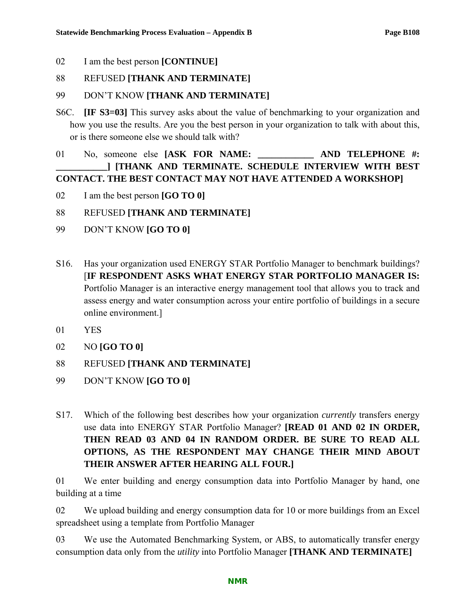02 I am the best person **[CONTINUE]** 

#### 88 REFUSED **[THANK AND TERMINATE]**

## 99 DON'T KNOW **[THANK AND TERMINATE]**

S6C. **[IF S3=03]** This survey asks about the value of benchmarking to your organization and how you use the results. Are you the best person in your organization to talk with about this, or is there someone else we should talk with?

## 01 No, someone else **[ASK FOR NAME: AND TELEPHONE #: \_\_\_\_\_\_\_\_\_\_\_] [THANK AND TERMINATE. SCHEDULE INTERVIEW WITH BEST CONTACT. THE BEST CONTACT MAY NOT HAVE ATTENDED A WORKSHOP]**

- 02 I am the best person **[GO TO 0]**
- 88 REFUSED **[THANK AND TERMINATE]**
- 99 DON'T KNOW **[GO TO 0]**
- S16. Has your organization used ENERGY STAR Portfolio Manager to benchmark buildings? [**IF RESPONDENT ASKS WHAT ENERGY STAR PORTFOLIO MANAGER IS:**  Portfolio Manager is an interactive energy management tool that allows you to track and assess energy and water consumption across your entire portfolio of buildings in a secure online environment.]
- 01 YES
- 02 NO **[GO TO 0]**
- 88 REFUSED **[THANK AND TERMINATE]**
- 99 DON'T KNOW **[GO TO 0]**
- S17. Which of the following best describes how your organization *currently* transfers energy use data into ENERGY STAR Portfolio Manager? **[READ 01 AND 02 IN ORDER, THEN READ 03 AND 04 IN RANDOM ORDER. BE SURE TO READ ALL OPTIONS, AS THE RESPONDENT MAY CHANGE THEIR MIND ABOUT THEIR ANSWER AFTER HEARING ALL FOUR.]**

01 We enter building and energy consumption data into Portfolio Manager by hand, one building at a time

02 We upload building and energy consumption data for 10 or more buildings from an Excel spreadsheet using a template from Portfolio Manager

03 We use the Automated Benchmarking System, or ABS, to automatically transfer energy consumption data only from the *utility* into Portfolio Manager **[THANK AND TERMINATE]**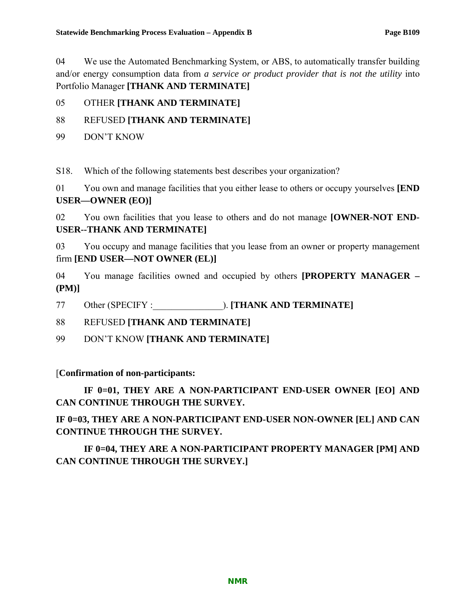04 We use the Automated Benchmarking System, or ABS, to automatically transfer building and/or energy consumption data from *a service or product provider that is not the utility* into Portfolio Manager **[THANK AND TERMINATE]** 

## 05 OTHER **[THANK AND TERMINATE]**

## 88 REFUSED **[THANK AND TERMINATE]**

99 DON'T KNOW

S18. Which of the following statements best describes your organization?

01 You own and manage facilities that you either lease to others or occupy yourselves **[END USER—OWNER (EO)]**

02 You own facilities that you lease to others and do not manage **[OWNER-NOT END-USER--THANK AND TERMINATE]** 

03 You occupy and manage facilities that you lease from an owner or property management firm **[END USER—NOT OWNER (EL)]**

04 You manage facilities owned and occupied by others **[PROPERTY MANAGER – (PM)]**

77 Other (SPECIFY :  $\qquad \qquad$  ). **[THANK AND TERMINATE]** 

88 REFUSED **[THANK AND TERMINATE]**

99 DON'T KNOW **[THANK AND TERMINATE]**

## [**Confirmation of non-participants:**

**IF 0=01, THEY ARE A NON-PARTICIPANT END-USER OWNER [EO] AND CAN CONTINUE THROUGH THE SURVEY.** 

**IF 0=03, THEY ARE A NON-PARTICIPANT END-USER NON-OWNER [EL] AND CAN CONTINUE THROUGH THE SURVEY.** 

**IF 0=04, THEY ARE A NON-PARTICIPANT PROPERTY MANAGER [PM] AND CAN CONTINUE THROUGH THE SURVEY.]**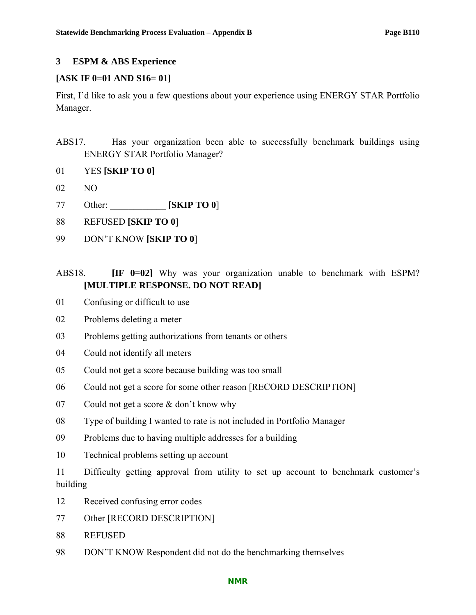## **3 ESPM & ABS Experience**

## **[ASK IF 0=01 AND S16= 01]**

First, I'd like to ask you a few questions about your experience using ENERGY STAR Portfolio Manager.

- ABS17. Has your organization been able to successfully benchmark buildings using ENERGY STAR Portfolio Manager?
- 01 YES **[SKIP TO 0]**
- 02 NO
- 77 Other: \_\_\_\_\_\_\_\_\_\_\_\_ **[SKIP TO 0**]
- 88 REFUSED **[SKIP TO 0**]
- 99 DON'T KNOW **[SKIP TO 0**]

## ABS18. **IF 0=02]** Why was your organization unable to benchmark with ESPM? **[MULTIPLE RESPONSE. DO NOT READ]**

- 01 Confusing or difficult to use
- 02 Problems deleting a meter
- 03 Problems getting authorizations from tenants or others
- 04 Could not identify all meters
- 05 Could not get a score because building was too small
- 06 Could not get a score for some other reason [RECORD DESCRIPTION]
- 07 Could not get a score & don't know why
- 08 Type of building I wanted to rate is not included in Portfolio Manager
- 09 Problems due to having multiple addresses for a building
- 10 Technical problems setting up account
- 11 Difficulty getting approval from utility to set up account to benchmark customer's building
- 12 Received confusing error codes
- 77 Other [RECORD DESCRIPTION]
- 88 REFUSED
- 98 DON'T KNOW Respondent did not do the benchmarking themselves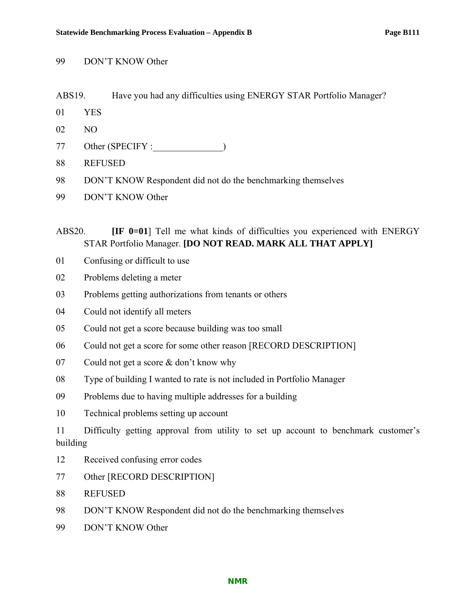- 99 DON'T KNOW Other
- ABS19. Have you had any difficulties using ENERGY STAR Portfolio Manager?
- 01 YES
- 02 NO
- 77 Other (SPECIFY :  $\qquad \qquad$ )
- 88 REFUSED
- 98 DON'T KNOW Respondent did not do the benchmarking themselves
- 99 DON'T KNOW Other

ABS20. **IF 0=01** Tell me what kinds of difficulties you experienced with ENERGY STAR Portfolio Manager. **[DO NOT READ. MARK ALL THAT APPLY]** 

- 01 Confusing or difficult to use
- 02 Problems deleting a meter
- 03 Problems getting authorizations from tenants or others
- 04 Could not identify all meters
- 05 Could not get a score because building was too small
- 06 Could not get a score for some other reason [RECORD DESCRIPTION]
- 07 Could not get a score & don't know why
- 08 Type of building I wanted to rate is not included in Portfolio Manager
- 09 Problems due to having multiple addresses for a building
- 10 Technical problems setting up account

11 Difficulty getting approval from utility to set up account to benchmark customer's building

- 12 Received confusing error codes
- 77 Other [RECORD DESCRIPTION]
- 88 REFUSED
- 98 DON'T KNOW Respondent did not do the benchmarking themselves
- 99 DON'T KNOW Other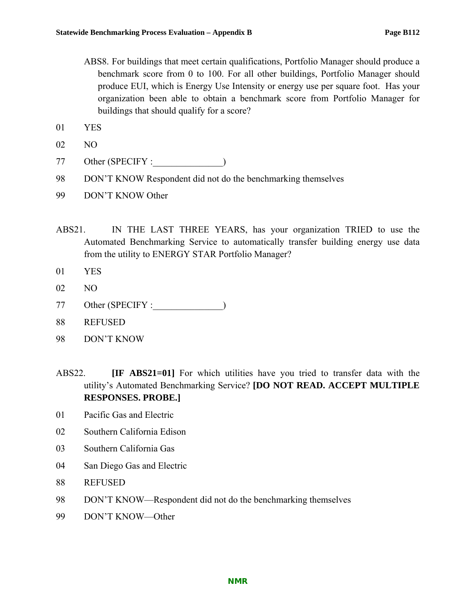- ABS8. For buildings that meet certain qualifications, Portfolio Manager should produce a benchmark score from 0 to 100. For all other buildings, Portfolio Manager should produce EUI, which is Energy Use Intensity or energy use per square foot. Has your organization been able to obtain a benchmark score from Portfolio Manager for buildings that should qualify for a score?
- 01 YES
- 02 NO
- 77 Other (SPECIFY :  $\qquad \qquad$ )
- 98 DON'T KNOW Respondent did not do the benchmarking themselves
- 99 DON'T KNOW Other
- ABS21. IN THE LAST THREE YEARS, has your organization TRIED to use the Automated Benchmarking Service to automatically transfer building energy use data from the utility to ENERGY STAR Portfolio Manager?
- 01 YES
- 02 NO
- 77 Other (SPECIFY :
- 88 REFUSED
- 98 DON'T KNOW
- ABS22. **[IF ABS21=01]** For which utilities have you tried to transfer data with the utility's Automated Benchmarking Service? **[DO NOT READ. ACCEPT MULTIPLE RESPONSES. PROBE.]**
- 01 Pacific Gas and Electric
- 02 Southern California Edison
- 03 Southern California Gas
- 04 San Diego Gas and Electric
- 88 REFUSED
- 98 DON'T KNOW—Respondent did not do the benchmarking themselves
- 99 DON'T KNOW—Other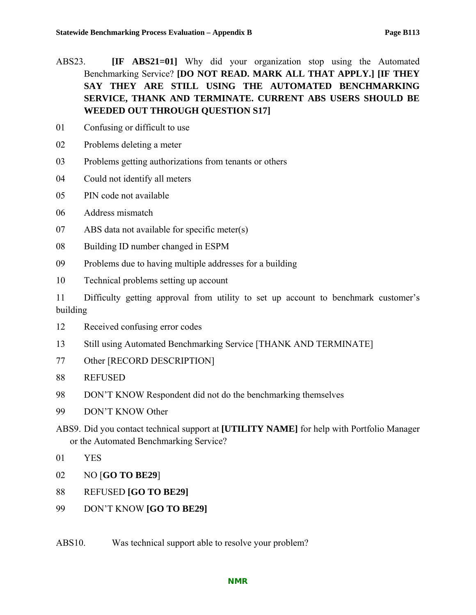- ABS23. **[IF ABS21=01]** Why did your organization stop using the Automated Benchmarking Service? **[DO NOT READ. MARK ALL THAT APPLY.] [IF THEY SAY THEY ARE STILL USING THE AUTOMATED BENCHMARKING SERVICE, THANK AND TERMINATE. CURRENT ABS USERS SHOULD BE WEEDED OUT THROUGH QUESTION S17]**
- 01 Confusing or difficult to use
- 02 Problems deleting a meter
- 03 Problems getting authorizations from tenants or others
- 04 Could not identify all meters
- 05 PIN code not available
- 06 Address mismatch
- 07 ABS data not available for specific meter(s)
- 08 Building ID number changed in ESPM
- 09 Problems due to having multiple addresses for a building
- 10 Technical problems setting up account

11 Difficulty getting approval from utility to set up account to benchmark customer's building

- 12 Received confusing error codes
- 13 Still using Automated Benchmarking Service [THANK AND TERMINATE]
- 77 Other [RECORD DESCRIPTION]
- 88 REFUSED
- 98 DON'T KNOW Respondent did not do the benchmarking themselves
- 99 DON'T KNOW Other
- ABS9. Did you contact technical support at **[UTILITY NAME]** for help with Portfolio Manager or the Automated Benchmarking Service?
- 01 YES
- 02 NO [**GO TO BE29**]
- 88 REFUSED **[GO TO BE29]**
- 99 DON'T KNOW **[GO TO BE29]**
- ABS10. Was technical support able to resolve your problem?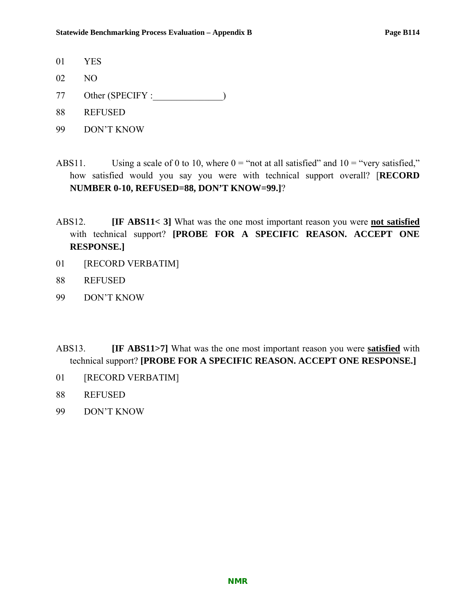- 01 YES
- 02 NO
- 77 Other (SPECIFY :  $\qquad \qquad$ )
- 88 REFUSED
- 99 DON'T KNOW
- ABS11. Using a scale of 0 to 10, where  $0 =$  "not at all satisfied" and  $10 =$  "very satisfied," how satisfied would you say you were with technical support overall? [**RECORD NUMBER 0-10, REFUSED=88, DON'T KNOW=99.]**?
- ABS12. **[IF ABS11< 3]** What was the one most important reason you were **not satisfied** with technical support? **[PROBE FOR A SPECIFIC REASON. ACCEPT ONE RESPONSE.]**
- 01 [RECORD VERBATIM]
- 88 REFUSED
- 99 DON'T KNOW
- ABS13. **[IF ABS11>7]** What was the one most important reason you were **satisfied** with technical support? **[PROBE FOR A SPECIFIC REASON. ACCEPT ONE RESPONSE.]**
- 01 [RECORD VERBATIM]
- 88 REFUSED
- 99 DON'T KNOW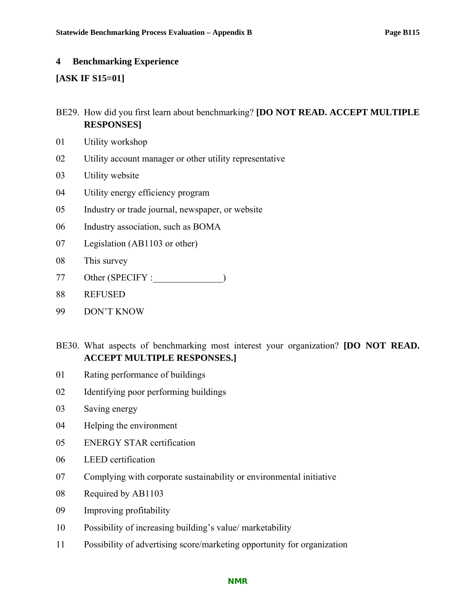#### **4 Benchmarking Experience**

### **[ASK IF S15=01]**

- BE29. How did you first learn about benchmarking? **[DO NOT READ. ACCEPT MULTIPLE RESPONSES]**
- 01 Utility workshop
- 02 Utility account manager or other utility representative
- 03 Utility website
- 04 Utility energy efficiency program
- 05 Industry or trade journal, newspaper, or website
- 06 Industry association, such as BOMA
- 07 Legislation (AB1103 or other)
- 08 This survey
- 77 Other (SPECIFY :\_\_\_\_\_\_\_\_\_\_\_\_\_\_\_)
- 88 REFUSED
- 99 DON'T KNOW
- BE30. What aspects of benchmarking most interest your organization? **[DO NOT READ. ACCEPT MULTIPLE RESPONSES.]**
- 01 Rating performance of buildings
- 02 Identifying poor performing buildings
- 03 Saving energy
- 04 Helping the environment
- 05 ENERGY STAR certification
- 06 LEED certification
- 07 Complying with corporate sustainability or environmental initiative
- 08 Required by AB1103
- 09 Improving profitability
- 10 Possibility of increasing building's value/ marketability
- 11 Possibility of advertising score/marketing opportunity for organization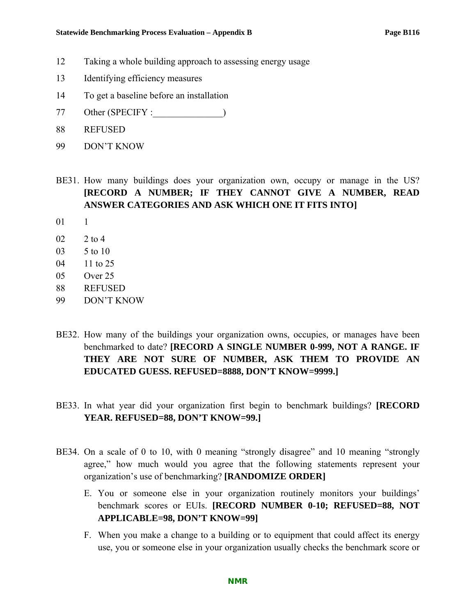- 12 Taking a whole building approach to assessing energy usage
- 13 Identifying efficiency measures
- 14 To get a baseline before an installation
- 77 Other (SPECIFY :\_\_\_\_\_\_\_\_\_\_\_\_\_\_\_)
- 88 REFUSED
- 99 DON'T KNOW
- BE31. How many buildings does your organization own, occupy or manage in the US? **[RECORD A NUMBER; IF THEY CANNOT GIVE A NUMBER, READ ANSWER CATEGORIES AND ASK WHICH ONE IT FITS INTO]**
- 01 1
- 02 2 to 4
- 03 5 to 10
- 04 11 to 25
- 05 Over 25
- 88 REFUSED
- 99 DON'T KNOW
- BE32. How many of the buildings your organization owns, occupies, or manages have been benchmarked to date? **[RECORD A SINGLE NUMBER 0-999, NOT A RANGE. IF THEY ARE NOT SURE OF NUMBER, ASK THEM TO PROVIDE AN EDUCATED GUESS. REFUSED=8888, DON'T KNOW=9999.]**
- BE33. In what year did your organization first begin to benchmark buildings? **[RECORD YEAR. REFUSED=88, DON'T KNOW=99.]**
- BE34. On a scale of 0 to 10, with 0 meaning "strongly disagree" and 10 meaning "strongly agree," how much would you agree that the following statements represent your organization's use of benchmarking? **[RANDOMIZE ORDER]**
	- E. You or someone else in your organization routinely monitors your buildings' benchmark scores or EUIs. **[RECORD NUMBER 0-10; REFUSED=88, NOT APPLICABLE=98, DON'T KNOW=99]**
	- F. When you make a change to a building or to equipment that could affect its energy use, you or someone else in your organization usually checks the benchmark score or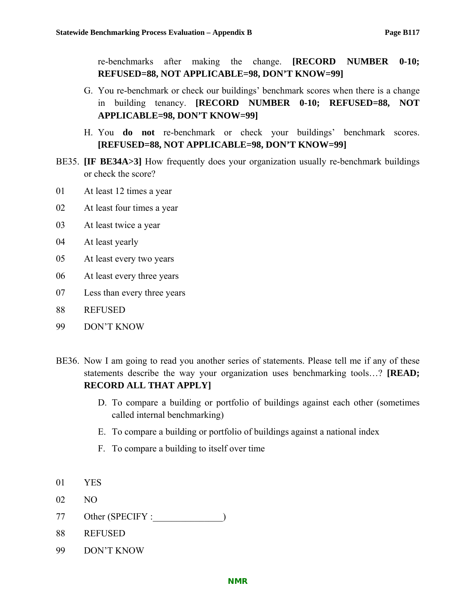re-benchmarks after making the change. **[RECORD NUMBER 0-10; REFUSED=88, NOT APPLICABLE=98, DON'T KNOW=99]**

- G. You re-benchmark or check our buildings' benchmark scores when there is a change in building tenancy. **[RECORD NUMBER 0-10; REFUSED=88, NOT APPLICABLE=98, DON'T KNOW=99]**
- H. You **do not** re-benchmark or check your buildings' benchmark scores. **[REFUSED=88, NOT APPLICABLE=98, DON'T KNOW=99]**
- BE35. **[IF BE34A>3]** How frequently does your organization usually re-benchmark buildings or check the score?
- 01 At least 12 times a year
- 02 At least four times a year
- 03 At least twice a year
- 04 At least yearly
- 05 At least every two years
- 06 At least every three years
- 07 Less than every three years
- 88 REFUSED
- 99 DON'T KNOW
- BE36. Now I am going to read you another series of statements. Please tell me if any of these statements describe the way your organization uses benchmarking tools…? **[READ; RECORD ALL THAT APPLY]**
	- D. To compare a building or portfolio of buildings against each other (sometimes called internal benchmarking)
	- E. To compare a building or portfolio of buildings against a national index
	- F. To compare a building to itself over time
- 01 YES
- 02 NO
- 77 Other (SPECIFY :
- 88 REFUSED
- 99 DON'T KNOW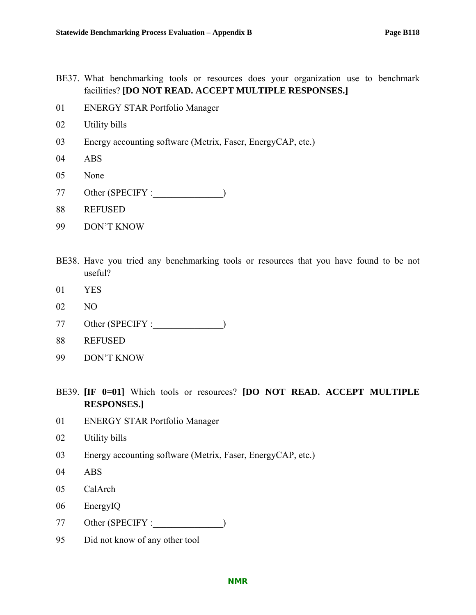- BE37. What benchmarking tools or resources does your organization use to benchmark facilities? **[DO NOT READ. ACCEPT MULTIPLE RESPONSES.]**
- 01 ENERGY STAR Portfolio Manager
- 02 Utility bills
- 03 Energy accounting software (Metrix, Faser, EnergyCAP, etc.)
- 04 ABS
- 05 None
- 77 Other (SPECIFY :\_\_\_\_\_\_\_\_\_\_\_\_\_\_\_)
- 88 REFUSED
- 99 DON'T KNOW
- BE38. Have you tried any benchmarking tools or resources that you have found to be not useful?
- 01 YES
- 02 NO
- 77 Other (SPECIFY :  $\qquad \qquad$ )
- 88 REFUSED
- 99 DON'T KNOW
- BE39. **[IF 0=01]** Which tools or resources? **[DO NOT READ. ACCEPT MULTIPLE RESPONSES.]**
- 01 ENERGY STAR Portfolio Manager
- 02 Utility bills
- 03 Energy accounting software (Metrix, Faser, EnergyCAP, etc.)
- 04 ABS
- 05 CalArch
- 06 EnergyIQ
- 77 Other (SPECIFY :  $\qquad \qquad$ )
- 95 Did not know of any other tool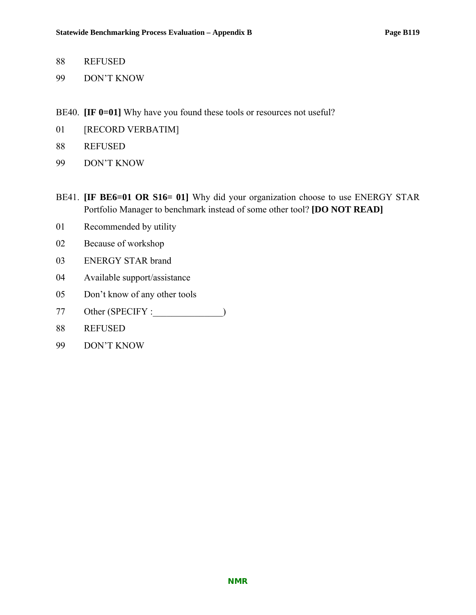- 88 REFUSED
- 99 DON'T KNOW
- BE40. **[IF 0=01]** Why have you found these tools or resources not useful?
- 01 [RECORD VERBATIM]
- 88 REFUSED
- 99 DON'T KNOW
- BE41. **IF BE6=01 OR S16= 01**] Why did your organization choose to use ENERGY STAR Portfolio Manager to benchmark instead of some other tool? **[DO NOT READ]**
- 01 Recommended by utility
- 02 Because of workshop
- 03 ENERGY STAR brand
- 04 Available support/assistance
- 05 Don't know of any other tools
- 77 Other (SPECIFY :\_\_\_\_\_\_\_\_\_\_\_\_\_\_\_)
- 88 REFUSED
- 99 DON'T KNOW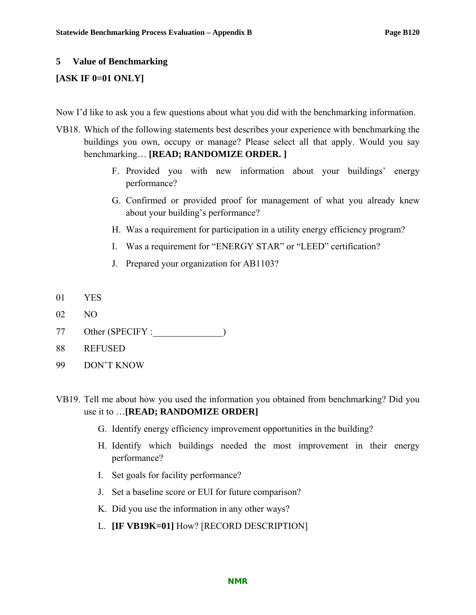#### **5 Value of Benchmarking**

## **[ASK IF 0=01 ONLY]**

Now I'd like to ask you a few questions about what you did with the benchmarking information.

- VB18. Which of the following statements best describes your experience with benchmarking the buildings you own, occupy or manage? Please select all that apply. Would you say benchmarking… **[READ; RANDOMIZE ORDER. ]**
	- F. Provided you with new information about your buildings' energy performance?
	- G. Confirmed or provided proof for management of what you already knew about your building's performance?
	- H. Was a requirement for participation in a utility energy efficiency program?
	- I. Was a requirement for "ENERGY STAR" or "LEED" certification?
	- J. Prepared your organization for AB1103?
- 01 YES
- 02 NO
- 77 Other (SPECIFY :
- 88 REFUSED
- 99 DON'T KNOW
- VB19. Tell me about how you used the information you obtained from benchmarking? Did you use it to …**[READ; RANDOMIZE ORDER]**
	- G. Identify energy efficiency improvement opportunities in the building?
	- H. Identify which buildings needed the most improvement in their energy performance?
	- I. Set goals for facility performance?
	- J. Set a baseline score or EUI for future comparison?
	- K. Did you use the information in any other ways?
	- L. **[IF VB19K=01]** How? [RECORD DESCRIPTION]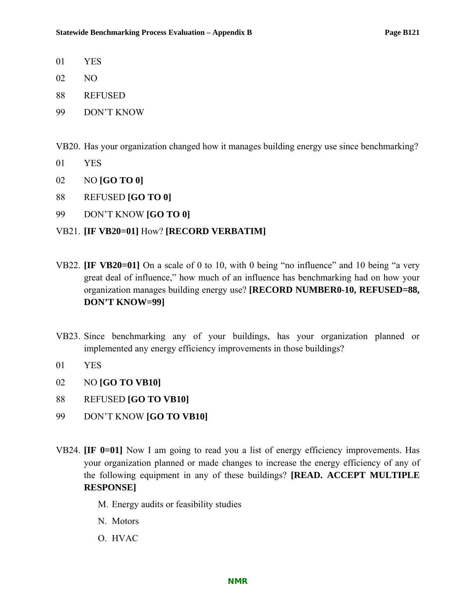- 01 YES
- 02 NO
- 88 REFUSED
- 99 DON'T KNOW

VB20. Has your organization changed how it manages building energy use since benchmarking?

- 01 YES
- 02 NO **[GO TO 0]**
- 88 REFUSED **[GO TO 0]**
- 99 DON'T KNOW **[GO TO 0]**

## VB21. **[IF VB20=01]** How? **[RECORD VERBATIM]**

- VB22. **[IF VB20=01]** On a scale of 0 to 10, with 0 being "no influence" and 10 being "a very great deal of influence," how much of an influence has benchmarking had on how your organization manages building energy use? **[RECORD NUMBER0-10, REFUSED=88, DON'T KNOW=99]**
- VB23. Since benchmarking any of your buildings, has your organization planned or implemented any energy efficiency improvements in those buildings?
- 01 YES
- 02 NO **[GO TO VB10]**
- 88 REFUSED **[GO TO VB10]**
- 99 DON'T KNOW **[GO TO VB10]**
- VB24. **[IF 0=01]** Now I am going to read you a list of energy efficiency improvements. Has your organization planned or made changes to increase the energy efficiency of any of the following equipment in any of these buildings? **[READ. ACCEPT MULTIPLE RESPONSE]**
	- M. Energy audits or feasibility studies
	- N. Motors
	- O. HVAC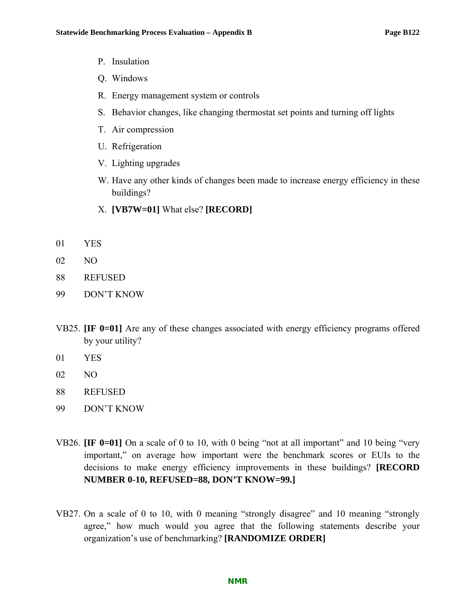- P. Insulation
- Q. Windows
- R. Energy management system or controls
- S. Behavior changes, like changing thermostat set points and turning off lights
- T. Air compression
- U. Refrigeration
- V. Lighting upgrades
- W. Have any other kinds of changes been made to increase energy efficiency in these buildings?
- X. **[VB7W=01]** What else? **[RECORD]**
- 01 YES
- 02 NO
- 88 REFUSED
- 99 DON'T KNOW
- VB25. **[IF 0=01]** Are any of these changes associated with energy efficiency programs offered by your utility?
- 01 YES
- 02 NO
- 88 REFUSED
- 99 DON'T KNOW
- VB26. **[IF 0=01]** On a scale of 0 to 10, with 0 being "not at all important" and 10 being "very important," on average how important were the benchmark scores or EUIs to the decisions to make energy efficiency improvements in these buildings? **[RECORD NUMBER 0-10, REFUSED=88, DON'T KNOW=99.]**
- VB27. On a scale of 0 to 10, with 0 meaning "strongly disagree" and 10 meaning "strongly agree," how much would you agree that the following statements describe your organization's use of benchmarking? **[RANDOMIZE ORDER]**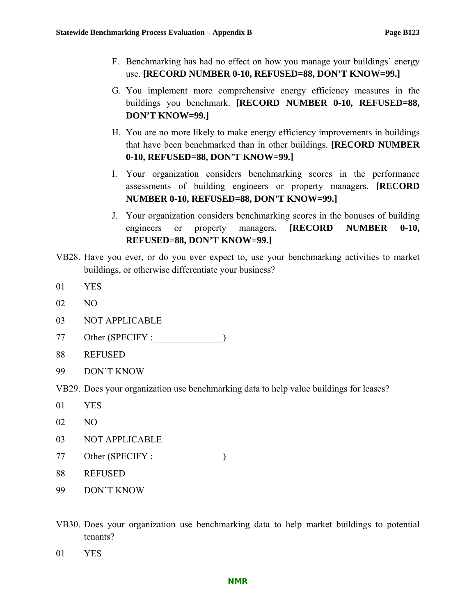- F. Benchmarking has had no effect on how you manage your buildings' energy use. **[RECORD NUMBER 0-10, REFUSED=88, DON'T KNOW=99.]**
- G. You implement more comprehensive energy efficiency measures in the buildings you benchmark. **[RECORD NUMBER 0-10, REFUSED=88, DON'T KNOW=99.]**
- H. You are no more likely to make energy efficiency improvements in buildings that have been benchmarked than in other buildings. **[RECORD NUMBER 0-10, REFUSED=88, DON'T KNOW=99.]**
- I. Your organization considers benchmarking scores in the performance assessments of building engineers or property managers. **[RECORD NUMBER 0-10, REFUSED=88, DON'T KNOW=99.]**
- J. Your organization considers benchmarking scores in the bonuses of building engineers or property managers. **[RECORD NUMBER 0-10, REFUSED=88, DON'T KNOW=99.]**
- VB28. Have you ever, or do you ever expect to, use your benchmarking activities to market buildings, or otherwise differentiate your business?
- 01 YES
- 02 NO
- 03 NOT APPLICABLE
- 77 Other (SPECIFY :\_\_\_\_\_\_\_\_\_\_\_\_\_\_\_)
- 88 REFUSED
- 99 DON'T KNOW

VB29. Does your organization use benchmarking data to help value buildings for leases?

- 01 YES
- 02 NO
- 03 NOT APPLICABLE
- 77 Other (SPECIFY :\_\_\_\_\_\_\_\_\_\_\_\_\_\_\_)
- 88 REFUSED
- 99 DON'T KNOW
- VB30. Does your organization use benchmarking data to help market buildings to potential tenants?
- 01 YES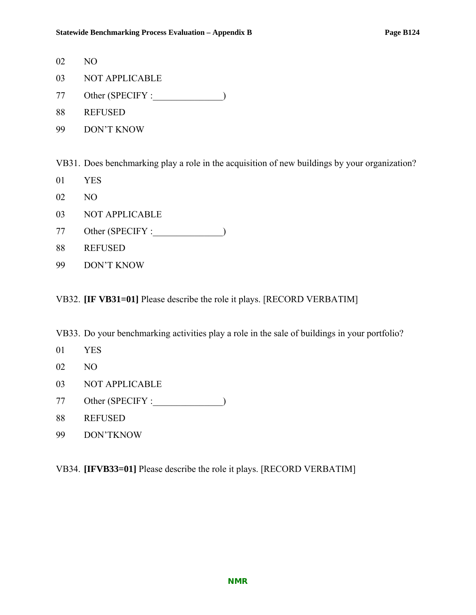- 02 NO
- 03 NOT APPLICABLE
- 77 Other (SPECIFY :\_\_\_\_\_\_\_\_\_\_\_\_\_\_\_)
- 88 REFUSED
- 99 DON'T KNOW

VB31. Does benchmarking play a role in the acquisition of new buildings by your organization?

- 01 YES
- 02 NO
- 03 NOT APPLICABLE
- 77 Other (SPECIFY :\_\_\_\_\_\_\_\_\_\_\_\_\_\_\_)
- 88 REFUSED
- 99 DON'T KNOW

VB32. **[IF VB31=01]** Please describe the role it plays. [RECORD VERBATIM]

VB33. Do your benchmarking activities play a role in the sale of buildings in your portfolio?

- 01 YES
- 02 NO
- 03 NOT APPLICABLE
- 77 Other (SPECIFY :\_\_\_\_\_\_\_\_\_\_\_\_\_\_\_)
- 88 REFUSED
- 99 DON'TKNOW

VB34. **[IFVB33=01]** Please describe the role it plays. [RECORD VERBATIM]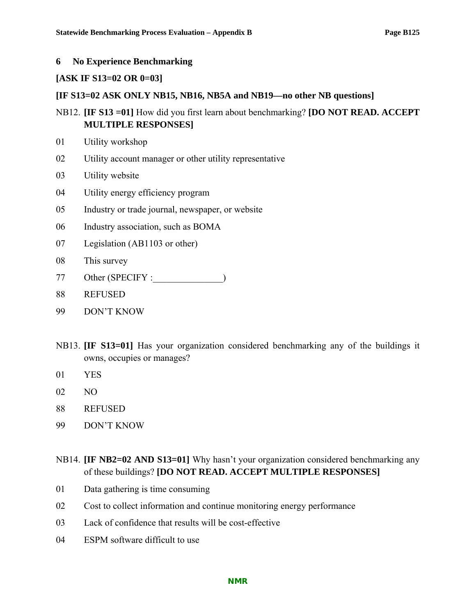#### **6 No Experience Benchmarking**

#### **[ASK IF S13=02 OR 0=03]**

#### **[IF S13=02 ASK ONLY NB15, NB16, NB5A and NB19—no other NB questions]**

- NB12. **[IF S13 =01]** How did you first learn about benchmarking? **[DO NOT READ. ACCEPT MULTIPLE RESPONSES]**
- 01 Utility workshop
- 02 Utility account manager or other utility representative
- 03 Utility website
- 04 Utility energy efficiency program
- 05 Industry or trade journal, newspaper, or website
- 06 Industry association, such as BOMA
- 07 Legislation (AB1103 or other)
- 08 This survey
- 77 Other (SPECIFY :  $\qquad \qquad$ )
- 88 REFUSED
- 99 DON'T KNOW
- NB13. **[IF S13=01]** Has your organization considered benchmarking any of the buildings it owns, occupies or manages?
- 01 YES
- 02 NO
- 88 REFUSED
- 99 DON'T KNOW
- NB14. **[IF NB2=02 AND S13=01]** Why hasn't your organization considered benchmarking any of these buildings? **[DO NOT READ. ACCEPT MULTIPLE RESPONSES]**
- 01 Data gathering is time consuming
- 02 Cost to collect information and continue monitoring energy performance
- 03 Lack of confidence that results will be cost-effective
- 04 ESPM software difficult to use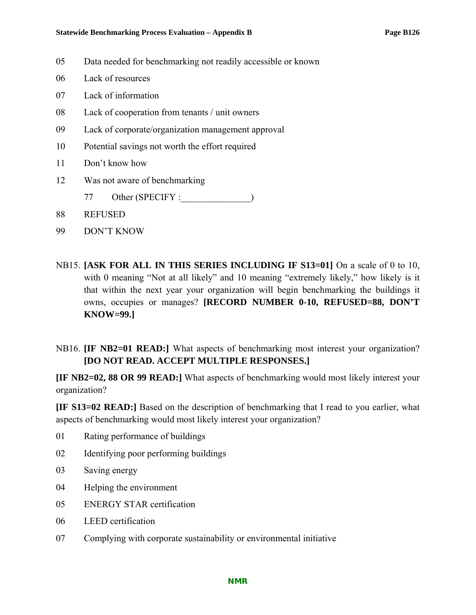- 05 Data needed for benchmarking not readily accessible or known
- 06 Lack of resources
- 07 Lack of information
- 08 Lack of cooperation from tenants / unit owners
- 09 Lack of corporate/organization management approval
- 10 Potential savings not worth the effort required
- 11 Don't know how
- 12 Was not aware of benchmarking
	- 77 Other (SPECIFY :\_\_\_\_\_\_\_\_\_\_\_\_\_\_\_)
- 88 REFUSED
- 99 DON'T KNOW
- NB15. **[ASK FOR ALL IN THIS SERIES INCLUDING IF S13=01]** On a scale of 0 to 10, with 0 meaning "Not at all likely" and 10 meaning "extremely likely," how likely is it that within the next year your organization will begin benchmarking the buildings it owns, occupies or manages? **[RECORD NUMBER 0-10, REFUSED=88, DON'T KNOW=99.]**
- NB16. **[IF NB2=01 READ:]** What aspects of benchmarking most interest your organization? **[DO NOT READ. ACCEPT MULTIPLE RESPONSES.]**

**[IF NB2=02, 88 OR 99 READ:]** What aspects of benchmarking would most likely interest your organization?

**[IF S13=02 READ:]** Based on the description of benchmarking that I read to you earlier, what aspects of benchmarking would most likely interest your organization?

- 01 Rating performance of buildings
- 02 Identifying poor performing buildings
- 03 Saving energy
- 04 Helping the environment
- 05 ENERGY STAR certification
- 06 LEED certification
- 07 Complying with corporate sustainability or environmental initiative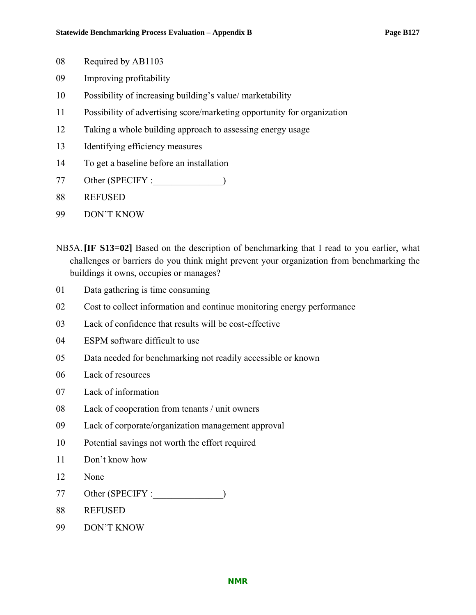- 08 Required by AB1103
- 09 Improving profitability
- 10 Possibility of increasing building's value/ marketability
- 11 Possibility of advertising score/marketing opportunity for organization
- 12 Taking a whole building approach to assessing energy usage
- 13 Identifying efficiency measures
- 14 To get a baseline before an installation
- 77 Other (SPECIFY :\_\_\_\_\_\_\_\_\_\_\_\_\_\_\_)
- 88 REFUSED
- 99 DON'T KNOW
- NB5A.**[IF S13=02]** Based on the description of benchmarking that I read to you earlier, what challenges or barriers do you think might prevent your organization from benchmarking the buildings it owns, occupies or manages?
- 01 Data gathering is time consuming
- 02 Cost to collect information and continue monitoring energy performance
- 03 Lack of confidence that results will be cost-effective
- 04 ESPM software difficult to use
- 05 Data needed for benchmarking not readily accessible or known
- 06 Lack of resources
- 07 Lack of information
- 08 Lack of cooperation from tenants / unit owners
- 09 Lack of corporate/organization management approval
- 10 Potential savings not worth the effort required
- 11 Don't know how
- 12 None
- 77 Other (SPECIFY :\_\_\_\_\_\_\_\_\_\_\_\_\_\_\_)
- 88 REFUSED
- 99 DON'T KNOW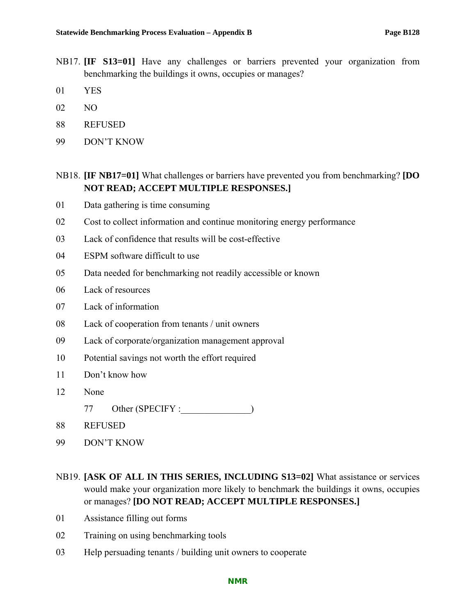- NB17. **[IF S13=01]** Have any challenges or barriers prevented your organization from benchmarking the buildings it owns, occupies or manages?
- 01 YES
- 02 NO
- 88 REFUSED
- 99 DON'T KNOW

## NB18. **[IF NB17=01]** What challenges or barriers have prevented you from benchmarking? **[DO NOT READ; ACCEPT MULTIPLE RESPONSES.]**

- 01 Data gathering is time consuming
- 02 Cost to collect information and continue monitoring energy performance
- 03 Lack of confidence that results will be cost-effective
- 04 ESPM software difficult to use
- 05 Data needed for benchmarking not readily accessible or known
- 06 Lack of resources
- 07 Lack of information
- 08 Lack of cooperation from tenants / unit owners
- 09 Lack of corporate/organization management approval
- 10 Potential savings not worth the effort required
- 11 Don't know how
- 12 None
	- 77 Other (SPECIFY :\_\_\_\_\_\_\_\_\_\_\_\_\_\_\_)
- 88 REFUSED
- 99 DON'T KNOW
- NB19. **[ASK OF ALL IN THIS SERIES, INCLUDING S13=02]** What assistance or services would make your organization more likely to benchmark the buildings it owns, occupies or manages? **[DO NOT READ; ACCEPT MULTIPLE RESPONSES.]**
- 01 Assistance filling out forms
- 02 Training on using benchmarking tools
- 03 Help persuading tenants / building unit owners to cooperate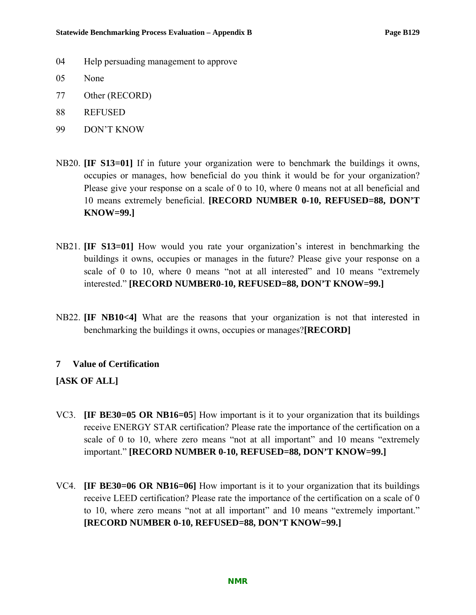- 04 Help persuading management to approve
- 05 None
- 77 Other (RECORD)
- 88 REFUSED
- 99 DON'T KNOW
- NB20. **[IF S13=01]** If in future your organization were to benchmark the buildings it owns, occupies or manages, how beneficial do you think it would be for your organization? Please give your response on a scale of 0 to 10, where 0 means not at all beneficial and 10 means extremely beneficial. **[RECORD NUMBER 0-10, REFUSED=88, DON'T KNOW=99.]**
- NB21. **[IF S13=01]** How would you rate your organization's interest in benchmarking the buildings it owns, occupies or manages in the future? Please give your response on a scale of 0 to 10, where 0 means "not at all interested" and 10 means "extremely interested." **[RECORD NUMBER0-10, REFUSED=88, DON'T KNOW=99.]**
- NB22. **[IF NB10<4]** What are the reasons that your organization is not that interested in benchmarking the buildings it owns, occupies or manages?**[RECORD]**

#### **7 Value of Certification**

## **[ASK OF ALL]**

- VC3. **[IF BE30=05 OR NB16=05**] How important is it to your organization that its buildings receive ENERGY STAR certification? Please rate the importance of the certification on a scale of 0 to 10, where zero means "not at all important" and 10 means "extremely important." **[RECORD NUMBER 0-10, REFUSED=88, DON'T KNOW=99.]**
- VC4. **[IF BE30=06 OR NB16=06]** How important is it to your organization that its buildings receive LEED certification? Please rate the importance of the certification on a scale of 0 to 10, where zero means "not at all important" and 10 means "extremely important." **[RECORD NUMBER 0-10, REFUSED=88, DON'T KNOW=99.]**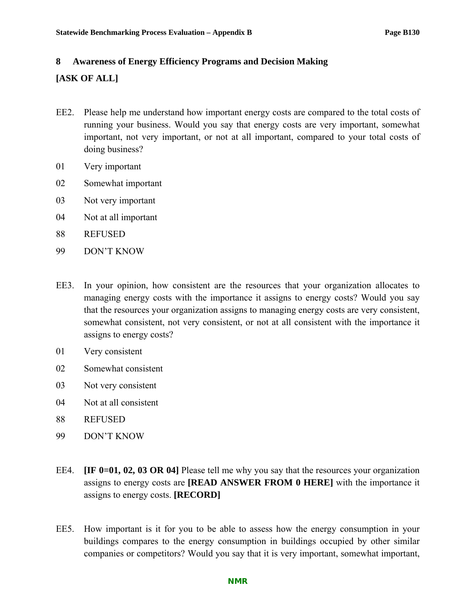# **8 Awareness of Energy Efficiency Programs and Decision Making**

## **[ASK OF ALL]**

- EE2. Please help me understand how important energy costs are compared to the total costs of running your business. Would you say that energy costs are very important, somewhat important, not very important, or not at all important, compared to your total costs of doing business?
- 01 Very important
- 02 Somewhat important
- 03 Not very important
- 04 Not at all important
- 88 REFUSED
- 99 DON'T KNOW
- EE3. In your opinion, how consistent are the resources that your organization allocates to managing energy costs with the importance it assigns to energy costs? Would you say that the resources your organization assigns to managing energy costs are very consistent, somewhat consistent, not very consistent, or not at all consistent with the importance it assigns to energy costs?
- 01 Very consistent
- 02 Somewhat consistent
- 03 Not very consistent
- 04 Not at all consistent
- 88 REFUSED
- 99 DON'T KNOW
- EE4. **[IF 0=01, 02, 03 OR 04]** Please tell me why you say that the resources your organization assigns to energy costs are **[READ ANSWER FROM 0 HERE]** with the importance it assigns to energy costs. **[RECORD]**
- EE5. How important is it for you to be able to assess how the energy consumption in your buildings compares to the energy consumption in buildings occupied by other similar companies or competitors? Would you say that it is very important, somewhat important,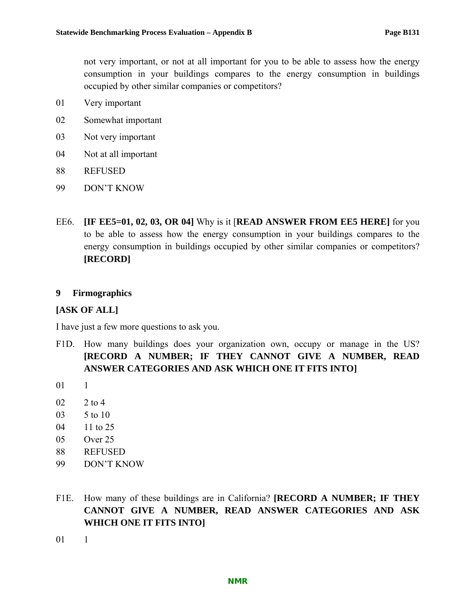not very important, or not at all important for you to be able to assess how the energy consumption in your buildings compares to the energy consumption in buildings occupied by other similar companies or competitors?

- 01 Very important
- 02 Somewhat important
- 03 Not very important
- 04 Not at all important
- 88 REFUSED
- 99 DON'T KNOW
- EE6. **[IF EE5=01, 02, 03, OR 04]** Why is it [**READ ANSWER FROM EE5 HERE]** for you to be able to assess how the energy consumption in your buildings compares to the energy consumption in buildings occupied by other similar companies or competitors? **[RECORD]**

#### **9 Firmographics**

#### **[ASK OF ALL]**

I have just a few more questions to ask you.

- F1D. How many buildings does your organization own, occupy or manage in the US? **[RECORD A NUMBER; IF THEY CANNOT GIVE A NUMBER, READ ANSWER CATEGORIES AND ASK WHICH ONE IT FITS INTO]**
- 01 1
- 02 2 to 4
- 03 5 to 10
- 04 11 to 25
- 05 Over 25
- 88 REFUSED
- 99 DON'T KNOW
- F1E. How many of these buildings are in California? **[RECORD A NUMBER; IF THEY CANNOT GIVE A NUMBER, READ ANSWER CATEGORIES AND ASK WHICH ONE IT FITS INTO]**
- 01 1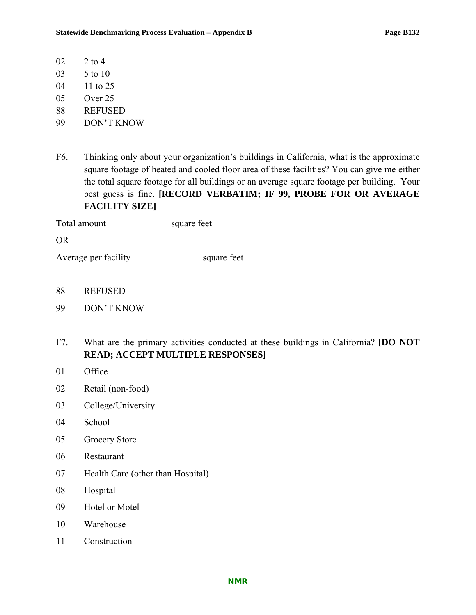- 02 2 to 4
- 03 5 to 10
- 04 11 to 25
- 05 Over 25
- 88 REFUSED
- 99 DON'T KNOW
- F6. Thinking only about your organization's buildings in California, what is the approximate square footage of heated and cooled floor area of these facilities? You can give me either the total square footage for all buildings or an average square footage per building. Your best guess is fine. **[RECORD VERBATIM; IF 99, PROBE FOR OR AVERAGE FACILITY SIZE]**

Total amount \_\_\_\_\_\_\_\_\_\_\_\_\_ square feet

OR

Average per facility \_\_\_\_\_\_\_\_\_\_\_\_\_\_\_square feet

- 88 REFUSED
- 99 DON'T KNOW
- F7. What are the primary activities conducted at these buildings in California? **[DO NOT READ; ACCEPT MULTIPLE RESPONSES]**
- 01 Office
- 02 Retail (non-food)
- 03 College/University
- 04 School
- 05 Grocery Store
- 06 Restaurant
- 07 Health Care (other than Hospital)
- 08 Hospital
- 09 Hotel or Motel
- 10 Warehouse
- 11 Construction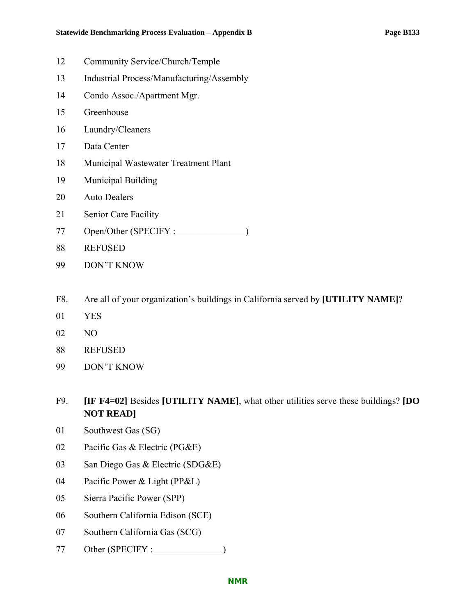- 12 Community Service/Church/Temple
- 13 Industrial Process/Manufacturing/Assembly
- 14 Condo Assoc./Apartment Mgr.
- 15 Greenhouse
- 16 Laundry/Cleaners
- 17 Data Center
- 18 Municipal Wastewater Treatment Plant
- 19 Municipal Building
- 20 Auto Dealers
- 21 Senior Care Facility
- 77 Open/Other (SPECIFY :\_\_\_\_\_\_\_\_\_\_\_\_\_\_)
- 88 REFUSED
- 99 DON'T KNOW
- F8. Are all of your organization's buildings in California served by **[UTILITY NAME]**?
- 01 YES
- 02 NO
- 88 REFUSED
- 99 DON'T KNOW
- F9. **[IF F4=02]** Besides **[UTILITY NAME]**, what other utilities serve these buildings? **[DO NOT READ]**
- 01 Southwest Gas (SG)
- 02 Pacific Gas & Electric (PG&E)
- 03 San Diego Gas & Electric (SDG&E)
- 04 Pacific Power & Light (PP&L)
- 05 Sierra Pacific Power (SPP)
- 06 Southern California Edison (SCE)
- 07 Southern California Gas (SCG)
- 77 Other (SPECIFY :  $\qquad \qquad$ )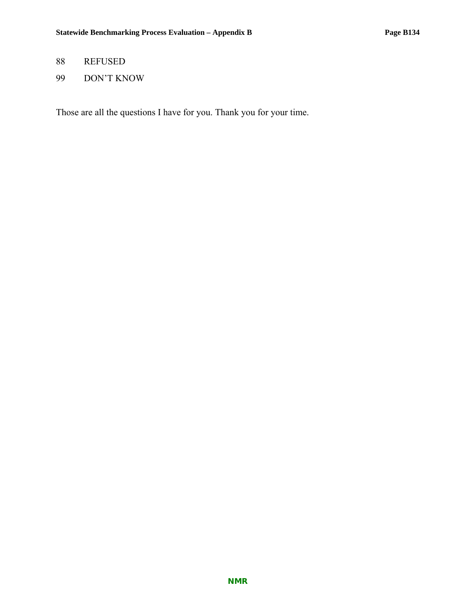## 88 REFUSED

99 DON'T KNOW

Those are all the questions I have for you. Thank you for your time.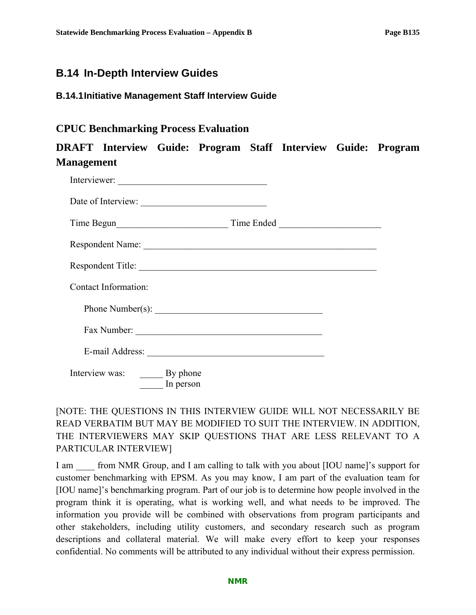## **B.14 In-Depth Interview Guides**

## **B.14.1 Initiative Management Staff Interview Guide**

## **CPUC Benchmarking Process Evaluation**

## **DRAFT Interview Guide: Program Staff Interview Guide: Program Management**

| Interviewer:                         |  |
|--------------------------------------|--|
| Date of Interview:                   |  |
|                                      |  |
|                                      |  |
| Respondent Title:                    |  |
| Contact Information:                 |  |
| Phone Number(s):                     |  |
| Fax Number:                          |  |
|                                      |  |
| Interview was: By phone<br>In person |  |

## [NOTE: THE QUESTIONS IN THIS INTERVIEW GUIDE WILL NOT NECESSARILY BE READ VERBATIM BUT MAY BE MODIFIED TO SUIT THE INTERVIEW. IN ADDITION, THE INTERVIEWERS MAY SKIP QUESTIONS THAT ARE LESS RELEVANT TO A PARTICULAR INTERVIEW]

I am from NMR Group, and I am calling to talk with you about [IOU name]'s support for customer benchmarking with EPSM. As you may know, I am part of the evaluation team for [IOU name]'s benchmarking program. Part of our job is to determine how people involved in the program think it is operating, what is working well, and what needs to be improved. The information you provide will be combined with observations from program participants and other stakeholders, including utility customers, and secondary research such as program descriptions and collateral material. We will make every effort to keep your responses confidential. No comments will be attributed to any individual without their express permission.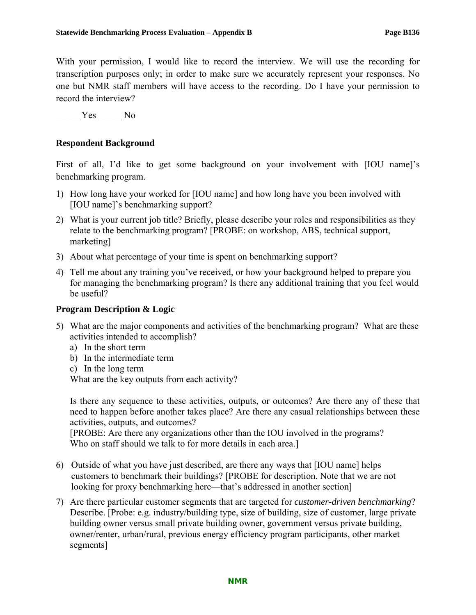With your permission, I would like to record the interview. We will use the recording for transcription purposes only; in order to make sure we accurately represent your responses. No one but NMR staff members will have access to the recording. Do I have your permission to record the interview?

Yes No

## **Respondent Background**

First of all, I'd like to get some background on your involvement with [IOU name]'s benchmarking program.

- 1) How long have your worked for [IOU name] and how long have you been involved with [IOU name]'s benchmarking support?
- 2) What is your current job title? Briefly, please describe your roles and responsibilities as they relate to the benchmarking program? [PROBE: on workshop, ABS, technical support, marketing]
- 3) About what percentage of your time is spent on benchmarking support?
- 4) Tell me about any training you've received, or how your background helped to prepare you for managing the benchmarking program? Is there any additional training that you feel would be useful?

#### **Program Description & Logic**

- 5) What are the major components and activities of the benchmarking program? What are these activities intended to accomplish?
	- a) In the short term
	- b) In the intermediate term
	- c) In the long term

What are the key outputs from each activity?

Is there any sequence to these activities, outputs, or outcomes? Are there any of these that need to happen before another takes place? Are there any casual relationships between these activities, outputs, and outcomes?

[PROBE: Are there any organizations other than the IOU involved in the programs? Who on staff should we talk to for more details in each area.]

- 6) Outside of what you have just described, are there any ways that [IOU name] helps customers to benchmark their buildings? [PROBE for description. Note that we are not looking for proxy benchmarking here—that's addressed in another section]
- 7) Are there particular customer segments that are targeted for *customer-driven benchmarking*? Describe. [Probe: e.g. industry/building type, size of building, size of customer, large private building owner versus small private building owner, government versus private building, owner/renter, urban/rural, previous energy efficiency program participants, other market segments]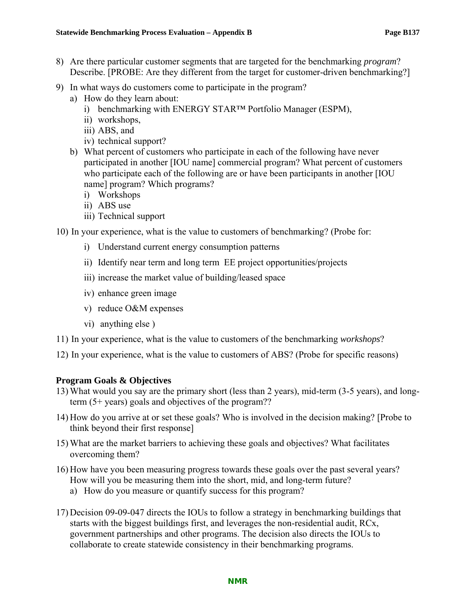- 8) Are there particular customer segments that are targeted for the benchmarking *program*? Describe. [PROBE: Are they different from the target for customer-driven benchmarking?]
- 9) In what ways do customers come to participate in the program?
	- a) How do they learn about:
		- i) benchmarking with ENERGY STAR™ Portfolio Manager (ESPM),
		- ii) workshops,
		- iii) ABS, and
		- iv) technical support?
	- b) What percent of customers who participate in each of the following have never participated in another [IOU name] commercial program? What percent of customers who participate each of the following are or have been participants in another [IOU name] program? Which programs?
		- i) Workshops
		- ii) ABS use
		- iii) Technical support

10) In your experience, what is the value to customers of benchmarking? (Probe for:

- i) Understand current energy consumption patterns
- ii) Identify near term and long term EE project opportunities/projects
- iii) increase the market value of building/leased space
- iv) enhance green image
- v) reduce O&M expenses
- vi) anything else )
- 11) In your experience, what is the value to customers of the benchmarking *workshops*?
- 12) In your experience, what is the value to customers of ABS? (Probe for specific reasons)

## **Program Goals & Objectives**

- 13) What would you say are the primary short (less than 2 years), mid-term (3-5 years), and longterm (5+ years) goals and objectives of the program??
- 14) How do you arrive at or set these goals? Who is involved in the decision making? [Probe to think beyond their first response]
- 15) What are the market barriers to achieving these goals and objectives? What facilitates overcoming them?
- 16) How have you been measuring progress towards these goals over the past several years? How will you be measuring them into the short, mid, and long-term future?
	- a) How do you measure or quantify success for this program?
- 17) Decision 09-09-047 directs the IOUs to follow a strategy in benchmarking buildings that starts with the biggest buildings first, and leverages the non-residential audit, RCx, government partnerships and other programs. The decision also directs the IOUs to collaborate to create statewide consistency in their benchmarking programs.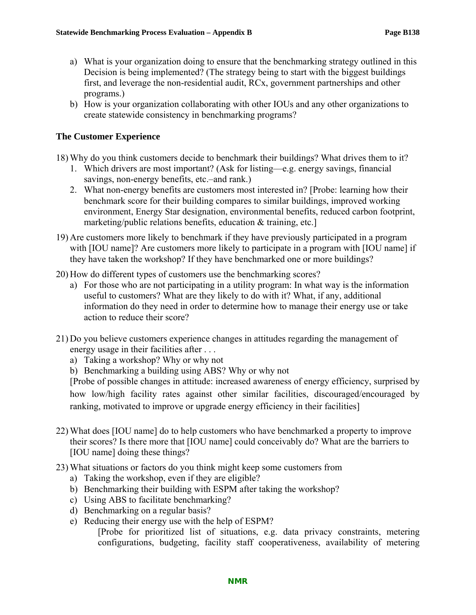- a) What is your organization doing to ensure that the benchmarking strategy outlined in this Decision is being implemented? (The strategy being to start with the biggest buildings first, and leverage the non-residential audit, RCx, government partnerships and other programs.)
- b) How is your organization collaborating with other IOUs and any other organizations to create statewide consistency in benchmarking programs?

### **The Customer Experience**

18) Why do you think customers decide to benchmark their buildings? What drives them to it?

- 1. Which drivers are most important? (Ask for listing—e.g. energy savings, financial savings, non-energy benefits, etc.–and rank.)
- 2. What non-energy benefits are customers most interested in? [Probe: learning how their benchmark score for their building compares to similar buildings, improved working environment, Energy Star designation, environmental benefits, reduced carbon footprint, marketing/public relations benefits, education & training, etc.]
- 19) Are customers more likely to benchmark if they have previously participated in a program with [IOU name]? Are customers more likely to participate in a program with [IOU name] if they have taken the workshop? If they have benchmarked one or more buildings?
- 20) How do different types of customers use the benchmarking scores?
	- a) For those who are not participating in a utility program: In what way is the information useful to customers? What are they likely to do with it? What, if any, additional information do they need in order to determine how to manage their energy use or take action to reduce their score?
- 21) Do you believe customers experience changes in attitudes regarding the management of energy usage in their facilities after . . .
	- a) Taking a workshop? Why or why not
	- b) Benchmarking a building using ABS? Why or why not

[Probe of possible changes in attitude: increased awareness of energy efficiency, surprised by how low/high facility rates against other similar facilities, discouraged/encouraged by ranking, motivated to improve or upgrade energy efficiency in their facilities]

- 22) What does [IOU name] do to help customers who have benchmarked a property to improve their scores? Is there more that [IOU name] could conceivably do? What are the barriers to [IOU name] doing these things?
- 23) What situations or factors do you think might keep some customers from
	- a) Taking the workshop, even if they are eligible?
	- b) Benchmarking their building with ESPM after taking the workshop?
	- c) Using ABS to facilitate benchmarking?
	- d) Benchmarking on a regular basis?
	- e) Reducing their energy use with the help of ESPM?

[Probe for prioritized list of situations, e.g. data privacy constraints, metering configurations, budgeting, facility staff cooperativeness, availability of metering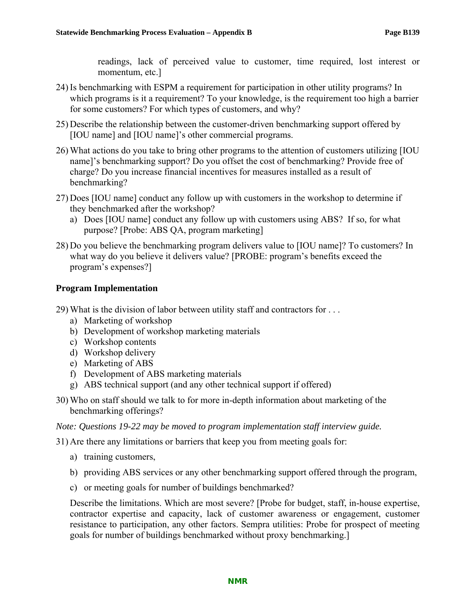readings, lack of perceived value to customer, time required, lost interest or momentum, etc.]

- 24) Is benchmarking with ESPM a requirement for participation in other utility programs? In which programs is it a requirement? To your knowledge, is the requirement too high a barrier for some customers? For which types of customers, and why?
- 25) Describe the relationship between the customer-driven benchmarking support offered by [IOU name] and [IOU name]'s other commercial programs.
- 26) What actions do you take to bring other programs to the attention of customers utilizing [IOU name]'s benchmarking support? Do you offset the cost of benchmarking? Provide free of charge? Do you increase financial incentives for measures installed as a result of benchmarking?
- 27) Does [IOU name] conduct any follow up with customers in the workshop to determine if they benchmarked after the workshop?
	- a) Does [IOU name] conduct any follow up with customers using ABS? If so, for what purpose? [Probe: ABS QA, program marketing]
- 28) Do you believe the benchmarking program delivers value to [IOU name]? To customers? In what way do you believe it delivers value? [PROBE: program's benefits exceed the program's expenses?]

### **Program Implementation**

29) What is the division of labor between utility staff and contractors for . . .

- a) Marketing of workshop
- b) Development of workshop marketing materials
- c) Workshop contents
- d) Workshop delivery
- e) Marketing of ABS
- f) Development of ABS marketing materials
- g) ABS technical support (and any other technical support if offered)
- 30) Who on staff should we talk to for more in-depth information about marketing of the benchmarking offerings?

*Note: Questions 19-22 may be moved to program implementation staff interview guide.* 

31) Are there any limitations or barriers that keep you from meeting goals for:

- a) training customers,
- b) providing ABS services or any other benchmarking support offered through the program,
- c) or meeting goals for number of buildings benchmarked?

Describe the limitations. Which are most severe? [Probe for budget, staff, in-house expertise, contractor expertise and capacity, lack of customer awareness or engagement, customer resistance to participation, any other factors. Sempra utilities: Probe for prospect of meeting goals for number of buildings benchmarked without proxy benchmarking.]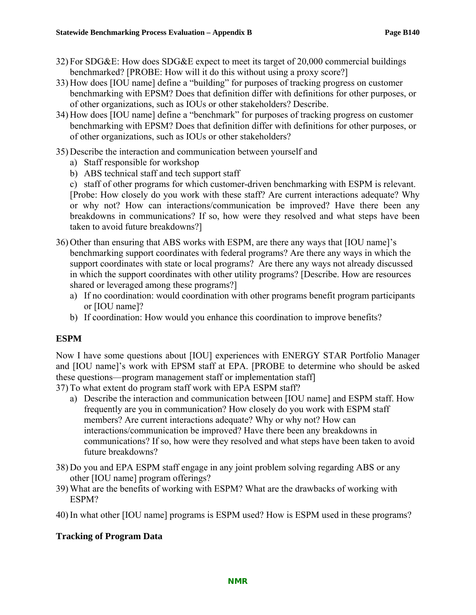- 32) For SDG&E: How does SDG&E expect to meet its target of 20,000 commercial buildings benchmarked? [PROBE: How will it do this without using a proxy score?]
- 33) How does [IOU name] define a "building" for purposes of tracking progress on customer benchmarking with EPSM? Does that definition differ with definitions for other purposes, or of other organizations, such as IOUs or other stakeholders? Describe.
- 34) How does [IOU name] define a "benchmark" for purposes of tracking progress on customer benchmarking with EPSM? Does that definition differ with definitions for other purposes, or of other organizations, such as IOUs or other stakeholders?
- 35) Describe the interaction and communication between yourself and
	- a) Staff responsible for workshop
	- b) ABS technical staff and tech support staff
	- c) staff of other programs for which customer-driven benchmarking with ESPM is relevant. [Probe: How closely do you work with these staff? Are current interactions adequate? Why or why not? How can interactions/communication be improved? Have there been any breakdowns in communications? If so, how were they resolved and what steps have been taken to avoid future breakdowns?]
- 36) Other than ensuring that ABS works with ESPM, are there any ways that [IOU name]'s benchmarking support coordinates with federal programs? Are there any ways in which the support coordinates with state or local programs? Are there any ways not already discussed in which the support coordinates with other utility programs? [Describe. How are resources shared or leveraged among these programs?]
	- a) If no coordination: would coordination with other programs benefit program participants or [IOU name]?
	- b) If coordination: How would you enhance this coordination to improve benefits?

# **ESPM**

Now I have some questions about [IOU] experiences with ENERGY STAR Portfolio Manager and [IOU name]'s work with EPSM staff at EPA. [PROBE to determine who should be asked these questions—program management staff or implementation staff]

37) To what extent do program staff work with EPA ESPM staff?

- a) Describe the interaction and communication between [IOU name] and ESPM staff. How frequently are you in communication? How closely do you work with ESPM staff members? Are current interactions adequate? Why or why not? How can interactions/communication be improved? Have there been any breakdowns in communications? If so, how were they resolved and what steps have been taken to avoid future breakdowns?
- 38) Do you and EPA ESPM staff engage in any joint problem solving regarding ABS or any other [IOU name] program offerings?
- 39) What are the benefits of working with ESPM? What are the drawbacks of working with ESPM?
- 40) In what other [IOU name] programs is ESPM used? How is ESPM used in these programs?

# **Tracking of Program Data**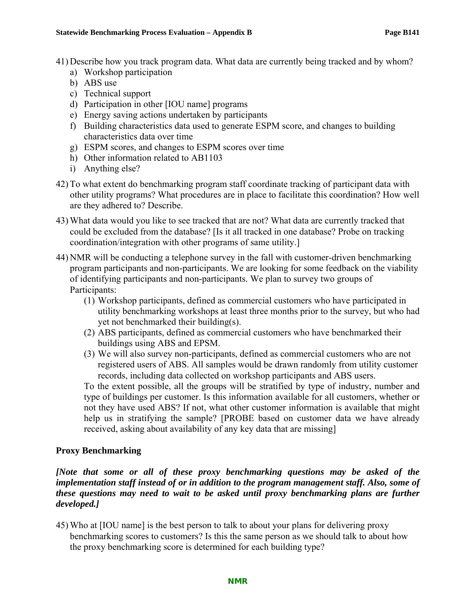- 41) Describe how you track program data. What data are currently being tracked and by whom?
	- a) Workshop participation
	- b) ABS use
	- c) Technical support
	- d) Participation in other [IOU name] programs
	- e) Energy saving actions undertaken by participants
	- f) Building characteristics data used to generate ESPM score, and changes to building characteristics data over time
	- g) ESPM scores, and changes to ESPM scores over time
	- h) Other information related to AB1103
	- i) Anything else?
- 42) To what extent do benchmarking program staff coordinate tracking of participant data with other utility programs? What procedures are in place to facilitate this coordination? How well are they adhered to? Describe.
- 43) What data would you like to see tracked that are not? What data are currently tracked that could be excluded from the database? [Is it all tracked in one database? Probe on tracking coordination/integration with other programs of same utility.]
- 44) NMR will be conducting a telephone survey in the fall with customer-driven benchmarking program participants and non-participants. We are looking for some feedback on the viability of identifying participants and non-participants. We plan to survey two groups of Participants:
	- (1) Workshop participants, defined as commercial customers who have participated in utility benchmarking workshops at least three months prior to the survey, but who had yet not benchmarked their building(s).
	- (2) ABS participants, defined as commercial customers who have benchmarked their buildings using ABS and EPSM.
	- (3) We will also survey non-participants, defined as commercial customers who are not registered users of ABS. All samples would be drawn randomly from utility customer records, including data collected on workshop participants and ABS users.

To the extent possible, all the groups will be stratified by type of industry, number and type of buildings per customer. Is this information available for all customers, whether or not they have used ABS? If not, what other customer information is available that might help us in stratifying the sample? [PROBE based on customer data we have already received, asking about availability of any key data that are missing]

# **Proxy Benchmarking**

*[Note that some or all of these proxy benchmarking questions may be asked of the implementation staff instead of or in addition to the program management staff. Also, some of these questions may need to wait to be asked until proxy benchmarking plans are further developed.]*

45) Who at [IOU name] is the best person to talk to about your plans for delivering proxy benchmarking scores to customers? Is this the same person as we should talk to about how the proxy benchmarking score is determined for each building type?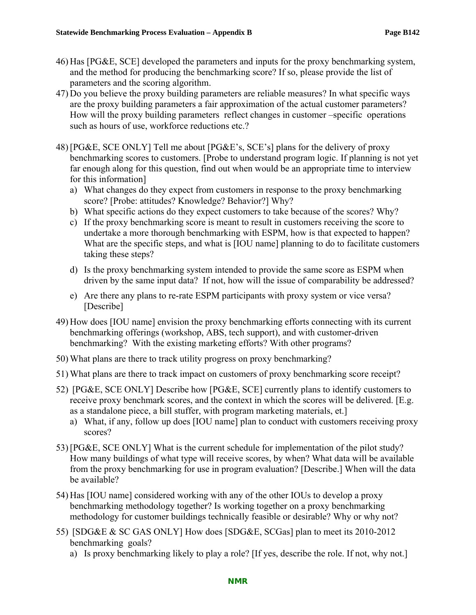- 46) Has [PG&E, SCE] developed the parameters and inputs for the proxy benchmarking system, and the method for producing the benchmarking score? If so, please provide the list of parameters and the scoring algorithm.
- 47) Do you believe the proxy building parameters are reliable measures? In what specific ways are the proxy building parameters a fair approximation of the actual customer parameters? How will the proxy building parameters reflect changes in customer –specific operations such as hours of use, workforce reductions etc.?
- 48) [PG&E, SCE ONLY] Tell me about [PG&E's, SCE's] plans for the delivery of proxy benchmarking scores to customers. [Probe to understand program logic. If planning is not yet far enough along for this question, find out when would be an appropriate time to interview for this information]
	- a) What changes do they expect from customers in response to the proxy benchmarking score? [Probe: attitudes? Knowledge? Behavior?] Why?
	- b) What specific actions do they expect customers to take because of the scores? Why?
	- c) If the proxy benchmarking score is meant to result in customers receiving the score to undertake a more thorough benchmarking with ESPM, how is that expected to happen? What are the specific steps, and what is [IOU name] planning to do to facilitate customers taking these steps?
	- d) Is the proxy benchmarking system intended to provide the same score as ESPM when driven by the same input data? If not, how will the issue of comparability be addressed?
	- e) Are there any plans to re-rate ESPM participants with proxy system or vice versa? [Describe]
- 49) How does [IOU name] envision the proxy benchmarking efforts connecting with its current benchmarking offerings (workshop, ABS, tech support), and with customer-driven benchmarking? With the existing marketing efforts? With other programs?
- 50) What plans are there to track utility progress on proxy benchmarking?
- 51) What plans are there to track impact on customers of proxy benchmarking score receipt?
- 52) [PG&E, SCE ONLY] Describe how [PG&E, SCE] currently plans to identify customers to receive proxy benchmark scores, and the context in which the scores will be delivered. [E.g. as a standalone piece, a bill stuffer, with program marketing materials, et.]
	- a) What, if any, follow up does [IOU name] plan to conduct with customers receiving proxy scores?
- 53) [PG&E, SCE ONLY] What is the current schedule for implementation of the pilot study? How many buildings of what type will receive scores, by when? What data will be available from the proxy benchmarking for use in program evaluation? [Describe.] When will the data be available?
- 54) Has [IOU name] considered working with any of the other IOUs to develop a proxy benchmarking methodology together? Is working together on a proxy benchmarking methodology for customer buildings technically feasible or desirable? Why or why not?
- 55) [SDG&E & SC GAS ONLY] How does [SDG&E, SCGas] plan to meet its 2010-2012 benchmarking goals?
	- a) Is proxy benchmarking likely to play a role? [If yes, describe the role. If not, why not.]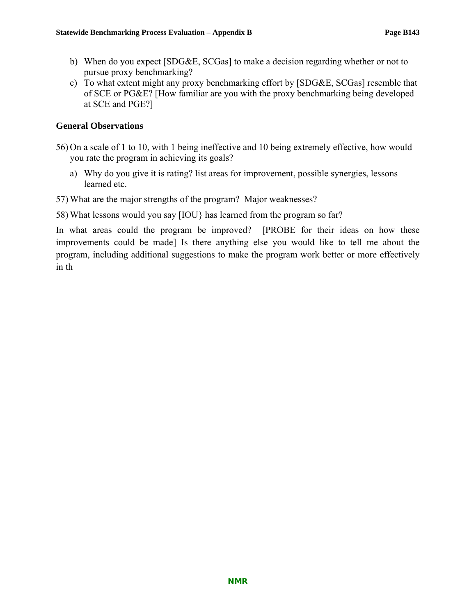- b) When do you expect [SDG&E, SCGas] to make a decision regarding whether or not to pursue proxy benchmarking?
- c) To what extent might any proxy benchmarking effort by [SDG&E, SCGas] resemble that of SCE or PG&E? [How familiar are you with the proxy benchmarking being developed at SCE and PGE?]

### **General Observations**

- 56) On a scale of 1 to 10, with 1 being ineffective and 10 being extremely effective, how would you rate the program in achieving its goals?
	- a) Why do you give it is rating? list areas for improvement, possible synergies, lessons learned etc.

57) What are the major strengths of the program? Major weaknesses?

58) What lessons would you say [IOU} has learned from the program so far?

In what areas could the program be improved? [PROBE for their ideas on how these improvements could be made] Is there anything else you would like to tell me about the program, including additional suggestions to make the program work better or more effectively in th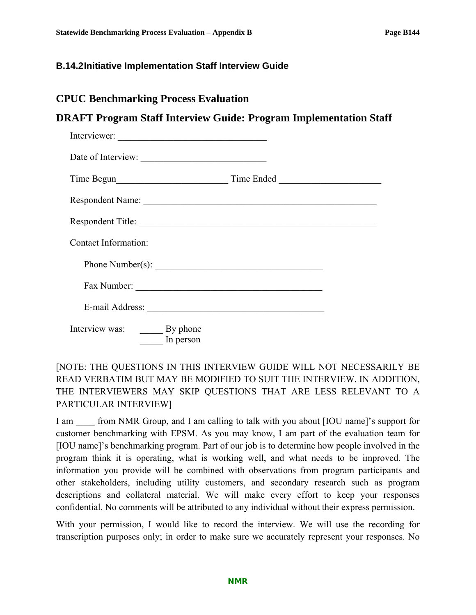### **B.14.2 Initiative Implementation Staff Interview Guide**

# **CPUC Benchmarking Process Evaluation**

# **DRAFT Program Staff Interview Guide: Program Implementation Staff**

| Interviewer:            |           |                                |  |
|-------------------------|-----------|--------------------------------|--|
|                         |           |                                |  |
|                         |           |                                |  |
|                         |           | Respondent Name:               |  |
|                         |           | Respondent Title:              |  |
| Contact Information:    |           |                                |  |
|                         |           | Phone Number(s): $\frac{1}{2}$ |  |
|                         |           |                                |  |
|                         |           |                                |  |
| Interview was: By phone | In person |                                |  |

# [NOTE: THE QUESTIONS IN THIS INTERVIEW GUIDE WILL NOT NECESSARILY BE READ VERBATIM BUT MAY BE MODIFIED TO SUIT THE INTERVIEW. IN ADDITION, THE INTERVIEWERS MAY SKIP QUESTIONS THAT ARE LESS RELEVANT TO A PARTICULAR INTERVIEW]

I am from NMR Group, and I am calling to talk with you about [IOU name]'s support for customer benchmarking with EPSM. As you may know, I am part of the evaluation team for [IOU name]'s benchmarking program. Part of our job is to determine how people involved in the program think it is operating, what is working well, and what needs to be improved. The information you provide will be combined with observations from program participants and other stakeholders, including utility customers, and secondary research such as program descriptions and collateral material. We will make every effort to keep your responses confidential. No comments will be attributed to any individual without their express permission.

With your permission, I would like to record the interview. We will use the recording for transcription purposes only; in order to make sure we accurately represent your responses. No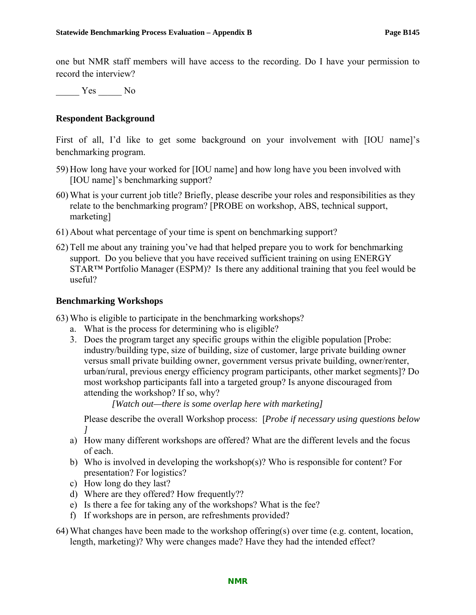one but NMR staff members will have access to the recording. Do I have your permission to record the interview?

Yes No

#### **Respondent Background**

First of all, I'd like to get some background on your involvement with [IOU name]'s benchmarking program.

- 59) How long have your worked for [IOU name] and how long have you been involved with [IOU name]'s benchmarking support?
- 60) What is your current job title? Briefly, please describe your roles and responsibilities as they relate to the benchmarking program? [PROBE on workshop, ABS, technical support, marketing]
- 61) About what percentage of your time is spent on benchmarking support?
- 62) Tell me about any training you've had that helped prepare you to work for benchmarking support. Do you believe that you have received sufficient training on using ENERGY STAR™ Portfolio Manager (ESPM)? Is there any additional training that you feel would be useful?

#### **Benchmarking Workshops**

63) Who is eligible to participate in the benchmarking workshops?

- a. What is the process for determining who is eligible?
- 3. Does the program target any specific groups within the eligible population [Probe: industry/building type, size of building, size of customer, large private building owner versus small private building owner, government versus private building, owner/renter, urban/rural, previous energy efficiency program participants, other market segments]? Do most workshop participants fall into a targeted group? Is anyone discouraged from attending the workshop? If so, why?

*[Watch out—there is some overlap here with marketing]*

Please describe the overall Workshop process: [*Probe if necessary using questions below ]*

- a) How many different workshops are offered? What are the different levels and the focus of each.
- b) Who is involved in developing the workshop(s)? Who is responsible for content? For presentation? For logistics?
- c) How long do they last?
- d) Where are they offered? How frequently??
- e) Is there a fee for taking any of the workshops? What is the fee?
- f) If workshops are in person, are refreshments provided?
- 64) What changes have been made to the workshop offering(s) over time (e.g. content, location, length, marketing)? Why were changes made? Have they had the intended effect?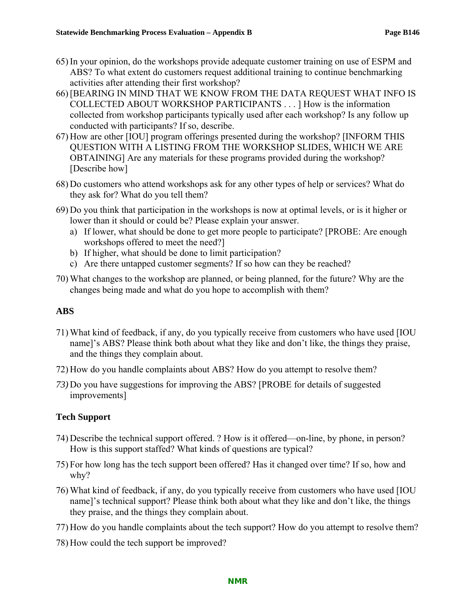- 65) In your opinion, do the workshops provide adequate customer training on use of ESPM and ABS? To what extent do customers request additional training to continue benchmarking activities after attending their first workshop?
- 66) [BEARING IN MIND THAT WE KNOW FROM THE DATA REQUEST WHAT INFO IS COLLECTED ABOUT WORKSHOP PARTICIPANTS . . . ] How is the information collected from workshop participants typically used after each workshop? Is any follow up conducted with participants? If so, describe.
- 67) How are other [IOU] program offerings presented during the workshop? [INFORM THIS QUESTION WITH A LISTING FROM THE WORKSHOP SLIDES, WHICH WE ARE OBTAINING] Are any materials for these programs provided during the workshop? [Describe how]
- 68) Do customers who attend workshops ask for any other types of help or services? What do they ask for? What do you tell them?
- 69) Do you think that participation in the workshops is now at optimal levels, or is it higher or lower than it should or could be? Please explain your answer.
	- a) If lower, what should be done to get more people to participate? [PROBE: Are enough workshops offered to meet the need?]
	- b) If higher, what should be done to limit participation?
	- c) Are there untapped customer segments? If so how can they be reached?
- 70) What changes to the workshop are planned, or being planned, for the future? Why are the changes being made and what do you hope to accomplish with them?

## **ABS**

- 71) What kind of feedback, if any, do you typically receive from customers who have used [IOU name]'s ABS? Please think both about what they like and don't like, the things they praise, and the things they complain about.
- 72) How do you handle complaints about ABS? How do you attempt to resolve them?
- *73)* Do you have suggestions for improving the ABS? [PROBE for details of suggested improvements]

# **Tech Support**

- 74) Describe the technical support offered. ? How is it offered—on-line, by phone, in person? How is this support staffed? What kinds of questions are typical?
- 75) For how long has the tech support been offered? Has it changed over time? If so, how and why?
- 76) What kind of feedback, if any, do you typically receive from customers who have used [IOU name]'s technical support? Please think both about what they like and don't like, the things they praise, and the things they complain about.
- 77) How do you handle complaints about the tech support? How do you attempt to resolve them?
- 78) How could the tech support be improved?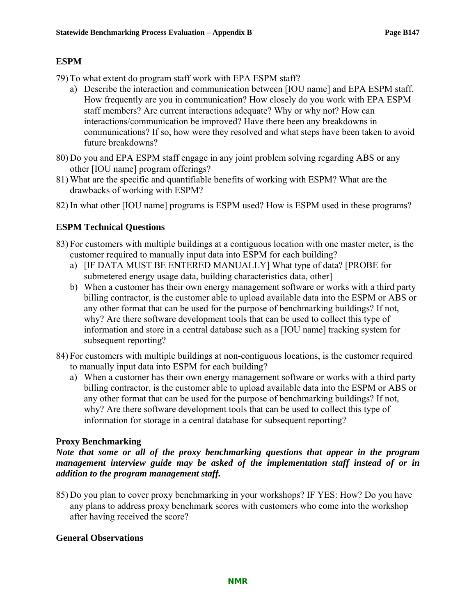### **ESPM**

- 79) To what extent do program staff work with EPA ESPM staff?
	- a) Describe the interaction and communication between [IOU name] and EPA ESPM staff. How frequently are you in communication? How closely do you work with EPA ESPM staff members? Are current interactions adequate? Why or why not? How can interactions/communication be improved? Have there been any breakdowns in communications? If so, how were they resolved and what steps have been taken to avoid future breakdowns?
- 80) Do you and EPA ESPM staff engage in any joint problem solving regarding ABS or any other [IOU name] program offerings?
- 81) What are the specific and quantifiable benefits of working with ESPM? What are the drawbacks of working with ESPM?
- 82) In what other [IOU name] programs is ESPM used? How is ESPM used in these programs?

### **ESPM Technical Questions**

- 83) For customers with multiple buildings at a contiguous location with one master meter, is the customer required to manually input data into ESPM for each building?
	- a) [IF DATA MUST BE ENTERED MANUALLY] What type of data? [PROBE for submetered energy usage data, building characteristics data, other]
	- b) When a customer has their own energy management software or works with a third party billing contractor, is the customer able to upload available data into the ESPM or ABS or any other format that can be used for the purpose of benchmarking buildings? If not, why? Are there software development tools that can be used to collect this type of information and store in a central database such as a [IOU name] tracking system for subsequent reporting?
- 84) For customers with multiple buildings at non-contiguous locations, is the customer required to manually input data into ESPM for each building?
	- a) When a customer has their own energy management software or works with a third party billing contractor, is the customer able to upload available data into the ESPM or ABS or any other format that can be used for the purpose of benchmarking buildings? If not, why? Are there software development tools that can be used to collect this type of information for storage in a central database for subsequent reporting?

### **Proxy Benchmarking**

### *Note that some or all of the proxy benchmarking questions that appear in the program management interview guide may be asked of the implementation staff instead of or in addition to the program management staff.*

85) Do you plan to cover proxy benchmarking in your workshops? IF YES: How? Do you have any plans to address proxy benchmark scores with customers who come into the workshop after having received the score?

### **General Observations**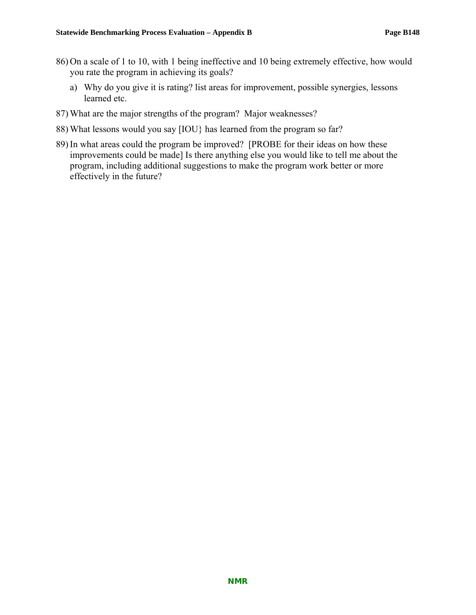- 86) On a scale of 1 to 10, with 1 being ineffective and 10 being extremely effective, how would you rate the program in achieving its goals?
	- a) Why do you give it is rating? list areas for improvement, possible synergies, lessons learned etc.
- 87) What are the major strengths of the program? Major weaknesses?
- 88) What lessons would you say [IOU} has learned from the program so far?
- 89) In what areas could the program be improved? [PROBE for their ideas on how these improvements could be made] Is there anything else you would like to tell me about the program, including additional suggestions to make the program work better or more effectively in the future?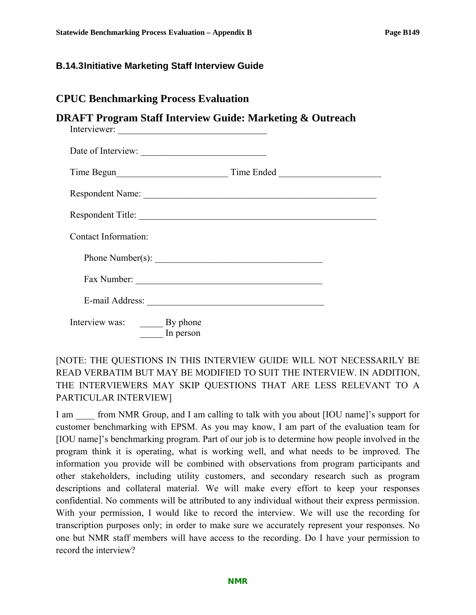### **B.14.3 Initiative Marketing Staff Interview Guide**

# **CPUC Benchmarking Process Evaluation**

## **DRAFT Program Staff Interview Guide: Marketing & Outreach**

| Interviewer:                         |                   |
|--------------------------------------|-------------------|
| Date of Interview:                   |                   |
|                                      |                   |
| Respondent Name:                     |                   |
|                                      | Respondent Title: |
| Contact Information:                 |                   |
| Phone Number(s):                     |                   |
|                                      |                   |
|                                      |                   |
| Interview was: By phone<br>In person |                   |

# [NOTE: THE QUESTIONS IN THIS INTERVIEW GUIDE WILL NOT NECESSARILY BE READ VERBATIM BUT MAY BE MODIFIED TO SUIT THE INTERVIEW. IN ADDITION, THE INTERVIEWERS MAY SKIP QUESTIONS THAT ARE LESS RELEVANT TO A PARTICULAR INTERVIEW]

I am  $\frac{1}{2}$  from NMR Group, and I am calling to talk with you about [IOU name]'s support for customer benchmarking with EPSM. As you may know, I am part of the evaluation team for [IOU name]'s benchmarking program. Part of our job is to determine how people involved in the program think it is operating, what is working well, and what needs to be improved. The information you provide will be combined with observations from program participants and other stakeholders, including utility customers, and secondary research such as program descriptions and collateral material. We will make every effort to keep your responses confidential. No comments will be attributed to any individual without their express permission. With your permission, I would like to record the interview. We will use the recording for transcription purposes only; in order to make sure we accurately represent your responses. No one but NMR staff members will have access to the recording. Do I have your permission to record the interview?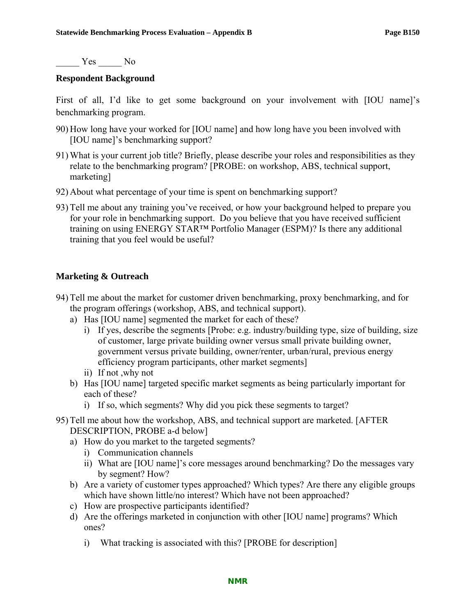Yes No

#### **Respondent Background**

First of all, I'd like to get some background on your involvement with [IOU name]'s benchmarking program.

- 90) How long have your worked for [IOU name] and how long have you been involved with [IOU name]'s benchmarking support?
- 91) What is your current job title? Briefly, please describe your roles and responsibilities as they relate to the benchmarking program? [PROBE: on workshop, ABS, technical support, marketing]
- 92) About what percentage of your time is spent on benchmarking support?
- 93) Tell me about any training you've received, or how your background helped to prepare you for your role in benchmarking support. Do you believe that you have received sufficient training on using ENERGY STAR™ Portfolio Manager (ESPM)? Is there any additional training that you feel would be useful?

### **Marketing & Outreach**

- 94) Tell me about the market for customer driven benchmarking, proxy benchmarking, and for the program offerings (workshop, ABS, and technical support).
	- a) Has [IOU name] segmented the market for each of these?
		- i) If yes, describe the segments [Probe: e.g. industry/building type, size of building, size of customer, large private building owner versus small private building owner, government versus private building, owner/renter, urban/rural, previous energy efficiency program participants, other market segments]
		- ii) If not ,why not
	- b) Has [IOU name] targeted specific market segments as being particularly important for each of these?
		- i) If so, which segments? Why did you pick these segments to target?
- 95) Tell me about how the workshop, ABS, and technical support are marketed. [AFTER DESCRIPTION, PROBE a-d below]
	- a) How do you market to the targeted segments?
		- i) Communication channels
		- ii) What are [IOU name]'s core messages around benchmarking? Do the messages vary by segment? How?
	- b) Are a variety of customer types approached? Which types? Are there any eligible groups which have shown little/no interest? Which have not been approached?
	- c) How are prospective participants identified?
	- d) Are the offerings marketed in conjunction with other [IOU name] programs? Which ones?
		- i) What tracking is associated with this? [PROBE for description]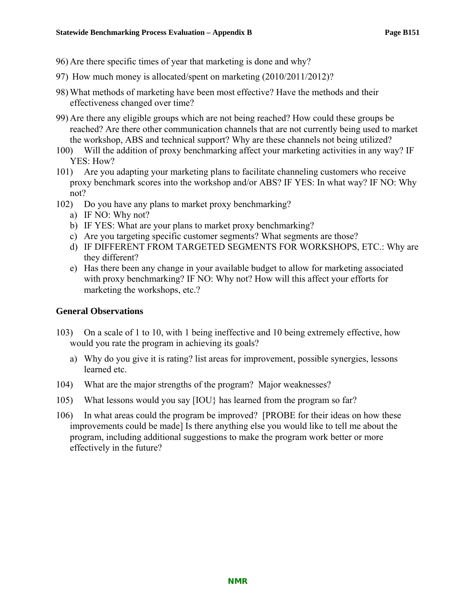- 96) Are there specific times of year that marketing is done and why?
- 97) How much money is allocated/spent on marketing (2010/2011/2012)?
- 98) What methods of marketing have been most effective? Have the methods and their effectiveness changed over time?
- 99) Are there any eligible groups which are not being reached? How could these groups be reached? Are there other communication channels that are not currently being used to market the workshop, ABS and technical support? Why are these channels not being utilized?
- 100) Will the addition of proxy benchmarking affect your marketing activities in any way? IF YES: How?
- 101) Are you adapting your marketing plans to facilitate channeling customers who receive proxy benchmark scores into the workshop and/or ABS? IF YES: In what way? IF NO: Why not?
- 102) Do you have any plans to market proxy benchmarking?
	- a) IF NO: Why not?
	- b) IF YES: What are your plans to market proxy benchmarking?
	- c) Are you targeting specific customer segments? What segments are those?
	- d) IF DIFFERENT FROM TARGETED SEGMENTS FOR WORKSHOPS, ETC.: Why are they different?
	- e) Has there been any change in your available budget to allow for marketing associated with proxy benchmarking? IF NO: Why not? How will this affect your efforts for marketing the workshops, etc.?

### **General Observations**

- 103) On a scale of 1 to 10, with 1 being ineffective and 10 being extremely effective, how would you rate the program in achieving its goals?
	- a) Why do you give it is rating? list areas for improvement, possible synergies, lessons learned etc.
- 104) What are the major strengths of the program? Major weaknesses?
- 105) What lessons would you say [IOU} has learned from the program so far?
- 106) In what areas could the program be improved? [PROBE for their ideas on how these improvements could be made] Is there anything else you would like to tell me about the program, including additional suggestions to make the program work better or more effectively in the future?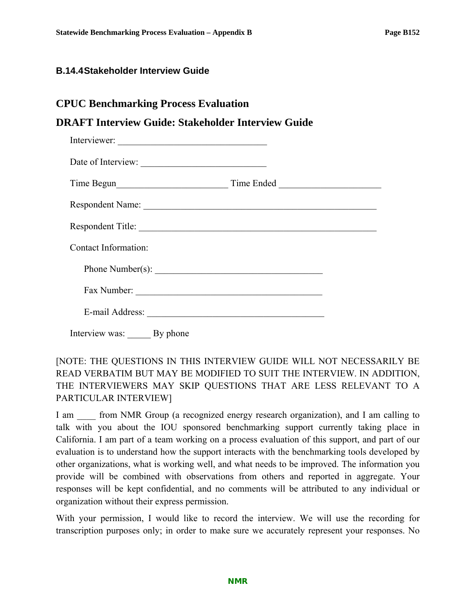#### **B.14.4 Stakeholder Interview Guide**

# **DRAFT Interview Guide: Stakeholder Interview Guide**

| Interviewer:         |            |  |
|----------------------|------------|--|
| Date of Interview:   |            |  |
|                      | Time Ended |  |
| Respondent Name:     |            |  |
| Respondent Title:    |            |  |
| Contact Information: |            |  |
|                      |            |  |
|                      |            |  |
|                      |            |  |
|                      |            |  |

Interview was: By phone

# [NOTE: THE QUESTIONS IN THIS INTERVIEW GUIDE WILL NOT NECESSARILY BE READ VERBATIM BUT MAY BE MODIFIED TO SUIT THE INTERVIEW. IN ADDITION, THE INTERVIEWERS MAY SKIP QUESTIONS THAT ARE LESS RELEVANT TO A PARTICULAR INTERVIEW]

I am  $\Box$  from NMR Group (a recognized energy research organization), and I am calling to talk with you about the IOU sponsored benchmarking support currently taking place in California. I am part of a team working on a process evaluation of this support, and part of our evaluation is to understand how the support interacts with the benchmarking tools developed by other organizations, what is working well, and what needs to be improved. The information you provide will be combined with observations from others and reported in aggregate. Your responses will be kept confidential, and no comments will be attributed to any individual or organization without their express permission.

With your permission, I would like to record the interview. We will use the recording for transcription purposes only; in order to make sure we accurately represent your responses. No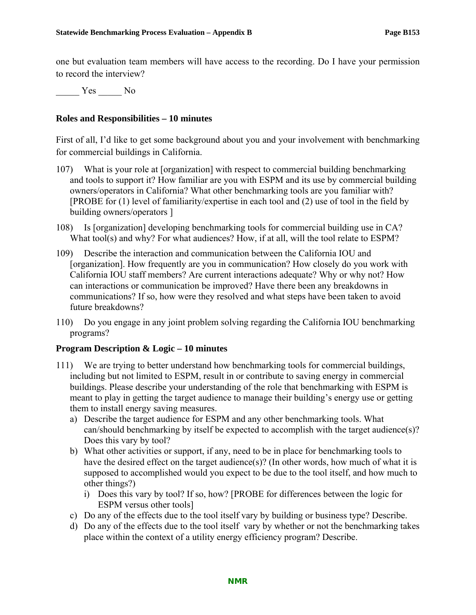one but evaluation team members will have access to the recording. Do I have your permission to record the interview?

Yes No

#### **Roles and Responsibilities – 10 minutes**

First of all, I'd like to get some background about you and your involvement with benchmarking for commercial buildings in California.

- 107) What is your role at [organization] with respect to commercial building benchmarking and tools to support it? How familiar are you with ESPM and its use by commercial building owners/operators in California? What other benchmarking tools are you familiar with? [PROBE for (1) level of familiarity/expertise in each tool and (2) use of tool in the field by building owners/operators ]
- 108) Is [organization] developing benchmarking tools for commercial building use in CA? What tool(s) and why? For what audiences? How, if at all, will the tool relate to ESPM?
- 109) Describe the interaction and communication between the California IOU and [organization]. How frequently are you in communication? How closely do you work with California IOU staff members? Are current interactions adequate? Why or why not? How can interactions or communication be improved? Have there been any breakdowns in communications? If so, how were they resolved and what steps have been taken to avoid future breakdowns?
- 110) Do you engage in any joint problem solving regarding the California IOU benchmarking programs?

#### **Program Description & Logic – 10 minutes**

- 111) We are trying to better understand how benchmarking tools for commercial buildings, including but not limited to ESPM, result in or contribute to saving energy in commercial buildings. Please describe your understanding of the role that benchmarking with ESPM is meant to play in getting the target audience to manage their building's energy use or getting them to install energy saving measures.
	- a) Describe the target audience for ESPM and any other benchmarking tools. What can/should benchmarking by itself be expected to accomplish with the target audience(s)? Does this vary by tool?
	- b) What other activities or support, if any, need to be in place for benchmarking tools to have the desired effect on the target audience(s)? (In other words, how much of what it is supposed to accomplished would you expect to be due to the tool itself, and how much to other things?)
		- i) Does this vary by tool? If so, how? [PROBE for differences between the logic for ESPM versus other tools]
	- c) Do any of the effects due to the tool itself vary by building or business type? Describe.
	- d) Do any of the effects due to the tool itself vary by whether or not the benchmarking takes place within the context of a utility energy efficiency program? Describe.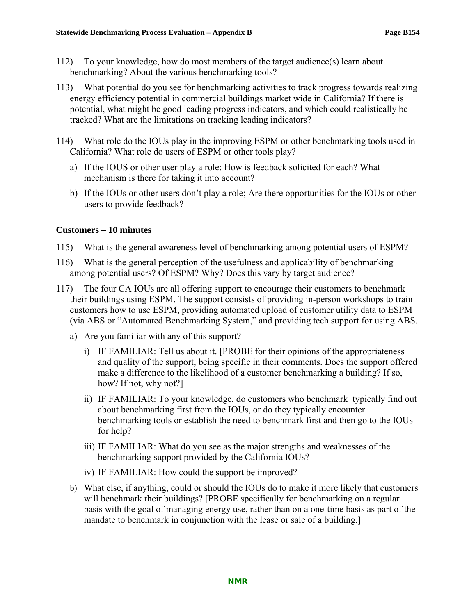- 112) To your knowledge, how do most members of the target audience(s) learn about benchmarking? About the various benchmarking tools?
- 113) What potential do you see for benchmarking activities to track progress towards realizing energy efficiency potential in commercial buildings market wide in California? If there is potential, what might be good leading progress indicators, and which could realistically be tracked? What are the limitations on tracking leading indicators?
- 114) What role do the IOUs play in the improving ESPM or other benchmarking tools used in California? What role do users of ESPM or other tools play?
	- a) If the IOUS or other user play a role: How is feedback solicited for each? What mechanism is there for taking it into account?
	- b) If the IOUs or other users don't play a role; Are there opportunities for the IOUs or other users to provide feedback?

### **Customers – 10 minutes**

- 115) What is the general awareness level of benchmarking among potential users of ESPM?
- 116) What is the general perception of the usefulness and applicability of benchmarking among potential users? Of ESPM? Why? Does this vary by target audience?
- 117) The four CA IOUs are all offering support to encourage their customers to benchmark their buildings using ESPM. The support consists of providing in-person workshops to train customers how to use ESPM, providing automated upload of customer utility data to ESPM (via ABS or "Automated Benchmarking System," and providing tech support for using ABS.
	- a) Are you familiar with any of this support?
		- i) IF FAMILIAR: Tell us about it. [PROBE for their opinions of the appropriateness and quality of the support, being specific in their comments. Does the support offered make a difference to the likelihood of a customer benchmarking a building? If so, how? If not, why not?]
		- ii) IF FAMILIAR: To your knowledge, do customers who benchmark typically find out about benchmarking first from the IOUs, or do they typically encounter benchmarking tools or establish the need to benchmark first and then go to the IOUs for help?
		- iii) IF FAMILIAR: What do you see as the major strengths and weaknesses of the benchmarking support provided by the California IOUs?
		- iv) IF FAMILIAR: How could the support be improved?
	- b) What else, if anything, could or should the IOUs do to make it more likely that customers will benchmark their buildings? [PROBE specifically for benchmarking on a regular basis with the goal of managing energy use, rather than on a one-time basis as part of the mandate to benchmark in conjunction with the lease or sale of a building.]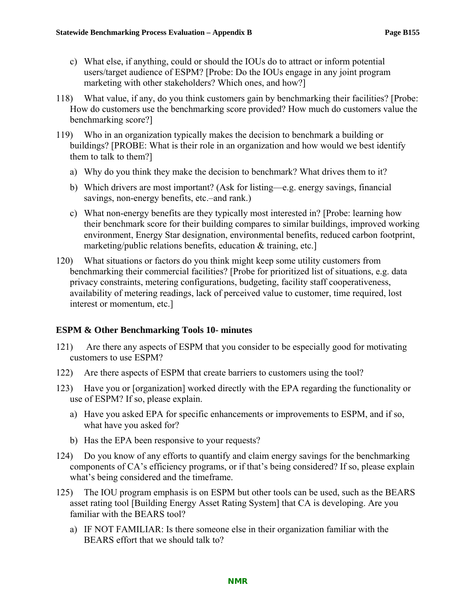- c) What else, if anything, could or should the IOUs do to attract or inform potential users/target audience of ESPM? [Probe: Do the IOUs engage in any joint program marketing with other stakeholders? Which ones, and how?]
- 118) What value, if any, do you think customers gain by benchmarking their facilities? [Probe: How do customers use the benchmarking score provided? How much do customers value the benchmarking score?]
- 119) Who in an organization typically makes the decision to benchmark a building or buildings? [PROBE: What is their role in an organization and how would we best identify them to talk to them?]
	- a) Why do you think they make the decision to benchmark? What drives them to it?
	- b) Which drivers are most important? (Ask for listing—e.g. energy savings, financial savings, non-energy benefits, etc.–and rank.)
	- c) What non-energy benefits are they typically most interested in? [Probe: learning how their benchmark score for their building compares to similar buildings, improved working environment, Energy Star designation, environmental benefits, reduced carbon footprint, marketing/public relations benefits, education & training, etc.]
- 120) What situations or factors do you think might keep some utility customers from benchmarking their commercial facilities? [Probe for prioritized list of situations, e.g. data privacy constraints, metering configurations, budgeting, facility staff cooperativeness, availability of metering readings, lack of perceived value to customer, time required, lost interest or momentum, etc.]

#### **ESPM & Other Benchmarking Tools 10- minutes**

- 121) Are there any aspects of ESPM that you consider to be especially good for motivating customers to use ESPM?
- 122) Are there aspects of ESPM that create barriers to customers using the tool?
- 123) Have you or [organization] worked directly with the EPA regarding the functionality or use of ESPM? If so, please explain.
	- a) Have you asked EPA for specific enhancements or improvements to ESPM, and if so, what have you asked for?
	- b) Has the EPA been responsive to your requests?
- 124) Do you know of any efforts to quantify and claim energy savings for the benchmarking components of CA's efficiency programs, or if that's being considered? If so, please explain what's being considered and the timeframe.
- 125) The IOU program emphasis is on ESPM but other tools can be used, such as the BEARS asset rating tool [Building Energy Asset Rating System] that CA is developing. Are you familiar with the BEARS tool?
	- a) IF NOT FAMILIAR: Is there someone else in their organization familiar with the BEARS effort that we should talk to?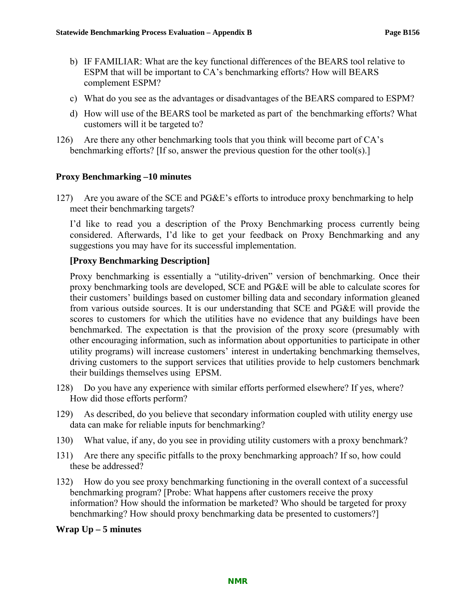- b) IF FAMILIAR: What are the key functional differences of the BEARS tool relative to ESPM that will be important to CA's benchmarking efforts? How will BEARS complement ESPM?
- c) What do you see as the advantages or disadvantages of the BEARS compared to ESPM?
- d) How will use of the BEARS tool be marketed as part of the benchmarking efforts? What customers will it be targeted to?
- 126) Are there any other benchmarking tools that you think will become part of CA's benchmarking efforts? [If so, answer the previous question for the other tool(s).]

### **Proxy Benchmarking –10 minutes**

127) Are you aware of the SCE and PG&E's efforts to introduce proxy benchmarking to help meet their benchmarking targets?

I'd like to read you a description of the Proxy Benchmarking process currently being considered. Afterwards, I'd like to get your feedback on Proxy Benchmarking and any suggestions you may have for its successful implementation.

### **[Proxy Benchmarking Description]**

Proxy benchmarking is essentially a "utility-driven" version of benchmarking. Once their proxy benchmarking tools are developed, SCE and PG&E will be able to calculate scores for their customers' buildings based on customer billing data and secondary information gleaned from various outside sources. It is our understanding that SCE and PG&E will provide the scores to customers for which the utilities have no evidence that any buildings have been benchmarked. The expectation is that the provision of the proxy score (presumably with other encouraging information, such as information about opportunities to participate in other utility programs) will increase customers' interest in undertaking benchmarking themselves, driving customers to the support services that utilities provide to help customers benchmark their buildings themselves using EPSM.

- 128) Do you have any experience with similar efforts performed elsewhere? If yes, where? How did those efforts perform?
- 129) As described, do you believe that secondary information coupled with utility energy use data can make for reliable inputs for benchmarking?
- 130) What value, if any, do you see in providing utility customers with a proxy benchmark?
- 131) Are there any specific pitfalls to the proxy benchmarking approach? If so, how could these be addressed?
- 132) How do you see proxy benchmarking functioning in the overall context of a successful benchmarking program? [Probe: What happens after customers receive the proxy information? How should the information be marketed? Who should be targeted for proxy benchmarking? How should proxy benchmarking data be presented to customers?]

#### **Wrap Up – 5 minutes**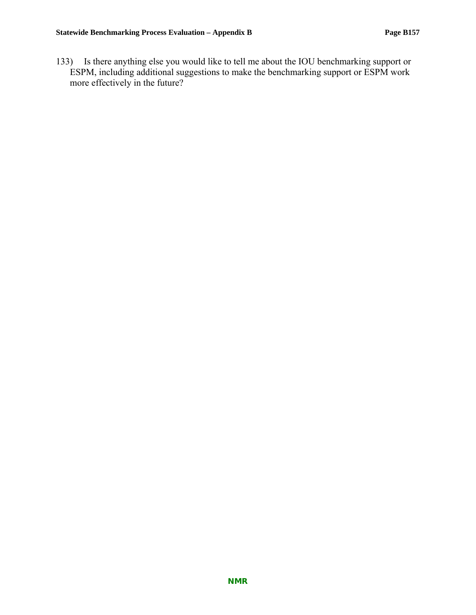133) Is there anything else you would like to tell me about the IOU benchmarking support or ESPM, including additional suggestions to make the benchmarking support or ESPM work more effectively in the future?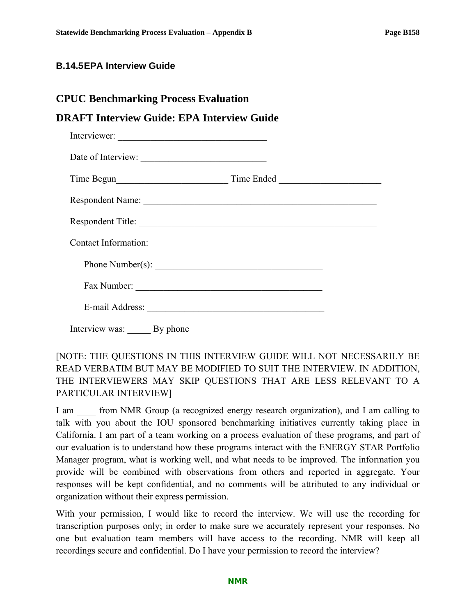### **B.14.5 EPA Interview Guide**

### **CPUC Benchmarking Process Evaluation**

# **DRAFT Interview Guide: EPA Interview Guide**

| Interviewer:         |  |
|----------------------|--|
| Date of Interview:   |  |
|                      |  |
| Respondent Name:     |  |
| Respondent Title:    |  |
| Contact Information: |  |
|                      |  |
| Fax Number:          |  |
| E-mail Address:      |  |
|                      |  |

Interview was: By phone

# [NOTE: THE QUESTIONS IN THIS INTERVIEW GUIDE WILL NOT NECESSARILY BE READ VERBATIM BUT MAY BE MODIFIED TO SUIT THE INTERVIEW. IN ADDITION, THE INTERVIEWERS MAY SKIP QUESTIONS THAT ARE LESS RELEVANT TO A PARTICULAR INTERVIEW]

I am  $\frac{1}{2}$  from NMR Group (a recognized energy research organization), and I am calling to talk with you about the IOU sponsored benchmarking initiatives currently taking place in California. I am part of a team working on a process evaluation of these programs, and part of our evaluation is to understand how these programs interact with the ENERGY STAR Portfolio Manager program, what is working well, and what needs to be improved. The information you provide will be combined with observations from others and reported in aggregate. Your responses will be kept confidential, and no comments will be attributed to any individual or organization without their express permission.

With your permission, I would like to record the interview. We will use the recording for transcription purposes only; in order to make sure we accurately represent your responses. No one but evaluation team members will have access to the recording. NMR will keep all recordings secure and confidential. Do I have your permission to record the interview?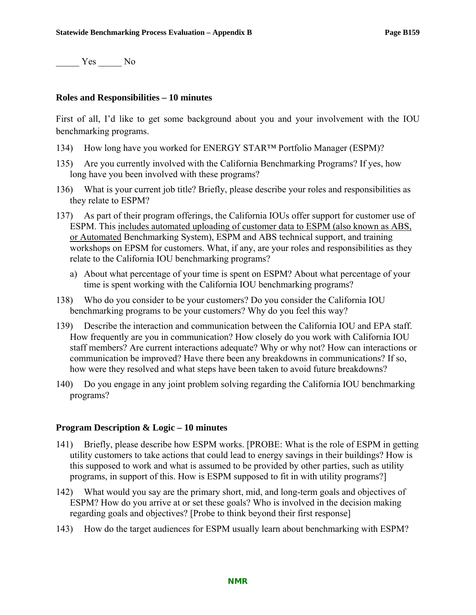\_\_\_\_\_ Yes \_\_\_\_\_ No

#### **Roles and Responsibilities – 10 minutes**

First of all, I'd like to get some background about you and your involvement with the IOU benchmarking programs.

- 134) How long have you worked for ENERGY STAR™ Portfolio Manager (ESPM)?
- 135) Are you currently involved with the California Benchmarking Programs? If yes, how long have you been involved with these programs?
- 136) What is your current job title? Briefly, please describe your roles and responsibilities as they relate to ESPM?
- 137) As part of their program offerings, the California IOUs offer support for customer use of ESPM. This includes automated uploading of customer data to ESPM (also known as ABS, or Automated Benchmarking System), ESPM and ABS technical support, and training workshops on EPSM for customers. What, if any, are your roles and responsibilities as they relate to the California IOU benchmarking programs?
	- a) About what percentage of your time is spent on ESPM? About what percentage of your time is spent working with the California IOU benchmarking programs?
- 138) Who do you consider to be your customers? Do you consider the California IOU benchmarking programs to be your customers? Why do you feel this way?
- 139) Describe the interaction and communication between the California IOU and EPA staff. How frequently are you in communication? How closely do you work with California IOU staff members? Are current interactions adequate? Why or why not? How can interactions or communication be improved? Have there been any breakdowns in communications? If so, how were they resolved and what steps have been taken to avoid future breakdowns?
- 140) Do you engage in any joint problem solving regarding the California IOU benchmarking programs?

#### **Program Description & Logic – 10 minutes**

- 141) Briefly, please describe how ESPM works. [PROBE: What is the role of ESPM in getting utility customers to take actions that could lead to energy savings in their buildings? How is this supposed to work and what is assumed to be provided by other parties, such as utility programs, in support of this. How is ESPM supposed to fit in with utility programs?]
- 142) What would you say are the primary short, mid, and long-term goals and objectives of ESPM? How do you arrive at or set these goals? Who is involved in the decision making regarding goals and objectives? [Probe to think beyond their first response]
- 143) How do the target audiences for ESPM usually learn about benchmarking with ESPM?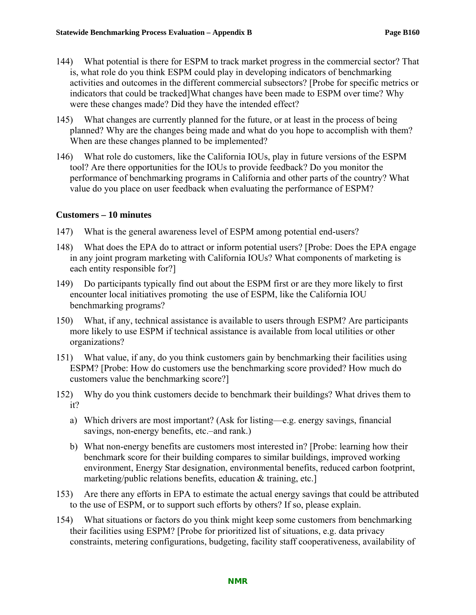- 144) What potential is there for ESPM to track market progress in the commercial sector? That is, what role do you think ESPM could play in developing indicators of benchmarking activities and outcomes in the different commercial subsectors? [Probe for specific metrics or indicators that could be tracked]What changes have been made to ESPM over time? Why were these changes made? Did they have the intended effect?
- 145) What changes are currently planned for the future, or at least in the process of being planned? Why are the changes being made and what do you hope to accomplish with them? When are these changes planned to be implemented?
- 146) What role do customers, like the California IOUs, play in future versions of the ESPM tool? Are there opportunities for the IOUs to provide feedback? Do you monitor the performance of benchmarking programs in California and other parts of the country? What value do you place on user feedback when evaluating the performance of ESPM?

#### **Customers – 10 minutes**

- 147) What is the general awareness level of ESPM among potential end-users?
- 148) What does the EPA do to attract or inform potential users? [Probe: Does the EPA engage in any joint program marketing with California IOUs? What components of marketing is each entity responsible for?]
- 149) Do participants typically find out about the ESPM first or are they more likely to first encounter local initiatives promoting the use of ESPM, like the California IOU benchmarking programs?
- 150) What, if any, technical assistance is available to users through ESPM? Are participants more likely to use ESPM if technical assistance is available from local utilities or other organizations?
- 151) What value, if any, do you think customers gain by benchmarking their facilities using ESPM? [Probe: How do customers use the benchmarking score provided? How much do customers value the benchmarking score?]
- 152) Why do you think customers decide to benchmark their buildings? What drives them to it?
	- a) Which drivers are most important? (Ask for listing—e.g. energy savings, financial savings, non-energy benefits, etc.–and rank.)
	- b) What non-energy benefits are customers most interested in? [Probe: learning how their benchmark score for their building compares to similar buildings, improved working environment, Energy Star designation, environmental benefits, reduced carbon footprint, marketing/public relations benefits, education & training, etc.]
- 153) Are there any efforts in EPA to estimate the actual energy savings that could be attributed to the use of ESPM, or to support such efforts by others? If so, please explain.
- 154) What situations or factors do you think might keep some customers from benchmarking their facilities using ESPM? [Probe for prioritized list of situations, e.g. data privacy constraints, metering configurations, budgeting, facility staff cooperativeness, availability of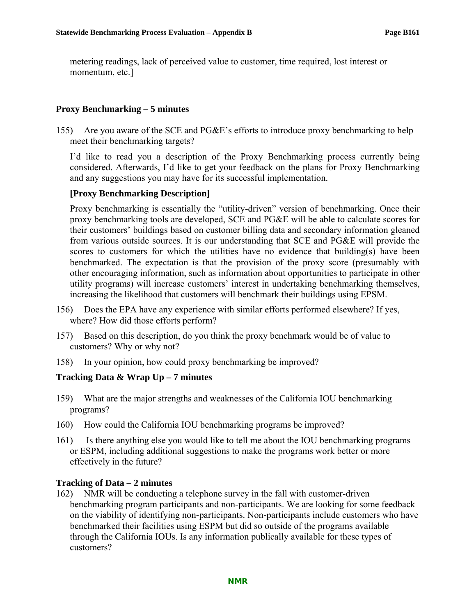metering readings, lack of perceived value to customer, time required, lost interest or momentum, etc.]

### **Proxy Benchmarking – 5 minutes**

155) Are you aware of the SCE and PG&E's efforts to introduce proxy benchmarking to help meet their benchmarking targets?

I'd like to read you a description of the Proxy Benchmarking process currently being considered. Afterwards, I'd like to get your feedback on the plans for Proxy Benchmarking and any suggestions you may have for its successful implementation.

#### **[Proxy Benchmarking Description]**

Proxy benchmarking is essentially the "utility-driven" version of benchmarking. Once their proxy benchmarking tools are developed, SCE and PG&E will be able to calculate scores for their customers' buildings based on customer billing data and secondary information gleaned from various outside sources. It is our understanding that SCE and PG&E will provide the scores to customers for which the utilities have no evidence that building(s) have been benchmarked. The expectation is that the provision of the proxy score (presumably with other encouraging information, such as information about opportunities to participate in other utility programs) will increase customers' interest in undertaking benchmarking themselves, increasing the likelihood that customers will benchmark their buildings using EPSM.

- 156) Does the EPA have any experience with similar efforts performed elsewhere? If yes, where? How did those efforts perform?
- 157) Based on this description, do you think the proxy benchmark would be of value to customers? Why or why not?
- 158) In your opinion, how could proxy benchmarking be improved?

#### **Tracking Data & Wrap Up – 7 minutes**

- 159) What are the major strengths and weaknesses of the California IOU benchmarking programs?
- 160) How could the California IOU benchmarking programs be improved?
- 161) Is there anything else you would like to tell me about the IOU benchmarking programs or ESPM, including additional suggestions to make the programs work better or more effectively in the future?

#### **Tracking of Data – 2 minutes**

162) NMR will be conducting a telephone survey in the fall with customer-driven benchmarking program participants and non-participants. We are looking for some feedback on the viability of identifying non-participants. Non-participants include customers who have benchmarked their facilities using ESPM but did so outside of the programs available through the California IOUs. Is any information publically available for these types of customers?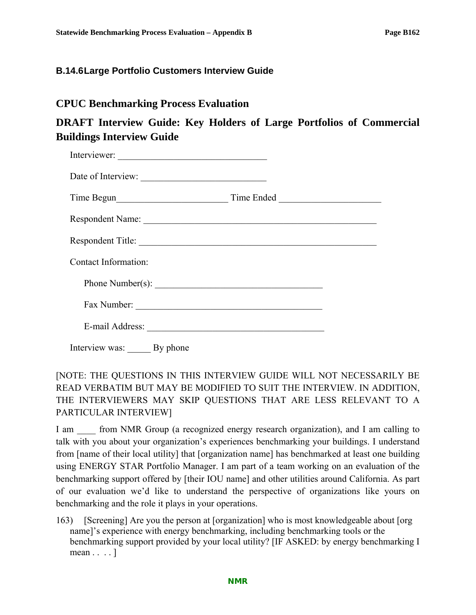### **B.14.6 Large Portfolio Customers Interview Guide**

# **CPUC Benchmarking Process Evaluation**

# **DRAFT Interview Guide: Key Holders of Large Portfolios of Commercial Buildings Interview Guide**

| Respondent Title:    |  |
|----------------------|--|
| Contact Information: |  |
|                      |  |
|                      |  |
|                      |  |

Interview was: By phone

# [NOTE: THE QUESTIONS IN THIS INTERVIEW GUIDE WILL NOT NECESSARILY BE READ VERBATIM BUT MAY BE MODIFIED TO SUIT THE INTERVIEW. IN ADDITION, THE INTERVIEWERS MAY SKIP QUESTIONS THAT ARE LESS RELEVANT TO A PARTICULAR INTERVIEW]

I am  $\Box$  from NMR Group (a recognized energy research organization), and I am calling to talk with you about your organization's experiences benchmarking your buildings. I understand from [name of their local utility] that [organization name] has benchmarked at least one building using ENERGY STAR Portfolio Manager. I am part of a team working on an evaluation of the benchmarking support offered by [their IOU name] and other utilities around California. As part of our evaluation we'd like to understand the perspective of organizations like yours on benchmarking and the role it plays in your operations.

163) [Screening] Are you the person at [organization] who is most knowledgeable about [org name]'s experience with energy benchmarking, including benchmarking tools or the benchmarking support provided by your local utility? [IF ASKED: by energy benchmarking I mean . . . . ]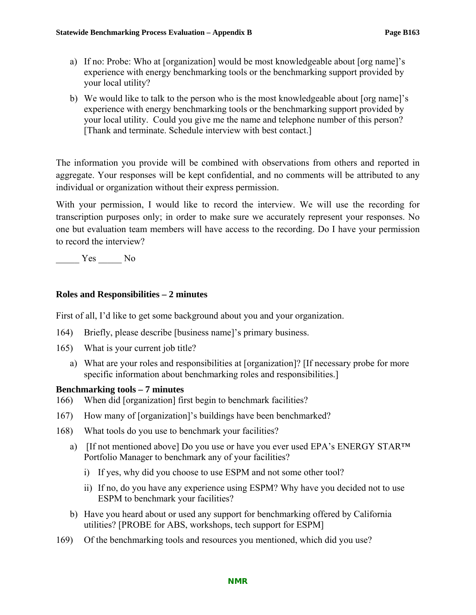- a) If no: Probe: Who at [organization] would be most knowledgeable about [org name]'s experience with energy benchmarking tools or the benchmarking support provided by your local utility?
- b) We would like to talk to the person who is the most knowledgeable about [org name]'s experience with energy benchmarking tools or the benchmarking support provided by your local utility. Could you give me the name and telephone number of this person? [Thank and terminate. Schedule interview with best contact.]

The information you provide will be combined with observations from others and reported in aggregate. Your responses will be kept confidential, and no comments will be attributed to any individual or organization without their express permission.

With your permission, I would like to record the interview. We will use the recording for transcription purposes only; in order to make sure we accurately represent your responses. No one but evaluation team members will have access to the recording. Do I have your permission to record the interview?

\_\_\_\_\_ Yes \_\_\_\_\_ No

# **Roles and Responsibilities – 2 minutes**

First of all, I'd like to get some background about you and your organization.

- 164) Briefly, please describe [business name]'s primary business.
- 165) What is your current job title?
	- a) What are your roles and responsibilities at [organization]? [If necessary probe for more specific information about benchmarking roles and responsibilities.]

### **Benchmarking tools – 7 minutes**

- 166) When did [organization] first begin to benchmark facilities?
- 167) How many of [organization]'s buildings have been benchmarked?
- 168) What tools do you use to benchmark your facilities?
	- a) [If not mentioned above] Do you use or have you ever used EPA's ENERGY STAR<sup>TM</sup> Portfolio Manager to benchmark any of your facilities?
		- i) If yes, why did you choose to use ESPM and not some other tool?
		- ii) If no, do you have any experience using ESPM? Why have you decided not to use ESPM to benchmark your facilities?
	- b) Have you heard about or used any support for benchmarking offered by California utilities? [PROBE for ABS, workshops, tech support for ESPM]
- 169) Of the benchmarking tools and resources you mentioned, which did you use?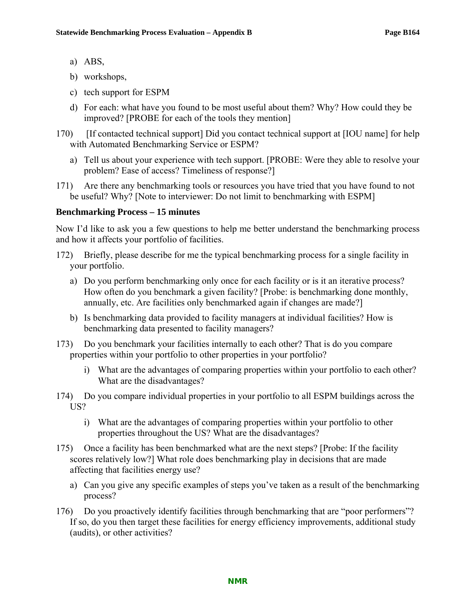- a) ABS,
- b) workshops,
- c) tech support for ESPM
- d) For each: what have you found to be most useful about them? Why? How could they be improved? [PROBE for each of the tools they mention]
- 170) [If contacted technical support] Did you contact technical support at [IOU name] for help with Automated Benchmarking Service or ESPM?
	- a) Tell us about your experience with tech support. [PROBE: Were they able to resolve your problem? Ease of access? Timeliness of response?]
- 171) Are there any benchmarking tools or resources you have tried that you have found to not be useful? Why? [Note to interviewer: Do not limit to benchmarking with ESPM]

#### **Benchmarking Process – 15 minutes**

Now I'd like to ask you a few questions to help me better understand the benchmarking process and how it affects your portfolio of facilities.

- 172) Briefly, please describe for me the typical benchmarking process for a single facility in your portfolio.
	- a) Do you perform benchmarking only once for each facility or is it an iterative process? How often do you benchmark a given facility? [Probe: is benchmarking done monthly, annually, etc. Are facilities only benchmarked again if changes are made?]
	- b) Is benchmarking data provided to facility managers at individual facilities? How is benchmarking data presented to facility managers?
- 173) Do you benchmark your facilities internally to each other? That is do you compare properties within your portfolio to other properties in your portfolio?
	- i) What are the advantages of comparing properties within your portfolio to each other? What are the disadvantages?
- 174) Do you compare individual properties in your portfolio to all ESPM buildings across the US?
	- i) What are the advantages of comparing properties within your portfolio to other properties throughout the US? What are the disadvantages?
- 175) Once a facility has been benchmarked what are the next steps? [Probe: If the facility scores relatively low?] What role does benchmarking play in decisions that are made affecting that facilities energy use?
	- a) Can you give any specific examples of steps you've taken as a result of the benchmarking process?
- 176) Do you proactively identify facilities through benchmarking that are "poor performers"? If so, do you then target these facilities for energy efficiency improvements, additional study (audits), or other activities?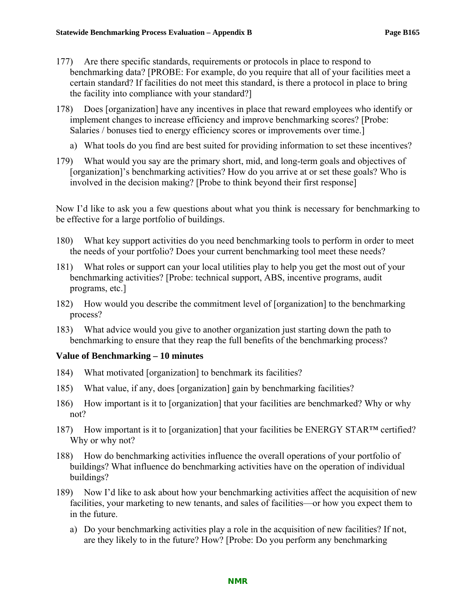- 177) Are there specific standards, requirements or protocols in place to respond to benchmarking data? [PROBE: For example, do you require that all of your facilities meet a certain standard? If facilities do not meet this standard, is there a protocol in place to bring the facility into compliance with your standard?]
- 178) Does [organization] have any incentives in place that reward employees who identify or implement changes to increase efficiency and improve benchmarking scores? [Probe: Salaries / bonuses tied to energy efficiency scores or improvements over time.
	- a) What tools do you find are best suited for providing information to set these incentives?
- 179) What would you say are the primary short, mid, and long-term goals and objectives of [organization]'s benchmarking activities? How do you arrive at or set these goals? Who is involved in the decision making? [Probe to think beyond their first response]

Now I'd like to ask you a few questions about what you think is necessary for benchmarking to be effective for a large portfolio of buildings.

- 180) What key support activities do you need benchmarking tools to perform in order to meet the needs of your portfolio? Does your current benchmarking tool meet these needs?
- 181) What roles or support can your local utilities play to help you get the most out of your benchmarking activities? [Probe: technical support, ABS, incentive programs, audit programs, etc.]
- 182) How would you describe the commitment level of [organization] to the benchmarking process?
- 183) What advice would you give to another organization just starting down the path to benchmarking to ensure that they reap the full benefits of the benchmarking process?

### **Value of Benchmarking – 10 minutes**

- 184) What motivated [organization] to benchmark its facilities?
- 185) What value, if any, does [organization] gain by benchmarking facilities?
- 186) How important is it to [organization] that your facilities are benchmarked? Why or why not?
- 187) How important is it to [organization] that your facilities be ENERGY STAR™ certified? Why or why not?
- 188) How do benchmarking activities influence the overall operations of your portfolio of buildings? What influence do benchmarking activities have on the operation of individual buildings?
- 189) Now I'd like to ask about how your benchmarking activities affect the acquisition of new facilities, your marketing to new tenants, and sales of facilities—or how you expect them to in the future.
	- a) Do your benchmarking activities play a role in the acquisition of new facilities? If not, are they likely to in the future? How? [Probe: Do you perform any benchmarking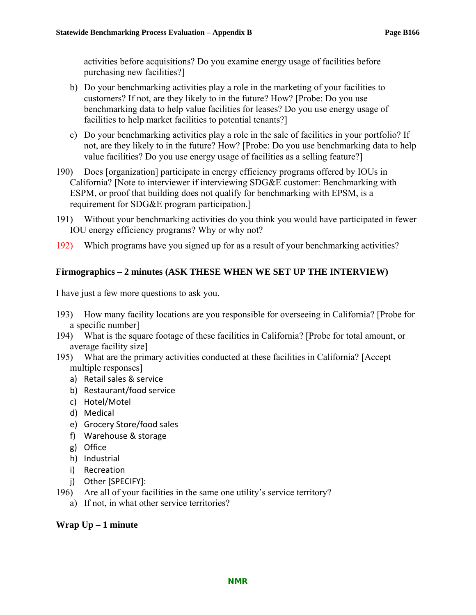activities before acquisitions? Do you examine energy usage of facilities before purchasing new facilities?]

- b) Do your benchmarking activities play a role in the marketing of your facilities to customers? If not, are they likely to in the future? How? [Probe: Do you use benchmarking data to help value facilities for leases? Do you use energy usage of facilities to help market facilities to potential tenants?]
- c) Do your benchmarking activities play a role in the sale of facilities in your portfolio? If not, are they likely to in the future? How? [Probe: Do you use benchmarking data to help value facilities? Do you use energy usage of facilities as a selling feature?]
- 190) Does [organization] participate in energy efficiency programs offered by IOUs in California? [Note to interviewer if interviewing SDG&E customer: Benchmarking with ESPM, or proof that building does not qualify for benchmarking with EPSM, is a requirement for SDG&E program participation.]
- 191) Without your benchmarking activities do you think you would have participated in fewer IOU energy efficiency programs? Why or why not?
- 192) Which programs have you signed up for as a result of your benchmarking activities?

# **Firmographics – 2 minutes (ASK THESE WHEN WE SET UP THE INTERVIEW)**

I have just a few more questions to ask you.

- 193) How many facility locations are you responsible for overseeing in California? [Probe for a specific number]
- 194) What is the square footage of these facilities in California? [Probe for total amount, or average facility size]
- 195) What are the primary activities conducted at these facilities in California? [Accept multiple responses]
	- a) Retail sales & service
	- b) Restaurant/food service
	- c) Hotel/Motel
	- d) Medical
	- e) Grocery Store/food sales
	- f) Warehouse & storage
	- g) Office
	- h) Industrial
	- i) Recreation
	- j) Other [SPECIFY]:
- 196) Are all of your facilities in the same one utility's service territory?
	- a) If not, in what other service territories?

### **Wrap Up – 1 minute**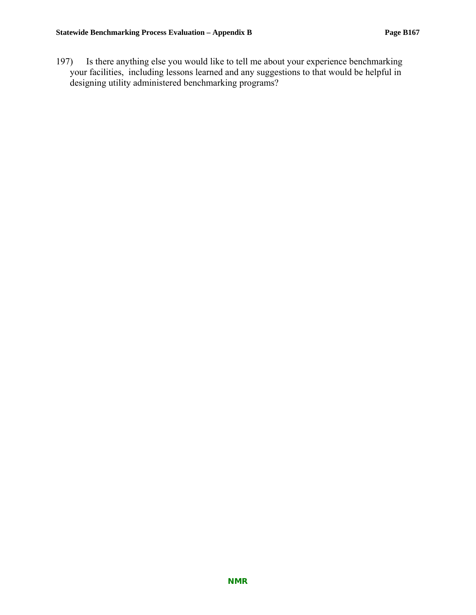197) Is there anything else you would like to tell me about your experience benchmarking your facilities, including lessons learned and any suggestions to that would be helpful in designing utility administered benchmarking programs?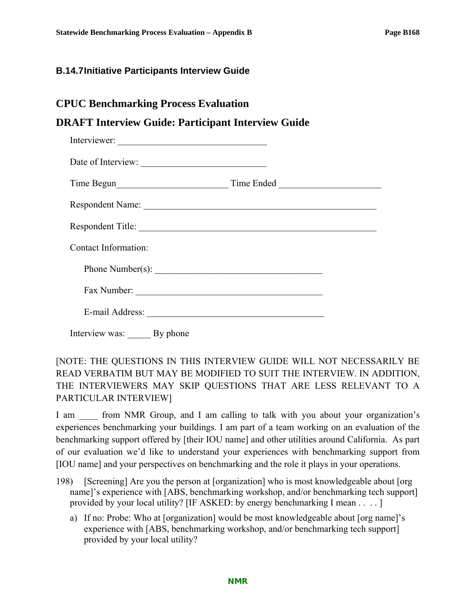### **B.14.7 Initiative Participants Interview Guide**

# **DRAFT Interview Guide: Participant Interview Guide**

| Interviewer:         |            |
|----------------------|------------|
| Date of Interview:   |            |
|                      | Time Ended |
| Respondent Name:     |            |
| Respondent Title:    |            |
| Contact Information: |            |
| Phone Number(s):     |            |
|                      |            |
| E-mail Address:      |            |
|                      |            |

Interview was: By phone

# [NOTE: THE QUESTIONS IN THIS INTERVIEW GUIDE WILL NOT NECESSARILY BE READ VERBATIM BUT MAY BE MODIFIED TO SUIT THE INTERVIEW. IN ADDITION, THE INTERVIEWERS MAY SKIP QUESTIONS THAT ARE LESS RELEVANT TO A PARTICULAR INTERVIEW]

I am  $\quad$  from NMR Group, and I am calling to talk with you about your organization's experiences benchmarking your buildings. I am part of a team working on an evaluation of the benchmarking support offered by [their IOU name] and other utilities around California. As part of our evaluation we'd like to understand your experiences with benchmarking support from [IOU name] and your perspectives on benchmarking and the role it plays in your operations.

- 198) [Screening] Are you the person at [organization] who is most knowledgeable about [org name]'s experience with [ABS, benchmarking workshop, and/or benchmarking tech support] provided by your local utility? [IF ASKED: by energy benchmarking I mean . . . . ]
	- a) If no: Probe: Who at [organization] would be most knowledgeable about [org name]'s experience with [ABS, benchmarking workshop, and/or benchmarking tech support] provided by your local utility?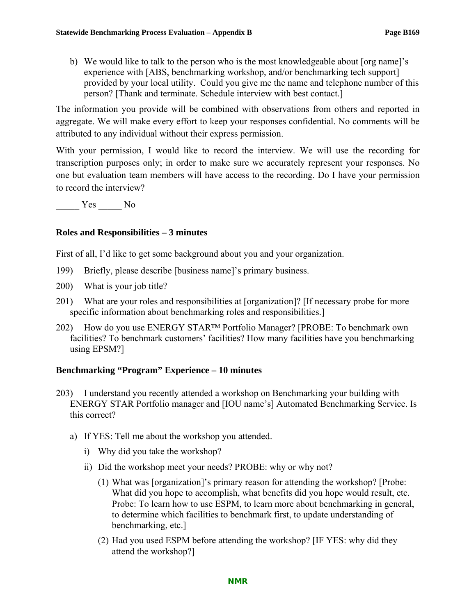b) We would like to talk to the person who is the most knowledgeable about [org name]'s experience with [ABS, benchmarking workshop, and/or benchmarking tech support] provided by your local utility. Could you give me the name and telephone number of this person? [Thank and terminate. Schedule interview with best contact.]

The information you provide will be combined with observations from others and reported in aggregate. We will make every effort to keep your responses confidential. No comments will be attributed to any individual without their express permission.

With your permission, I would like to record the interview. We will use the recording for transcription purposes only; in order to make sure we accurately represent your responses. No one but evaluation team members will have access to the recording. Do I have your permission to record the interview?

 $\frac{\text{Yes}}{\text{Yes}}$  No

### **Roles and Responsibilities – 3 minutes**

First of all, I'd like to get some background about you and your organization.

- 199) Briefly, please describe [business name]'s primary business.
- 200) What is your job title?
- 201) What are your roles and responsibilities at [organization]? [If necessary probe for more specific information about benchmarking roles and responsibilities.]
- 202) How do you use ENERGY STAR™ Portfolio Manager? [PROBE: To benchmark own facilities? To benchmark customers' facilities? How many facilities have you benchmarking using EPSM?]

# **Benchmarking "Program" Experience – 10 minutes**

- 203) I understand you recently attended a workshop on Benchmarking your building with ENERGY STAR Portfolio manager and [IOU name's] Automated Benchmarking Service. Is this correct?
	- a) If YES: Tell me about the workshop you attended.
		- i) Why did you take the workshop?
		- ii) Did the workshop meet your needs? PROBE: why or why not?
			- (1) What was [organization]'s primary reason for attending the workshop? [Probe: What did you hope to accomplish, what benefits did you hope would result, etc. Probe: To learn how to use ESPM, to learn more about benchmarking in general, to determine which facilities to benchmark first, to update understanding of benchmarking, etc.]
			- (2) Had you used ESPM before attending the workshop? [IF YES: why did they attend the workshop?]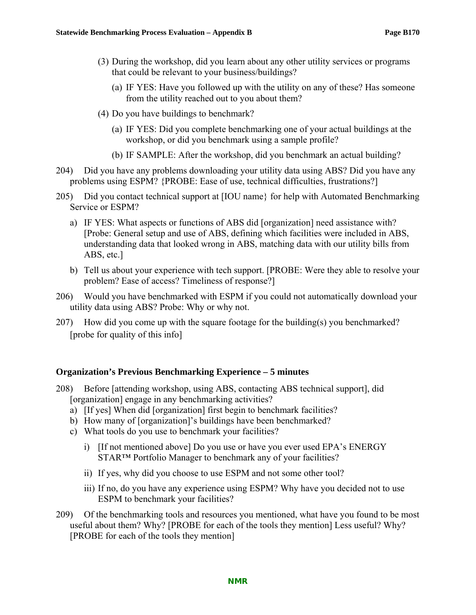- (3) During the workshop, did you learn about any other utility services or programs that could be relevant to your business/buildings?
	- (a) IF YES: Have you followed up with the utility on any of these? Has someone from the utility reached out to you about them?
- (4) Do you have buildings to benchmark?
	- (a) IF YES: Did you complete benchmarking one of your actual buildings at the workshop, or did you benchmark using a sample profile?
	- (b) IF SAMPLE: After the workshop, did you benchmark an actual building?
- 204) Did you have any problems downloading your utility data using ABS? Did you have any problems using ESPM? {PROBE: Ease of use, technical difficulties, frustrations?]
- 205) Did you contact technical support at [IOU name} for help with Automated Benchmarking Service or ESPM?
	- a) IF YES: What aspects or functions of ABS did [organization] need assistance with? [Probe: General setup and use of ABS, defining which facilities were included in ABS, understanding data that looked wrong in ABS, matching data with our utility bills from ABS, etc.]
	- b) Tell us about your experience with tech support. [PROBE: Were they able to resolve your problem? Ease of access? Timeliness of response?]
- 206) Would you have benchmarked with ESPM if you could not automatically download your utility data using ABS? Probe: Why or why not.
- 207) How did you come up with the square footage for the building(s) you benchmarked? [probe for quality of this info]

#### **Organization's Previous Benchmarking Experience – 5 minutes**

- 208) Before [attending workshop, using ABS, contacting ABS technical support], did [organization] engage in any benchmarking activities?
	- a) [If yes] When did [organization] first begin to benchmark facilities?
	- b) How many of [organization]'s buildings have been benchmarked?
	- c) What tools do you use to benchmark your facilities?
		- i) [If not mentioned above] Do you use or have you ever used EPA's ENERGY STAR™ Portfolio Manager to benchmark any of your facilities?
		- ii) If yes, why did you choose to use ESPM and not some other tool?
		- iii) If no, do you have any experience using ESPM? Why have you decided not to use ESPM to benchmark your facilities?
- 209) Of the benchmarking tools and resources you mentioned, what have you found to be most useful about them? Why? [PROBE for each of the tools they mention] Less useful? Why? [PROBE for each of the tools they mention]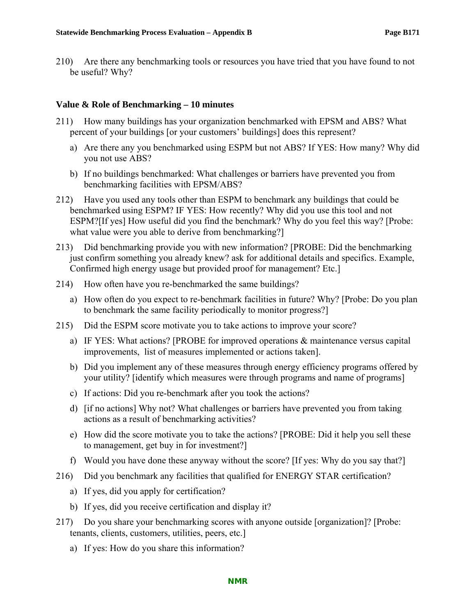210) Are there any benchmarking tools or resources you have tried that you have found to not be useful? Why?

#### **Value & Role of Benchmarking – 10 minutes**

- 211) How many buildings has your organization benchmarked with EPSM and ABS? What percent of your buildings [or your customers' buildings] does this represent?
	- a) Are there any you benchmarked using ESPM but not ABS? If YES: How many? Why did you not use ABS?
	- b) If no buildings benchmarked: What challenges or barriers have prevented you from benchmarking facilities with EPSM/ABS?
- 212) Have you used any tools other than ESPM to benchmark any buildings that could be benchmarked using ESPM? IF YES: How recently? Why did you use this tool and not ESPM?[If yes] How useful did you find the benchmark? Why do you feel this way? [Probe: what value were you able to derive from benchmarking?
- 213) Did benchmarking provide you with new information? [PROBE: Did the benchmarking just confirm something you already knew? ask for additional details and specifics. Example, Confirmed high energy usage but provided proof for management? Etc.]
- 214) How often have you re-benchmarked the same buildings?
	- a) How often do you expect to re-benchmark facilities in future? Why? [Probe: Do you plan to benchmark the same facility periodically to monitor progress?]
- 215) Did the ESPM score motivate you to take actions to improve your score?
	- a) IF YES: What actions? [PROBE for improved operations & maintenance versus capital improvements, list of measures implemented or actions taken].
	- b) Did you implement any of these measures through energy efficiency programs offered by your utility? [identify which measures were through programs and name of programs]
	- c) If actions: Did you re-benchmark after you took the actions?
	- d) [if no actions] Why not? What challenges or barriers have prevented you from taking actions as a result of benchmarking activities?
	- e) How did the score motivate you to take the actions? [PROBE: Did it help you sell these to management, get buy in for investment?]
	- f) Would you have done these anyway without the score? [If yes: Why do you say that?]
- 216) Did you benchmark any facilities that qualified for ENERGY STAR certification?
	- a) If yes, did you apply for certification?
	- b) If yes, did you receive certification and display it?
- 217) Do you share your benchmarking scores with anyone outside [organization]? [Probe: tenants, clients, customers, utilities, peers, etc.]
	- a) If yes: How do you share this information?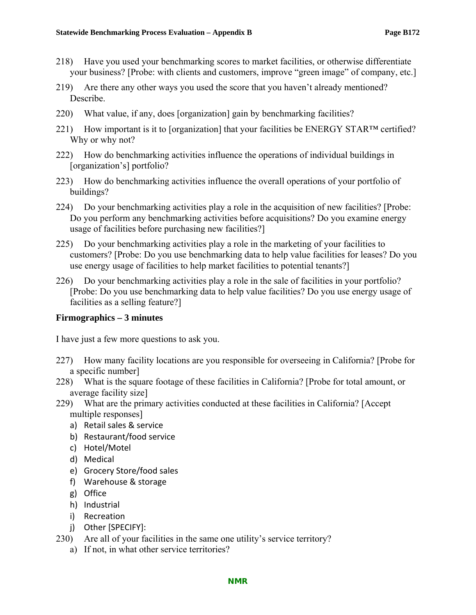- 218) Have you used your benchmarking scores to market facilities, or otherwise differentiate your business? [Probe: with clients and customers, improve "green image" of company, etc.]
- 219) Are there any other ways you used the score that you haven't already mentioned? Describe.
- 220) What value, if any, does [organization] gain by benchmarking facilities?
- 221) How important is it to [organization] that your facilities be ENERGY STAR™ certified? Why or why not?
- 222) How do benchmarking activities influence the operations of individual buildings in [organization's] portfolio?
- 223) How do benchmarking activities influence the overall operations of your portfolio of buildings?
- 224) Do your benchmarking activities play a role in the acquisition of new facilities? [Probe: Do you perform any benchmarking activities before acquisitions? Do you examine energy usage of facilities before purchasing new facilities?]
- 225) Do your benchmarking activities play a role in the marketing of your facilities to customers? [Probe: Do you use benchmarking data to help value facilities for leases? Do you use energy usage of facilities to help market facilities to potential tenants?]
- 226) Do your benchmarking activities play a role in the sale of facilities in your portfolio? [Probe: Do you use benchmarking data to help value facilities? Do you use energy usage of facilities as a selling feature?]

#### **Firmographics – 3 minutes**

I have just a few more questions to ask you.

- 227) How many facility locations are you responsible for overseeing in California? [Probe for a specific number]
- 228) What is the square footage of these facilities in California? [Probe for total amount, or average facility size]
- 229) What are the primary activities conducted at these facilities in California? [Accept multiple responses]
	- a) Retail sales & service
	- b) Restaurant/food service
	- c) Hotel/Motel
	- d) Medical
	- e) Grocery Store/food sales
	- f) Warehouse & storage
	- g) Office
	- h) Industrial
	- i) Recreation
	- j) Other [SPECIFY]:
- 230) Are all of your facilities in the same one utility's service territory?
	- a) If not, in what other service territories?